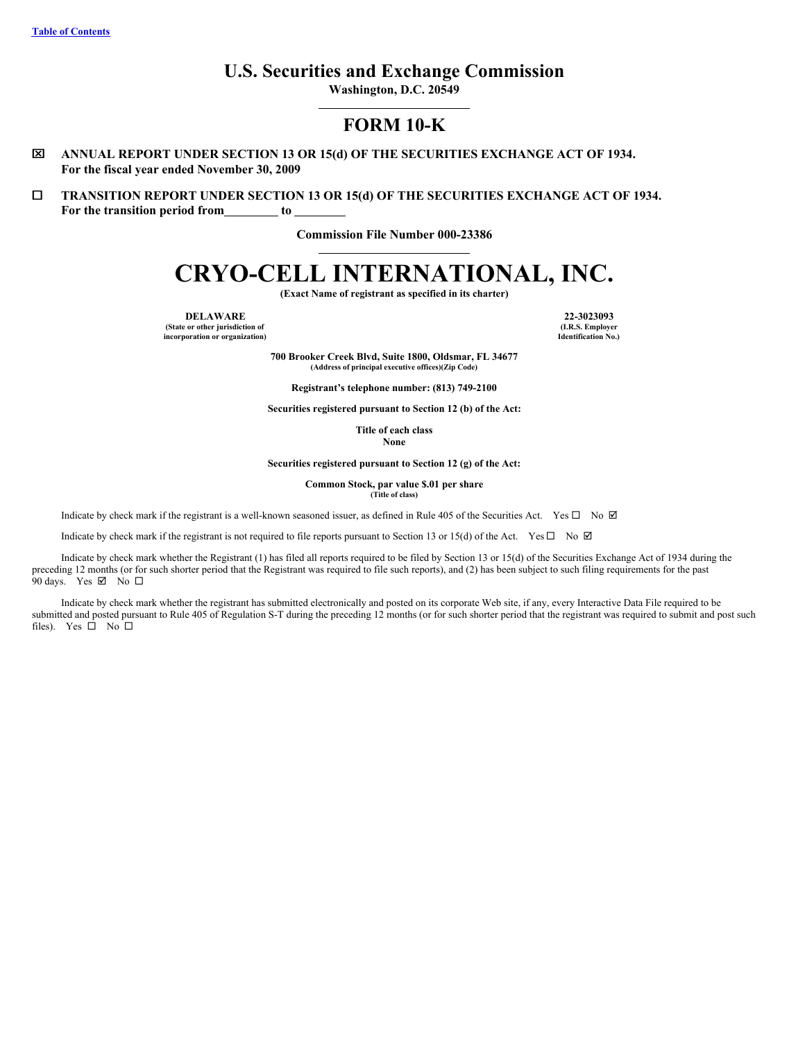# **U.S. Securities and Exchange Commission**

**Washington, D.C. 20549**

# **FORM 10-K**

- x **ANNUAL REPORT UNDER SECTION 13 OR 15(d) OF THE SECURITIES EXCHANGE ACT OF 1934. For the fiscal year ended November 30, 2009**
- ¨ **TRANSITION REPORT UNDER SECTION 13 OR 15(d) OF THE SECURITIES EXCHANGE ACT OF 1934. For the transition period from to**

**Commission File Number 000-23386**

# **CRYO-CELL INTERNATIONAL, INC.**

**(Exact Name of registrant as specified in its charter)**

**(State or other jurisdiction of incorporation or organization)**

**DELAWARE 22-3023093 (I.R.S. Employer Identification No.)**

> **700 Brooker Creek Blvd, Suite 1800, Oldsmar, FL 34677 (Address of principal executive offices)(Zip Code)**

**Registrant's telephone number: (813) 749-2100**

**Securities registered pursuant to Section 12 (b) of the Act:**

**Title of each class None**

**Securities registered pursuant to Section 12 (g) of the Act:**

**Common Stock, par value \$.01 per share (Title of class)**

Indicate by check mark if the registrant is a well-known seasoned issuer, as defined in Rule 405 of the Securities Act. Yes  $\Box$  No  $\Box$ 

Indicate by check mark if the registrant is not required to file reports pursuant to Section 13 or 15(d) of the Act. Yes  $\Box$  No  $\Box$ 

Indicate by check mark whether the Registrant (1) has filed all reports required to be filed by Section 13 or 15(d) of the Securities Exchange Act of 1934 during the preceding 12 months (or for such shorter period that the Registrant was required to file such reports), and (2) has been subject to such filing requirements for the past 90 days. Yes  $\boxtimes$  No  $\square$ 

Indicate by check mark whether the registrant has submitted electronically and posted on its corporate Web site, if any, every Interactive Data File required to be submitted and posted pursuant to Rule 405 of Regulation S-T during the preceding 12 months (or for such shorter period that the registrant was required to submit and post such files). Yes  $\square$  No  $\square$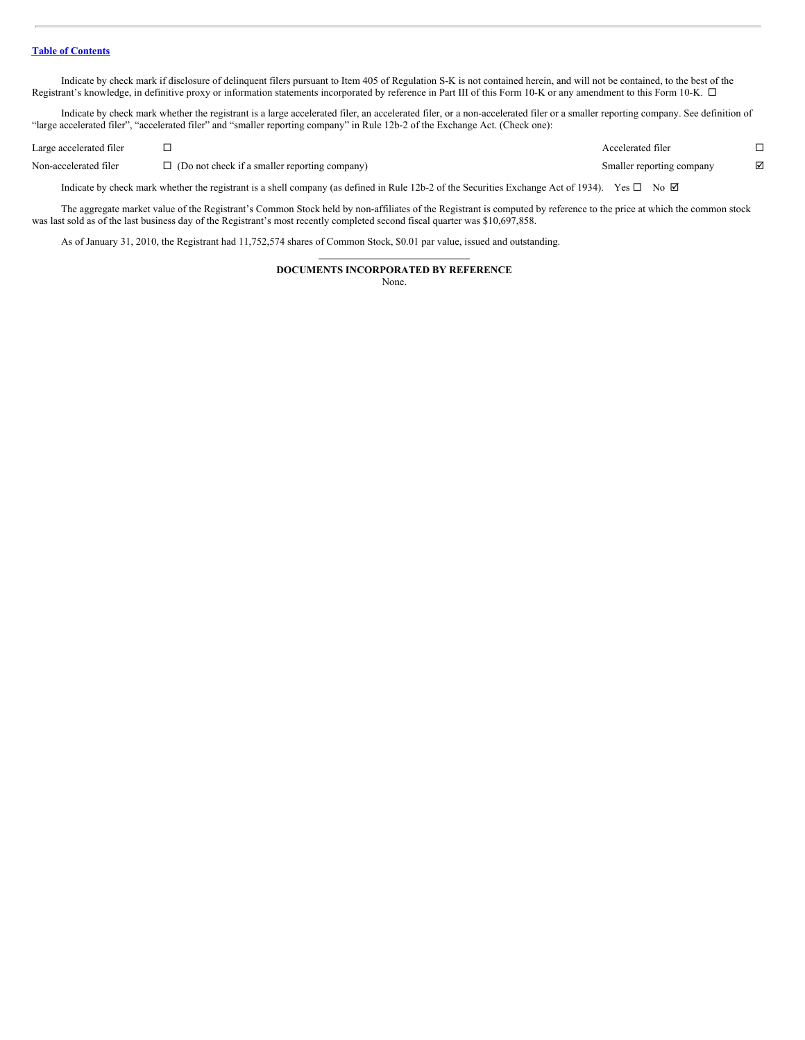Indicate by check mark if disclosure of delinquent filers pursuant to Item 405 of Regulation S-K is not contained herein, and will not be contained, to the best of the Registrant's knowledge, in definitive proxy or information statements incorporated by reference in Part III of this Form 10-K or any amendment to this Form 10-K.  $\Box$ 

Indicate by check mark whether the registrant is a large accelerated filer, an accelerated filer, or a non-accelerated filer or a smaller reporting company. See definition of "large accelerated filer", "accelerated filer" and "smaller reporting company" in Rule 12b-2 of the Exchange Act. (Check one):

| Large accelerated filer |                                                                                                                                                                | Accelerated filer         |   |
|-------------------------|----------------------------------------------------------------------------------------------------------------------------------------------------------------|---------------------------|---|
| Non-accelerated filer   | $\Box$ (Do not check if a smaller reporting company)                                                                                                           | Smaller reporting company | ☑ |
|                         | Indicate by check mark whether the registrant is a shell company (as defined in Rule 12b-2 of the Securities Exchange Act of 1934). Yes $\square$ No $\square$ |                           |   |

The aggregate market value of the Registrant's Common Stock held by non-affiliates of the Registrant is computed by reference to the price at which the common stock was last sold as of the last business day of the Registrant's most recently completed second fiscal quarter was \$10,697,858.

As of January 31, 2010, the Registrant had 11,752,574 shares of Common Stock, \$0.01 par value, issued and outstanding.

# **DOCUMENTS INCORPORATED BY REFERENCE**

None.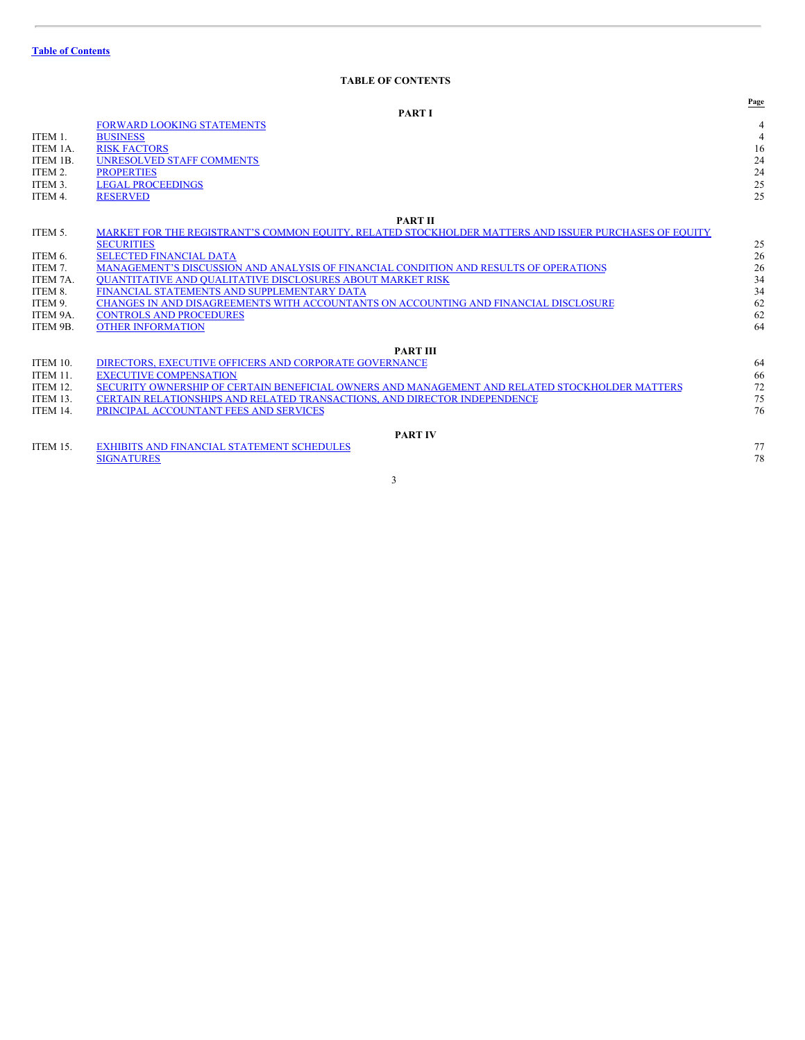# <span id="page-2-0"></span>**TABLE OF CONTENTS**

|          | <b>PART I</b>                                                                                         | Page |
|----------|-------------------------------------------------------------------------------------------------------|------|
|          |                                                                                                       |      |
|          | <b>FORWARD LOOKING STATEMENTS</b>                                                                     |      |
| ITEM 1.  | <b>BUSINESS</b>                                                                                       | 4    |
| ITEM 1A. | <b>RISK FACTORS</b>                                                                                   | 16   |
| ITEM 1B. | <b>UNRESOLVED STAFF COMMENTS</b>                                                                      | 24   |
| ITEM 2.  | <b>PROPERTIES</b>                                                                                     | 24   |
| ITEM 3.  | <b>LEGAL PROCEEDINGS</b>                                                                              | 25   |
| ITEM 4.  | <b>RESERVED</b>                                                                                       | 25   |
|          | <b>PART II</b>                                                                                        |      |
| ITEM 5.  | MARKET FOR THE REGISTRANT'S COMMON EQUITY, RELATED STOCKHOLDER MATTERS AND ISSUER PURCHASES OF EQUITY |      |
|          | <b>SECURITIES</b>                                                                                     | 25   |
| ITEM 6.  | <b>SELECTED FINANCIAL DATA</b>                                                                        | 26   |
| ITEM 7.  | MANAGEMENT'S DISCUSSION AND ANALYSIS OF FINANCIAL CONDITION AND RESULTS OF OPERATIONS                 | 26   |
| ITEM 7A. | <b>OUANTITATIVE AND OUALITATIVE DISCLOSURES ABOUT MARKET RISK</b>                                     | 34   |
| ITEM 8.  | FINANCIAL STATEMENTS AND SUPPLEMENTARY DATA                                                           | 34   |
| ITEM 9.  | CHANGES IN AND DISAGREEMENTS WITH ACCOUNTANTS ON ACCOUNTING AND FINANCIAL DISCLOSURE                  | 62   |
| ITEM 9A. | <b>CONTROLS AND PROCEDURES</b>                                                                        | 62   |
| ITEM 9B. | <b>OTHER INFORMATION</b>                                                                              | 64   |
|          |                                                                                                       |      |
|          | <b>PART III</b>                                                                                       |      |
| ITEM 10. | DIRECTORS. EXECUTIVE OFFICERS AND CORPORATE GOVERNANCE                                                | 64   |
| ITEM 11. | <b>EXECUTIVE COMPENSATION</b>                                                                         | 66   |
| ITEM 12. | SECURITY OWNERSHIP OF CERTAIN BENEFICIAL OWNERS AND MANAGEMENT AND RELATED STOCKHOLDER MATTERS        | 72   |
| ITEM 13. | CERTAIN RELATIONSHIPS AND RELATED TRANSACTIONS. AND DIRECTOR INDEPENDENCE                             | 75   |
| ITEM 14. | PRINCIPAL ACCOUNTANT FEES AND SERVICES                                                                | 76   |
|          | <b>PART IV</b>                                                                                        |      |
| ITEM 15. | <b>EXHIBITS AND FINANCIAL STATEMENT SCHEDULES</b>                                                     | 77   |
|          | <b>SIGNATURES</b>                                                                                     | 78   |
|          |                                                                                                       |      |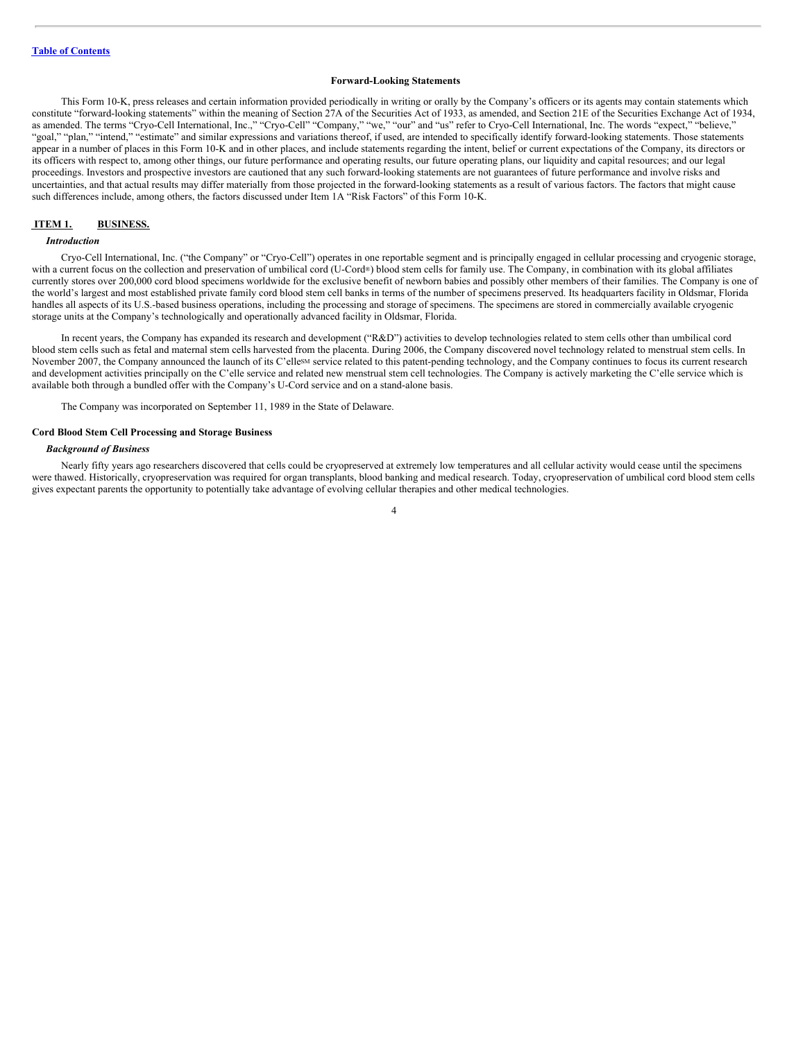# <span id="page-3-0"></span>**Forward-Looking Statements**

This Form 10-K, press releases and certain information provided periodically in writing or orally by the Company's officers or its agents may contain statements which constitute "forward-looking statements" within the meaning of Section 27A of the Securities Act of 1933, as amended, and Section 21E of the Securities Exchange Act of 1934, as amended. The terms "Cryo-Cell International, Inc.," "Cryo-Cell" "Company," "we," "our" and "us" refer to Cryo-Cell International, Inc. The words "expect," "believe," "goal," "plan," "intend," "estimate" and similar expressions and variations thereof, if used, are intended to specifically identify forward-looking statements. Those statements appear in a number of places in this Form 10-K and in other places, and include statements regarding the intent, belief or current expectations of the Company, its directors or its officers with respect to, among other things, our future performance and operating results, our future operating plans, our liquidity and capital resources; and our legal proceedings. Investors and prospective investors are cautioned that any such forward-looking statements are not guarantees of future performance and involve risks and uncertainties, and that actual results may differ materially from those projected in the forward-looking statements as a result of various factors. The factors that might cause such differences include, among others, the factors discussed under Item 1A "Risk Factors" of this Form 10-K.

# <span id="page-3-1"></span>**ITEM 1. BUSINESS.**

# *Introduction*

Cryo-Cell International, Inc. ("the Company" or "Cryo-Cell") operates in one reportable segment and is principally engaged in cellular processing and cryogenic storage, with a current focus on the collection and preservation of umbilical cord (U-Cord®) blood stem cells for family use. The Company, in combination with its global affiliates currently stores over 200,000 cord blood specimens worldwide for the exclusive benefit of newborn babies and possibly other members of their families. The Company is one of the world's largest and most established private family cord blood stem cell banks in terms of the number of specimens preserved. Its headquarters facility in Oldsmar, Florida handles all aspects of its U.S.-based business operations, including the processing and storage of specimens. The specimens are stored in commercially available cryogenic storage units at the Company's technologically and operationally advanced facility in Oldsmar, Florida.

In recent years, the Company has expanded its research and development ("R&D") activities to develop technologies related to stem cells other than umbilical cord blood stem cells such as fetal and maternal stem cells harvested from the placenta. During 2006, the Company discovered novel technology related to menstrual stem cells. In November 2007, the Company announced the launch of its C'elle<sup>sM</sup> service related to this patent-pending technology, and the Company continues to focus its current research and development activities principally on the C'elle service and related new menstrual stem cell technologies. The Company is actively marketing the C'elle service which is available both through a bundled offer with the Company's U-Cord service and on a stand-alone basis.

The Company was incorporated on September 11, 1989 in the State of Delaware.

# **Cord Blood Stem Cell Processing and Storage Business**

#### *Background of Business*

Nearly fifty years ago researchers discovered that cells could be cryopreserved at extremely low temperatures and all cellular activity would cease until the specimens were thawed. Historically, cryopreservation was required for organ transplants, blood banking and medical research. Today, cryopreservation of umbilical cord blood stem cells gives expectant parents the opportunity to potentially take advantage of evolving cellular therapies and other medical technologies.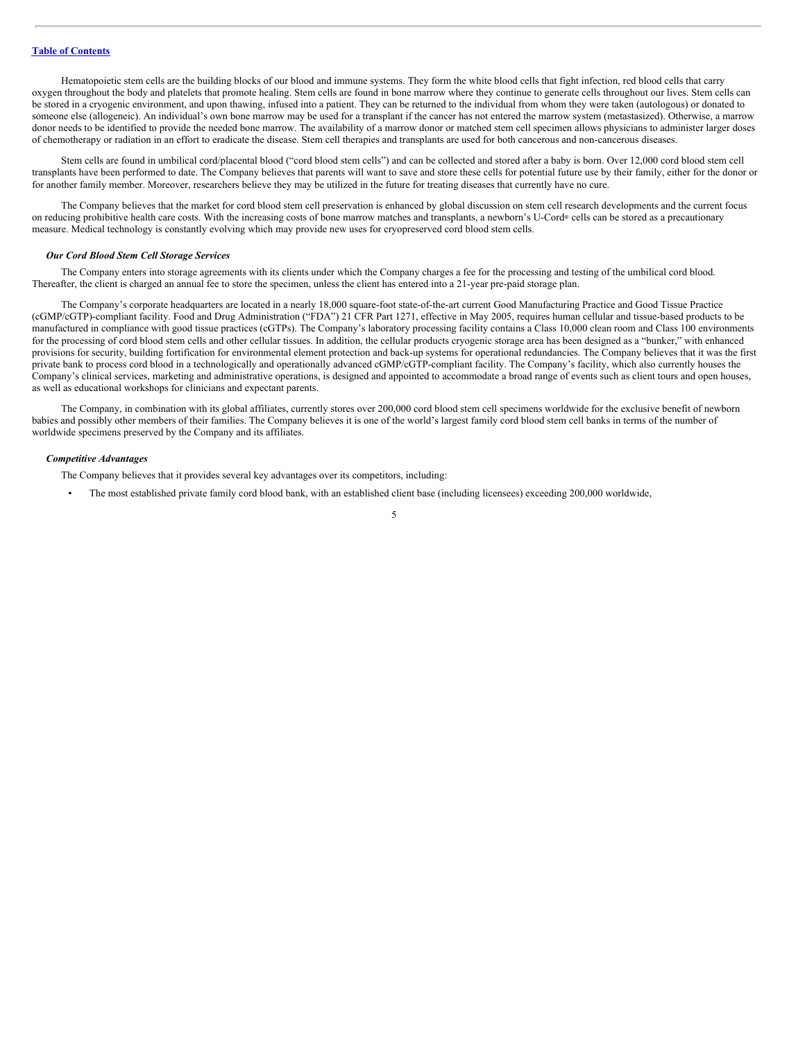Hematopoietic stem cells are the building blocks of our blood and immune systems. They form the white blood cells that fight infection, red blood cells that carry oxygen throughout the body and platelets that promote healing. Stem cells are found in bone marrow where they continue to generate cells throughout our lives. Stem cells can be stored in a cryogenic environment, and upon thawing, infused into a patient. They can be returned to the individual from whom they were taken (autologous) or donated to someone else (allogeneic). An individual's own bone marrow may be used for a transplant if the cancer has not entered the marrow system (metastasized). Otherwise, a marrow donor needs to be identified to provide the needed bone marrow. The availability of a marrow donor or matched stem cell specimen allows physicians to administer larger doses of chemotherapy or radiation in an effort to eradicate the disease. Stem cell therapies and transplants are used for both cancerous and non-cancerous diseases.

Stem cells are found in umbilical cord/placental blood ("cord blood stem cells") and can be collected and stored after a baby is born. Over 12,000 cord blood stem cell transplants have been performed to date. The Company believes that parents will want to save and store these cells for potential future use by their family, either for the donor or for another family member. Moreover, researchers believe they may be utilized in the future for treating diseases that currently have no cure.

The Company believes that the market for cord blood stem cell preservation is enhanced by global discussion on stem cell research developments and the current focus on reducing prohibitive health care costs. With the increasing costs of bone marrow matches and transplants, a newborn's U-Cord® cells can be stored as a precautionary measure. Medical technology is constantly evolving which may provide new uses for cryopreserved cord blood stem cells.

#### *Our Cord Blood Stem Cell Storage Services*

The Company enters into storage agreements with its clients under which the Company charges a fee for the processing and testing of the umbilical cord blood. Thereafter, the client is charged an annual fee to store the specimen, unless the client has entered into a 21-year pre-paid storage plan.

The Company's corporate headquarters are located in a nearly 18,000 square-foot state-of-the-art current Good Manufacturing Practice and Good Tissue Practice (cGMP/cGTP)-compliant facility. Food and Drug Administration ("FDA") 21 CFR Part 1271, effective in May 2005, requires human cellular and tissue-based products to be manufactured in compliance with good tissue practices (cGTPs). The Company's laboratory processing facility contains a Class 10,000 clean room and Class 100 environments for the processing of cord blood stem cells and other cellular tissues. In addition, the cellular products cryogenic storage area has been designed as a "bunker," with enhanced provisions for security, building fortification for environmental element protection and back-up systems for operational redundancies. The Company believes that it was the first private bank to process cord blood in a technologically and operationally advanced cGMP/cGTP-compliant facility. The Company's facility, which also currently houses the Company's clinical services, marketing and administrative operations, is designed and appointed to accommodate a broad range of events such as client tours and open houses, as well as educational workshops for clinicians and expectant parents.

The Company, in combination with its global affiliates, currently stores over 200,000 cord blood stem cell specimens worldwide for the exclusive benefit of newborn babies and possibly other members of their families. The Company believes it is one of the world's largest family cord blood stem cell banks in terms of the number of worldwide specimens preserved by the Company and its affiliates.

#### *Competitive Advantages*

The Company believes that it provides several key advantages over its competitors, including:

• The most established private family cord blood bank, with an established client base (including licensees) exceeding 200,000 worldwide,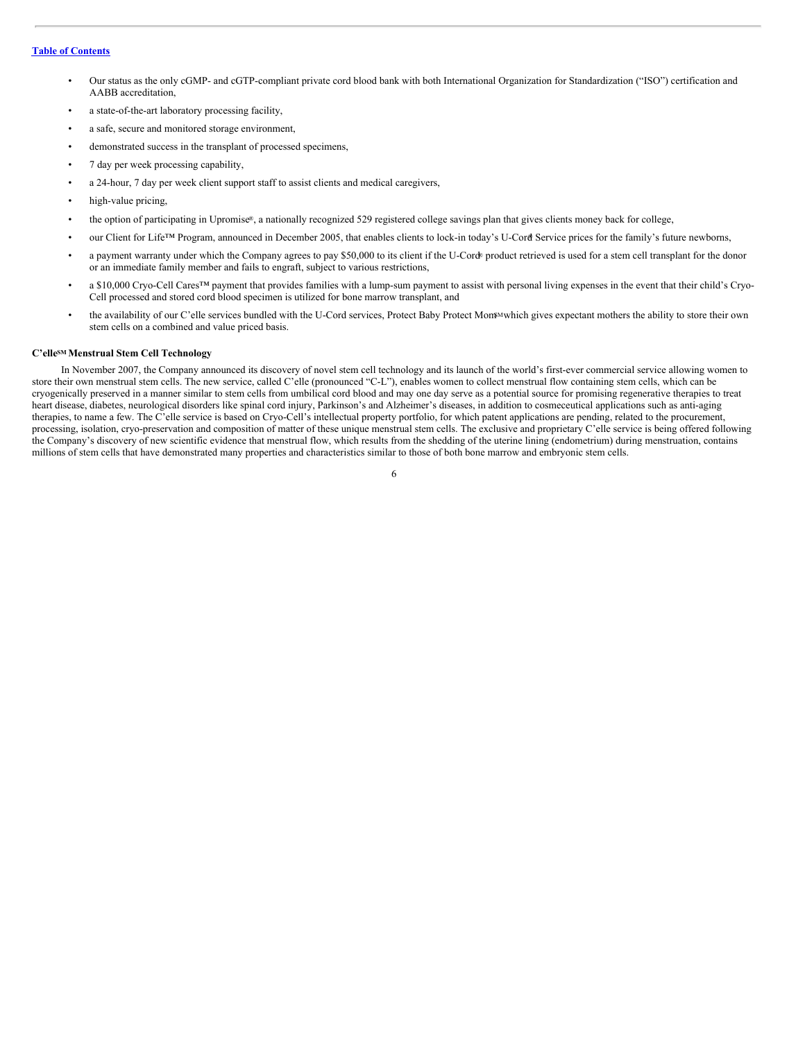- Our status as the only cGMP- and cGTP-compliant private cord blood bank with both International Organization for Standardization ("ISO") certification and AABB accreditation,
- a state-of-the-art laboratory processing facility,
- a safe, secure and monitored storage environment,
- demonstrated success in the transplant of processed specimens,
- 7 day per week processing capability,
- a 24-hour, 7 day per week client support staff to assist clients and medical caregivers,
- high-value pricing,
- the option of participating in Upromise®, a nationally recognized 529 registered college savings plan that gives clients money back for college,
- our Client for Life™ Program, announced in December 2005, that enables clients to lock-in today's U-Cord Service prices for the family's future newborns,
- a payment warranty under which the Company agrees to pay \$50,000 to its client if the U-Cord® product retrieved is used for a stem cell transplant for the donor or an immediate family member and fails to engraft, subject to various restrictions,
- a \$10,000 Cryo-Cell Cares™ payment that provides families with a lump-sum payment to assist with personal living expenses in the event that their child's Cryo-Cell processed and stored cord blood specimen is utilized for bone marrow transplant, and
- the availability of our C'elle services bundled with the U-Cord services, Protect Baby Protect Mon<sup>sM</sup> which gives expectant mothers the ability to store their own stem cells on a combined and value priced basis.

#### **C'elle**<sup>SM</sup> Menstrual Stem Cell Technology

In November 2007, the Company announced its discovery of novel stem cell technology and its launch of the world's first-ever commercial service allowing women to store their own menstrual stem cells. The new service, called C'elle (pronounced "C-L"), enables women to collect menstrual flow containing stem cells, which can be cryogenically preserved in a manner similar to stem cells from umbilical cord blood and may one day serve as a potential source for promising regenerative therapies to treat heart disease, diabetes, neurological disorders like spinal cord injury, Parkinson's and Alzheimer's diseases, in addition to cosmeceutical applications such as anti-aging therapies, to name a few. The C'elle service is based on Cryo-Cell's intellectual property portfolio, for which patent applications are pending, related to the procurement, processing, isolation, cryo-preservation and composition of matter of these unique menstrual stem cells. The exclusive and proprietary C'elle service is being offered following the Company's discovery of new scientific evidence that menstrual flow, which results from the shedding of the uterine lining (endometrium) during menstruation, contains millions of stem cells that have demonstrated many properties and characteristics similar to those of both bone marrow and embryonic stem cells.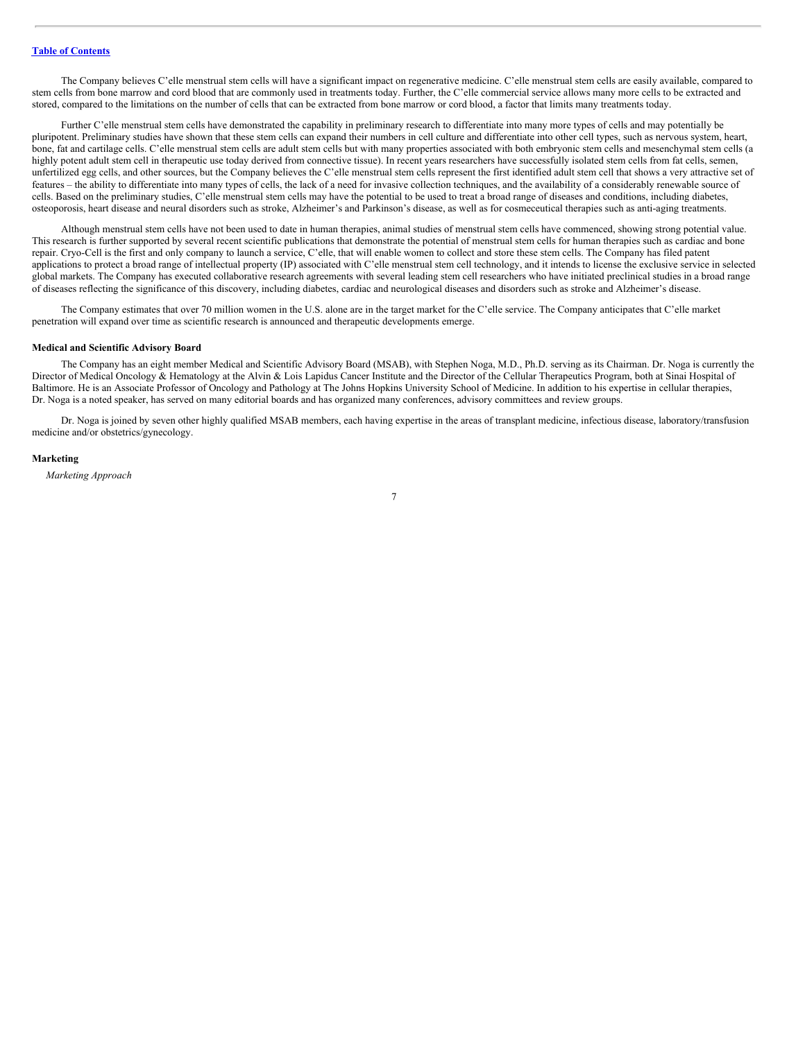The Company believes C'elle menstrual stem cells will have a significant impact on regenerative medicine. C'elle menstrual stem cells are easily available, compared to stem cells from bone marrow and cord blood that are commonly used in treatments today. Further, the C'elle commercial service allows many more cells to be extracted and stored, compared to the limitations on the number of cells that can be extracted from bone marrow or cord blood, a factor that limits many treatments today.

Further C'elle menstrual stem cells have demonstrated the capability in preliminary research to differentiate into many more types of cells and may potentially be pluripotent. Preliminary studies have shown that these stem cells can expand their numbers in cell culture and differentiate into other cell types, such as nervous system, heart, bone, fat and cartilage cells. C'elle menstrual stem cells are adult stem cells but with many properties associated with both embryonic stem cells and mesenchymal stem cells (a highly potent adult stem cell in therapeutic use today derived from connective tissue). In recent years researchers have successfully isolated stem cells from fat cells, semen, unfertilized egg cells, and other sources, but the Company believes the C'elle menstrual stem cells represent the first identified adult stem cell that shows a very attractive set of features – the ability to differentiate into many types of cells, the lack of a need for invasive collection techniques, and the availability of a considerably renewable source of cells. Based on the preliminary studies, C'elle menstrual stem cells may have the potential to be used to treat a broad range of diseases and conditions, including diabetes, osteoporosis, heart disease and neural disorders such as stroke, Alzheimer's and Parkinson's disease, as well as for cosmeceutical therapies such as anti-aging treatments.

Although menstrual stem cells have not been used to date in human therapies, animal studies of menstrual stem cells have commenced, showing strong potential value. This research is further supported by several recent scientific publications that demonstrate the potential of menstrual stem cells for human therapies such as cardiac and bone repair. Cryo-Cell is the first and only company to launch a service, C'elle, that will enable women to collect and store these stem cells. The Company has filed patent applications to protect a broad range of intellectual property (IP) associated with C'elle menstrual stem cell technology, and it intends to license the exclusive service in selected global markets. The Company has executed collaborative research agreements with several leading stem cell researchers who have initiated preclinical studies in a broad range of diseases reflecting the significance of this discovery, including diabetes, cardiac and neurological diseases and disorders such as stroke and Alzheimer's disease.

The Company estimates that over 70 million women in the U.S. alone are in the target market for the C'elle service. The Company anticipates that C'elle market penetration will expand over time as scientific research is announced and therapeutic developments emerge.

# **Medical and Scientific Advisory Board**

The Company has an eight member Medical and Scientific Advisory Board (MSAB), with Stephen Noga, M.D., Ph.D. serving as its Chairman. Dr. Noga is currently the Director of Medical Oncology & Hematology at the Alvin & Lois Lapidus Cancer Institute and the Director of the Cellular Therapeutics Program, both at Sinai Hospital of Baltimore. He is an Associate Professor of Oncology and Pathology at The Johns Hopkins University School of Medicine. In addition to his expertise in cellular therapies, Dr. Noga is a noted speaker, has served on many editorial boards and has organized many conferences, advisory committees and review groups.

Dr. Noga is joined by seven other highly qualified MSAB members, each having expertise in the areas of transplant medicine, infectious disease, laboratory/transfusion medicine and/or obstetrics/gynecology.

#### **Marketing**

*Marketing Approach*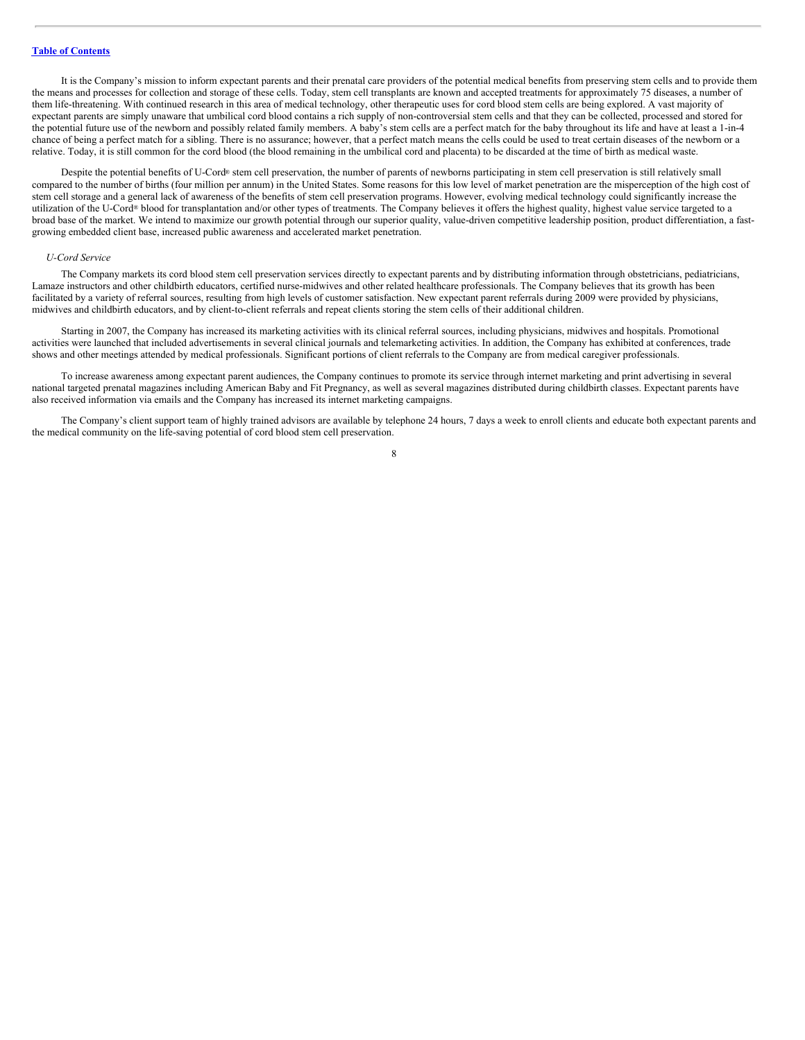It is the Company's mission to inform expectant parents and their prenatal care providers of the potential medical benefits from preserving stem cells and to provide them the means and processes for collection and storage of these cells. Today, stem cell transplants are known and accepted treatments for approximately 75 diseases, a number of them life-threatening. With continued research in this area of medical technology, other therapeutic uses for cord blood stem cells are being explored. A vast majority of expectant parents are simply unaware that umbilical cord blood contains a rich supply of non-controversial stem cells and that they can be collected, processed and stored for the potential future use of the newborn and possibly related family members. A baby's stem cells are a perfect match for the baby throughout its life and have at least a 1-in-4 chance of being a perfect match for a sibling. There is no assurance; however, that a perfect match means the cells could be used to treat certain diseases of the newborn or a relative. Today, it is still common for the cord blood (the blood remaining in the umbilical cord and placenta) to be discarded at the time of birth as medical waste.

Despite the potential benefits of U-Cord® stem cell preservation, the number of parents of newborns participating in stem cell preservation is still relatively small compared to the number of births (four million per annum) in the United States. Some reasons for this low level of market penetration are the misperception of the high cost of stem cell storage and a general lack of awareness of the benefits of stem cell preservation programs. However, evolving medical technology could significantly increase the utilization of the U-Cord® blood for transplantation and/or other types of treatments. The Company believes it offers the highest quality, highest value service targeted to a broad base of the market. We intend to maximize our growth potential through our superior quality, value-driven competitive leadership position, product differentiation, a fastgrowing embedded client base, increased public awareness and accelerated market penetration.

# *U-Cord Service*

The Company markets its cord blood stem cell preservation services directly to expectant parents and by distributing information through obstetricians, pediatricians, Lamaze instructors and other childbirth educators, certified nurse-midwives and other related healthcare professionals. The Company believes that its growth has been facilitated by a variety of referral sources, resulting from high levels of customer satisfaction. New expectant parent referrals during 2009 were provided by physicians, midwives and childbirth educators, and by client-to-client referrals and repeat clients storing the stem cells of their additional children.

Starting in 2007, the Company has increased its marketing activities with its clinical referral sources, including physicians, midwives and hospitals. Promotional activities were launched that included advertisements in several clinical journals and telemarketing activities. In addition, the Company has exhibited at conferences, trade shows and other meetings attended by medical professionals. Significant portions of client referrals to the Company are from medical caregiver professionals.

To increase awareness among expectant parent audiences, the Company continues to promote its service through internet marketing and print advertising in several national targeted prenatal magazines including American Baby and Fit Pregnancy, as well as several magazines distributed during childbirth classes. Expectant parents have also received information via emails and the Company has increased its internet marketing campaigns.

The Company's client support team of highly trained advisors are available by telephone 24 hours, 7 days a week to enroll clients and educate both expectant parents and the medical community on the life-saving potential of cord blood stem cell preservation.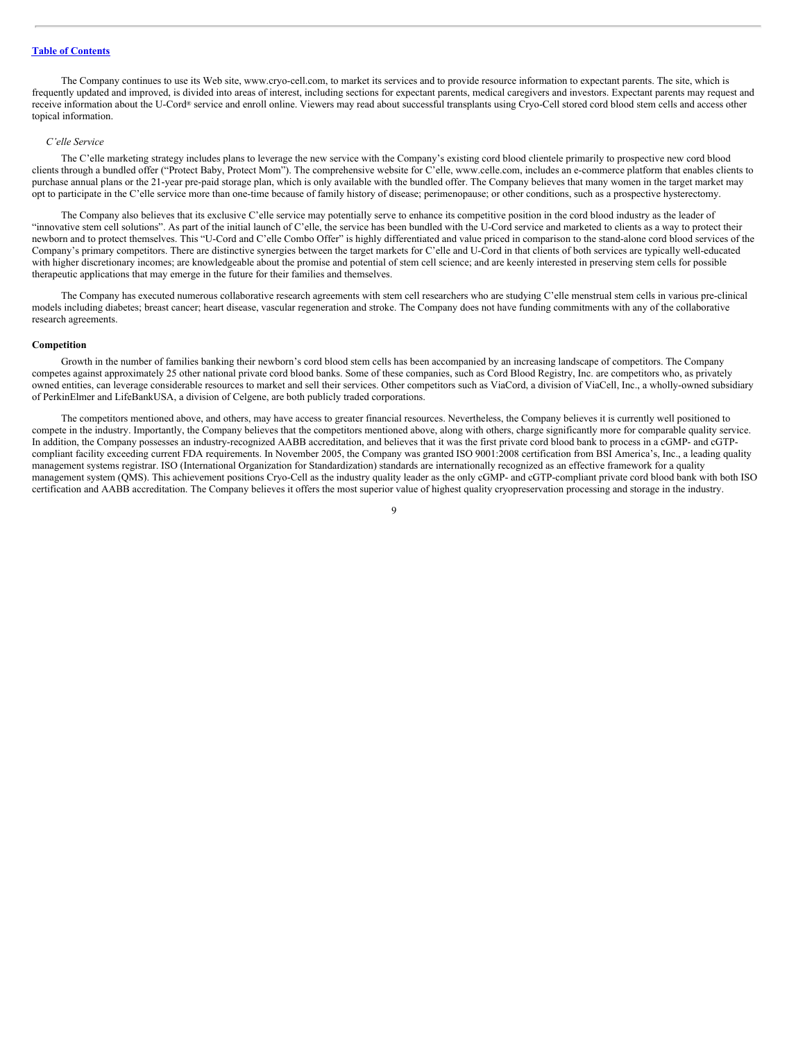The Company continues to use its Web site, www.cryo-cell.com, to market its services and to provide resource information to expectant parents. The site, which is frequently updated and improved, is divided into areas of interest, including sections for expectant parents, medical caregivers and investors. Expectant parents may request and receive information about the U-Cord® service and enroll online. Viewers may read about successful transplants using Cryo-Cell stored cord blood stem cells and access other topical information.

#### *C'elle Service*

The C'elle marketing strategy includes plans to leverage the new service with the Company's existing cord blood clientele primarily to prospective new cord blood clients through a bundled offer ("Protect Baby, Protect Mom"). The comprehensive website for C'elle, www.celle.com, includes an e-commerce platform that enables clients to purchase annual plans or the 21-year pre-paid storage plan, which is only available with the bundled offer. The Company believes that many women in the target market may opt to participate in the C'elle service more than one-time because of family history of disease; perimenopause; or other conditions, such as a prospective hysterectomy.

The Company also believes that its exclusive C'elle service may potentially serve to enhance its competitive position in the cord blood industry as the leader of "innovative stem cell solutions". As part of the initial launch of C'elle, the service has been bundled with the U-Cord service and marketed to clients as a way to protect their newborn and to protect themselves. This "U-Cord and C'elle Combo Offer" is highly differentiated and value priced in comparison to the stand-alone cord blood services of the Company's primary competitors. There are distinctive synergies between the target markets for C'elle and U-Cord in that clients of both services are typically well-educated with higher discretionary incomes; are knowledgeable about the promise and potential of stem cell science; and are keenly interested in preserving stem cells for possible therapeutic applications that may emerge in the future for their families and themselves.

The Company has executed numerous collaborative research agreements with stem cell researchers who are studying C'elle menstrual stem cells in various pre-clinical models including diabetes; breast cancer; heart disease, vascular regeneration and stroke. The Company does not have funding commitments with any of the collaborative research agreements.

# **Competition**

Growth in the number of families banking their newborn's cord blood stem cells has been accompanied by an increasing landscape of competitors. The Company competes against approximately 25 other national private cord blood banks. Some of these companies, such as Cord Blood Registry, Inc. are competitors who, as privately owned entities, can leverage considerable resources to market and sell their services. Other competitors such as ViaCord, a division of ViaCell, Inc., a wholly-owned subsidiary of PerkinElmer and LifeBankUSA, a division of Celgene, are both publicly traded corporations.

The competitors mentioned above, and others, may have access to greater financial resources. Nevertheless, the Company believes it is currently well positioned to compete in the industry. Importantly, the Company believes that the competitors mentioned above, along with others, charge significantly more for comparable quality service. In addition, the Company possesses an industry-recognized AABB accreditation, and believes that it was the first private cord blood bank to process in a cGMP- and cGTPcompliant facility exceeding current FDA requirements. In November 2005, the Company was granted ISO 9001:2008 certification from BSI America's, Inc., a leading quality management systems registrar. ISO (International Organization for Standardization) standards are internationally recognized as an effective framework for a quality management system (QMS). This achievement positions Cryo-Cell as the industry quality leader as the only cGMP- and cGTP-compliant private cord blood bank with both ISO certification and AABB accreditation. The Company believes it offers the most superior value of highest quality cryopreservation processing and storage in the industry.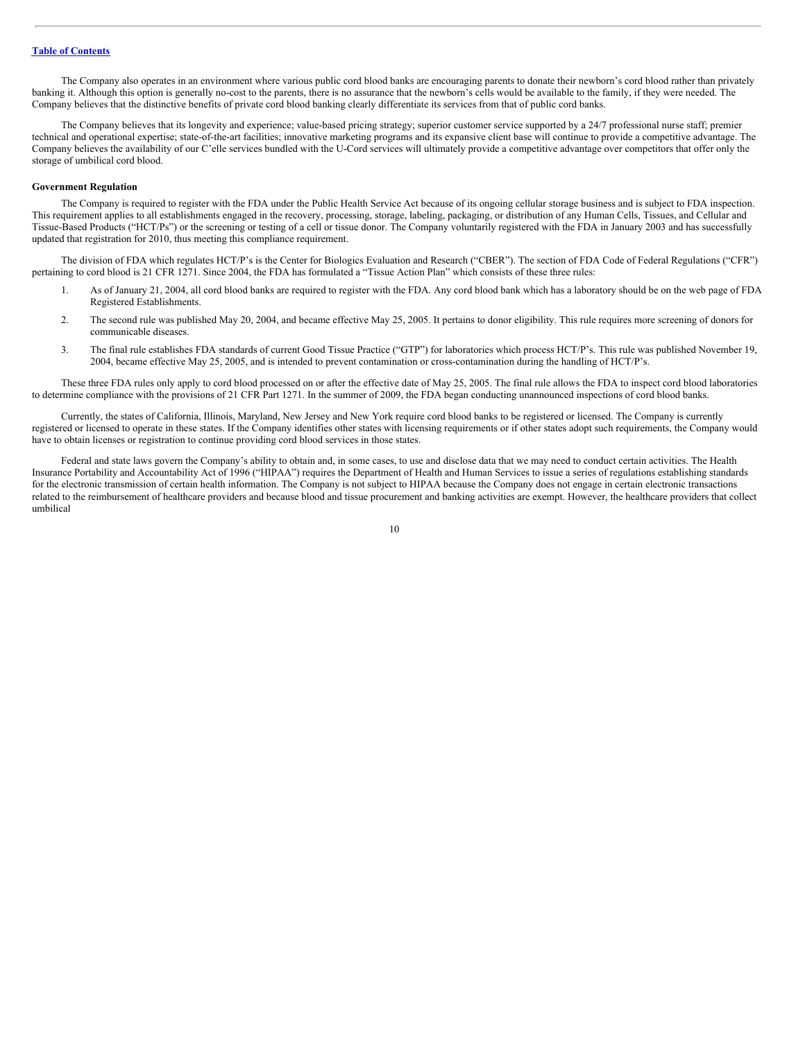The Company also operates in an environment where various public cord blood banks are encouraging parents to donate their newborn's cord blood rather than privately banking it. Although this option is generally no-cost to the parents, there is no assurance that the newborn's cells would be available to the family, if they were needed. The Company believes that the distinctive benefits of private cord blood banking clearly differentiate its services from that of public cord banks.

The Company believes that its longevity and experience; value-based pricing strategy; superior customer service supported by a 24/7 professional nurse staff; premier technical and operational expertise; state-of-the-art facilities; innovative marketing programs and its expansive client base will continue to provide a competitive advantage. The Company believes the availability of our C'elle services bundled with the U-Cord services will ultimately provide a competitive advantage over competitors that offer only the storage of umbilical cord blood.

# **Government Regulation**

The Company is required to register with the FDA under the Public Health Service Act because of its ongoing cellular storage business and is subject to FDA inspection. This requirement applies to all establishments engaged in the recovery, processing, storage, labeling, packaging, or distribution of any Human Cells, Tissues, and Cellular and Tissue-Based Products ("HCT/Ps") or the screening or testing of a cell or tissue donor. The Company voluntarily registered with the FDA in January 2003 and has successfully updated that registration for 2010, thus meeting this compliance requirement.

The division of FDA which regulates HCT/P's is the Center for Biologics Evaluation and Research ("CBER"). The section of FDA Code of Federal Regulations ("CFR") pertaining to cord blood is 21 CFR 1271. Since 2004, the FDA has formulated a "Tissue Action Plan" which consists of these three rules:

- 1. As of January 21, 2004, all cord blood banks are required to register with the FDA. Any cord blood bank which has a laboratory should be on the web page of FDA Registered Establishments.
- 2. The second rule was published May 20, 2004, and became effective May 25, 2005. It pertains to donor eligibility. This rule requires more screening of donors for communicable diseases.
- 3. The final rule establishes FDA standards of current Good Tissue Practice ("GTP") for laboratories which process HCT/P's. This rule was published November 19, 2004, became effective May 25, 2005, and is intended to prevent contamination or cross-contamination during the handling of HCT/P's.

These three FDA rules only apply to cord blood processed on or after the effective date of May 25, 2005. The final rule allows the FDA to inspect cord blood laboratories to determine compliance with the provisions of 21 CFR Part 1271. In the summer of 2009, the FDA began conducting unannounced inspections of cord blood banks.

Currently, the states of California, Illinois, Maryland, New Jersey and New York require cord blood banks to be registered or licensed. The Company is currently registered or licensed to operate in these states. If the Company identifies other states with licensing requirements or if other states adopt such requirements, the Company would have to obtain licenses or registration to continue providing cord blood services in those states.

Federal and state laws govern the Company's ability to obtain and, in some cases, to use and disclose data that we may need to conduct certain activities. The Health Insurance Portability and Accountability Act of 1996 ("HIPAA") requires the Department of Health and Human Services to issue a series of regulations establishing standards for the electronic transmission of certain health information. The Company is not subject to HIPAA because the Company does not engage in certain electronic transactions related to the reimbursement of healthcare providers and because blood and tissue procurement and banking activities are exempt. However, the healthcare providers that collect umbilical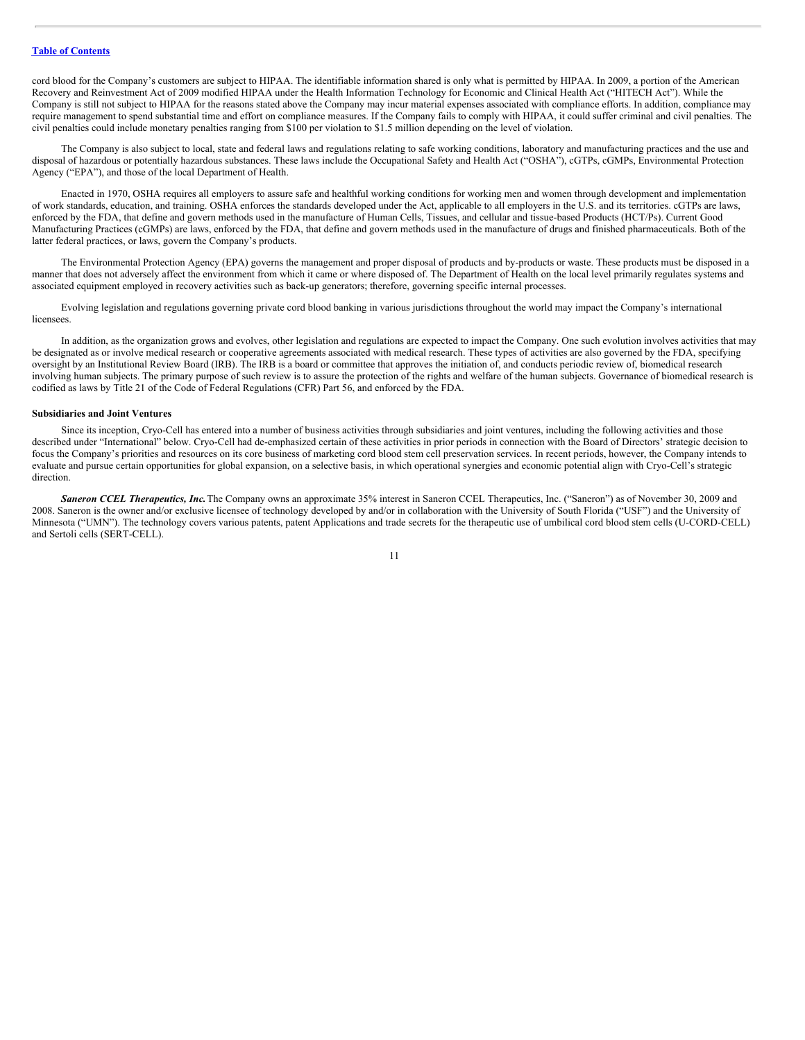cord blood for the Company's customers are subject to HIPAA. The identifiable information shared is only what is permitted by HIPAA. In 2009, a portion of the American Recovery and Reinvestment Act of 2009 modified HIPAA under the Health Information Technology for Economic and Clinical Health Act ("HITECH Act"). While the Company is still not subject to HIPAA for the reasons stated above the Company may incur material expenses associated with compliance efforts. In addition, compliance may require management to spend substantial time and effort on compliance measures. If the Company fails to comply with HIPAA, it could suffer criminal and civil penalties. The civil penalties could include monetary penalties ranging from \$100 per violation to \$1.5 million depending on the level of violation.

The Company is also subject to local, state and federal laws and regulations relating to safe working conditions, laboratory and manufacturing practices and the use and disposal of hazardous or potentially hazardous substances. These laws include the Occupational Safety and Health Act ("OSHA"), cGTPs, cGMPs, Environmental Protection Agency ("EPA"), and those of the local Department of Health.

Enacted in 1970, OSHA requires all employers to assure safe and healthful working conditions for working men and women through development and implementation of work standards, education, and training. OSHA enforces the standards developed under the Act, applicable to all employers in the U.S. and its territories. cGTPs are laws, enforced by the FDA, that define and govern methods used in the manufacture of Human Cells, Tissues, and cellular and tissue-based Products (HCT/Ps). Current Good Manufacturing Practices (cGMPs) are laws, enforced by the FDA, that define and govern methods used in the manufacture of drugs and finished pharmaceuticals. Both of the latter federal practices, or laws, govern the Company's products.

The Environmental Protection Agency (EPA) governs the management and proper disposal of products and by-products or waste. These products must be disposed in a manner that does not adversely affect the environment from which it came or where disposed of. The Department of Health on the local level primarily regulates systems and associated equipment employed in recovery activities such as back-up generators; therefore, governing specific internal processes.

Evolving legislation and regulations governing private cord blood banking in various jurisdictions throughout the world may impact the Company's international licensees.

In addition, as the organization grows and evolves, other legislation and regulations are expected to impact the Company. One such evolution involves activities that may be designated as or involve medical research or cooperative agreements associated with medical research. These types of activities are also governed by the FDA, specifying oversight by an Institutional Review Board (IRB). The IRB is a board or committee that approves the initiation of, and conducts periodic review of, biomedical research involving human subjects. The primary purpose of such review is to assure the protection of the rights and welfare of the human subjects. Governance of biomedical research is codified as laws by Title 21 of the Code of Federal Regulations (CFR) Part 56, and enforced by the FDA.

#### **Subsidiaries and Joint Ventures**

Since its inception, Cryo-Cell has entered into a number of business activities through subsidiaries and joint ventures, including the following activities and those described under "International" below. Cryo-Cell had de-emphasized certain of these activities in prior periods in connection with the Board of Directors' strategic decision to focus the Company's priorities and resources on its core business of marketing cord blood stem cell preservation services. In recent periods, however, the Company intends to evaluate and pursue certain opportunities for global expansion, on a selective basis, in which operational synergies and economic potential align with Cryo-Cell's strategic direction.

*Saneron CCEL Therapeutics, Inc.*The Company owns an approximate 35% interest in Saneron CCEL Therapeutics, Inc. ("Saneron") as of November 30, 2009 and 2008. Saneron is the owner and/or exclusive licensee of technology developed by and/or in collaboration with the University of South Florida ("USF") and the University of Minnesota ("UMN"). The technology covers various patents, patent Applications and trade secrets for the therapeutic use of umbilical cord blood stem cells (U-CORD-CELL) and Sertoli cells (SERT-CELL).

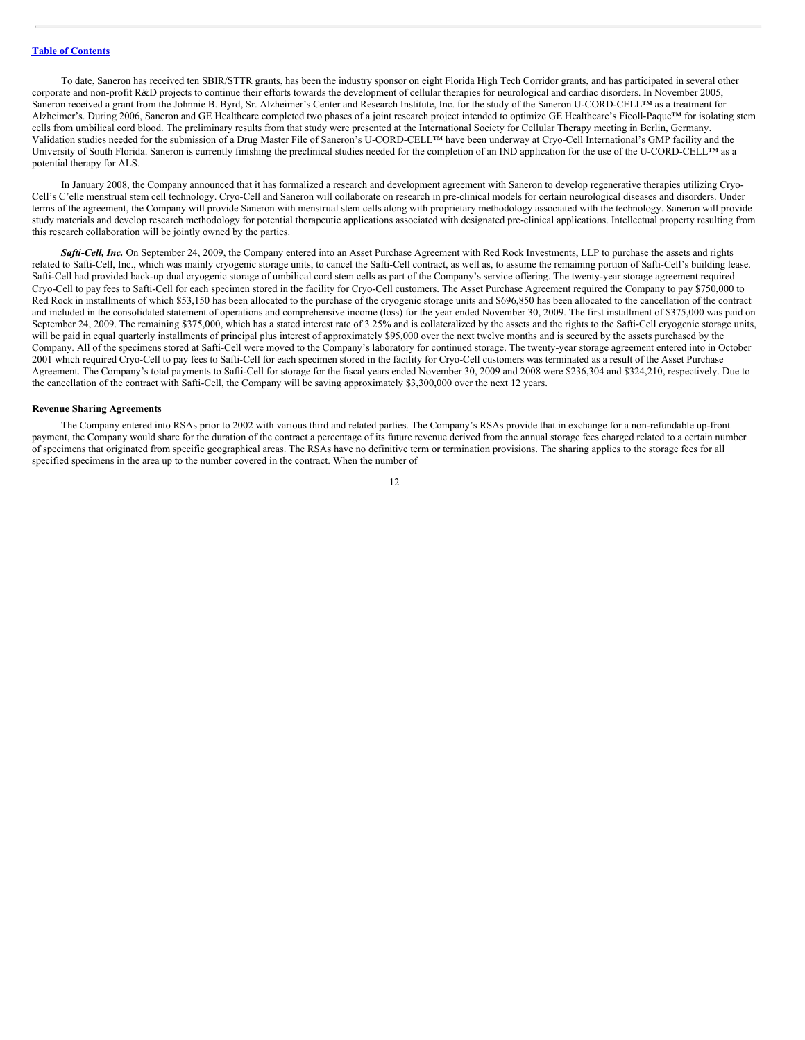To date, Saneron has received ten SBIR/STTR grants, has been the industry sponsor on eight Florida High Tech Corridor grants, and has participated in several other corporate and non-profit R&D projects to continue their efforts towards the development of cellular therapies for neurological and cardiac disorders. In November 2005, Saneron received a grant from the Johnnie B. Byrd, Sr. Alzheimer's Center and Research Institute, Inc. for the study of the Saneron U-CORD-CELL™ as a treatment for Alzheimer's. During 2006, Saneron and GE Healthcare completed two phases of a joint research project intended to optimize GE Healthcare's Ficoll-Paque™ for isolating stem cells from umbilical cord blood. The preliminary results from that study were presented at the International Society for Cellular Therapy meeting in Berlin, Germany. Validation studies needed for the submission of a Drug Master File of Saneron's U-CORD-CELL™ have been underway at Cryo-Cell International's GMP facility and the University of South Florida. Saneron is currently finishing the preclinical studies needed for the completion of an IND application for the use of the U-CORD-CELL™ as a potential therapy for ALS.

In January 2008, the Company announced that it has formalized a research and development agreement with Saneron to develop regenerative therapies utilizing Cryo-Cell's C'elle menstrual stem cell technology. Cryo-Cell and Saneron will collaborate on research in pre-clinical models for certain neurological diseases and disorders. Under terms of the agreement, the Company will provide Saneron with menstrual stem cells along with proprietary methodology associated with the technology. Saneron will provide study materials and develop research methodology for potential therapeutic applications associated with designated pre-clinical applications. Intellectual property resulting from this research collaboration will be jointly owned by the parties.

*Safti-Cell, Inc.* On September 24, 2009, the Company entered into an Asset Purchase Agreement with Red Rock Investments, LLP to purchase the assets and rights related to Safti-Cell, Inc., which was mainly cryogenic storage units, to cancel the Safti-Cell contract, as well as, to assume the remaining portion of Safti-Cell's building lease. Safti-Cell had provided back-up dual cryogenic storage of umbilical cord stem cells as part of the Company's service offering. The twenty-year storage agreement required Cryo-Cell to pay fees to Safti-Cell for each specimen stored in the facility for Cryo-Cell customers. The Asset Purchase Agreement required the Company to pay \$750,000 to Red Rock in installments of which \$53,150 has been allocated to the purchase of the cryogenic storage units and \$696,850 has been allocated to the cancellation of the contract and included in the consolidated statement of operations and comprehensive income (loss) for the year ended November 30, 2009. The first installment of \$375,000 was paid on September 24, 2009. The remaining \$375,000, which has a stated interest rate of 3.25% and is collateralized by the assets and the rights to the Safti-Cell cryogenic storage units, will be paid in equal quarterly installments of principal plus interest of approximately \$95,000 over the next twelve months and is secured by the assets purchased by the Company. All of the specimens stored at Safti-Cell were moved to the Company's laboratory for continued storage. The twenty-year storage agreement entered into in October 2001 which required Cryo-Cell to pay fees to Safti-Cell for each specimen stored in the facility for Cryo-Cell customers was terminated as a result of the Asset Purchase Agreement. The Company's total payments to Safti-Cell for storage for the fiscal years ended November 30, 2009 and 2008 were \$236,304 and \$324,210, respectively. Due to the cancellation of the contract with Safti-Cell, the Company will be saving approximately \$3,300,000 over the next 12 years.

# **Revenue Sharing Agreements**

The Company entered into RSAs prior to 2002 with various third and related parties. The Company's RSAs provide that in exchange for a non-refundable up-front payment, the Company would share for the duration of the contract a percentage of its future revenue derived from the annual storage fees charged related to a certain number of specimens that originated from specific geographical areas. The RSAs have no definitive term or termination provisions. The sharing applies to the storage fees for all specified specimens in the area up to the number covered in the contract. When the number of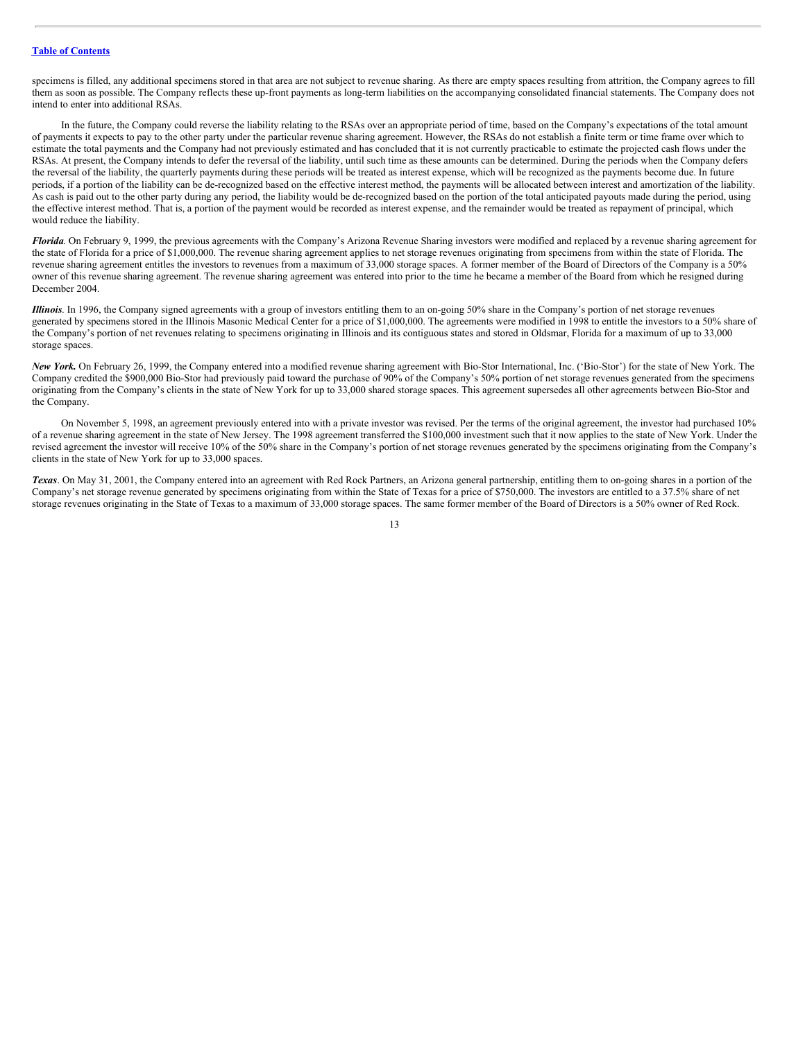specimens is filled, any additional specimens stored in that area are not subject to revenue sharing. As there are empty spaces resulting from attrition, the Company agrees to fill them as soon as possible. The Company reflects these up-front payments as long-term liabilities on the accompanying consolidated financial statements. The Company does not intend to enter into additional RSAs.

In the future, the Company could reverse the liability relating to the RSAs over an appropriate period of time, based on the Company's expectations of the total amount of payments it expects to pay to the other party under the particular revenue sharing agreement. However, the RSAs do not establish a finite term or time frame over which to estimate the total payments and the Company had not previously estimated and has concluded that it is not currently practicable to estimate the projected cash flows under the RSAs. At present, the Company intends to defer the reversal of the liability, until such time as these amounts can be determined. During the periods when the Company defers the reversal of the liability, the quarterly payments during these periods will be treated as interest expense, which will be recognized as the payments become due. In future periods, if a portion of the liability can be de-recognized based on the effective interest method, the payments will be allocated between interest and amortization of the liability. As cash is paid out to the other party during any period, the liability would be de-recognized based on the portion of the total anticipated payouts made during the period, using the effective interest method. That is, a portion of the payment would be recorded as interest expense, and the remainder would be treated as repayment of principal, which would reduce the liability.

*Florida*. On February 9, 1999, the previous agreements with the Company's Arizona Revenue Sharing investors were modified and replaced by a revenue sharing agreement for the state of Florida for a price of \$1,000,000. The revenue sharing agreement applies to net storage revenues originating from specimens from within the state of Florida. The revenue sharing agreement entitles the investors to revenues from a maximum of 33,000 storage spaces. A former member of the Board of Directors of the Company is a 50% owner of this revenue sharing agreement. The revenue sharing agreement was entered into prior to the time he became a member of the Board from which he resigned during December 2004.

*Illinois*. In 1996, the Company signed agreements with a group of investors entitling them to an on-going 50% share in the Company's portion of net storage revenues generated by specimens stored in the Illinois Masonic Medical Center for a price of \$1,000,000. The agreements were modified in 1998 to entitle the investors to a 50% share of the Company's portion of net revenues relating to specimens originating in Illinois and its contiguous states and stored in Oldsmar, Florida for a maximum of up to 33,000 storage spaces.

*New York.* On February 26, 1999, the Company entered into a modified revenue sharing agreement with Bio-Stor International, Inc. ('Bio-Stor') for the state of New York. The Company credited the \$900,000 Bio-Stor had previously paid toward the purchase of 90% of the Company's 50% portion of net storage revenues generated from the specimens originating from the Company's clients in the state of New York for up to 33,000 shared storage spaces. This agreement supersedes all other agreements between Bio-Stor and the Company.

On November 5, 1998, an agreement previously entered into with a private investor was revised. Per the terms of the original agreement, the investor had purchased 10% of a revenue sharing agreement in the state of New Jersey. The 1998 agreement transferred the \$100,000 investment such that it now applies to the state of New York. Under the revised agreement the investor will receive 10% of the 50% share in the Company's portion of net storage revenues generated by the specimens originating from the Company's clients in the state of New York for up to 33,000 spaces.

*Texas*. On May 31, 2001, the Company entered into an agreement with Red Rock Partners, an Arizona general partnership, entitling them to on-going shares in a portion of the Company's net storage revenue generated by specimens originating from within the State of Texas for a price of \$750,000. The investors are entitled to a 37.5% share of net storage revenues originating in the State of Texas to a maximum of 33,000 storage spaces. The same former member of the Board of Directors is a 50% owner of Red Rock.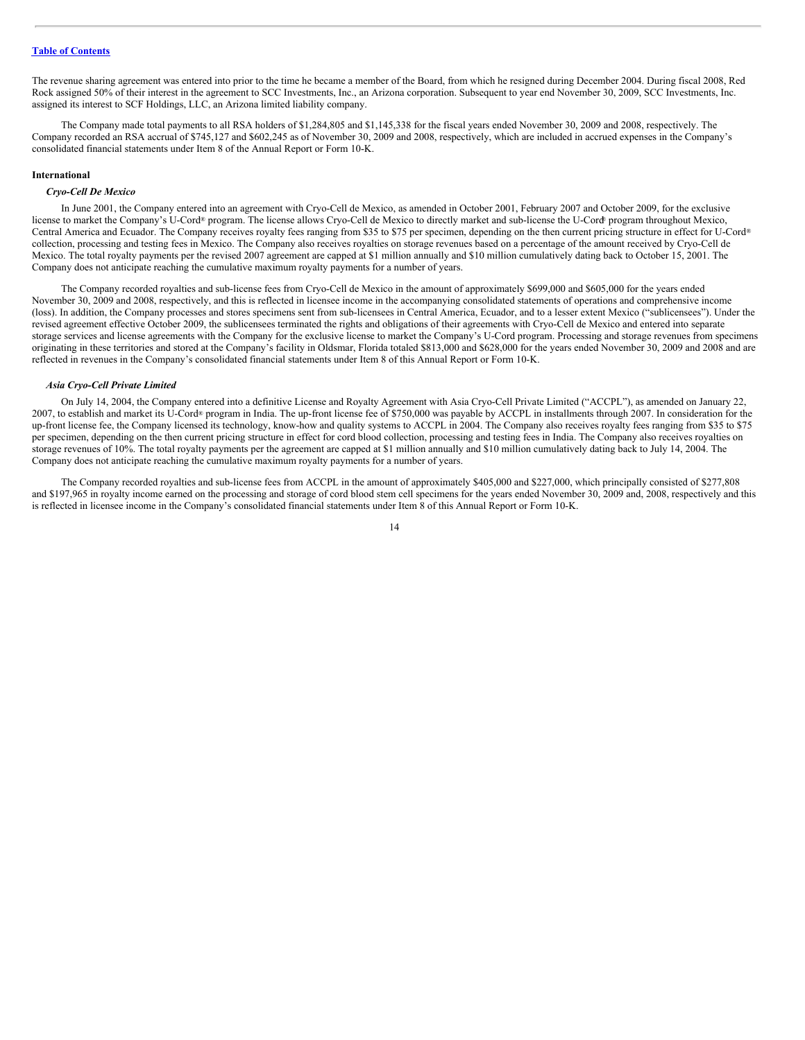The revenue sharing agreement was entered into prior to the time he became a member of the Board, from which he resigned during December 2004. During fiscal 2008, Red Rock assigned 50% of their interest in the agreement to SCC Investments, Inc., an Arizona corporation. Subsequent to year end November 30, 2009, SCC Investments, Inc. assigned its interest to SCF Holdings, LLC, an Arizona limited liability company.

The Company made total payments to all RSA holders of \$1,284,805 and \$1,145,338 for the fiscal years ended November 30, 2009 and 2008, respectively. The Company recorded an RSA accrual of \$745,127 and \$602,245 as of November 30, 2009 and 2008, respectively, which are included in accrued expenses in the Company's consolidated financial statements under Item 8 of the Annual Report or Form 10-K.

#### **International**

#### *Cryo-Cell De Mexico*

In June 2001, the Company entered into an agreement with Cryo-Cell de Mexico, as amended in October 2001, February 2007 and October 2009, for the exclusive license to market the Company's U-Cord® program. The license allows Cryo-Cell de Mexico to directly market and sub-license the U-Cord® program throughout Mexico, Central America and Ecuador. The Company receives royalty fees ranging from \$35 to \$75 per specimen, depending on the then current pricing structure in effect for U-Cord ® collection, processing and testing fees in Mexico. The Company also receives royalties on storage revenues based on a percentage of the amount received by Cryo-Cell de Mexico. The total royalty payments per the revised 2007 agreement are capped at \$1 million annually and \$10 million cumulatively dating back to October 15, 2001. The Company does not anticipate reaching the cumulative maximum royalty payments for a number of years.

The Company recorded royalties and sub-license fees from Cryo-Cell de Mexico in the amount of approximately \$699,000 and \$605,000 for the years ended November 30, 2009 and 2008, respectively, and this is reflected in licensee income in the accompanying consolidated statements of operations and comprehensive income (loss). In addition, the Company processes and stores specimens sent from sub-licensees in Central America, Ecuador, and to a lesser extent Mexico ("sublicensees"). Under the revised agreement effective October 2009, the sublicensees terminated the rights and obligations of their agreements with Cryo-Cell de Mexico and entered into separate storage services and license agreements with the Company for the exclusive license to market the Company's U-Cord program. Processing and storage revenues from specimens originating in these territories and stored at the Company's facility in Oldsmar, Florida totaled \$813,000 and \$628,000 for the years ended November 30, 2009 and 2008 and are reflected in revenues in the Company's consolidated financial statements under Item 8 of this Annual Report or Form 10-K.

#### *Asia Cryo-Cell Private Limited*

On July 14, 2004, the Company entered into a definitive License and Royalty Agreement with Asia Cryo-Cell Private Limited ("ACCPL"), as amended on January 22, 2007, to establish and market its U-Cord® program in India. The up-front license fee of \$750,000 was payable by ACCPL in installments through 2007. In consideration for the up-front license fee, the Company licensed its technology, know-how and quality systems to ACCPL in 2004. The Company also receives royalty fees ranging from \$35 to \$75 per specimen, depending on the then current pricing structure in effect for cord blood collection, processing and testing fees in India. The Company also receives royalties on storage revenues of 10%. The total royalty payments per the agreement are capped at \$1 million annually and \$10 million cumulatively dating back to July 14, 2004. The Company does not anticipate reaching the cumulative maximum royalty payments for a number of years.

The Company recorded royalties and sub-license fees from ACCPL in the amount of approximately \$405,000 and \$227,000, which principally consisted of \$277,808 and \$197,965 in royalty income earned on the processing and storage of cord blood stem cell specimens for the years ended November 30, 2009 and, 2008, respectively and this is reflected in licensee income in the Company's consolidated financial statements under Item 8 of this Annual Report or Form 10-K.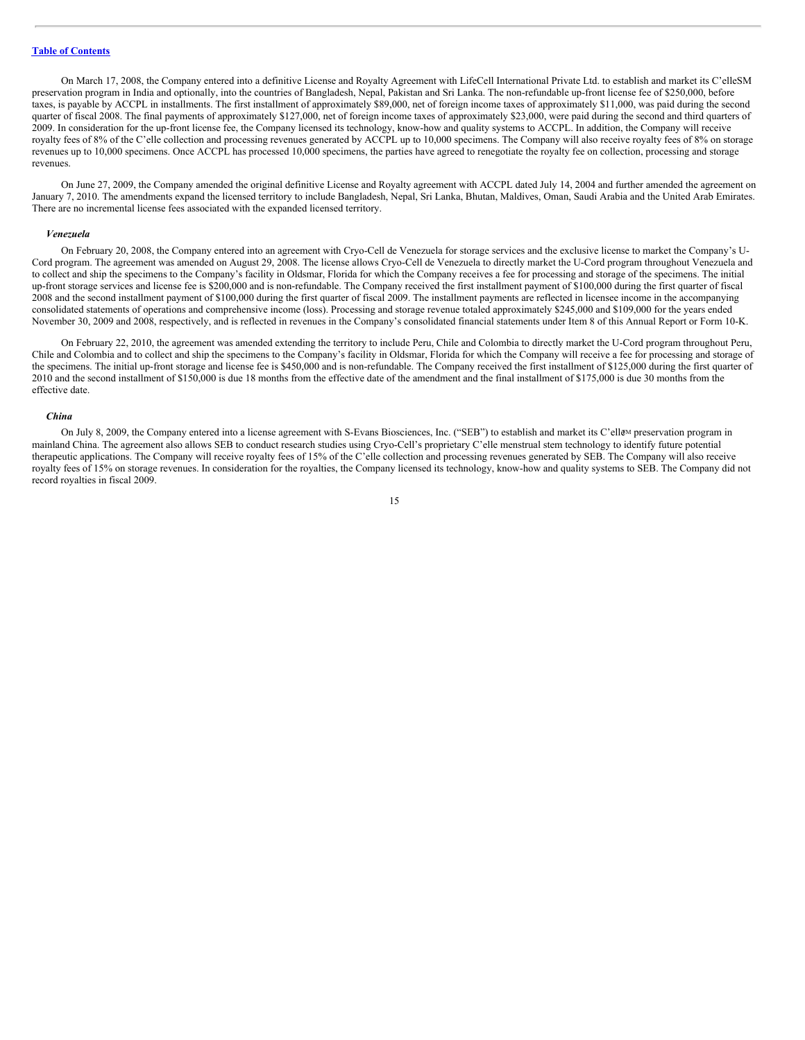On March 17, 2008, the Company entered into a definitive License and Royalty Agreement with LifeCell International Private Ltd. to establish and market its C'elleSM preservation program in India and optionally, into the countries of Bangladesh, Nepal, Pakistan and Sri Lanka. The non-refundable up-front license fee of \$250,000, before taxes, is payable by ACCPL in installments. The first installment of approximately \$89,000, net of foreign income taxes of approximately \$11,000, was paid during the second quarter of fiscal 2008. The final payments of approximately \$127,000, net of foreign income taxes of approximately \$23,000, were paid during the second and third quarters of 2009. In consideration for the up-front license fee, the Company licensed its technology, know-how and quality systems to ACCPL. In addition, the Company will receive royalty fees of 8% of the C'elle collection and processing revenues generated by ACCPL up to 10,000 specimens. The Company will also receive royalty fees of 8% on storage revenues up to 10,000 specimens. Once ACCPL has processed 10,000 specimens, the parties have agreed to renegotiate the royalty fee on collection, processing and storage revenues.

On June 27, 2009, the Company amended the original definitive License and Royalty agreement with ACCPL dated July 14, 2004 and further amended the agreement on January 7, 2010. The amendments expand the licensed territory to include Bangladesh, Nepal, Sri Lanka, Bhutan, Maldives, Oman, Saudi Arabia and the United Arab Emirates. There are no incremental license fees associated with the expanded licensed territory.

#### *Venezuela*

On February 20, 2008, the Company entered into an agreement with Cryo-Cell de Venezuela for storage services and the exclusive license to market the Company's U-Cord program. The agreement was amended on August 29, 2008. The license allows Cryo-Cell de Venezuela to directly market the U-Cord program throughout Venezuela and to collect and ship the specimens to the Company's facility in Oldsmar, Florida for which the Company receives a fee for processing and storage of the specimens. The initial up-front storage services and license fee is \$200,000 and is non-refundable. The Company received the first installment payment of \$100,000 during the first quarter of fiscal 2008 and the second installment payment of \$100,000 during the first quarter of fiscal 2009. The installment payments are reflected in licensee income in the accompanying consolidated statements of operations and comprehensive income (loss). Processing and storage revenue totaled approximately \$245,000 and \$109,000 for the years ended November 30, 2009 and 2008, respectively, and is reflected in revenues in the Company's consolidated financial statements under Item 8 of this Annual Report or Form 10-K.

On February 22, 2010, the agreement was amended extending the territory to include Peru, Chile and Colombia to directly market the U-Cord program throughout Peru, Chile and Colombia and to collect and ship the specimens to the Company's facility in Oldsmar, Florida for which the Company will receive a fee for processing and storage of the specimens. The initial up-front storage and license fee is \$450,000 and is non-refundable. The Company received the first installment of \$125,000 during the first quarter of 2010 and the second installment of \$150,000 is due 18 months from the effective date of the amendment and the final installment of \$175,000 is due 30 months from the effective date.

#### *China*

On July 8, 2009, the Company entered into a license agreement with S-Evans Biosciences, Inc. ("SEB") to establish and market its C'ell&M preservation program in mainland China. The agreement also allows SEB to conduct research studies using Cryo-Cell's proprietary C'elle menstrual stem technology to identify future potential therapeutic applications. The Company will receive royalty fees of 15% of the C'elle collection and processing revenues generated by SEB. The Company will also receive royalty fees of 15% on storage revenues. In consideration for the royalties, the Company licensed its technology, know-how and quality systems to SEB. The Company did not record royalties in fiscal 2009.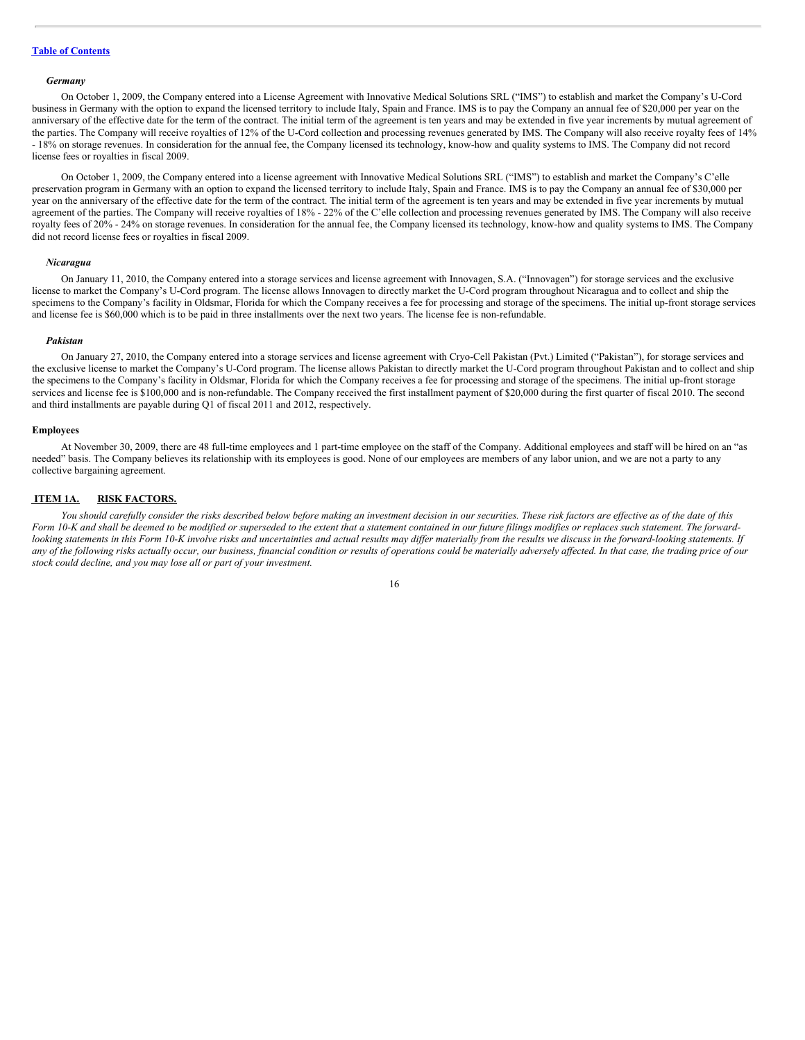#### *Germany*

On October 1, 2009, the Company entered into a License Agreement with Innovative Medical Solutions SRL ("IMS") to establish and market the Company's U-Cord business in Germany with the option to expand the licensed territory to include Italy, Spain and France. IMS is to pay the Company an annual fee of \$20,000 per year on the anniversary of the effective date for the term of the contract. The initial term of the agreement is ten years and may be extended in five year increments by mutual agreement of the parties. The Company will receive royalties of 12% of the U-Cord collection and processing revenues generated by IMS. The Company will also receive royalty fees of 14% - 18% on storage revenues. In consideration for the annual fee, the Company licensed its technology, know-how and quality systems to IMS. The Company did not record license fees or royalties in fiscal 2009.

On October 1, 2009, the Company entered into a license agreement with Innovative Medical Solutions SRL ("IMS") to establish and market the Company's C'elle preservation program in Germany with an option to expand the licensed territory to include Italy, Spain and France. IMS is to pay the Company an annual fee of \$30,000 per year on the anniversary of the effective date for the term of the contract. The initial term of the agreement is ten years and may be extended in five year increments by mutual agreement of the parties. The Company will receive royalties of 18% - 22% of the C'elle collection and processing revenues generated by IMS. The Company will also receive royalty fees of 20% - 24% on storage revenues. In consideration for the annual fee, the Company licensed its technology, know-how and quality systems to IMS. The Company did not record license fees or royalties in fiscal 2009.

#### *Nicaragua*

On January 11, 2010, the Company entered into a storage services and license agreement with Innovagen, S.A. ("Innovagen") for storage services and the exclusive license to market the Company's U-Cord program. The license allows Innovagen to directly market the U-Cord program throughout Nicaragua and to collect and ship the specimens to the Company's facility in Oldsmar, Florida for which the Company receives a fee for processing and storage of the specimens. The initial up-front storage services and license fee is \$60,000 which is to be paid in three installments over the next two years. The license fee is non-refundable.

# *Pakistan*

On January 27, 2010, the Company entered into a storage services and license agreement with Cryo-Cell Pakistan (Pvt.) Limited ("Pakistan"), for storage services and the exclusive license to market the Company's U-Cord program. The license allows Pakistan to directly market the U-Cord program throughout Pakistan and to collect and ship the specimens to the Company's facility in Oldsmar, Florida for which the Company receives a fee for processing and storage of the specimens. The initial up-front storage services and license fee is \$100,000 and is non-refundable. The Company received the first installment payment of \$20,000 during the first quarter of fiscal 2010. The second and third installments are payable during Q1 of fiscal 2011 and 2012, respectively.

#### **Employees**

At November 30, 2009, there are 48 full-time employees and 1 part-time employee on the staff of the Company. Additional employees and staff will be hired on an "as needed" basis. The Company believes its relationship with its employees is good. None of our employees are members of any labor union, and we are not a party to any collective bargaining agreement.

#### <span id="page-15-0"></span>**ITEM 1A. RISK FACTORS.**

You should carefully consider the risks described below before making an investment decision in our securities. These risk factors are effective as of the date of this Form 10-K and shall be deemed to be modified or superseded to the extent that a statement contained in our future filings modifies or replaces such statement. The forwardlooking statements in this Form 10-K involve risks and uncertainties and actual results may differ materially from the results we discuss in the forward-looking statements. If any of the following risks actually occur, our business, financial condition or results of operations could be materially adversely affected. In that case, the trading price of our *stock could decline, and you may lose all or part of your investment.*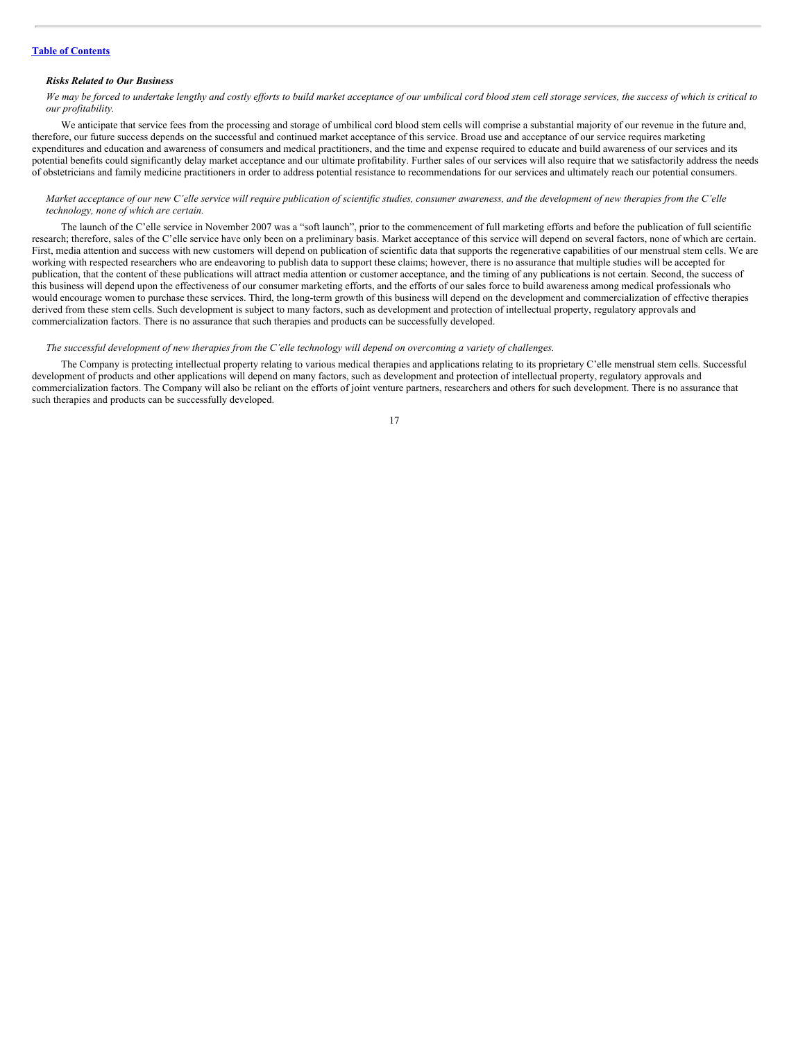#### *Risks Related to Our Business*

We may be forced to undertake lengthy and costly efforts to build market acceptance of our umbilical cord blood stem cell storage services, the success of which is critical to *our profitability.*

We anticipate that service fees from the processing and storage of umbilical cord blood stem cells will comprise a substantial majority of our revenue in the future and. therefore, our future success depends on the successful and continued market acceptance of this service. Broad use and acceptance of our service requires marketing expenditures and education and awareness of consumers and medical practitioners, and the time and expense required to educate and build awareness of our services and its potential benefits could significantly delay market acceptance and our ultimate profitability. Further sales of our services will also require that we satisfactorily address the needs of obstetricians and family medicine practitioners in order to address potential resistance to recommendations for our services and ultimately reach our potential consumers.

# Market acceptance of our new C'elle service will require publication of scientific studies, consumer awareness, and the development of new therapies from the C'elle *technology, none of which are certain.*

The launch of the C'elle service in November 2007 was a "soft launch", prior to the commencement of full marketing efforts and before the publication of full scientific research; therefore, sales of the C'elle service have only been on a preliminary basis. Market acceptance of this service will depend on several factors, none of which are certain. First, media attention and success with new customers will depend on publication of scientific data that supports the regenerative capabilities of our menstrual stem cells. We are working with respected researchers who are endeavoring to publish data to support these claims; however, there is no assurance that multiple studies will be accepted for publication, that the content of these publications will attract media attention or customer acceptance, and the timing of any publications is not certain. Second, the success of this business will depend upon the effectiveness of our consumer marketing efforts, and the efforts of our sales force to build awareness among medical professionals who would encourage women to purchase these services. Third, the long-term growth of this business will depend on the development and commercialization of effective therapies derived from these stem cells. Such development is subject to many factors, such as development and protection of intellectual property, regulatory approvals and commercialization factors. There is no assurance that such therapies and products can be successfully developed.

# The successful development of new therapies from the C'elle technology will depend on overcoming a variety of challenges.

The Company is protecting intellectual property relating to various medical therapies and applications relating to its proprietary C'elle menstrual stem cells. Successful development of products and other applications will depend on many factors, such as development and protection of intellectual property, regulatory approvals and commercialization factors. The Company will also be reliant on the efforts of joint venture partners, researchers and others for such development. There is no assurance that such therapies and products can be successfully developed.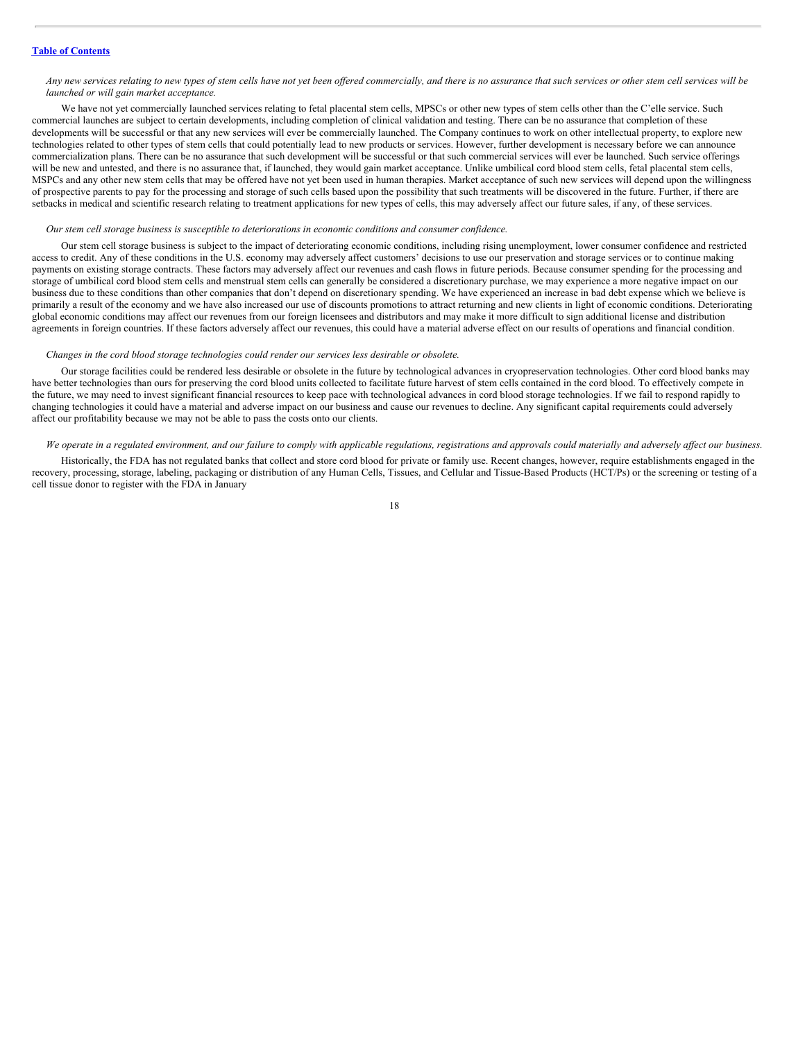# Any new services relating to new types of stem cells have not yet been offered commercially, and there is no assurance that such services or other stem cell services will be *launched or will gain market acceptance.*

We have not yet commercially launched services relating to fetal placental stem cells, MPSCs or other new types of stem cells other than the C'elle service. Such commercial launches are subject to certain developments, including completion of clinical validation and testing. There can be no assurance that completion of these developments will be successful or that any new services will ever be commercially launched. The Company continues to work on other intellectual property, to explore new technologies related to other types of stem cells that could potentially lead to new products or services. However, further development is necessary before we can announce commercialization plans. There can be no assurance that such development will be successful or that such commercial services will ever be launched. Such service offerings will be new and untested, and there is no assurance that, if launched, they would gain market acceptance. Unlike umbilical cord blood stem cells, fetal placental stem cells, MSPCs and any other new stem cells that may be offered have not yet been used in human therapies. Market acceptance of such new services will depend upon the willingness of prospective parents to pay for the processing and storage of such cells based upon the possibility that such treatments will be discovered in the future. Further, if there are setbacks in medical and scientific research relating to treatment applications for new types of cells, this may adversely affect our future sales, if any, of these services.

# *Our stem cell storage business is susceptible to deteriorations in economic conditions and consumer confidence.*

Our stem cell storage business is subject to the impact of deteriorating economic conditions, including rising unemployment, lower consumer confidence and restricted access to credit. Any of these conditions in the U.S. economy may adversely affect customers' decisions to use our preservation and storage services or to continue making payments on existing storage contracts. These factors may adversely affect our revenues and cash flows in future periods. Because consumer spending for the processing and storage of umbilical cord blood stem cells and menstrual stem cells can generally be considered a discretionary purchase, we may experience a more negative impact on our business due to these conditions than other companies that don't depend on discretionary spending. We have experienced an increase in bad debt expense which we believe is primarily a result of the economy and we have also increased our use of discounts promotions to attract returning and new clients in light of economic conditions. Deteriorating global economic conditions may affect our revenues from our foreign licensees and distributors and may make it more difficult to sign additional license and distribution agreements in foreign countries. If these factors adversely affect our revenues, this could have a material adverse effect on our results of operations and financial condition.

#### *Changes in the cord blood storage technologies could render our services less desirable or obsolete.*

Our storage facilities could be rendered less desirable or obsolete in the future by technological advances in cryopreservation technologies. Other cord blood banks may have better technologies than ours for preserving the cord blood units collected to facilitate future harvest of stem cells contained in the cord blood. To effectively compete in the future, we may need to invest significant financial resources to keep pace with technological advances in cord blood storage technologies. If we fail to respond rapidly to changing technologies it could have a material and adverse impact on our business and cause our revenues to decline. Any significant capital requirements could adversely affect our profitability because we may not be able to pass the costs onto our clients.

#### We operate in a regulated environment, and our failure to comply with applicable regulations, registrations and approvals could materially and adversely affect our business.

Historically, the FDA has not regulated banks that collect and store cord blood for private or family use. Recent changes, however, require establishments engaged in the recovery, processing, storage, labeling, packaging or distribution of any Human Cells, Tissues, and Cellular and Tissue-Based Products (HCT/Ps) or the screening or testing of a cell tissue donor to register with the FDA in January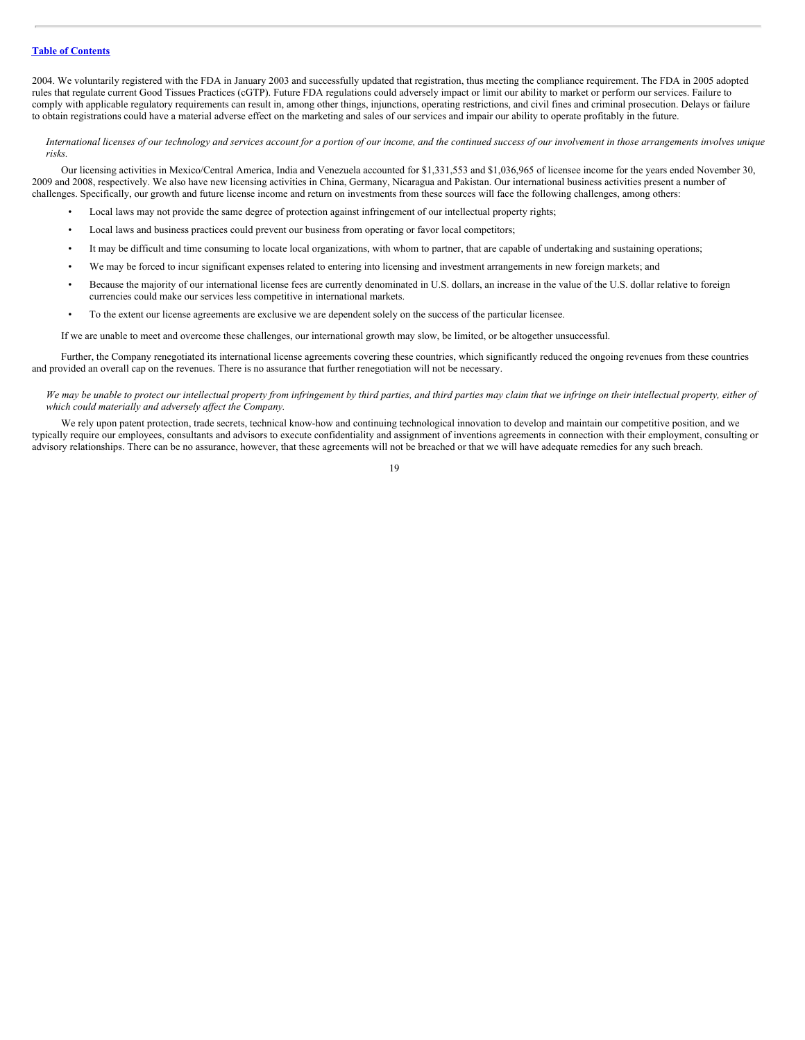2004. We voluntarily registered with the FDA in January 2003 and successfully updated that registration, thus meeting the compliance requirement. The FDA in 2005 adopted rules that regulate current Good Tissues Practices (cGTP). Future FDA regulations could adversely impact or limit our ability to market or perform our services. Failure to comply with applicable regulatory requirements can result in, among other things, injunctions, operating restrictions, and civil fines and criminal prosecution. Delays or failure to obtain registrations could have a material adverse effect on the marketing and sales of our services and impair our ability to operate profitably in the future.

International licenses of our technology and services account for a portion of our income, and the continued success of our involvement in those arrangements involves unique *risks.*

Our licensing activities in Mexico/Central America, India and Venezuela accounted for \$1,331,553 and \$1,036,965 of licensee income for the years ended November 30, 2009 and 2008, respectively. We also have new licensing activities in China, Germany, Nicaragua and Pakistan. Our international business activities present a number of challenges. Specifically, our growth and future license income and return on investments from these sources will face the following challenges, among others:

- Local laws may not provide the same degree of protection against infringement of our intellectual property rights;
- Local laws and business practices could prevent our business from operating or favor local competitors;
- It may be difficult and time consuming to locate local organizations, with whom to partner, that are capable of undertaking and sustaining operations;
- We may be forced to incur significant expenses related to entering into licensing and investment arrangements in new foreign markets; and
- Because the majority of our international license fees are currently denominated in U.S. dollars, an increase in the value of the U.S. dollar relative to foreign currencies could make our services less competitive in international markets.
- To the extent our license agreements are exclusive we are dependent solely on the success of the particular licensee.

If we are unable to meet and overcome these challenges, our international growth may slow, be limited, or be altogether unsuccessful.

Further, the Company renegotiated its international license agreements covering these countries, which significantly reduced the ongoing revenues from these countries and provided an overall cap on the revenues. There is no assurance that further renegotiation will not be necessary.

We may be unable to protect our intellectual property from infringement by third parties, and third parties may claim that we infringe on their intellectual property, either of *which could materially and adversely af ect the Company.*

We rely upon patent protection, trade secrets, technical know-how and continuing technological innovation to develop and maintain our competitive position, and we typically require our employees, consultants and advisors to execute confidentiality and assignment of inventions agreements in connection with their employment, consulting or advisory relationships. There can be no assurance, however, that these agreements will not be breached or that we will have adequate remedies for any such breach.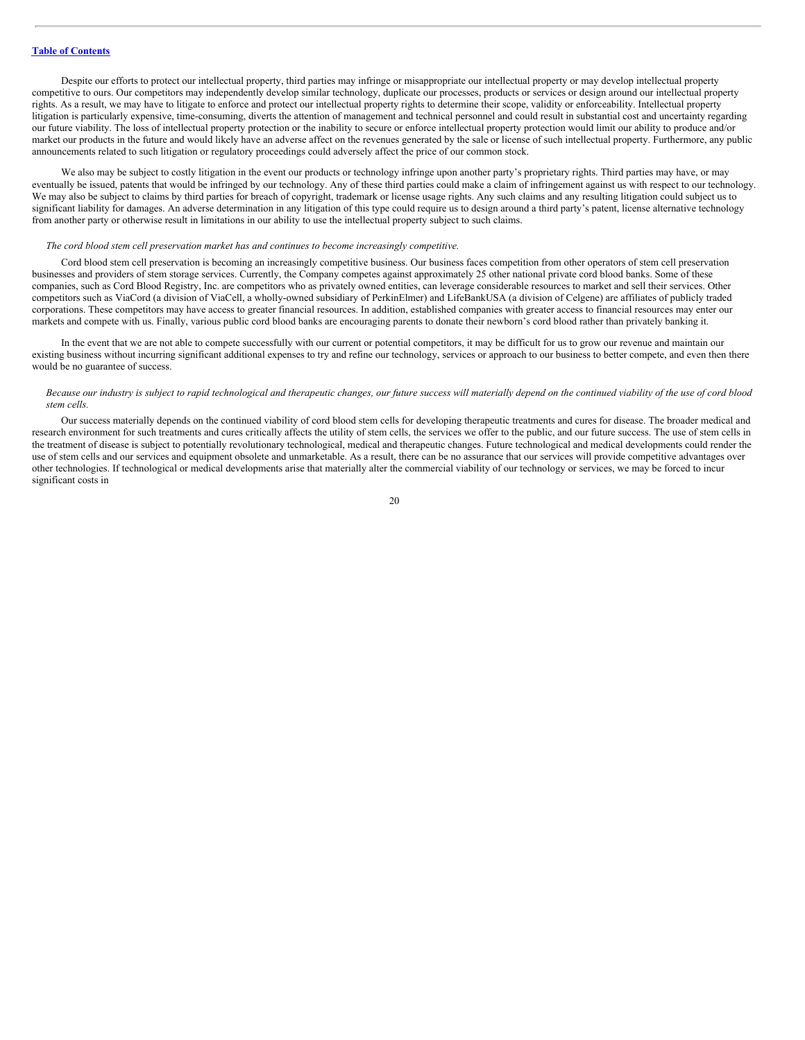Despite our efforts to protect our intellectual property, third parties may infringe or misappropriate our intellectual property or may develop intellectual property competitive to ours. Our competitors may independently develop similar technology, duplicate our processes, products or services or design around our intellectual property rights. As a result, we may have to litigate to enforce and protect our intellectual property rights to determine their scope, validity or enforceability. Intellectual property litigation is particularly expensive, time-consuming, diverts the attention of management and technical personnel and could result in substantial cost and uncertainty regarding our future viability. The loss of intellectual property protection or the inability to secure or enforce intellectual property protection would limit our ability to produce and/or market our products in the future and would likely have an adverse affect on the revenues generated by the sale or license of such intellectual property. Furthermore, any public announcements related to such litigation or regulatory proceedings could adversely affect the price of our common stock.

We also may be subject to costly litigation in the event our products or technology infringe upon another party's proprietary rights. Third parties may have, or may eventually be issued, patents that would be infringed by our technology. Any of these third parties could make a claim of infringement against us with respect to our technology. We may also be subject to claims by third parties for breach of copyright, trademark or license usage rights. Any such claims and any resulting litigation could subject us to significant liability for damages. An adverse determination in any litigation of this type could require us to design around a third party's patent, license alternative technology from another party or otherwise result in limitations in our ability to use the intellectual property subject to such claims.

# *The cord blood stem cell preservation market has and continues to become increasingly competitive.*

Cord blood stem cell preservation is becoming an increasingly competitive business. Our business faces competition from other operators of stem cell preservation businesses and providers of stem storage services. Currently, the Company competes against approximately 25 other national private cord blood banks. Some of these companies, such as Cord Blood Registry, Inc. are competitors who as privately owned entities, can leverage considerable resources to market and sell their services. Other competitors such as ViaCord (a division of ViaCell, a wholly-owned subsidiary of PerkinElmer) and LifeBankUSA (a division of Celgene) are affiliates of publicly traded corporations. These competitors may have access to greater financial resources. In addition, established companies with greater access to financial resources may enter our markets and compete with us. Finally, various public cord blood banks are encouraging parents to donate their newborn's cord blood rather than privately banking it.

In the event that we are not able to compete successfully with our current or potential competitors, it may be difficult for us to grow our revenue and maintain our existing business without incurring significant additional expenses to try and refine our technology, services or approach to our business to better compete, and even then there would be no guarantee of success.

#### Because our industry is subject to rapid technological and therapeutic changes, our future success will materially depend on the continued viability of the use of cord blood *stem cells.*

Our success materially depends on the continued viability of cord blood stem cells for developing therapeutic treatments and cures for disease. The broader medical and research environment for such treatments and cures critically affects the utility of stem cells, the services we offer to the public, and our future success. The use of stem cells in the treatment of disease is subject to potentially revolutionary technological, medical and therapeutic changes. Future technological and medical developments could render the use of stem cells and our services and equipment obsolete and unmarketable. As a result, there can be no assurance that our services will provide competitive advantages over other technologies. If technological or medical developments arise that materially alter the commercial viability of our technology or services, we may be forced to incur significant costs in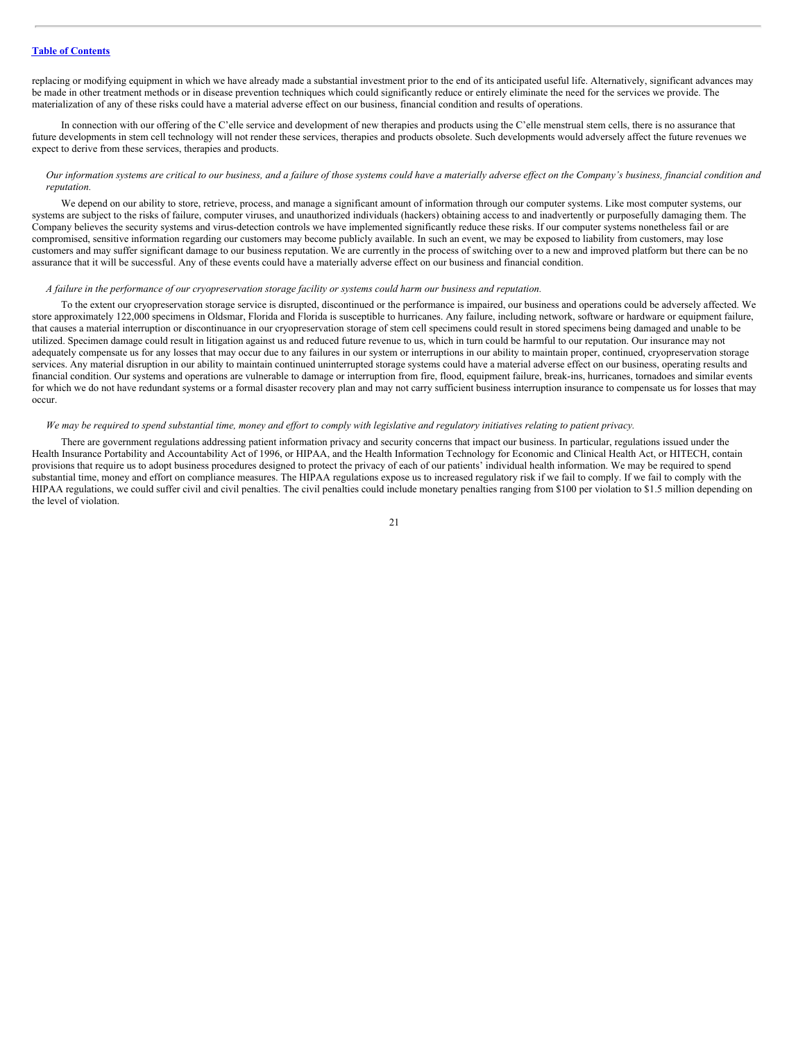replacing or modifying equipment in which we have already made a substantial investment prior to the end of its anticipated useful life. Alternatively, significant advances may be made in other treatment methods or in disease prevention techniques which could significantly reduce or entirely eliminate the need for the services we provide. The materialization of any of these risks could have a material adverse effect on our business, financial condition and results of operations.

In connection with our offering of the C'elle service and development of new therapies and products using the C'elle menstrual stem cells, there is no assurance that future developments in stem cell technology will not render these services, therapies and products obsolete. Such developments would adversely affect the future revenues we expect to derive from these services, therapies and products.

# Our information systems are critical to our business, and a failure of those systems could have a materially adverse effect on the Company's business, financial condition and *reputation.*

We depend on our ability to store, retrieve, process, and manage a significant amount of information through our computer systems. Like most computer systems, our systems are subject to the risks of failure, computer viruses, and unauthorized individuals (hackers) obtaining access to and inadvertently or purposefully damaging them. The Company believes the security systems and virus-detection controls we have implemented significantly reduce these risks. If our computer systems nonetheless fail or are compromised, sensitive information regarding our customers may become publicly available. In such an event, we may be exposed to liability from customers, may lose customers and may suffer significant damage to our business reputation. We are currently in the process of switching over to a new and improved platform but there can be no assurance that it will be successful. Any of these events could have a materially adverse effect on our business and financial condition.

# A failure in the performance of our cryopreservation storage facility or systems could harm our business and reputation.

To the extent our cryopreservation storage service is disrupted, discontinued or the performance is impaired, our business and operations could be adversely affected. We store approximately 122,000 specimens in Oldsmar, Florida and Florida is susceptible to hurricanes. Any failure, including network, software or hardware or equipment failure, that causes a material interruption or discontinuance in our cryopreservation storage of stem cell specimens could result in stored specimens being damaged and unable to be utilized. Specimen damage could result in litigation against us and reduced future revenue to us, which in turn could be harmful to our reputation. Our insurance may not adequately compensate us for any losses that may occur due to any failures in our system or interruptions in our ability to maintain proper, continued, cryopreservation storage services. Any material disruption in our ability to maintain continued uninterrupted storage systems could have a material adverse effect on our business, operating results and financial condition. Our systems and operations are vulnerable to damage or interruption from fire, flood, equipment failure, break-ins, hurricanes, tornadoes and similar events for which we do not have redundant systems or a formal disaster recovery plan and may not carry sufficient business interruption insurance to compensate us for losses that may occur.

# We may be required to spend substantial time, money and effort to comply with legislative and regulatory initiatives relating to patient privacy.

There are government regulations addressing patient information privacy and security concerns that impact our business. In particular, regulations issued under the Health Insurance Portability and Accountability Act of 1996, or HIPAA, and the Health Information Technology for Economic and Clinical Health Act, or HITECH, contain provisions that require us to adopt business procedures designed to protect the privacy of each of our patients' individual health information. We may be required to spend substantial time, money and effort on compliance measures. The HIPAA regulations expose us to increased regulatory risk if we fail to comply. If we fail to comply with the HIPAA regulations, we could suffer civil and civil penalties. The civil penalties could include monetary penalties ranging from \$100 per violation to \$1.5 million depending on the level of violation.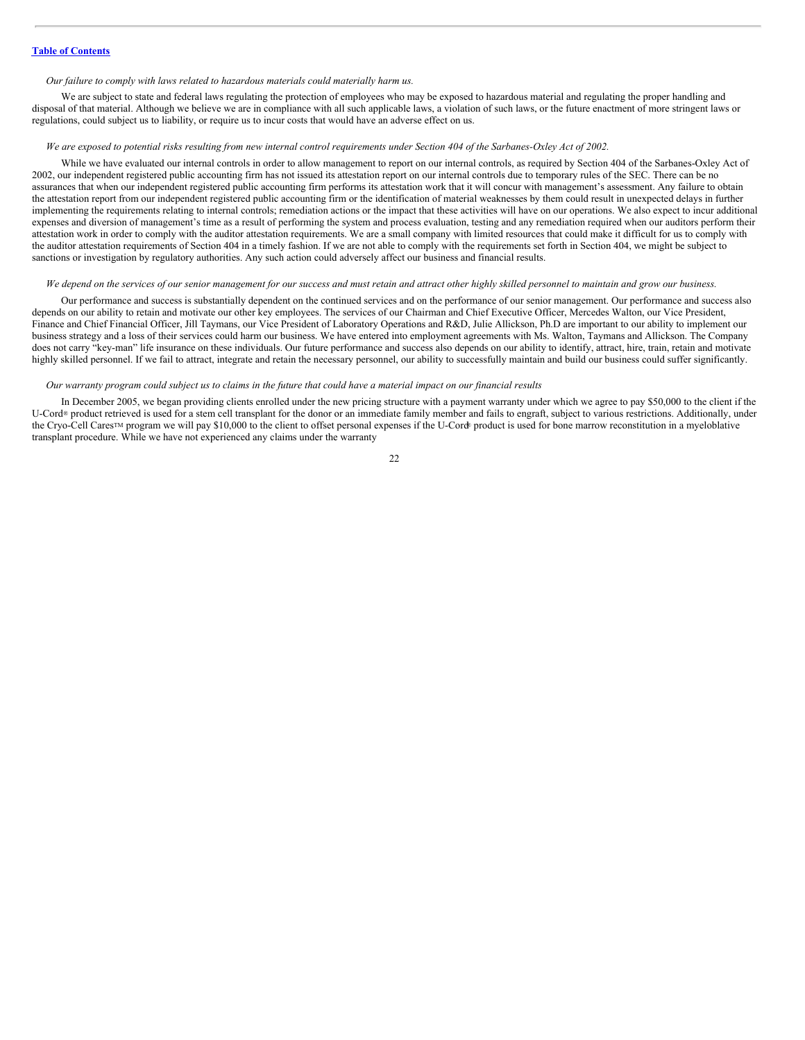#### *Our failure to comply with laws related to hazardous materials could materially harm us.*

We are subject to state and federal laws regulating the protection of employees who may be exposed to hazardous material and regulating the proper handling and disposal of that material. Although we believe we are in compliance with all such applicable laws, a violation of such laws, or the future enactment of more stringent laws or regulations, could subject us to liability, or require us to incur costs that would have an adverse effect on us.

# We are exposed to potential risks resulting from new internal control requirements under Section 404 of the Sarbanes-Oxley Act of 2002.

While we have evaluated our internal controls in order to allow management to report on our internal controls, as required by Section 404 of the Sarbanes-Oxley Act of 2002, our independent registered public accounting firm has not issued its attestation report on our internal controls due to temporary rules of the SEC. There can be no assurances that when our independent registered public accounting firm performs its attestation work that it will concur with management's assessment. Any failure to obtain the attestation report from our independent registered public accounting firm or the identification of material weaknesses by them could result in unexpected delays in further implementing the requirements relating to internal controls; remediation actions or the impact that these activities will have on our operations. We also expect to incur additional expenses and diversion of management's time as a result of performing the system and process evaluation, testing and any remediation required when our auditors perform their attestation work in order to comply with the auditor attestation requirements. We are a small company with limited resources that could make it difficult for us to comply with the auditor attestation requirements of Section 404 in a timely fashion. If we are not able to comply with the requirements set forth in Section 404, we might be subject to sanctions or investigation by regulatory authorities. Any such action could adversely affect our business and financial results.

#### We depend on the services of our senior management for our success and must retain and attract other highly skilled personnel to maintain and grow our business.

Our performance and success is substantially dependent on the continued services and on the performance of our senior management. Our performance and success also depends on our ability to retain and motivate our other key employees. The services of our Chairman and Chief Executive Officer, Mercedes Walton, our Vice President, Finance and Chief Financial Officer, Jill Taymans, our Vice President of Laboratory Operations and R&D, Julie Allickson, Ph.D are important to our ability to implement our business strategy and a loss of their services could harm our business. We have entered into employment agreements with Ms. Walton, Taymans and Allickson. The Company does not carry "key-man" life insurance on these individuals. Our future performance and success also depends on our ability to identify, attract, hire, train, retain and motivate highly skilled personnel. If we fail to attract, integrate and retain the necessary personnel, our ability to successfully maintain and build our business could suffer significantly.

#### Our warranty program could subject us to claims in the future that could have a material impact on our financial results

In December 2005, we began providing clients enrolled under the new pricing structure with a payment warranty under which we agree to pay \$50,000 to the client if the U-Cord® product retrieved is used for a stem cell transplant for the donor or an immediate family member and fails to engraft, subject to various restrictions. Additionally, under the Cryo-Cell Cares<sup>™</sup> program we will pay \$10,000 to the client to offset personal expenses if the U-Cord<sup>®</sup> product is used for bone marrow reconstitution in a myeloblative transplant procedure. While we have not experienced any claims under the warranty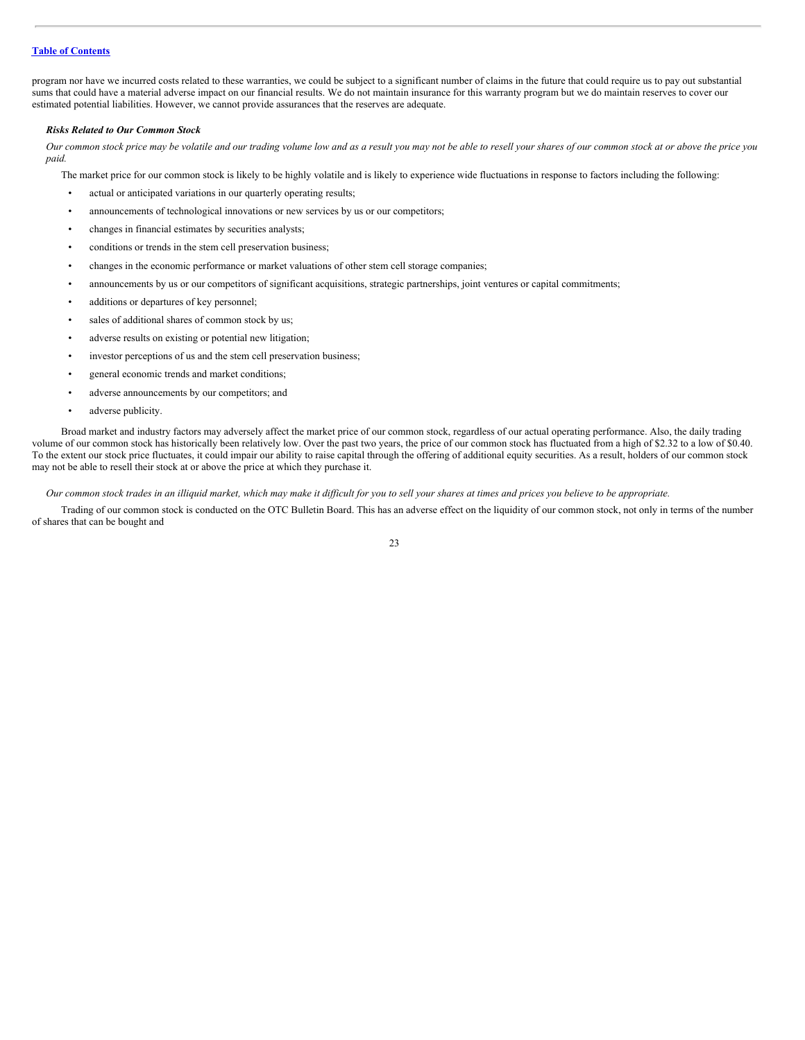program nor have we incurred costs related to these warranties, we could be subject to a significant number of claims in the future that could require us to pay out substantial sums that could have a material adverse impact on our financial results. We do not maintain insurance for this warranty program but we do maintain reserves to cover our estimated potential liabilities. However, we cannot provide assurances that the reserves are adequate.

#### *Risks Related to Our Common Stock*

Our common stock price may be volatile and our trading volume low and as a result you may not be able to resell your shares of our common stock at or above the price you *paid.*

The market price for our common stock is likely to be highly volatile and is likely to experience wide fluctuations in response to factors including the following:

- actual or anticipated variations in our quarterly operating results;
- announcements of technological innovations or new services by us or our competitors;
- changes in financial estimates by securities analysts;
- conditions or trends in the stem cell preservation business;
- changes in the economic performance or market valuations of other stem cell storage companies;
- announcements by us or our competitors of significant acquisitions, strategic partnerships, joint ventures or capital commitments;
- additions or departures of key personnel;
- sales of additional shares of common stock by us;
- adverse results on existing or potential new litigation;
- investor perceptions of us and the stem cell preservation business;
- general economic trends and market conditions;
- adverse announcements by our competitors; and
- adverse publicity.

Broad market and industry factors may adversely affect the market price of our common stock, regardless of our actual operating performance. Also, the daily trading volume of our common stock has historically been relatively low. Over the past two years, the price of our common stock has fluctuated from a high of \$2.32 to a low of \$0.40. To the extent our stock price fluctuates, it could impair our ability to raise capital through the offering of additional equity securities. As a result, holders of our common stock may not be able to resell their stock at or above the price at which they purchase it.

Our common stock trades in an illiquid market, which may make it difficult for you to sell your shares at times and prices you believe to be appropriate.

Trading of our common stock is conducted on the OTC Bulletin Board. This has an adverse effect on the liquidity of our common stock, not only in terms of the number of shares that can be bought and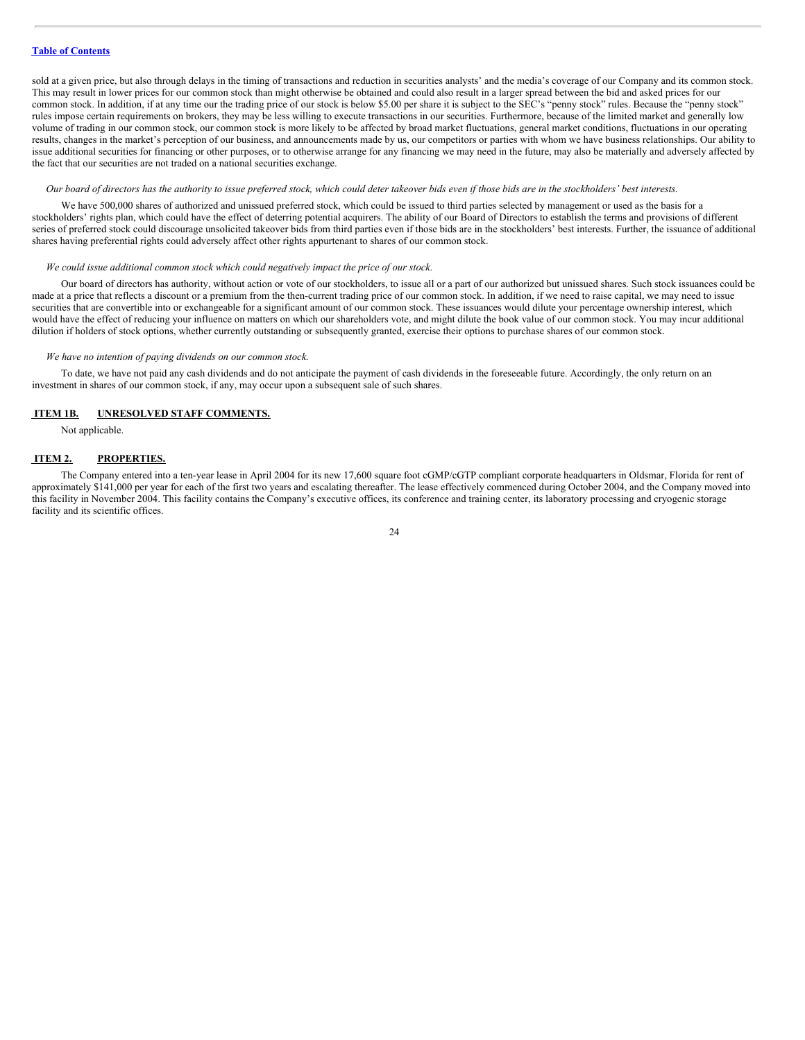sold at a given price, but also through delays in the timing of transactions and reduction in securities analysts' and the media's coverage of our Company and its common stock. This may result in lower prices for our common stock than might otherwise be obtained and could also result in a larger spread between the bid and asked prices for our common stock. In addition, if at any time our the trading price of our stock is below \$5.00 per share it is subject to the SEC's "penny stock" rules. Because the "penny stock" rules impose certain requirements on brokers, they may be less willing to execute transactions in our securities. Furthermore, because of the limited market and generally low volume of trading in our common stock, our common stock is more likely to be affected by broad market fluctuations, general market conditions, fluctuations in our operating results, changes in the market's perception of our business, and announcements made by us, our competitors or parties with whom we have business relationships. Our ability to issue additional securities for financing or other purposes, or to otherwise arrange for any financing we may need in the future, may also be materially and adversely affected by the fact that our securities are not traded on a national securities exchange.

#### Our board of directors has the authority to issue preferred stock, which could deter takeover bids even if those bids are in the stockholders' best interests.

We have 500,000 shares of authorized and unissued preferred stock, which could be issued to third parties selected by management or used as the basis for a stockholders' rights plan, which could have the effect of deterring potential acquirers. The ability of our Board of Directors to establish the terms and provisions of different series of preferred stock could discourage unsolicited takeover bids from third parties even if those bids are in the stockholders' best interests. Further, the issuance of additional shares having preferential rights could adversely affect other rights appurtenant to shares of our common stock.

# *We could issue additional common stock which could negatively impact the price of our stock.*

Our board of directors has authority, without action or vote of our stockholders, to issue all or a part of our authorized but unissued shares. Such stock issuances could be made at a price that reflects a discount or a premium from the then-current trading price of our common stock. In addition, if we need to raise capital, we may need to issue securities that are convertible into or exchangeable for a significant amount of our common stock. These issuances would dilute your percentage ownership interest, which would have the effect of reducing your influence on matters on which our shareholders vote, and might dilute the book value of our common stock. You may incur additional dilution if holders of stock options, whether currently outstanding or subsequently granted, exercise their options to purchase shares of our common stock.

#### *We have no intention of paying dividends on our common stock.*

To date, we have not paid any cash dividends and do not anticipate the payment of cash dividends in the foreseeable future. Accordingly, the only return on an investment in shares of our common stock, if any, may occur upon a subsequent sale of such shares.

#### <span id="page-23-0"></span>**ITEM 1B. UNRESOLVED STAFF COMMENTS.**

Not applicable.

#### <span id="page-23-1"></span>**ITEM 2. PROPERTIES.**

The Company entered into a ten-year lease in April 2004 for its new 17,600 square foot cGMP/cGTP compliant corporate headquarters in Oldsmar, Florida for rent of approximately \$141,000 per year for each of the first two years and escalating thereafter. The lease effectively commenced during October 2004, and the Company moved into this facility in November 2004. This facility contains the Company's executive offices, its conference and training center, its laboratory processing and cryogenic storage facility and its scientific offices.

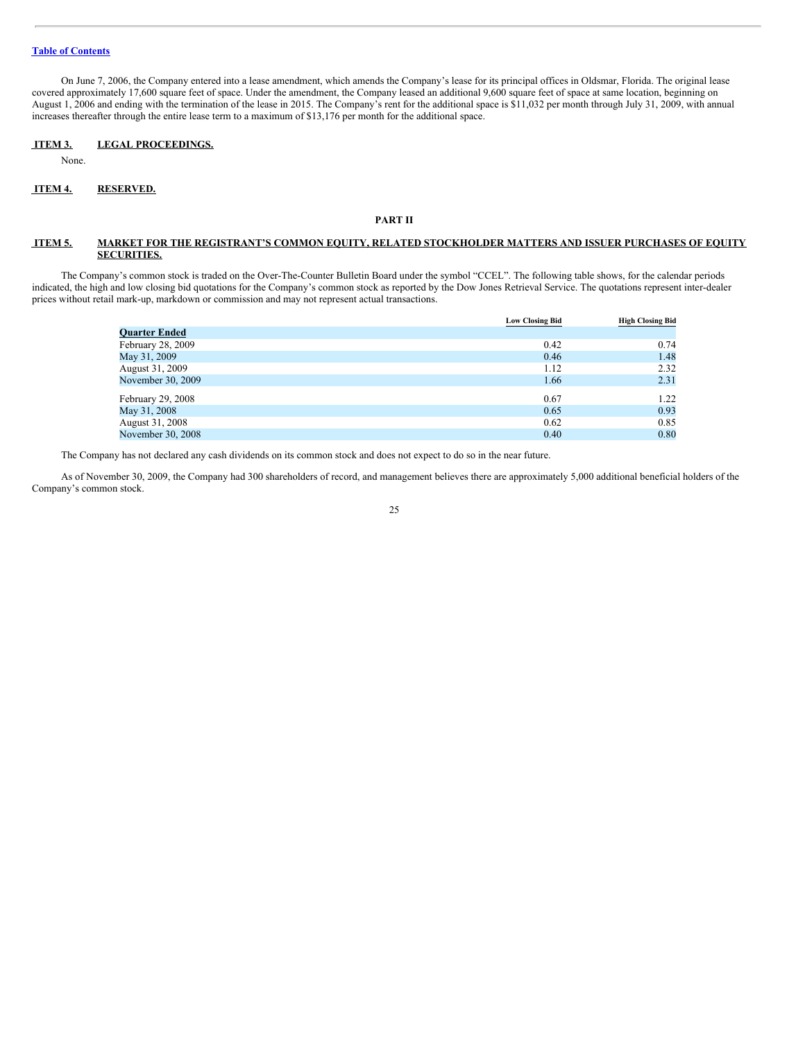On June 7, 2006, the Company entered into a lease amendment, which amends the Company's lease for its principal offices in Oldsmar, Florida. The original lease covered approximately 17,600 square feet of space. Under the amendment, the Company leased an additional 9,600 square feet of space at same location, beginning on August 1, 2006 and ending with the termination of the lease in 2015. The Company's rent for the additional space is \$11,032 per month through July 31, 2009, with annual increases thereafter through the entire lease term to a maximum of \$13,176 per month for the additional space.

# <span id="page-24-0"></span>**ITEM 3. LEGAL PROCEEDINGS.**

None.

# <span id="page-24-1"></span>**ITEM 4. RESERVED.**

# **PART II**

# <span id="page-24-2"></span>**ITEM 5. MARKET FOR THE REGISTRANT'S COMMON EQUITY, RELATED STOCKHOLDER MATTERS AND ISSUER PURCHASES OF EQUITY SECURITIES.**

The Company's common stock is traded on the Over-The-Counter Bulletin Board under the symbol "CCEL". The following table shows, for the calendar periods indicated, the high and low closing bid quotations for the Company's common stock as reported by the Dow Jones Retrieval Service. The quotations represent inter-dealer prices without retail mark-up, markdown or commission and may not represent actual transactions.

|                      | <b>Low Closing Bid</b> | <b>High Closing Bid</b> |
|----------------------|------------------------|-------------------------|
| <b>Quarter Ended</b> |                        |                         |
| February 28, 2009    | 0.42                   | 0.74                    |
| May 31, 2009         | 0.46                   | 1.48                    |
| August 31, 2009      | 1.12                   | 2.32                    |
| November 30, 2009    | 1.66                   | 2.31                    |
| February 29, 2008    | 0.67                   | 1.22                    |
| May 31, 2008         | 0.65                   | 0.93                    |
| August 31, 2008      | 0.62                   | 0.85                    |
| November 30, 2008    | 0.40                   | 0.80                    |

The Company has not declared any cash dividends on its common stock and does not expect to do so in the near future.

As of November 30, 2009, the Company had 300 shareholders of record, and management believes there are approximately 5,000 additional beneficial holders of the Company's common stock.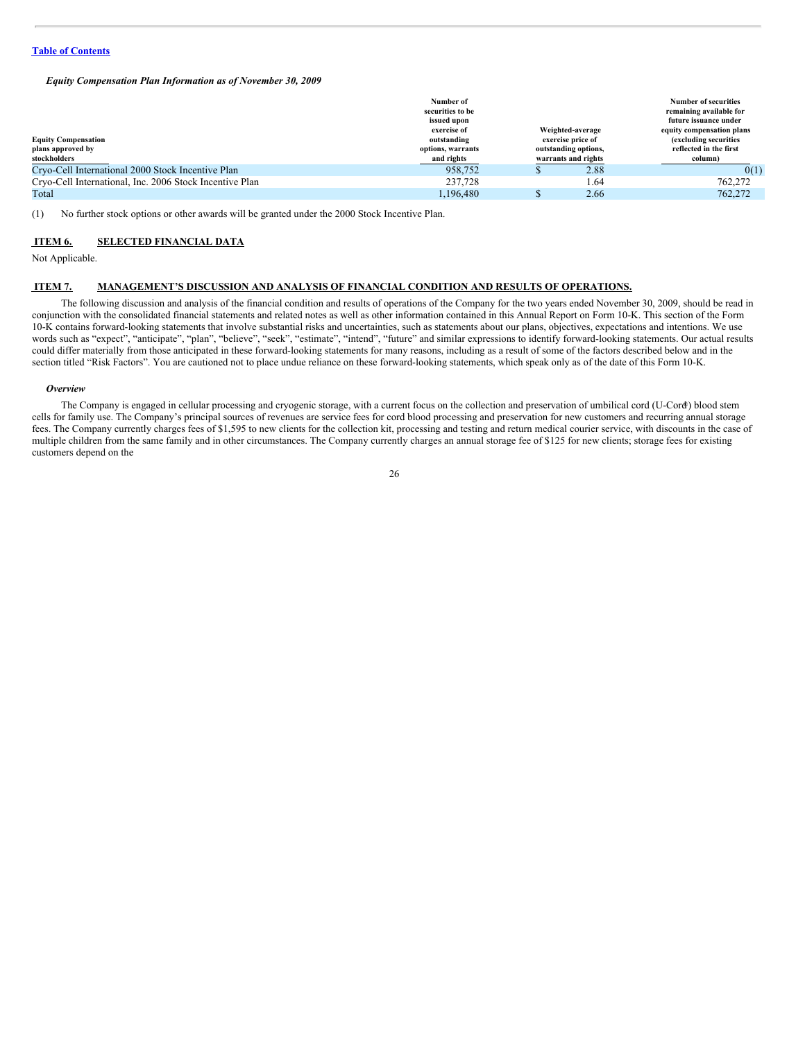*Equity Compensation Plan Information as of November 30, 2009*

| <b>Equity Compensation</b><br>plans approved by<br>stockholders | Number of<br>securities to be<br>issued upon<br>exercise of<br>outstanding<br>options, warrants<br>and rights | Weighted-average<br>exercise price of<br>outstanding options,<br>warrants and rights | <b>Number of securities</b><br>remaining available for<br>future issuance under<br>equity compensation plans<br>(excluding securities)<br>reflected in the first<br>column) |
|-----------------------------------------------------------------|---------------------------------------------------------------------------------------------------------------|--------------------------------------------------------------------------------------|-----------------------------------------------------------------------------------------------------------------------------------------------------------------------------|
| Cryo-Cell International 2000 Stock Incentive Plan               | 958,752                                                                                                       | 2.88                                                                                 | 0(1)                                                                                                                                                                        |
| Cryo-Cell International, Inc. 2006 Stock Incentive Plan         | 237,728                                                                                                       | 1.64                                                                                 | 762,272                                                                                                                                                                     |
| Total                                                           | 1.196.480                                                                                                     | 2.66                                                                                 | 762,272                                                                                                                                                                     |

(1) No further stock options or other awards will be granted under the 2000 Stock Incentive Plan.

#### <span id="page-25-0"></span>**ITEM 6. SELECTED FINANCIAL DATA**

Not Applicable.

# <span id="page-25-1"></span>**ITEM 7. MANAGEMENT'S DISCUSSION AND ANALYSIS OF FINANCIAL CONDITION AND RESULTS OF OPERATIONS.**

The following discussion and analysis of the financial condition and results of operations of the Company for the two years ended November 30, 2009, should be read in conjunction with the consolidated financial statements and related notes as well as other information contained in this Annual Report on Form 10-K. This section of the Form 10-K contains forward-looking statements that involve substantial risks and uncertainties, such as statements about our plans, objectives, expectations and intentions. We use words such as "expect", "anticipate", "plan", "believe", "seek", "estimate", "intend", "future" and similar expressions to identify forward-looking statements. Our actual results could differ materially from those anticipated in these forward-looking statements for many reasons, including as a result of some of the factors described below and in the section titled "Risk Factors". You are cautioned not to place undue reliance on these forward-looking statements, which speak only as of the date of this Form 10-K.

#### *Overview*

The Company is engaged in cellular processing and cryogenic storage, with a current focus on the collection and preservation of umbilical cord (U-Cord) blood stem ®cells for family use. The Company's principal sources of revenues are service fees for cord blood processing and preservation for new customers and recurring annual storage fees. The Company currently charges fees of \$1,595 to new clients for the collection kit, processing and testing and return medical courier service, with discounts in the case of multiple children from the same family and in other circumstances. The Company currently charges an annual storage fee of \$125 for new clients; storage fees for existing customers depend on the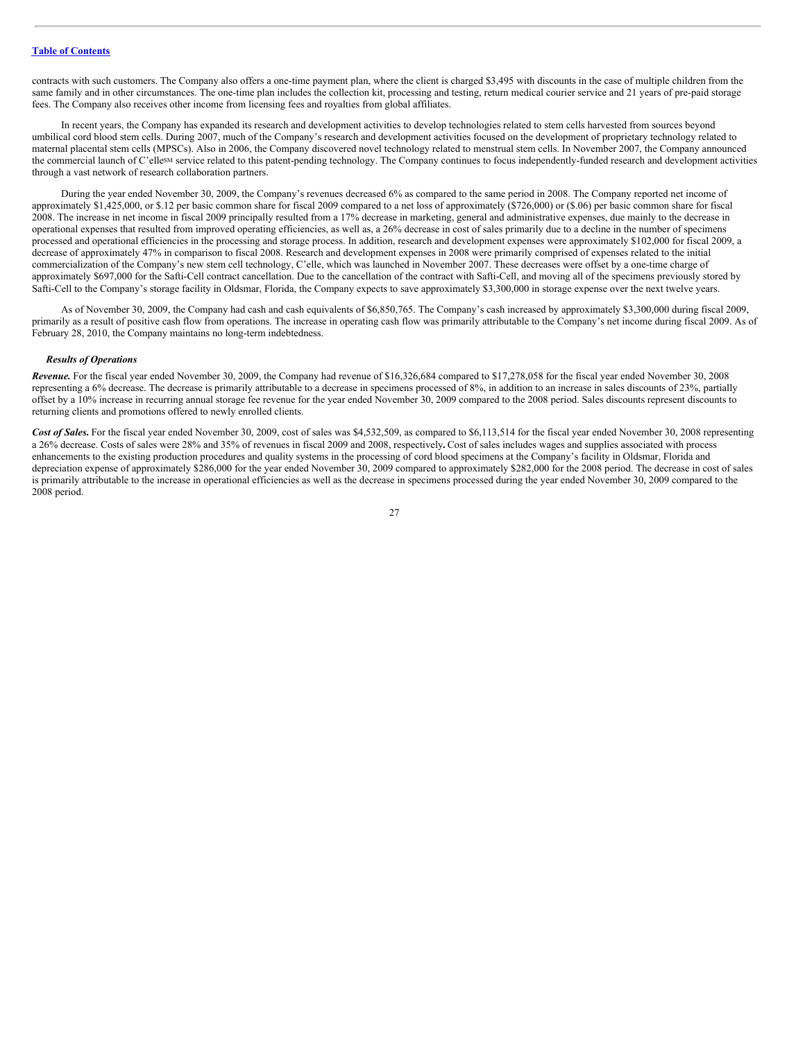contracts with such customers. The Company also offers a one-time payment plan, where the client is charged \$3,495 with discounts in the case of multiple children from the same family and in other circumstances. The one-time plan includes the collection kit, processing and testing, return medical courier service and 21 years of pre-paid storage fees. The Company also receives other income from licensing fees and royalties from global affiliates.

In recent years, the Company has expanded its research and development activities to develop technologies related to stem cells harvested from sources beyond umbilical cord blood stem cells. During 2007, much of the Company's research and development activities focused on the development of proprietary technology related to maternal placental stem cells (MPSCs). Also in 2006, the Company discovered novel technology related to menstrual stem cells. In November 2007, the Company announced the commercial launch of C'elle<sup>sM</sup> service related to this patent-pending technology. The Company continues to focus independently-funded research and development activities through a vast network of research collaboration partners.

During the year ended November 30, 2009, the Company's revenues decreased 6% as compared to the same period in 2008. The Company reported net income of approximately \$1,425,000, or \$.12 per basic common share for fiscal 2009 compared to a net loss of approximately (\$726,000) or (\$.06) per basic common share for fiscal 2008. The increase in net income in fiscal 2009 principally resulted from a 17% decrease in marketing, general and administrative expenses, due mainly to the decrease in operational expenses that resulted from improved operating efficiencies, as well as, a 26% decrease in cost of sales primarily due to a decline in the number of specimens processed and operational efficiencies in the processing and storage process. In addition, research and development expenses were approximately \$102,000 for fiscal 2009, a decrease of approximately 47% in comparison to fiscal 2008. Research and development expenses in 2008 were primarily comprised of expenses related to the initial commercialization of the Company's new stem cell technology, C'elle, which was launched in November 2007. These decreases were offset by a one-time charge of approximately \$697,000 for the Safti-Cell contract cancellation. Due to the cancellation of the contract with Safti-Cell, and moving all of the specimens previously stored by Safti-Cell to the Company's storage facility in Oldsmar, Florida, the Company expects to save approximately \$3,300,000 in storage expense over the next twelve years.

As of November 30, 2009, the Company had cash and cash equivalents of \$6,850,765. The Company's cash increased by approximately \$3,300,000 during fiscal 2009, primarily as a result of positive cash flow from operations. The increase in operating cash flow was primarily attributable to the Company's net income during fiscal 2009. As of February 28, 2010, the Company maintains no long-term indebtedness.

# *Results of Operations*

*Revenue.* For the fiscal year ended November 30, 2009, the Company had revenue of \$16,326,684 compared to \$17,278,058 for the fiscal year ended November 30, 2008 representing a 6% decrease. The decrease is primarily attributable to a decrease in specimens processed of 8%, in addition to an increase in sales discounts of 23%, partially offset by a 10% increase in recurring annual storage fee revenue for the year ended November 30, 2009 compared to the 2008 period. Sales discounts represent discounts to returning clients and promotions offered to newly enrolled clients.

Cost of Sales. For the fiscal year ended November 30, 2009, cost of sales was \$4,532,509, as compared to \$6,113,514 for the fiscal year ended November 30, 2008 representing a 26% decrease. Costs of sales were 28% and 35% of revenues in fiscal 2009 and 2008, respectively**.** Cost of sales includes wages and supplies associated with process enhancements to the existing production procedures and quality systems in the processing of cord blood specimens at the Company's facility in Oldsmar, Florida and depreciation expense of approximately \$286,000 for the year ended November 30, 2009 compared to approximately \$282,000 for the 2008 period. The decrease in cost of sales is primarily attributable to the increase in operational efficiencies as well as the decrease in specimens processed during the year ended November 30, 2009 compared to the 2008 period.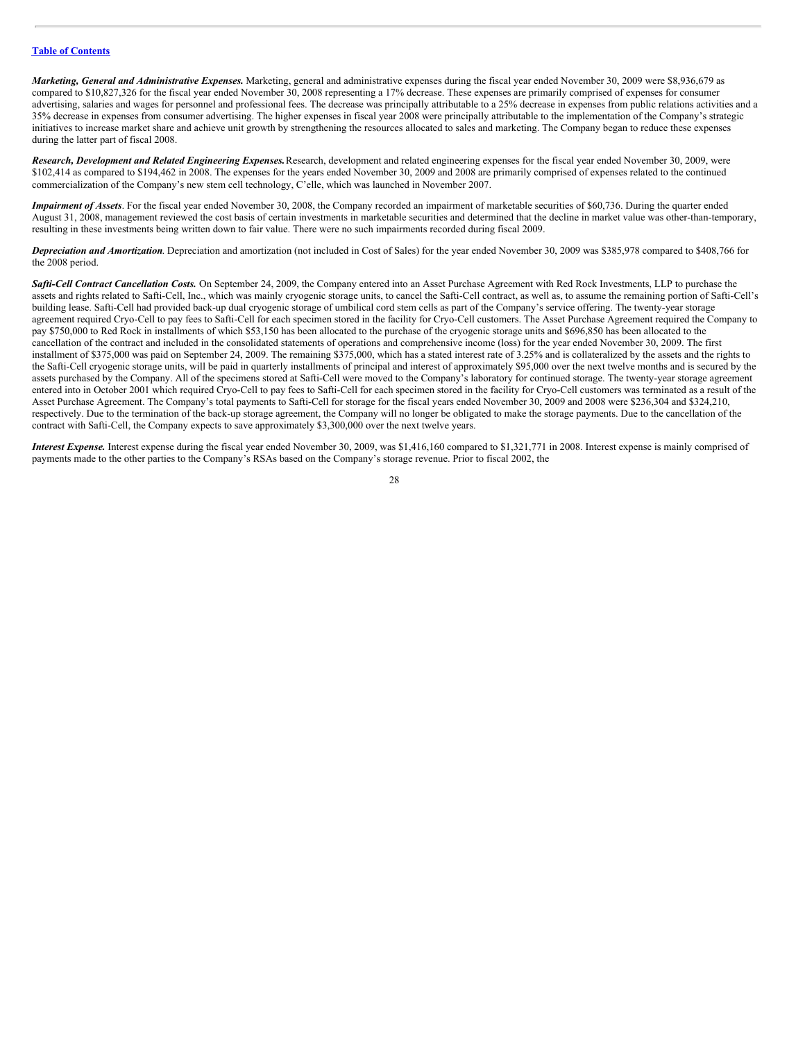*Marketing, General and Administrative Expenses.* Marketing, general and administrative expenses during the fiscal year ended November 30, 2009 were \$8,936,679 as compared to \$10,827,326 for the fiscal year ended November 30, 2008 representing a 17% decrease. These expenses are primarily comprised of expenses for consumer advertising, salaries and wages for personnel and professional fees. The decrease was principally attributable to a 25% decrease in expenses from public relations activities and a 35% decrease in expenses from consumer advertising. The higher expenses in fiscal year 2008 were principally attributable to the implementation of the Company's strategic initiatives to increase market share and achieve unit growth by strengthening the resources allocated to sales and marketing. The Company began to reduce these expenses during the latter part of fiscal 2008.

*Research, Development and Related Engineering Expenses.*Research, development and related engineering expenses for the fiscal year ended November 30, 2009, were \$102,414 as compared to \$194,462 in 2008. The expenses for the years ended November 30, 2009 and 2008 are primarily comprised of expenses related to the continued commercialization of the Company's new stem cell technology, C'elle, which was launched in November 2007.

*Impairment of Assets*. For the fiscal year ended November 30, 2008, the Company recorded an impairment of marketable securities of \$60.736. During the quarter ended August 31, 2008, management reviewed the cost basis of certain investments in marketable securities and determined that the decline in market value was other-than-temporary, resulting in these investments being written down to fair value. There were no such impairments recorded during fiscal 2009.

*Depreciation and Amortization*. Depreciation and amortization (not included in Cost of Sales) for the year ended November 30, 2009 was \$385,978 compared to \$408,766 for the 2008 period.

*Safti-Cell Contract Cancellation Costs.* On September 24, 2009, the Company entered into an Asset Purchase Agreement with Red Rock Investments, LLP to purchase the assets and rights related to Safti-Cell, Inc., which was mainly cryogenic storage units, to cancel the Safti-Cell contract, as well as, to assume the remaining portion of Safti-Cell's building lease. Safti-Cell had provided back-up dual cryogenic storage of umbilical cord stem cells as part of the Company's service offering. The twenty-year storage agreement required Cryo-Cell to pay fees to Safti-Cell for each specimen stored in the facility for Cryo-Cell customers. The Asset Purchase Agreement required the Company to pay \$750,000 to Red Rock in installments of which \$53,150 has been allocated to the purchase of the cryogenic storage units and \$696,850 has been allocated to the cancellation of the contract and included in the consolidated statements of operations and comprehensive income (loss) for the year ended November 30, 2009. The first installment of \$375,000 was paid on September 24, 2009. The remaining \$375,000, which has a stated interest rate of 3.25% and is collateralized by the assets and the rights to the Safti-Cell cryogenic storage units, will be paid in quarterly installments of principal and interest of approximately \$95,000 over the next twelve months and is secured by the assets purchased by the Company. All of the specimens stored at Safti-Cell were moved to the Company's laboratory for continued storage. The twenty-year storage agreement entered into in October 2001 which required Cryo-Cell to pay fees to Safti-Cell for each specimen stored in the facility for Cryo-Cell customers was terminated as a result of the Asset Purchase Agreement. The Company's total payments to Safti-Cell for storage for the fiscal years ended November 30, 2009 and 2008 were \$236,304 and \$324,210, respectively. Due to the termination of the back-up storage agreement, the Company will no longer be obligated to make the storage payments. Due to the cancellation of the contract with Safti-Cell, the Company expects to save approximately \$3,300,000 over the next twelve years.

*Interest Expense.* Interest expense during the fiscal year ended November 30, 2009, was \$1,416,160 compared to \$1,321,771 in 2008. Interest expense is mainly comprised of payments made to the other parties to the Company's RSAs based on the Company's storage revenue. Prior to fiscal 2002, the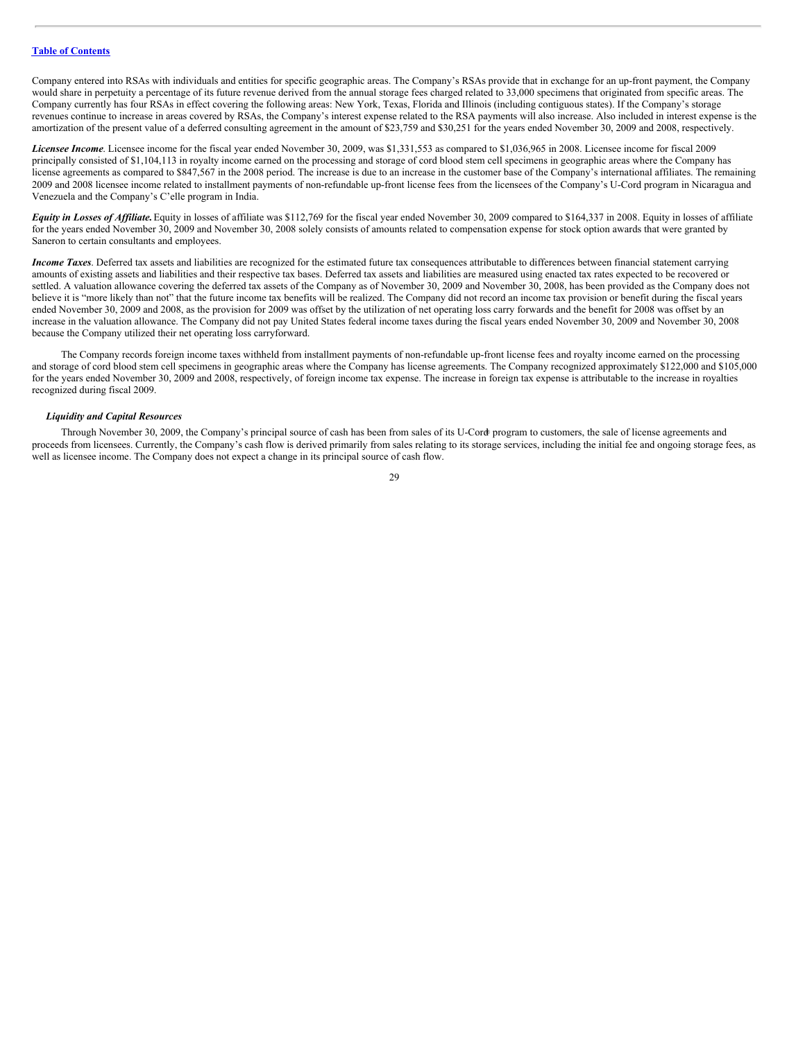Company entered into RSAs with individuals and entities for specific geographic areas. The Company's RSAs provide that in exchange for an up-front payment, the Company would share in perpetuity a percentage of its future revenue derived from the annual storage fees charged related to 33,000 specimens that originated from specific areas. The Company currently has four RSAs in effect covering the following areas: New York, Texas, Florida and Illinois (including contiguous states). If the Company's storage revenues continue to increase in areas covered by RSAs, the Company's interest expense related to the RSA payments will also increase. Also included in interest expense is the amortization of the present value of a deferred consulting agreement in the amount of \$23,759 and \$30,251 for the years ended November 30, 2009 and 2008, respectively.

*Licensee Income*. Licensee income for the fiscal year ended November 30, 2009, was \$1,331,553 as compared to \$1,036,965 in 2008. Licensee income for fiscal 2009 principally consisted of \$1,104,113 in royalty income earned on the processing and storage of cord blood stem cell specimens in geographic areas where the Company has license agreements as compared to \$847,567 in the 2008 period. The increase is due to an increase in the customer base of the Company's international affiliates. The remaining 2009 and 2008 licensee income related to installment payments of non-refundable up-front license fees from the licensees of the Company's U-Cord program in Nicaragua and Venezuela and the Company's C'elle program in India.

Equity in Losses of Affiliate. Equity in losses of affiliate was \$112,769 for the fiscal year ended November 30, 2009 compared to \$164,337 in 2008. Equity in losses of affiliate for the years ended November 30, 2009 and November 30, 2008 solely consists of amounts related to compensation expense for stock option awards that were granted by Saneron to certain consultants and employees.

*Income Taxes*. Deferred tax assets and liabilities are recognized for the estimated future tax consequences attributable to differences between financial statement carrying amounts of existing assets and liabilities and their respective tax bases. Deferred tax assets and liabilities are measured using enacted tax rates expected to be recovered or settled. A valuation allowance covering the deferred tax assets of the Company as of November 30, 2009 and November 30, 2008, has been provided as the Company does not believe it is "more likely than not" that the future income tax benefits will be realized. The Company did not record an income tax provision or benefit during the fiscal years ended November 30, 2009 and 2008, as the provision for 2009 was offset by the utilization of net operating loss carry forwards and the benefit for 2008 was offset by an increase in the valuation allowance. The Company did not pay United States federal income taxes during the fiscal years ended November 30, 2009 and November 30, 2008 because the Company utilized their net operating loss carryforward.

The Company records foreign income taxes withheld from installment payments of non-refundable up-front license fees and royalty income earned on the processing and storage of cord blood stem cell specimens in geographic areas where the Company has license agreements. The Company recognized approximately \$122,000 and \$105,000 for the years ended November 30, 2009 and 2008, respectively, of foreign income tax expense. The increase in foreign tax expense is attributable to the increase in royalties recognized during fiscal 2009.

#### *Liquidity and Capital Resources*

Through November 30, 2009, the Company's principal source of cash has been from sales of its U-Cord program to customers, the sale of license agreements and ®proceeds from licensees. Currently, the Company's cash flow is derived primarily from sales relating to its storage services, including the initial fee and ongoing storage fees, as well as licensee income. The Company does not expect a change in its principal source of cash flow.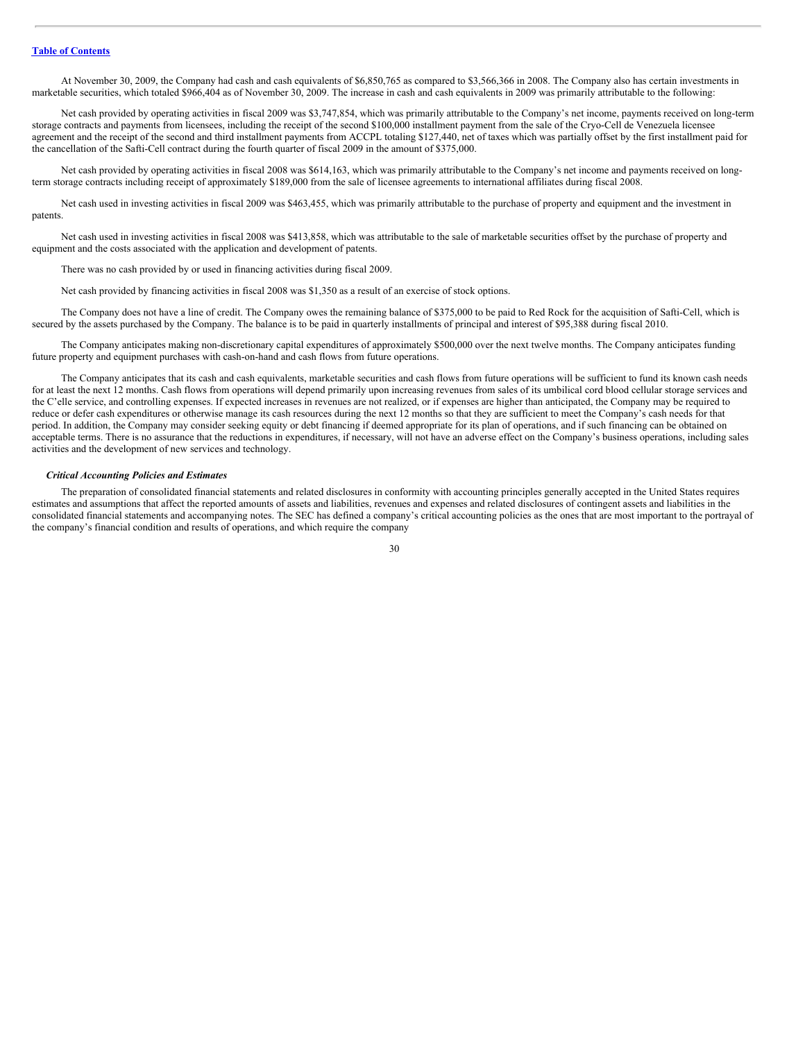At November 30, 2009, the Company had cash and cash equivalents of \$6,850,765 as compared to \$3,566,366 in 2008. The Company also has certain investments in marketable securities, which totaled \$966,404 as of November 30, 2009. The increase in cash and cash equivalents in 2009 was primarily attributable to the following:

Net cash provided by operating activities in fiscal 2009 was \$3,747,854, which was primarily attributable to the Company's net income, payments received on long-term storage contracts and payments from licensees, including the receipt of the second \$100,000 installment payment from the sale of the Cryo-Cell de Venezuela licensee agreement and the receipt of the second and third installment payments from ACCPL totaling \$127,440, net of taxes which was partially offset by the first installment paid for the cancellation of the Safti-Cell contract during the fourth quarter of fiscal 2009 in the amount of \$375,000.

Net cash provided by operating activities in fiscal 2008 was \$614,163, which was primarily attributable to the Company's net income and payments received on longterm storage contracts including receipt of approximately \$189,000 from the sale of licensee agreements to international affiliates during fiscal 2008.

Net cash used in investing activities in fiscal 2009 was \$463,455, which was primarily attributable to the purchase of property and equipment and the investment in patents.

Net cash used in investing activities in fiscal 2008 was \$413,858, which was attributable to the sale of marketable securities offset by the purchase of property and equipment and the costs associated with the application and development of patents.

There was no cash provided by or used in financing activities during fiscal 2009.

Net cash provided by financing activities in fiscal 2008 was \$1,350 as a result of an exercise of stock options.

The Company does not have a line of credit. The Company owes the remaining balance of \$375,000 to be paid to Red Rock for the acquisition of Safti-Cell, which is secured by the assets purchased by the Company. The balance is to be paid in quarterly installments of principal and interest of \$95,388 during fiscal 2010.

The Company anticipates making non-discretionary capital expenditures of approximately \$500,000 over the next twelve months. The Company anticipates funding future property and equipment purchases with cash-on-hand and cash flows from future operations.

The Company anticipates that its cash and cash equivalents, marketable securities and cash flows from future operations will be sufficient to fund its known cash needs for at least the next 12 months. Cash flows from operations will depend primarily upon increasing revenues from sales of its umbilical cord blood cellular storage services and the C'elle service, and controlling expenses. If expected increases in revenues are not realized, or if expenses are higher than anticipated, the Company may be required to reduce or defer cash expenditures or otherwise manage its cash resources during the next 12 months so that they are sufficient to meet the Company's cash needs for that period. In addition, the Company may consider seeking equity or debt financing if deemed appropriate for its plan of operations, and if such financing can be obtained on acceptable terms. There is no assurance that the reductions in expenditures, if necessary, will not have an adverse effect on the Company's business operations, including sales activities and the development of new services and technology.

#### *Critical Accounting Policies and Estimates*

The preparation of consolidated financial statements and related disclosures in conformity with accounting principles generally accepted in the United States requires estimates and assumptions that affect the reported amounts of assets and liabilities, revenues and expenses and related disclosures of contingent assets and liabilities in the consolidated financial statements and accompanying notes. The SEC has defined a company's critical accounting policies as the ones that are most important to the portrayal of the company's financial condition and results of operations, and which require the company

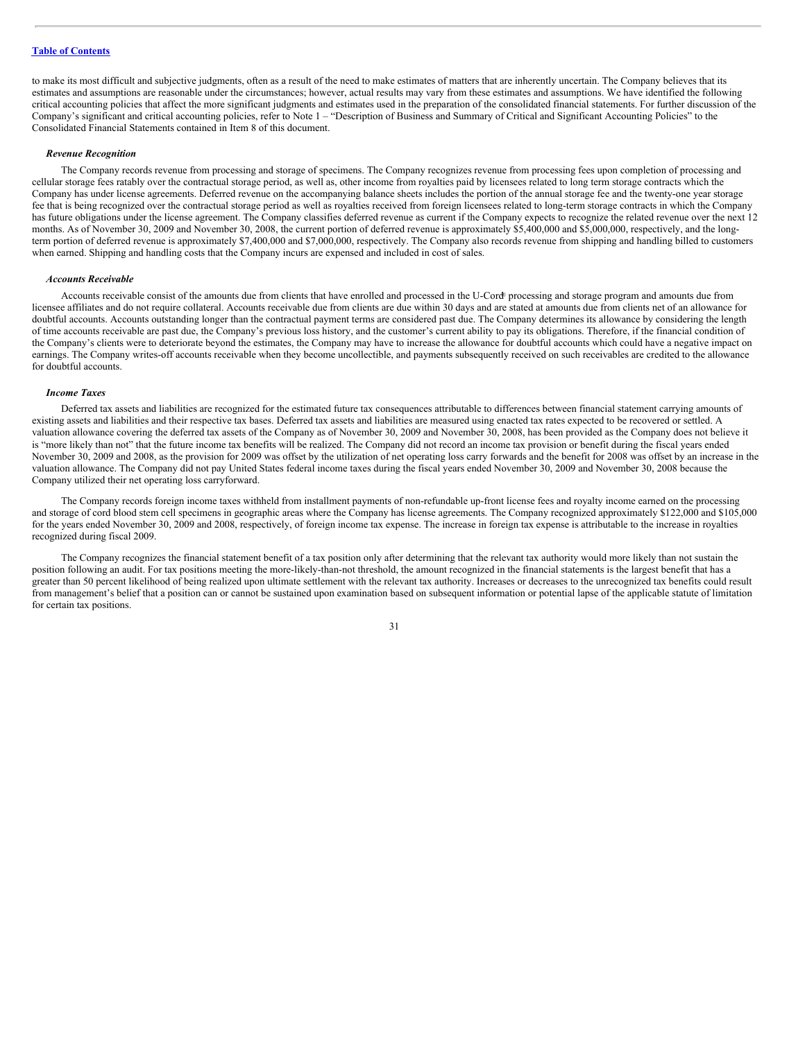to make its most difficult and subjective judgments, often as a result of the need to make estimates of matters that are inherently uncertain. The Company believes that its estimates and assumptions are reasonable under the circumstances; however, actual results may vary from these estimates and assumptions. We have identified the following critical accounting policies that affect the more significant judgments and estimates used in the preparation of the consolidated financial statements. For further discussion of the Company's significant and critical accounting policies, refer to Note 1 – "Description of Business and Summary of Critical and Significant Accounting Policies" to the Consolidated Financial Statements contained in Item 8 of this document.

# *Revenue Recognition*

The Company records revenue from processing and storage of specimens. The Company recognizes revenue from processing fees upon completion of processing and cellular storage fees ratably over the contractual storage period, as well as, other income from royalties paid by licensees related to long term storage contracts which the Company has under license agreements. Deferred revenue on the accompanying balance sheets includes the portion of the annual storage fee and the twenty-one year storage fee that is being recognized over the contractual storage period as well as royalties received from foreign licensees related to long-term storage contracts in which the Company has future obligations under the license agreement. The Company classifies deferred revenue as current if the Company expects to recognize the related revenue over the next 12 months. As of November 30, 2009 and November 30, 2008, the current portion of deferred revenue is approximately \$5,400,000 and \$5,000,000, respectively, and the longterm portion of deferred revenue is approximately \$7,400,000 and \$7,000,000, respectively. The Company also records revenue from shipping and handling billed to customers when earned. Shipping and handling costs that the Company incurs are expensed and included in cost of sales.

#### *Accounts Receivable*

Accounts receivable consist of the amounts due from clients that have enrolled and processed in the U-Cord processing and storage program and amounts due from licensee affiliates and do not require collateral. Accounts receivable due from clients are due within 30 days and are stated at amounts due from clients net of an allowance for doubtful accounts. Accounts outstanding longer than the contractual payment terms are considered past due. The Company determines its allowance by considering the length of time accounts receivable are past due, the Company's previous loss history, and the customer's current ability to pay its obligations. Therefore, if the financial condition of the Company's clients were to deteriorate beyond the estimates, the Company may have to increase the allowance for doubtful accounts which could have a negative impact on earnings. The Company writes-off accounts receivable when they become uncollectible, and payments subsequently received on such receivables are credited to the allowance for doubtful accounts.

# *Income Taxes*

Deferred tax assets and liabilities are recognized for the estimated future tax consequences attributable to differences between financial statement carrying amounts of existing assets and liabilities and their respective tax bases. Deferred tax assets and liabilities are measured using enacted tax rates expected to be recovered or settled. A valuation allowance covering the deferred tax assets of the Company as of November 30, 2009 and November 30, 2008, has been provided as the Company does not believe it is "more likely than not" that the future income tax benefits will be realized. The Company did not record an income tax provision or benefit during the fiscal years ended November 30, 2009 and 2008, as the provision for 2009 was offset by the utilization of net operating loss carry forwards and the benefit for 2008 was offset by an increase in the valuation allowance. The Company did not pay United States federal income taxes during the fiscal years ended November 30, 2009 and November 30, 2008 because the Company utilized their net operating loss carryforward.

The Company records foreign income taxes withheld from installment payments of non-refundable up-front license fees and royalty income earned on the processing and storage of cord blood stem cell specimens in geographic areas where the Company has license agreements. The Company recognized approximately \$122,000 and \$105,000 for the years ended November 30, 2009 and 2008, respectively, of foreign income tax expense. The increase in foreign tax expense is attributable to the increase in royalties recognized during fiscal 2009.

The Company recognizes the financial statement benefit of a tax position only after determining that the relevant tax authority would more likely than not sustain the position following an audit. For tax positions meeting the more-likely-than-not threshold, the amount recognized in the financial statements is the largest benefit that has a greater than 50 percent likelihood of being realized upon ultimate settlement with the relevant tax authority. Increases or decreases to the unrecognized tax benefits could result from management's belief that a position can or cannot be sustained upon examination based on subsequent information or potential lapse of the applicable statute of limitation for certain tax positions.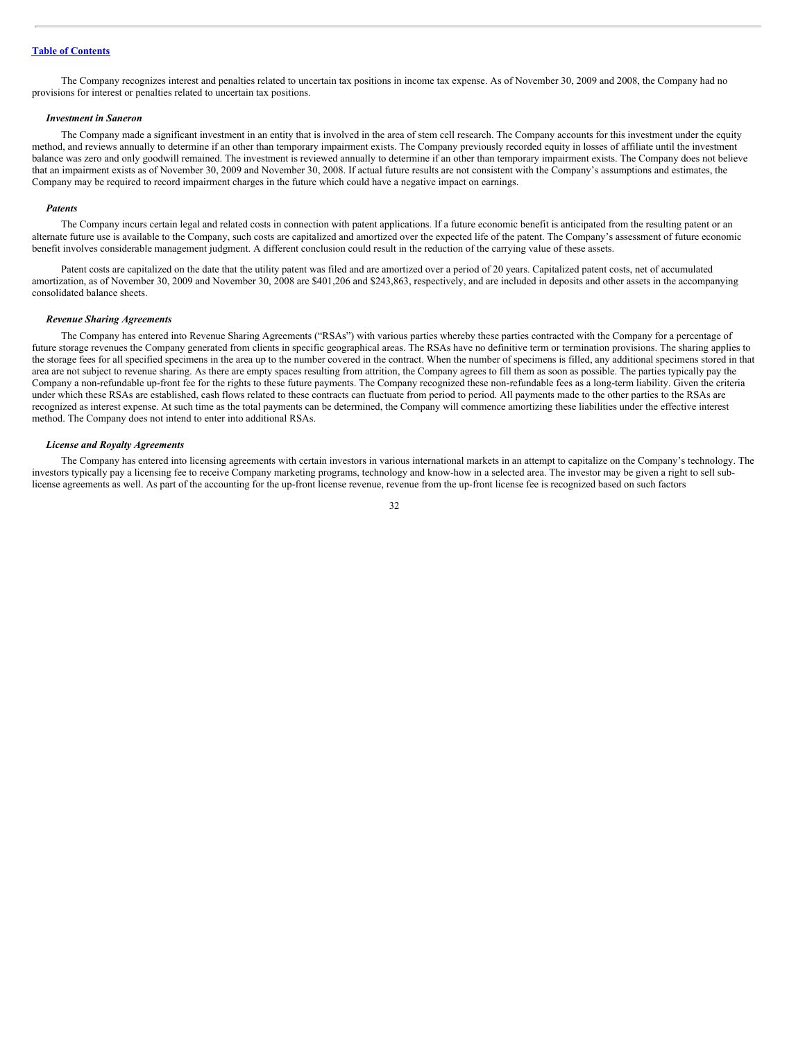The Company recognizes interest and penalties related to uncertain tax positions in income tax expense. As of November 30, 2009 and 2008, the Company had no provisions for interest or penalties related to uncertain tax positions.

#### *Investment in Saneron*

The Company made a significant investment in an entity that is involved in the area of stem cell research. The Company accounts for this investment under the equity method, and reviews annually to determine if an other than temporary impairment exists. The Company previously recorded equity in losses of affiliate until the investment balance was zero and only goodwill remained. The investment is reviewed annually to determine if an other than temporary impairment exists. The Company does not believe that an impairment exists as of November 30, 2009 and November 30, 2008. If actual future results are not consistent with the Company's assumptions and estimates, the Company may be required to record impairment charges in the future which could have a negative impact on earnings.

#### *Patents*

The Company incurs certain legal and related costs in connection with patent applications. If a future economic benefit is anticipated from the resulting patent or an alternate future use is available to the Company, such costs are capitalized and amortized over the expected life of the patent. The Company's assessment of future economic benefit involves considerable management judgment. A different conclusion could result in the reduction of the carrying value of these assets.

Patent costs are capitalized on the date that the utility patent was filed and are amortized over a period of 20 years. Capitalized patent costs, net of accumulated amortization, as of November 30, 2009 and November 30, 2008 are \$401,206 and \$243,863, respectively, and are included in deposits and other assets in the accompanying consolidated balance sheets.

#### *Revenue Sharing Agreements*

The Company has entered into Revenue Sharing Agreements ("RSAs") with various parties whereby these parties contracted with the Company for a percentage of future storage revenues the Company generated from clients in specific geographical areas. The RSAs have no definitive term or termination provisions. The sharing applies to the storage fees for all specified specimens in the area up to the number covered in the contract. When the number of specimens is filled, any additional specimens stored in that area are not subject to revenue sharing. As there are empty spaces resulting from attrition, the Company agrees to fill them as soon as possible. The parties typically pay the Company a non-refundable up-front fee for the rights to these future payments. The Company recognized these non-refundable fees as a long-term liability. Given the criteria under which these RSAs are established, cash flows related to these contracts can fluctuate from period to period. All payments made to the other parties to the RSAs are recognized as interest expense. At such time as the total payments can be determined, the Company will commence amortizing these liabilities under the effective interest method. The Company does not intend to enter into additional RSAs.

#### *License and Royalty Agreements*

The Company has entered into licensing agreements with certain investors in various international markets in an attempt to capitalize on the Company's technology. The investors typically pay a licensing fee to receive Company marketing programs, technology and know-how in a selected area. The investor may be given a right to sell sublicense agreements as well. As part of the accounting for the up-front license revenue, revenue from the up-front license fee is recognized based on such factors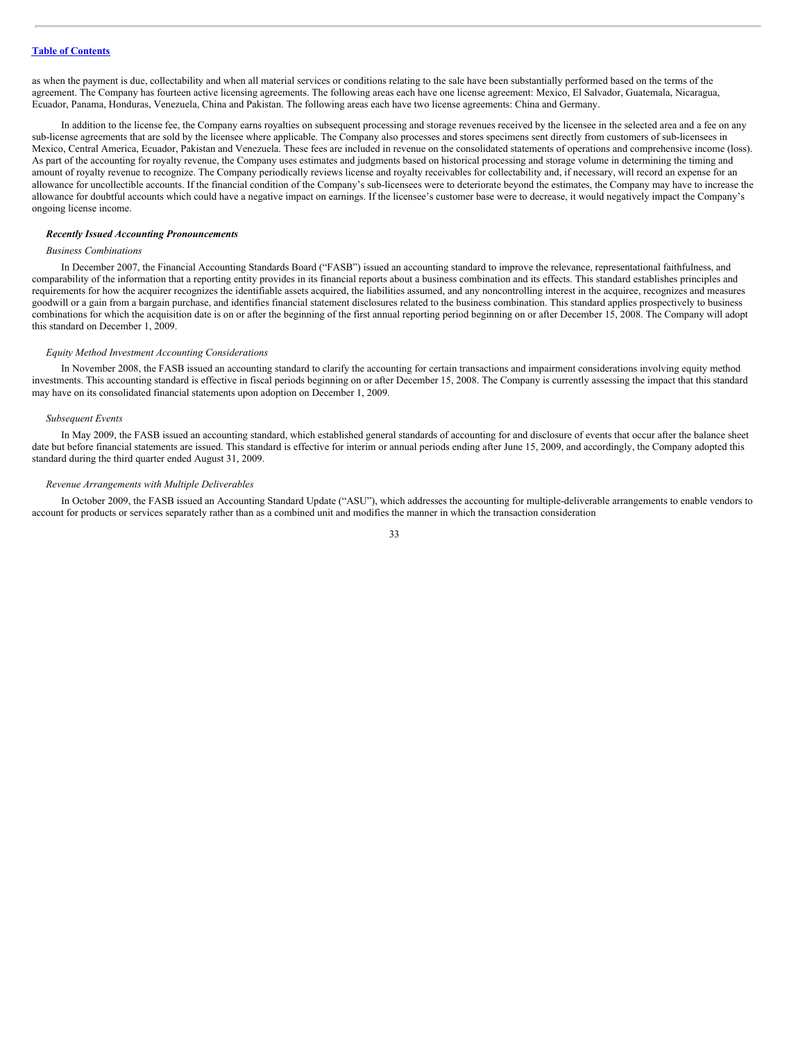as when the payment is due, collectability and when all material services or conditions relating to the sale have been substantially performed based on the terms of the agreement. The Company has fourteen active licensing agreements. The following areas each have one license agreement: Mexico, El Salvador, Guatemala, Nicaragua, Ecuador, Panama, Honduras, Venezuela, China and Pakistan. The following areas each have two license agreements: China and Germany.

In addition to the license fee, the Company earns royalties on subsequent processing and storage revenues received by the licensee in the selected area and a fee on any sub-license agreements that are sold by the licensee where applicable. The Company also processes and stores specimens sent directly from customers of sub-licensees in Mexico, Central America, Ecuador, Pakistan and Venezuela. These fees are included in revenue on the consolidated statements of operations and comprehensive income (loss). As part of the accounting for royalty revenue, the Company uses estimates and judgments based on historical processing and storage volume in determining the timing and amount of royalty revenue to recognize. The Company periodically reviews license and royalty receivables for collectability and, if necessary, will record an expense for an allowance for uncollectible accounts. If the financial condition of the Company's sub-licensees were to deteriorate beyond the estimates, the Company may have to increase the allowance for doubtful accounts which could have a negative impact on earnings. If the licensee's customer base were to decrease, it would negatively impact the Company's ongoing license income.

#### *Recently Issued Accounting Pronouncements*

# *Business Combinations*

In December 2007, the Financial Accounting Standards Board ("FASB") issued an accounting standard to improve the relevance, representational faithfulness, and comparability of the information that a reporting entity provides in its financial reports about a business combination and its effects. This standard establishes principles and requirements for how the acquirer recognizes the identifiable assets acquired, the liabilities assumed, and any noncontrolling interest in the acquiree, recognizes and measures goodwill or a gain from a bargain purchase, and identifies financial statement disclosures related to the business combination. This standard applies prospectively to business combinations for which the acquisition date is on or after the beginning of the first annual reporting period beginning on or after December 15, 2008. The Company will adopt this standard on December 1, 2009.

#### *Equity Method Investment Accounting Considerations*

In November 2008, the FASB issued an accounting standard to clarify the accounting for certain transactions and impairment considerations involving equity method investments. This accounting standard is effective in fiscal periods beginning on or after December 15, 2008. The Company is currently assessing the impact that this standard may have on its consolidated financial statements upon adoption on December 1, 2009.

#### *Subsequent Events*

In May 2009, the FASB issued an accounting standard, which established general standards of accounting for and disclosure of events that occur after the balance sheet date but before financial statements are issued. This standard is effective for interim or annual periods ending after June 15, 2009, and accordingly, the Company adopted this standard during the third quarter ended August 31, 2009.

# *Revenue Arrangements with Multiple Deliverables*

In October 2009, the FASB issued an Accounting Standard Update ("ASU"), which addresses the accounting for multiple-deliverable arrangements to enable vendors to account for products or services separately rather than as a combined unit and modifies the manner in which the transaction consideration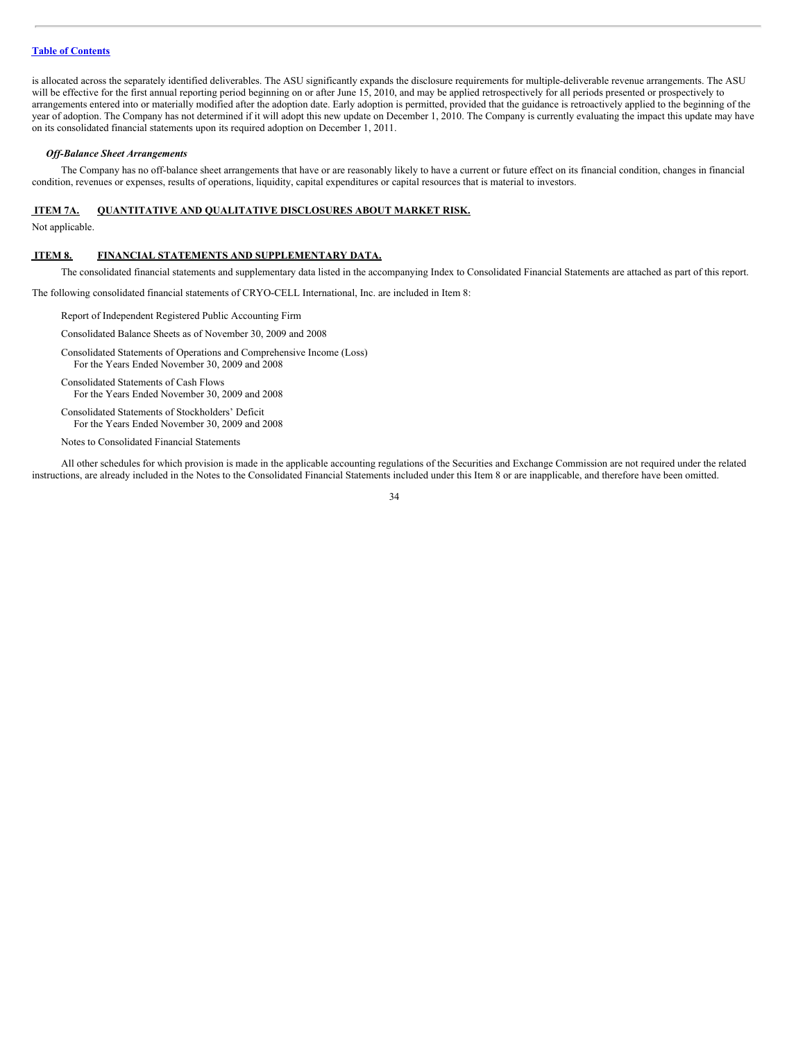is allocated across the separately identified deliverables. The ASU significantly expands the disclosure requirements for multiple-deliverable revenue arrangements. The ASU will be effective for the first annual reporting period beginning on or after June 15, 2010, and may be applied retrospectively for all periods presented or prospectively to arrangements entered into or materially modified after the adoption date. Early adoption is permitted, provided that the guidance is retroactively applied to the beginning of the year of adoption. The Company has not determined if it will adopt this new update on December 1, 2010. The Company is currently evaluating the impact this update may have on its consolidated financial statements upon its required adoption on December 1, 2011.

#### *Of -Balance Sheet Arrangements*

The Company has no off-balance sheet arrangements that have or are reasonably likely to have a current or future effect on its financial condition, changes in financial condition, revenues or expenses, results of operations, liquidity, capital expenditures or capital resources that is material to investors.

# <span id="page-33-0"></span>**ITEM 7A. QUANTITATIVE AND QUALITATIVE DISCLOSURES ABOUT MARKET RISK.**

Not applicable.

#### <span id="page-33-1"></span>**ITEM 8. FINANCIAL STATEMENTS AND SUPPLEMENTARY DATA.**

The consolidated financial statements and supplementary data listed in the accompanying Index to Consolidated Financial Statements are attached as part of this report.

The following consolidated financial statements of CRYO-CELL International, Inc. are included in Item 8:

Report of Independent Registered Public Accounting Firm

Consolidated Balance Sheets as of November 30, 2009 and 2008

Consolidated Statements of Operations and Comprehensive Income (Loss) For the Years Ended November 30, 2009 and 2008

Consolidated Statements of Cash Flows For the Years Ended November 30, 2009 and 2008

Consolidated Statements of Stockholders' Deficit For the Years Ended November 30, 2009 and 2008

Notes to Consolidated Financial Statements

All other schedules for which provision is made in the applicable accounting regulations of the Securities and Exchange Commission are not required under the related instructions, are already included in the Notes to the Consolidated Financial Statements included under this Item 8 or are inapplicable, and therefore have been omitted.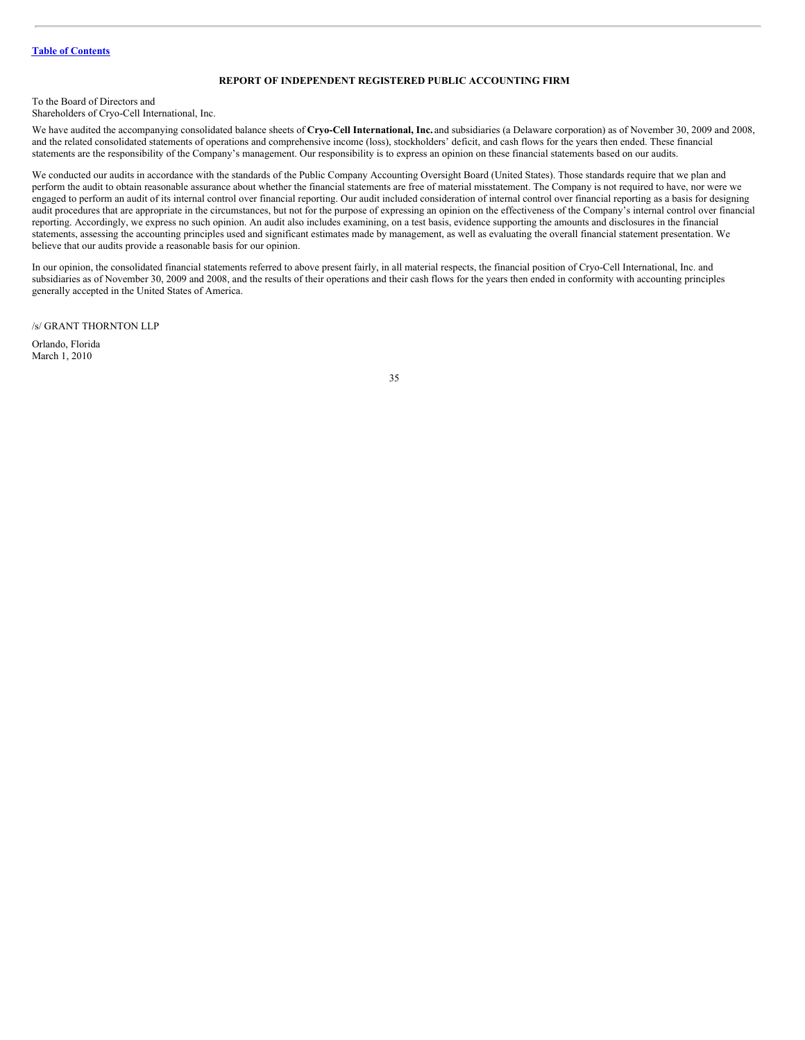# **REPORT OF INDEPENDENT REGISTERED PUBLIC ACCOUNTING FIRM**

To the Board of Directors and

Shareholders of Cryo-Cell International, Inc.

We have audited the accompanying consolidated balance sheets of **Cryo-Cell International, Inc.** and subsidiaries (a Delaware corporation) as of November 30, 2009 and 2008, and the related consolidated statements of operations and comprehensive income (loss), stockholders' deficit, and cash flows for the years then ended. These financial statements are the responsibility of the Company's management. Our responsibility is to express an opinion on these financial statements based on our audits.

We conducted our audits in accordance with the standards of the Public Company Accounting Oversight Board (United States). Those standards require that we plan and perform the audit to obtain reasonable assurance about whether the financial statements are free of material misstatement. The Company is not required to have, nor were we engaged to perform an audit of its internal control over financial reporting. Our audit included consideration of internal control over financial reporting as a basis for designing audit procedures that are appropriate in the circumstances, but not for the purpose of expressing an opinion on the effectiveness of the Company's internal control over financial reporting. Accordingly, we express no such opinion. An audit also includes examining, on a test basis, evidence supporting the amounts and disclosures in the financial statements, assessing the accounting principles used and significant estimates made by management, as well as evaluating the overall financial statement presentation. We believe that our audits provide a reasonable basis for our opinion.

In our opinion, the consolidated financial statements referred to above present fairly, in all material respects, the financial position of Cryo-Cell International, Inc. and subsidiaries as of November 30, 2009 and 2008, and the results of their operations and their cash flows for the years then ended in conformity with accounting principles generally accepted in the United States of America.

/s/ GRANT THORNTON LLP

Orlando, Florida March 1, 2010

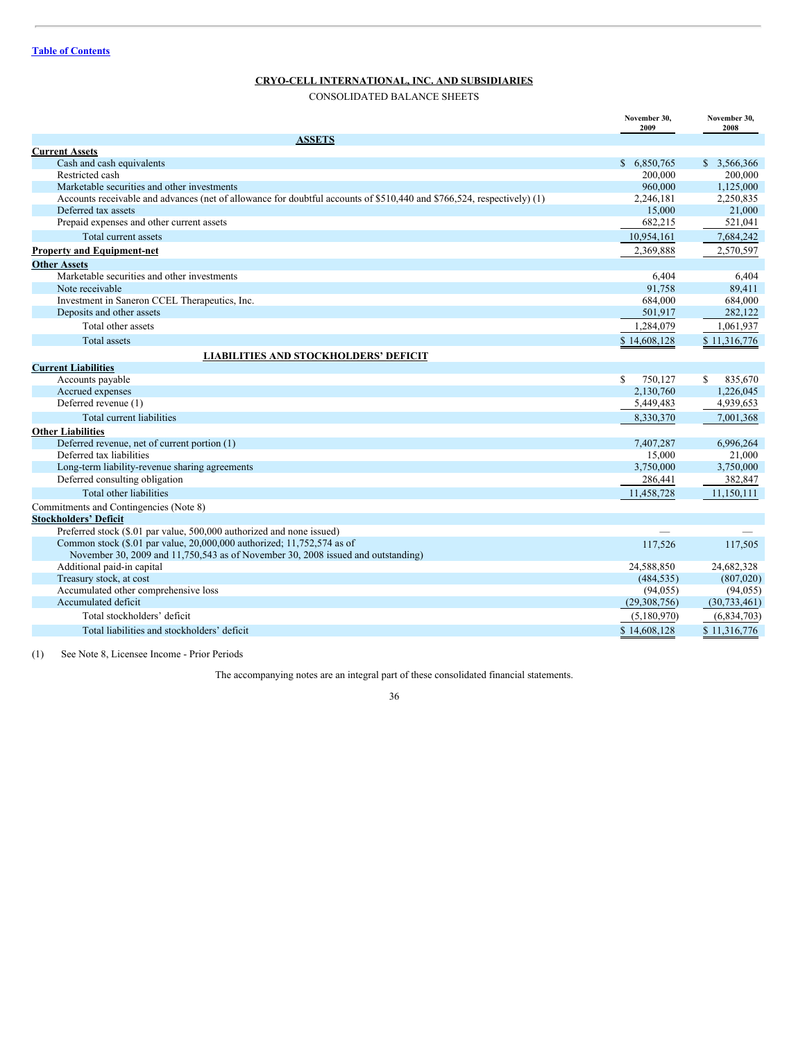# **CRYO-CELL INTERNATIONAL, INC. AND SUBSIDIARIES**

CONSOLIDATED BALANCE SHEETS

|                                                                                                                        | November 30,<br>2009     | November 30,<br>2008 |
|------------------------------------------------------------------------------------------------------------------------|--------------------------|----------------------|
| <b>ASSETS</b>                                                                                                          |                          |                      |
| <b>Current Assets</b>                                                                                                  |                          |                      |
| Cash and cash equivalents                                                                                              | \$ 6,850,765             | \$ 3,566,366         |
| Restricted cash                                                                                                        | 200,000                  | 200,000              |
| Marketable securities and other investments                                                                            | 960,000                  | 1,125,000            |
| Accounts receivable and advances (net of allowance for doubtful accounts of \$510,440 and \$766,524, respectively) (1) | 2,246,181                | 2,250,835            |
| Deferred tax assets                                                                                                    | 15,000                   | 21,000               |
| Prepaid expenses and other current assets                                                                              | 682,215                  | 521,041              |
| Total current assets                                                                                                   | 10.954.161               | 7,684,242            |
| <b>Property and Equipment-net</b>                                                                                      | 2,369,888                | 2,570,597            |
| <b>Other Assets</b>                                                                                                    |                          |                      |
| Marketable securities and other investments                                                                            | 6.404                    | 6,404                |
| Note receivable                                                                                                        | 91,758                   | 89,411               |
| Investment in Saneron CCEL Therapeutics, Inc.                                                                          | 684,000                  | 684,000              |
| Deposits and other assets                                                                                              | 501,917                  | 282,122              |
| Total other assets                                                                                                     | 1,284,079                | 1,061,937            |
| <b>Total assets</b>                                                                                                    | \$14,608,128             | \$11,316,776         |
| <b>LIABILITIES AND STOCKHOLDERS' DEFICIT</b>                                                                           |                          |                      |
| <b>Current Liabilities</b>                                                                                             |                          |                      |
| Accounts payable                                                                                                       | $\mathcal{S}$<br>750,127 | 835,670<br>S.        |
| Accrued expenses                                                                                                       | 2,130,760                | 1,226,045            |
| Deferred revenue (1)                                                                                                   | 5,449,483                | 4,939,653            |
| Total current liabilities                                                                                              | 8,330,370                | 7,001,368            |
| <b>Other Liabilities</b>                                                                                               |                          |                      |
| Deferred revenue, net of current portion (1)                                                                           | 7,407,287                | 6,996,264            |
| Deferred tax liabilities                                                                                               | 15,000                   | 21,000               |
| Long-term liability-revenue sharing agreements                                                                         | 3.750,000                | 3,750,000            |
| Deferred consulting obligation                                                                                         | 286,441                  | 382,847              |
| Total other liabilities                                                                                                | 11,458,728               | 11,150,111           |
| Commitments and Contingencies (Note 8)                                                                                 |                          |                      |
| <b>Stockholders' Deficit</b>                                                                                           |                          |                      |
| Preferred stock (\$.01 par value, 500,000 authorized and none issued)                                                  |                          |                      |
| Common stock (\$.01 par value, 20,000,000 authorized; 11,752,574 as of                                                 | 117,526                  | 117,505              |
| November 30, 2009 and 11,750,543 as of November 30, 2008 issued and outstanding)                                       |                          |                      |
| Additional paid-in capital                                                                                             | 24,588,850               | 24,682,328           |
| Treasury stock, at cost                                                                                                | (484, 535)               | (807,020)            |
| Accumulated other comprehensive loss                                                                                   | (94, 055)                | (94, 055)            |
| Accumulated deficit                                                                                                    | (29,308,756)             | (30, 733, 461)       |
| Total stockholders' deficit                                                                                            | (5,180,970)              | (6,834,703)          |
| Total liabilities and stockholders' deficit                                                                            | \$14,608,128             | \$11,316,776         |

(1) See Note 8, Licensee Income - Prior Periods

The accompanying notes are an integral part of these consolidated financial statements.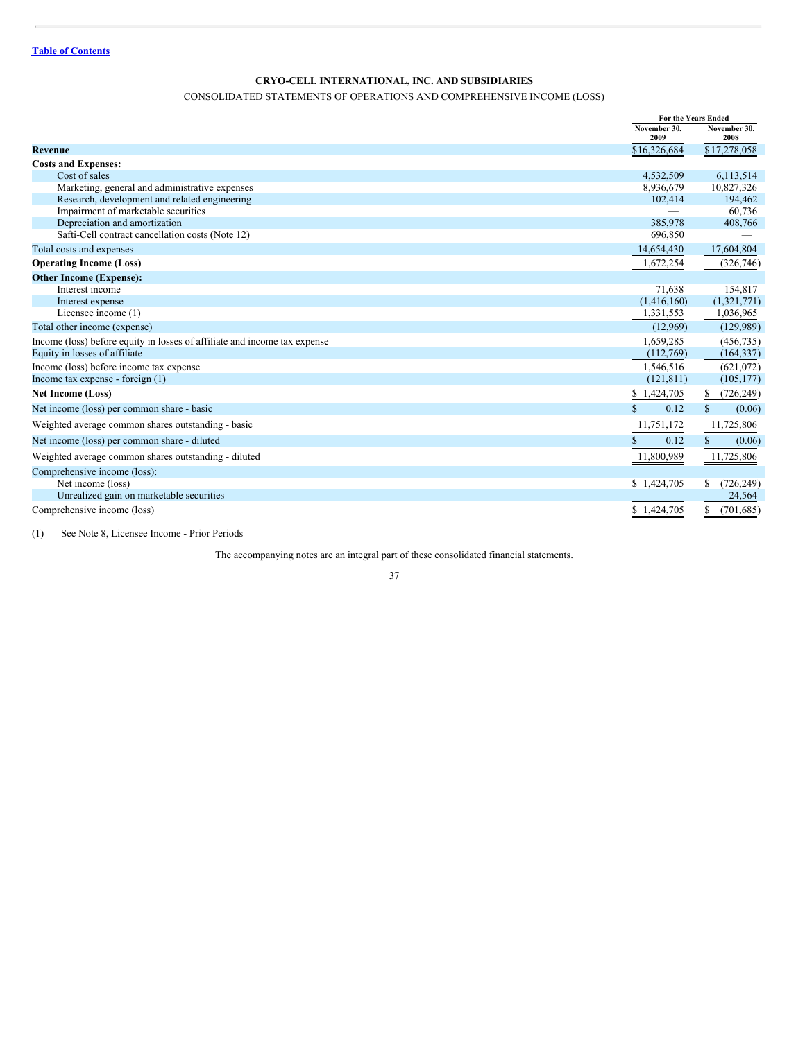# CONSOLIDATED STATEMENTS OF OPERATIONS AND COMPREHENSIVE INCOME (LOSS)

|                                                                           |              | For the Years Ended |
|---------------------------------------------------------------------------|--------------|---------------------|
|                                                                           | November 30. | November 30.        |
|                                                                           | 2009         | 2008                |
| <b>Revenue</b>                                                            | \$16,326,684 | \$17,278,058        |
| <b>Costs and Expenses:</b>                                                |              |                     |
| Cost of sales                                                             | 4,532,509    | 6,113,514           |
| Marketing, general and administrative expenses                            | 8,936,679    | 10,827,326          |
| Research, development and related engineering                             | 102,414      | 194,462             |
| Impairment of marketable securities                                       |              | 60,736              |
| Depreciation and amortization                                             | 385,978      | 408,766             |
| Safti-Cell contract cancellation costs (Note 12)                          | 696,850      |                     |
| Total costs and expenses                                                  | 14,654,430   | 17,604,804          |
| <b>Operating Income (Loss)</b>                                            | 1,672,254    | (326, 746)          |
| <b>Other Income (Expense):</b>                                            |              |                     |
| Interest income                                                           | 71,638       | 154,817             |
| Interest expense                                                          | (1,416,160)  | (1,321,771)         |
| Licensee income (1)                                                       | 1,331,553    | 1,036,965           |
| Total other income (expense)                                              | (12,969)     | (129, 989)          |
| Income (loss) before equity in losses of affiliate and income tax expense | 1,659,285    | (456, 735)          |
| Equity in losses of affiliate                                             | (112,769)    | (164, 337)          |
| Income (loss) before income tax expense                                   | 1,546,516    | (621, 072)          |
| Income tax expense - foreign $(1)$                                        | (121, 811)   | (105, 177)          |
| <b>Net Income (Loss)</b>                                                  | \$1,424,705  | (726, 249)<br>S.    |
| Net income (loss) per common share - basic                                | 0.12         | \$<br>(0.06)        |
| Weighted average common shares outstanding - basic                        | 11,751,172   | 11,725,806          |
| Net income (loss) per common share - diluted                              | 0.12         | \$<br>(0.06)        |
| Weighted average common shares outstanding - diluted                      | 11,800,989   | 11,725,806          |
| Comprehensive income (loss):                                              |              |                     |
| Net income (loss)                                                         | \$1,424,705  | (726, 249)<br>S.    |
| Unrealized gain on marketable securities                                  |              | 24,564              |
| Comprehensive income (loss)                                               | \$1,424,705  | (701, 685)<br>\$    |

(1) See Note 8, Licensee Income - Prior Periods

The accompanying notes are an integral part of these consolidated financial statements.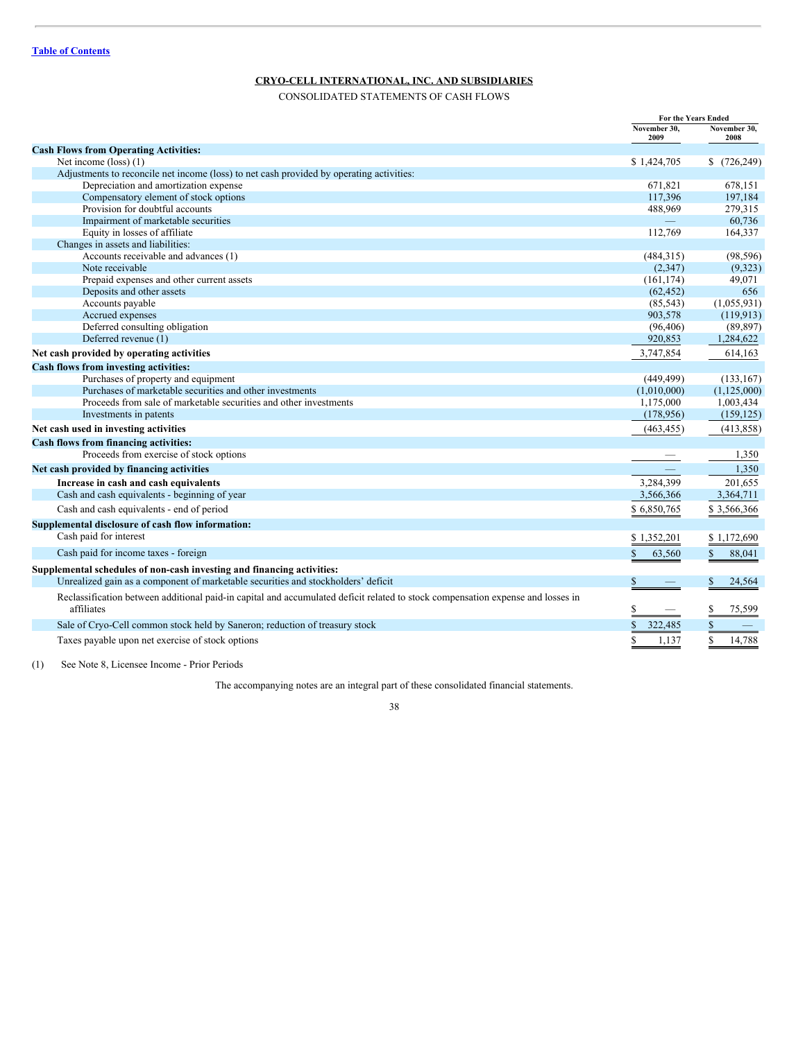CONSOLIDATED STATEMENTS OF CASH FLOWS

|                                                                                                                                               | For the Years Ended  |                        |
|-----------------------------------------------------------------------------------------------------------------------------------------------|----------------------|------------------------|
|                                                                                                                                               | November 30,<br>2009 | November 30,<br>2008   |
| <b>Cash Flows from Operating Activities:</b>                                                                                                  |                      |                        |
| Net income $(loss)$ (1)                                                                                                                       | \$1,424,705          | \$<br>(726, 249)       |
| Adjustments to reconcile net income (loss) to net cash provided by operating activities:                                                      |                      |                        |
| Depreciation and amortization expense                                                                                                         | 671,821              | 678,151                |
| Compensatory element of stock options                                                                                                         | 117,396              | 197,184                |
| Provision for doubtful accounts                                                                                                               | 488,969              | 279,315                |
| Impairment of marketable securities                                                                                                           |                      | 60,736                 |
| Equity in losses of affiliate                                                                                                                 | 112,769              | 164,337                |
| Changes in assets and liabilities:                                                                                                            |                      |                        |
| Accounts receivable and advances (1)                                                                                                          | (484, 315)           | (98, 596)              |
| Note receivable                                                                                                                               | (2,347)              | (9,323)                |
| Prepaid expenses and other current assets                                                                                                     | (161, 174)           | 49,071                 |
| Deposits and other assets                                                                                                                     | (62, 452)            | 656                    |
| Accounts payable                                                                                                                              | (85, 543)            | (1,055,931)            |
| Accrued expenses                                                                                                                              | 903,578              | (119, 913)             |
| Deferred consulting obligation                                                                                                                | (96, 406)            | (89, 897)              |
| Deferred revenue (1)                                                                                                                          | 920,853              | 1,284,622              |
| Net cash provided by operating activities                                                                                                     | 3,747,854            | 614,163                |
| Cash flows from investing activities:                                                                                                         |                      |                        |
| Purchases of property and equipment                                                                                                           | (449, 499)           | (133, 167)             |
| Purchases of marketable securities and other investments                                                                                      | (1,010,000)          | (1, 125, 000)          |
| Proceeds from sale of marketable securities and other investments                                                                             | 1,175,000            | 1,003,434              |
| Investments in patents                                                                                                                        | (178,956)            | (159, 125)             |
| Net cash used in investing activities                                                                                                         | (463, 455)           | (413, 858)             |
| Cash flows from financing activities:                                                                                                         |                      |                        |
| Proceeds from exercise of stock options                                                                                                       |                      | 1,350                  |
| Net cash provided by financing activities                                                                                                     |                      | 1,350                  |
| Increase in cash and cash equivalents                                                                                                         | 3,284,399            | 201,655                |
| Cash and cash equivalents - beginning of year                                                                                                 | 3,566,366            | 3,364,711              |
| Cash and cash equivalents - end of period                                                                                                     | \$6,850,765          | \$3,566,366            |
| Supplemental disclosure of cash flow information:                                                                                             |                      |                        |
| Cash paid for interest                                                                                                                        | \$1,352,201          | \$1,172,690            |
|                                                                                                                                               |                      |                        |
| Cash paid for income taxes - foreign                                                                                                          | \$<br>63,560         | $\mathbb{S}$<br>88,041 |
| Supplemental schedules of non-cash investing and financing activities:                                                                        |                      |                        |
| Unrealized gain as a component of marketable securities and stockholders' deficit                                                             | S                    | \$<br>24,564           |
| Reclassification between additional paid-in capital and accumulated deficit related to stock compensation expense and losses in<br>affiliates | \$                   | 75,599<br>\$           |
| Sale of Cryo-Cell common stock held by Saneron; reduction of treasury stock                                                                   | \$<br>322,485        | $\$$                   |
| Taxes payable upon net exercise of stock options                                                                                              | \$<br>1.137          | $\mathbf S$<br>14.788  |

(1) See Note 8, Licensee Income - Prior Periods

The accompanying notes are an integral part of these consolidated financial statements.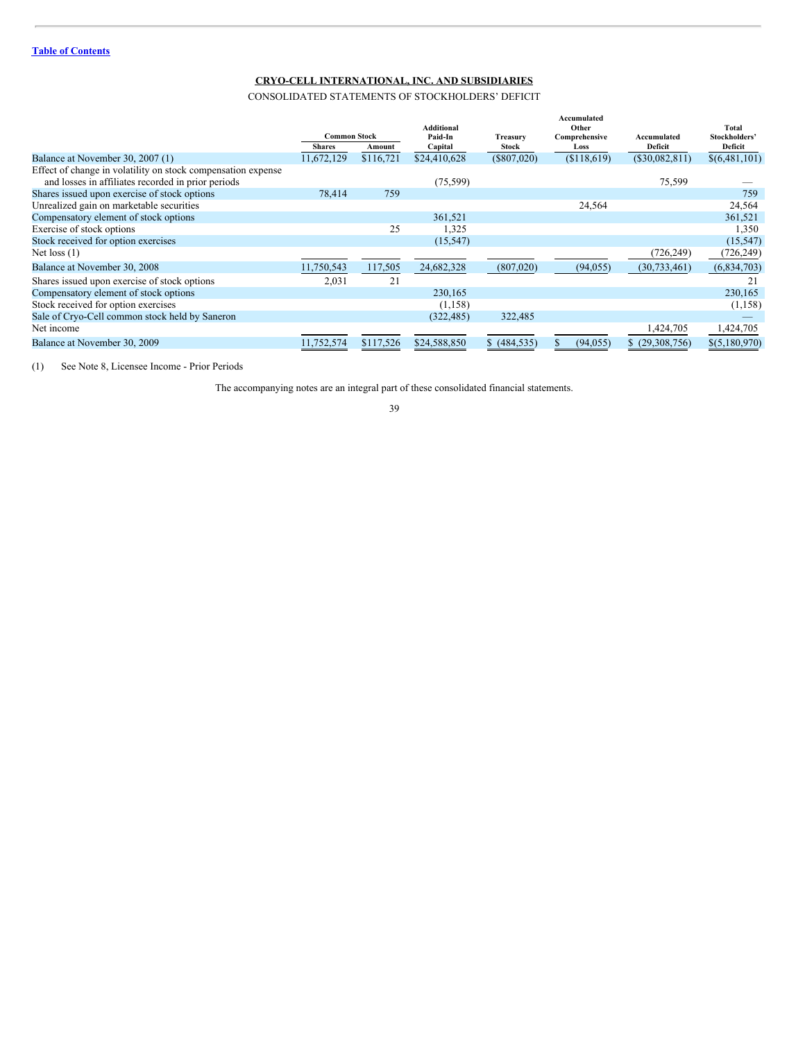CONSOLIDATED STATEMENTS OF STOCKHOLDERS' DEFICIT

| Deficit<br>Deficit<br><b>Shares</b><br>Capital<br>Stock<br>Loss<br>Amount<br>\$116,721<br>\$24,410,628<br>(\$807,020)<br>(\$118,619)<br>Balance at November 30, 2007 (1)<br>11,672,129<br>$(\$30,082,811)$<br>Effect of change in volatility on stock compensation expense<br>and losses in affiliates recorded in prior periods<br>(75, 599)<br>75,599<br>Shares issued upon exercise of stock options<br>78,414<br>759<br>759<br>Unrealized gain on marketable securities<br>24,564<br>24,564<br>Compensatory element of stock options<br>361,521<br>361,521<br>Exercise of stock options<br>25<br>1,325<br>Stock received for option exercises<br>(15, 547)<br>(726, 249)<br>Net loss $(1)$<br>Balance at November 30, 2008<br>117,505<br>24,682,328<br>(807, 020)<br>11,750,543<br>(94, 055)<br>(30, 733, 461)<br>21<br>2,031<br>Shares issued upon exercise of stock options<br>21<br>Compensatory element of stock options<br>230,165<br>Stock received for option exercises<br>(1, 158)<br>Sale of Cryo-Cell common stock held by Saneron<br>(322, 485)<br>322,485<br>Net income<br>1,424,705<br>1,424,705<br>\$117,526<br>\$24,588,850<br>\$ (484, 535)<br>(29,308,756)<br>Balance at November 30, 2009<br>11,752,574<br>(94, 055) | <b>Common Stock</b> |  | <b>Additional</b><br>Paid-In<br><b>Treasury</b> |  | Accumulated<br>Other<br>Comprehensive | Accumulated | Total<br>Stockholders' |
|--------------------------------------------------------------------------------------------------------------------------------------------------------------------------------------------------------------------------------------------------------------------------------------------------------------------------------------------------------------------------------------------------------------------------------------------------------------------------------------------------------------------------------------------------------------------------------------------------------------------------------------------------------------------------------------------------------------------------------------------------------------------------------------------------------------------------------------------------------------------------------------------------------------------------------------------------------------------------------------------------------------------------------------------------------------------------------------------------------------------------------------------------------------------------------------------------------------------------------------------|---------------------|--|-------------------------------------------------|--|---------------------------------------|-------------|------------------------|
|                                                                                                                                                                                                                                                                                                                                                                                                                                                                                                                                                                                                                                                                                                                                                                                                                                                                                                                                                                                                                                                                                                                                                                                                                                            |                     |  |                                                 |  |                                       |             |                        |
|                                                                                                                                                                                                                                                                                                                                                                                                                                                                                                                                                                                                                                                                                                                                                                                                                                                                                                                                                                                                                                                                                                                                                                                                                                            |                     |  |                                                 |  |                                       |             | \$(6,481,101)          |
|                                                                                                                                                                                                                                                                                                                                                                                                                                                                                                                                                                                                                                                                                                                                                                                                                                                                                                                                                                                                                                                                                                                                                                                                                                            |                     |  |                                                 |  |                                       |             |                        |
|                                                                                                                                                                                                                                                                                                                                                                                                                                                                                                                                                                                                                                                                                                                                                                                                                                                                                                                                                                                                                                                                                                                                                                                                                                            |                     |  |                                                 |  |                                       |             |                        |
|                                                                                                                                                                                                                                                                                                                                                                                                                                                                                                                                                                                                                                                                                                                                                                                                                                                                                                                                                                                                                                                                                                                                                                                                                                            |                     |  |                                                 |  |                                       |             |                        |
|                                                                                                                                                                                                                                                                                                                                                                                                                                                                                                                                                                                                                                                                                                                                                                                                                                                                                                                                                                                                                                                                                                                                                                                                                                            |                     |  |                                                 |  |                                       |             |                        |
|                                                                                                                                                                                                                                                                                                                                                                                                                                                                                                                                                                                                                                                                                                                                                                                                                                                                                                                                                                                                                                                                                                                                                                                                                                            |                     |  |                                                 |  |                                       |             |                        |
|                                                                                                                                                                                                                                                                                                                                                                                                                                                                                                                                                                                                                                                                                                                                                                                                                                                                                                                                                                                                                                                                                                                                                                                                                                            |                     |  |                                                 |  |                                       |             | 1,350                  |
|                                                                                                                                                                                                                                                                                                                                                                                                                                                                                                                                                                                                                                                                                                                                                                                                                                                                                                                                                                                                                                                                                                                                                                                                                                            |                     |  |                                                 |  |                                       |             | (15, 547)              |
|                                                                                                                                                                                                                                                                                                                                                                                                                                                                                                                                                                                                                                                                                                                                                                                                                                                                                                                                                                                                                                                                                                                                                                                                                                            |                     |  |                                                 |  |                                       |             | (726, 249)             |
|                                                                                                                                                                                                                                                                                                                                                                                                                                                                                                                                                                                                                                                                                                                                                                                                                                                                                                                                                                                                                                                                                                                                                                                                                                            |                     |  |                                                 |  |                                       |             | (6,834,703)            |
|                                                                                                                                                                                                                                                                                                                                                                                                                                                                                                                                                                                                                                                                                                                                                                                                                                                                                                                                                                                                                                                                                                                                                                                                                                            |                     |  |                                                 |  |                                       |             |                        |
|                                                                                                                                                                                                                                                                                                                                                                                                                                                                                                                                                                                                                                                                                                                                                                                                                                                                                                                                                                                                                                                                                                                                                                                                                                            |                     |  |                                                 |  |                                       |             | 230,165                |
|                                                                                                                                                                                                                                                                                                                                                                                                                                                                                                                                                                                                                                                                                                                                                                                                                                                                                                                                                                                                                                                                                                                                                                                                                                            |                     |  |                                                 |  |                                       |             | (1, 158)               |
|                                                                                                                                                                                                                                                                                                                                                                                                                                                                                                                                                                                                                                                                                                                                                                                                                                                                                                                                                                                                                                                                                                                                                                                                                                            |                     |  |                                                 |  |                                       |             |                        |
|                                                                                                                                                                                                                                                                                                                                                                                                                                                                                                                                                                                                                                                                                                                                                                                                                                                                                                                                                                                                                                                                                                                                                                                                                                            |                     |  |                                                 |  |                                       |             |                        |
|                                                                                                                                                                                                                                                                                                                                                                                                                                                                                                                                                                                                                                                                                                                                                                                                                                                                                                                                                                                                                                                                                                                                                                                                                                            |                     |  |                                                 |  |                                       |             | \$(5,180,970)          |

(1) See Note 8, Licensee Income - Prior Periods

The accompanying notes are an integral part of these consolidated financial statements.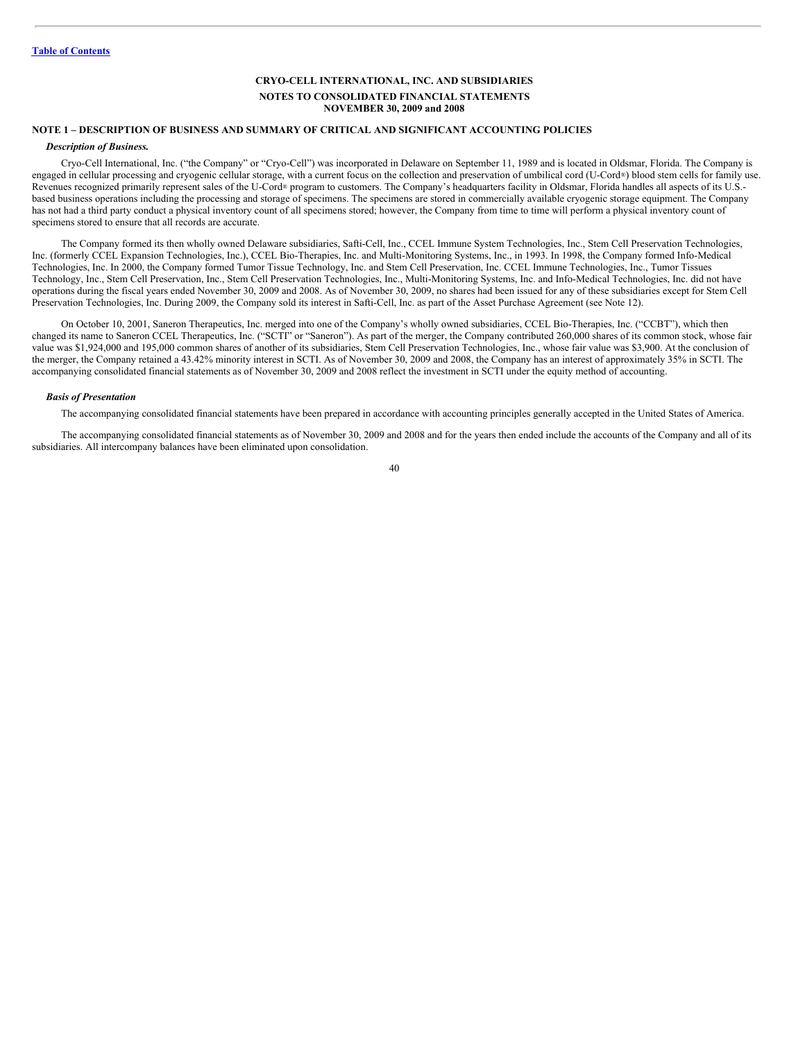## **NOTE 1 – DESCRIPTION OF BUSINESS AND SUMMARY OF CRITICAL AND SIGNIFICANT ACCOUNTING POLICIES**

## *Description of Business.*

Cryo-Cell International, Inc. ("the Company" or "Cryo-Cell") was incorporated in Delaware on September 11, 1989 and is located in Oldsmar, Florida. The Company is engaged in cellular processing and cryogenic cellular storage, with a current focus on the collection and preservation of umbilical cord (U-Cord®) blood stem cells for family use. Revenues recognized primarily represent sales of the U-Cord® program to customers. The Company's headquarters facility in Oldsmar, Florida handles all aspects of its U.S.based business operations including the processing and storage of specimens. The specimens are stored in commercially available cryogenic storage equipment. The Company has not had a third party conduct a physical inventory count of all specimens stored; however, the Company from time to time will perform a physical inventory count of specimens stored to ensure that all records are accurate.

The Company formed its then wholly owned Delaware subsidiaries, Safti-Cell, Inc., CCEL Immune System Technologies, Inc., Stem Cell Preservation Technologies, Inc. (formerly CCEL Expansion Technologies, Inc.), CCEL Bio-Therapies, Inc. and Multi-Monitoring Systems, Inc., in 1993. In 1998, the Company formed Info-Medical Technologies, Inc. In 2000, the Company formed Tumor Tissue Technology, Inc. and Stem Cell Preservation, Inc. CCEL Immune Technologies, Inc., Tumor Tissues Technology, Inc., Stem Cell Preservation, Inc., Stem Cell Preservation Technologies, Inc., Multi-Monitoring Systems, Inc. and Info-Medical Technologies, Inc. did not have operations during the fiscal years ended November 30, 2009 and 2008. As of November 30, 2009, no shares had been issued for any of these subsidiaries except for Stem Cell Preservation Technologies, Inc. During 2009, the Company sold its interest in Safti-Cell, Inc. as part of the Asset Purchase Agreement (see Note 12).

On October 10, 2001, Saneron Therapeutics, Inc. merged into one of the Company's wholly owned subsidiaries, CCEL Bio-Therapies, Inc. ("CCBT"), which then changed its name to Saneron CCEL Therapeutics, Inc. ("SCTI" or "Saneron"). As part of the merger, the Company contributed 260,000 shares of its common stock, whose fair value was \$1,924,000 and 195,000 common shares of another of its subsidiaries, Stem Cell Preservation Technologies, Inc., whose fair value was \$3,900. At the conclusion of the merger, the Company retained a 43.42% minority interest in SCTI. As of November 30, 2009 and 2008, the Company has an interest of approximately 35% in SCTI. The accompanying consolidated financial statements as of November 30, 2009 and 2008 reflect the investment in SCTI under the equity method of accounting.

#### *Basis of Presentation*

The accompanying consolidated financial statements have been prepared in accordance with accounting principles generally accepted in the United States of America.

The accompanying consolidated financial statements as of November 30, 2009 and 2008 and for the years then ended include the accounts of the Company and all of its subsidiaries. All intercompany balances have been eliminated upon consolidation.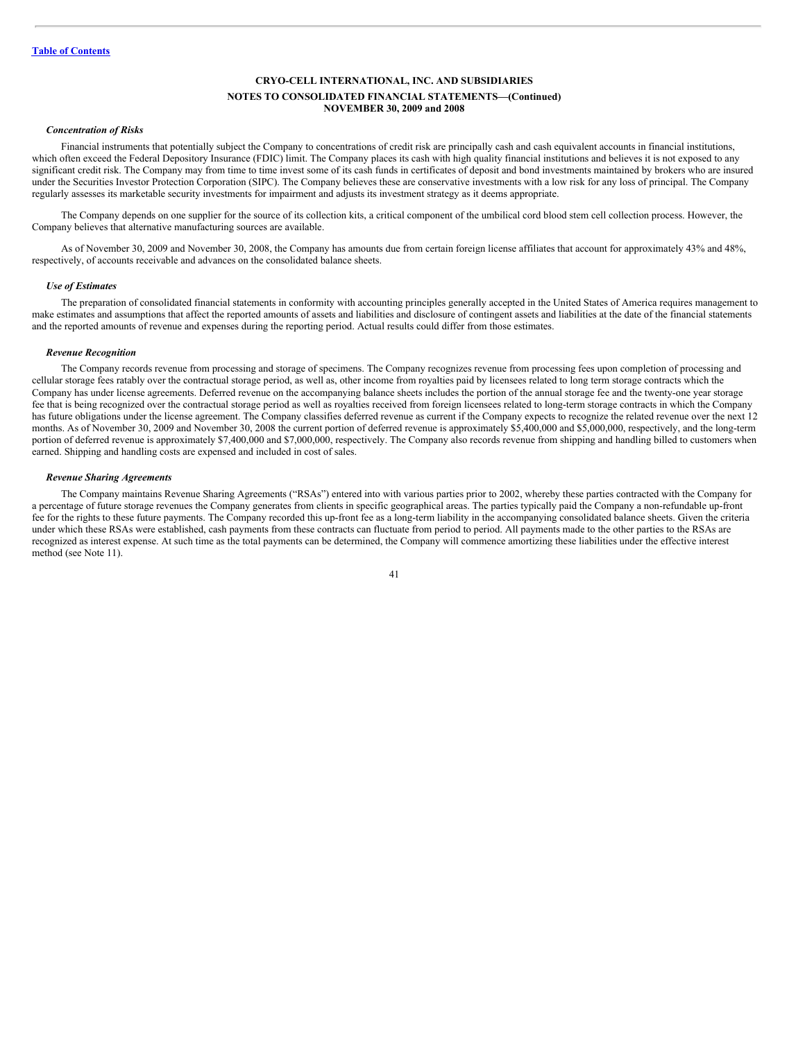#### *Concentration of Risks*

Financial instruments that potentially subject the Company to concentrations of credit risk are principally cash and cash equivalent accounts in financial institutions, which often exceed the Federal Depository Insurance (FDIC) limit. The Company places its cash with high quality financial institutions and believes it is not exposed to any significant credit risk. The Company may from time to time invest some of its cash funds in certificates of deposit and bond investments maintained by brokers who are insured under the Securities Investor Protection Corporation (SIPC). The Company believes these are conservative investments with a low risk for any loss of principal. The Company regularly assesses its marketable security investments for impairment and adjusts its investment strategy as it deems appropriate.

The Company depends on one supplier for the source of its collection kits, a critical component of the umbilical cord blood stem cell collection process. However, the Company believes that alternative manufacturing sources are available.

As of November 30, 2009 and November 30, 2008, the Company has amounts due from certain foreign license affiliates that account for approximately 43% and 48%, respectively, of accounts receivable and advances on the consolidated balance sheets.

#### *Use of Estimates*

The preparation of consolidated financial statements in conformity with accounting principles generally accepted in the United States of America requires management to make estimates and assumptions that affect the reported amounts of assets and liabilities and disclosure of contingent assets and liabilities at the date of the financial statements and the reported amounts of revenue and expenses during the reporting period. Actual results could differ from those estimates.

#### *Revenue Recognition*

The Company records revenue from processing and storage of specimens. The Company recognizes revenue from processing fees upon completion of processing and cellular storage fees ratably over the contractual storage period, as well as, other income from royalties paid by licensees related to long term storage contracts which the Company has under license agreements. Deferred revenue on the accompanying balance sheets includes the portion of the annual storage fee and the twenty-one year storage fee that is being recognized over the contractual storage period as well as royalties received from foreign licensees related to long-term storage contracts in which the Company has future obligations under the license agreement. The Company classifies deferred revenue as current if the Company expects to recognize the related revenue over the next 12 months. As of November 30, 2009 and November 30, 2008 the current portion of deferred revenue is approximately \$5,400,000 and \$5,000,000, respectively, and the long-term portion of deferred revenue is approximately \$7,400,000 and \$7,000,000, respectively. The Company also records revenue from shipping and handling billed to customers when earned. Shipping and handling costs are expensed and included in cost of sales.

#### *Revenue Sharing Agreements*

The Company maintains Revenue Sharing Agreements ("RSAs") entered into with various parties prior to 2002, whereby these parties contracted with the Company for a percentage of future storage revenues the Company generates from clients in specific geographical areas. The parties typically paid the Company a non-refundable up-front fee for the rights to these future payments. The Company recorded this up-front fee as a long-term liability in the accompanying consolidated balance sheets. Given the criteria under which these RSAs were established, cash payments from these contracts can fluctuate from period to period. All payments made to the other parties to the RSAs are recognized as interest expense. At such time as the total payments can be determined, the Company will commence amortizing these liabilities under the effective interest method (see Note 11).

<sup>41</sup>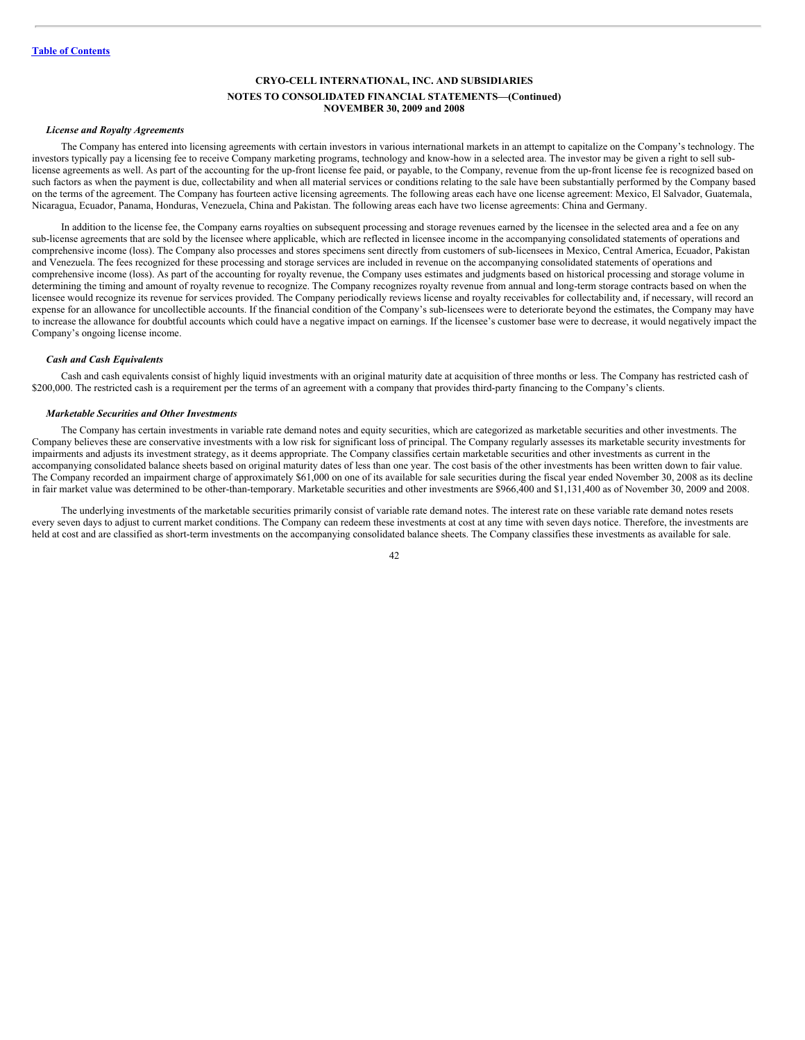#### *License and Royalty Agreements*

The Company has entered into licensing agreements with certain investors in various international markets in an attempt to capitalize on the Company's technology. The investors typically pay a licensing fee to receive Company marketing programs, technology and know-how in a selected area. The investor may be given a right to sell sublicense agreements as well. As part of the accounting for the up-front license fee paid, or payable, to the Company, revenue from the up-front license fee is recognized based on such factors as when the payment is due, collectability and when all material services or conditions relating to the sale have been substantially performed by the Company based on the terms of the agreement. The Company has fourteen active licensing agreements. The following areas each have one license agreement: Mexico, El Salvador, Guatemala, Nicaragua, Ecuador, Panama, Honduras, Venezuela, China and Pakistan. The following areas each have two license agreements: China and Germany.

In addition to the license fee, the Company earns royalties on subsequent processing and storage revenues earned by the licensee in the selected area and a fee on any sub-license agreements that are sold by the licensee where applicable, which are reflected in licensee income in the accompanying consolidated statements of operations and comprehensive income (loss). The Company also processes and stores specimens sent directly from customers of sub-licensees in Mexico, Central America, Ecuador, Pakistan and Venezuela. The fees recognized for these processing and storage services are included in revenue on the accompanying consolidated statements of operations and comprehensive income (loss). As part of the accounting for royalty revenue, the Company uses estimates and judgments based on historical processing and storage volume in determining the timing and amount of royalty revenue to recognize. The Company recognizes royalty revenue from annual and long-term storage contracts based on when the licensee would recognize its revenue for services provided. The Company periodically reviews license and royalty receivables for collectability and, if necessary, will record an expense for an allowance for uncollectible accounts. If the financial condition of the Company's sub-licensees were to deteriorate beyond the estimates, the Company may have to increase the allowance for doubtful accounts which could have a negative impact on earnings. If the licensee's customer base were to decrease, it would negatively impact the Company's ongoing license income.

## *Cash and Cash Equivalents*

Cash and cash equivalents consist of highly liquid investments with an original maturity date at acquisition of three months or less. The Company has restricted cash of \$200,000. The restricted cash is a requirement per the terms of an agreement with a company that provides third-party financing to the Company's clients.

#### *Marketable Securities and Other Investments*

The Company has certain investments in variable rate demand notes and equity securities, which are categorized as marketable securities and other investments. The Company believes these are conservative investments with a low risk for significant loss of principal. The Company regularly assesses its marketable security investments for impairments and adjusts its investment strategy, as it deems appropriate. The Company classifies certain marketable securities and other investments as current in the accompanying consolidated balance sheets based on original maturity dates of less than one year. The cost basis of the other investments has been written down to fair value. The Company recorded an impairment charge of approximately \$61,000 on one of its available for sale securities during the fiscal year ended November 30, 2008 as its decline in fair market value was determined to be other-than-temporary. Marketable securities and other investments are \$966,400 and \$1,131,400 as of November 30, 2009 and 2008.

The underlying investments of the marketable securities primarily consist of variable rate demand notes. The interest rate on these variable rate demand notes resets every seven days to adjust to current market conditions. The Company can redeem these investments at cost at any time with seven days notice. Therefore, the investments are held at cost and are classified as short-term investments on the accompanying consolidated balance sheets. The Company classifies these investments as available for sale.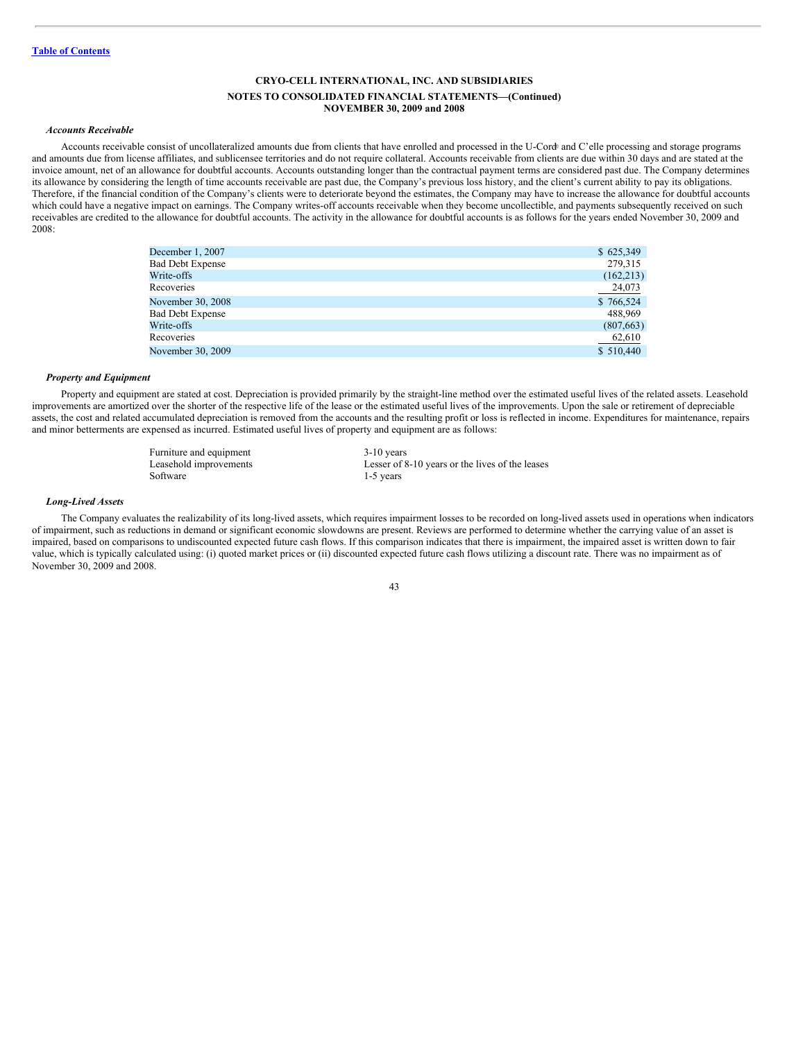#### *Accounts Receivable*

Accounts receivable consist of uncollateralized amounts due from clients that have enrolled and processed in the U-Cord and C'elle processing and storage programs and amounts due from license affiliates, and sublicensee territories and do not require collateral. Accounts receivable from clients are due within 30 days and are stated at the invoice amount, net of an allowance for doubtful accounts. Accounts outstanding longer than the contractual payment terms are considered past due. The Company determines its allowance by considering the length of time accounts receivable are past due, the Company's previous loss history, and the client's current ability to pay its obligations. Therefore, if the financial condition of the Company's clients were to deteriorate beyond the estimates, the Company may have to increase the allowance for doubtful accounts which could have a negative impact on earnings. The Company writes-off accounts receivable when they become uncollectible, and payments subsequently received on such receivables are credited to the allowance for doubtful accounts. The activity in the allowance for doubtful accounts is as follows for the years ended November 30, 2009 and 2008:

| December 1, 2007        | \$625,349  |
|-------------------------|------------|
| <b>Bad Debt Expense</b> | 279,315    |
| Write-offs              | (162, 213) |
| Recoveries              | 24,073     |
| November 30, 2008       | \$766,524  |
| <b>Bad Debt Expense</b> | 488,969    |
| Write-offs              | (807, 663) |
| Recoveries              | 62,610     |
| November 30, 2009       | \$510,440  |
|                         |            |

#### *Property and Equipment*

Property and equipment are stated at cost. Depreciation is provided primarily by the straight-line method over the estimated useful lives of the related assets. Leasehold improvements are amortized over the shorter of the respective life of the lease or the estimated useful lives of the improvements. Upon the sale or retirement of depreciable assets, the cost and related accumulated depreciation is removed from the accounts and the resulting profit or loss is reflected in income. Expenditures for maintenance, repairs and minor betterments are expensed as incurred. Estimated useful lives of property and equipment are as follows:

> Furniture and equipment 3-10 years Software 1-5 years 1.5 years

Leasehold improvements Lesser of 8-10 years or the lives of the leases

#### *Long-Lived Assets*

The Company evaluates the realizability of its long-lived assets, which requires impairment losses to be recorded on long-lived assets used in operations when indicators of impairment, such as reductions in demand or significant economic slowdowns are present. Reviews are performed to determine whether the carrying value of an asset is impaired, based on comparisons to undiscounted expected future cash flows. If this comparison indicates that there is impairment, the impaired asset is written down to fair value, which is typically calculated using: (i) quoted market prices or (ii) discounted expected future cash flows utilizing a discount rate. There was no impairment as of November 30, 2009 and 2008.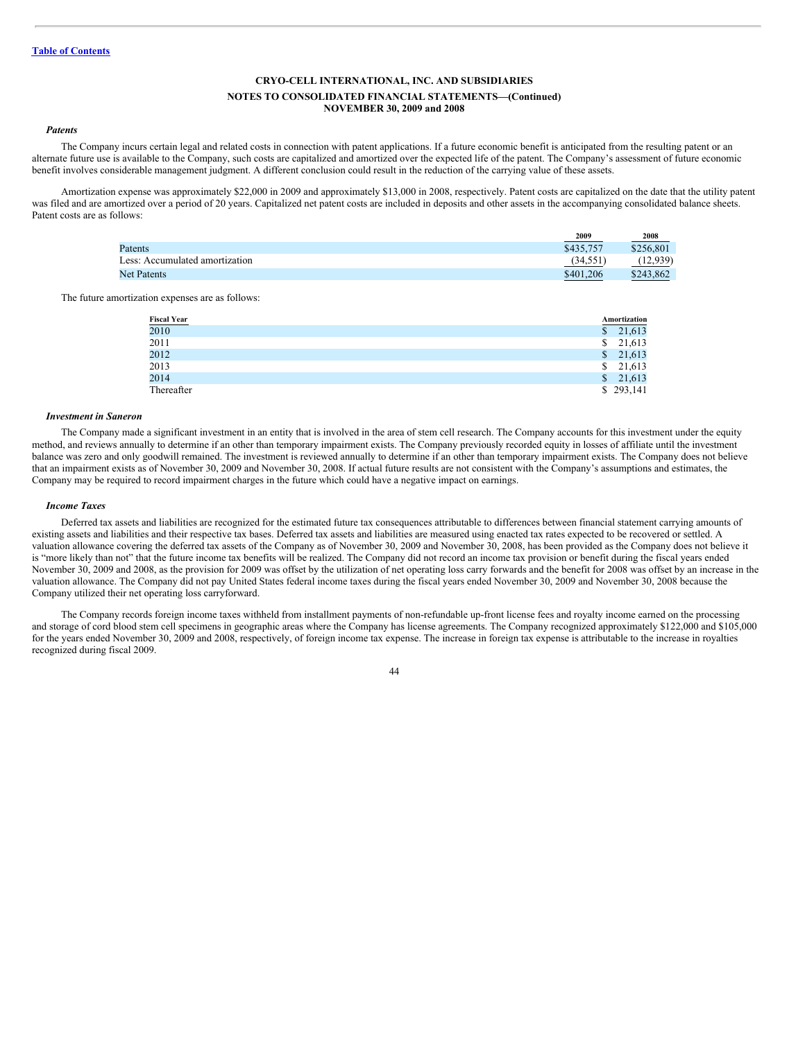#### *Patents*

The Company incurs certain legal and related costs in connection with patent applications. If a future economic benefit is anticipated from the resulting patent or an alternate future use is available to the Company, such costs are capitalized and amortized over the expected life of the patent. The Company's assessment of future economic benefit involves considerable management judgment. A different conclusion could result in the reduction of the carrying value of these assets.

Amortization expense was approximately \$22,000 in 2009 and approximately \$13,000 in 2008, respectively. Patent costs are capitalized on the date that the utility patent was filed and are amortized over a period of 20 years. Capitalized net patent costs are included in deposits and other assets in the accompanying consolidated balance sheets. Patent costs are as follows:

|                                | 2009      | 2008      |
|--------------------------------|-----------|-----------|
| Patents                        | \$435,757 | \$256,801 |
| Less: Accumulated amortization | (34, 551) | (12, 939) |
| <b>Net Patents</b>             | \$401,206 | \$243,862 |

The future amortization expenses are as follows:

| Fiscal Year |              | Amortization |
|-------------|--------------|--------------|
| 2010        | \$           | 21,613       |
| 2011        | S.           | 21,613       |
| 2012        | S.           | 21,613       |
| 2013        | S.           | 21,613       |
| 2014        | <sup>S</sup> | 21,613       |
| Thereafter  |              | \$293,141    |

#### *Investment in Saneron*

The Company made a significant investment in an entity that is involved in the area of stem cell research. The Company accounts for this investment under the equity method, and reviews annually to determine if an other than temporary impairment exists. The Company previously recorded equity in losses of affiliate until the investment balance was zero and only goodwill remained. The investment is reviewed annually to determine if an other than temporary impairment exists. The Company does not believe that an impairment exists as of November 30, 2009 and November 30, 2008. If actual future results are not consistent with the Company's assumptions and estimates, the Company may be required to record impairment charges in the future which could have a negative impact on earnings.

#### *Income Taxes*

Deferred tax assets and liabilities are recognized for the estimated future tax consequences attributable to differences between financial statement carrying amounts of existing assets and liabilities and their respective tax bases. Deferred tax assets and liabilities are measured using enacted tax rates expected to be recovered or settled. A valuation allowance covering the deferred tax assets of the Company as of November 30, 2009 and November 30, 2008, has been provided as the Company does not believe it is "more likely than not" that the future income tax benefits will be realized. The Company did not record an income tax provision or benefit during the fiscal years ended November 30, 2009 and 2008, as the provision for 2009 was offset by the utilization of net operating loss carry forwards and the benefit for 2008 was offset by an increase in the valuation allowance. The Company did not pay United States federal income taxes during the fiscal years ended November 30, 2009 and November 30, 2008 because the Company utilized their net operating loss carryforward.

The Company records foreign income taxes withheld from installment payments of non-refundable up-front license fees and royalty income earned on the processing and storage of cord blood stem cell specimens in geographic areas where the Company has license agreements. The Company recognized approximately \$122,000 and \$105,000 for the years ended November 30, 2009 and 2008, respectively, of foreign income tax expense. The increase in foreign tax expense is attributable to the increase in royalties recognized during fiscal 2009.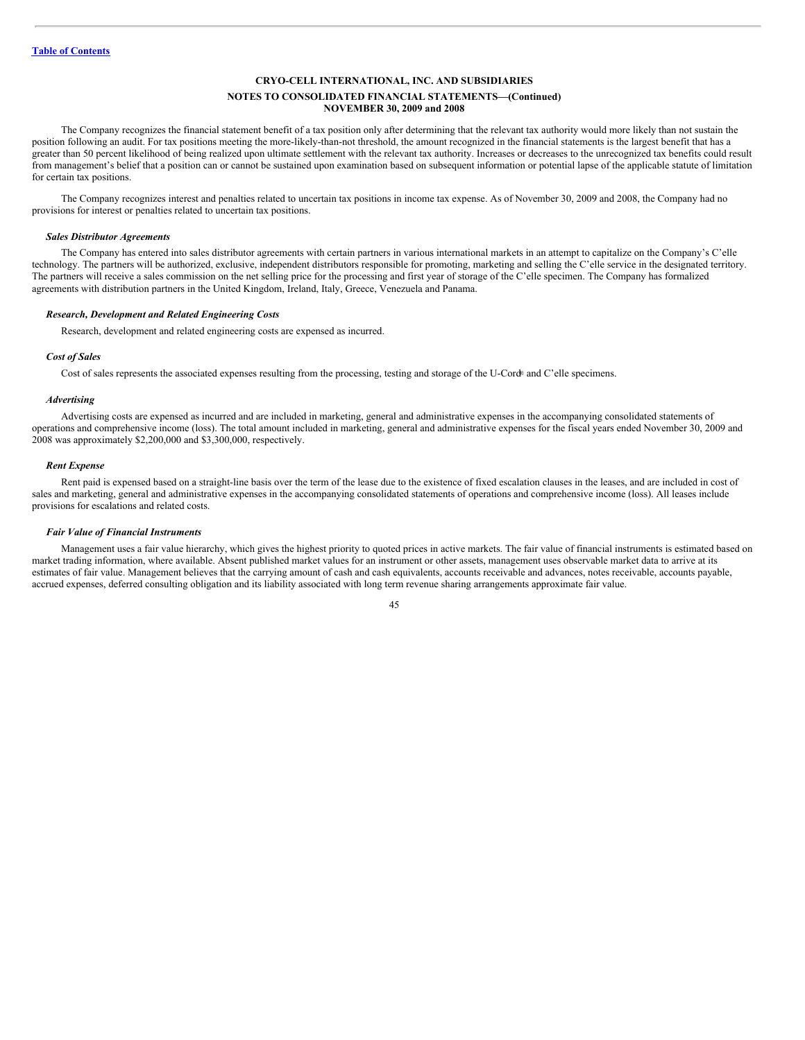## **NOTES TO CONSOLIDATED FINANCIAL STATEMENTS—(Continued) NOVEMBER 30, 2009 and 2008**

The Company recognizes the financial statement benefit of a tax position only after determining that the relevant tax authority would more likely than not sustain the position following an audit. For tax positions meeting the more-likely-than-not threshold, the amount recognized in the financial statements is the largest benefit that has a greater than 50 percent likelihood of being realized upon ultimate settlement with the relevant tax authority. Increases or decreases to the unrecognized tax benefits could result from management's belief that a position can or cannot be sustained upon examination based on subsequent information or potential lapse of the applicable statute of limitation for certain tax positions.

The Company recognizes interest and penalties related to uncertain tax positions in income tax expense. As of November 30, 2009 and 2008, the Company had no provisions for interest or penalties related to uncertain tax positions.

#### *Sales Distributor Agreements*

The Company has entered into sales distributor agreements with certain partners in various international markets in an attempt to capitalize on the Company's C'elle technology. The partners will be authorized, exclusive, independent distributors responsible for promoting, marketing and selling the C'elle service in the designated territory. The partners will receive a sales commission on the net selling price for the processing and first year of storage of the C'elle specimen. The Company has formalized agreements with distribution partners in the United Kingdom, Ireland, Italy, Greece, Venezuela and Panama.

#### *Research, Development and Related Engineering Costs*

Research, development and related engineering costs are expensed as incurred.

#### *Cost of Sales*

Cost of sales represents the associated expenses resulting from the processing, testing and storage of the U-Cord<sup>®</sup> and C'elle specimens.

#### *Advertising*

Advertising costs are expensed as incurred and are included in marketing, general and administrative expenses in the accompanying consolidated statements of operations and comprehensive income (loss). The total amount included in marketing, general and administrative expenses for the fiscal years ended November 30, 2009 and 2008 was approximately \$2,200,000 and \$3,300,000, respectively.

#### *Rent Expense*

Rent paid is expensed based on a straight-line basis over the term of the lease due to the existence of fixed escalation clauses in the leases, and are included in cost of sales and marketing, general and administrative expenses in the accompanying consolidated statements of operations and comprehensive income (loss). All leases include provisions for escalations and related costs.

#### *Fair Value of Financial Instruments*

Management uses a fair value hierarchy, which gives the highest priority to quoted prices in active markets. The fair value of financial instruments is estimated based on market trading information, where available. Absent published market values for an instrument or other assets, management uses observable market data to arrive at its estimates of fair value. Management believes that the carrying amount of cash and cash equivalents, accounts receivable and advances, notes receivable, accounts payable, accrued expenses, deferred consulting obligation and its liability associated with long term revenue sharing arrangements approximate fair value.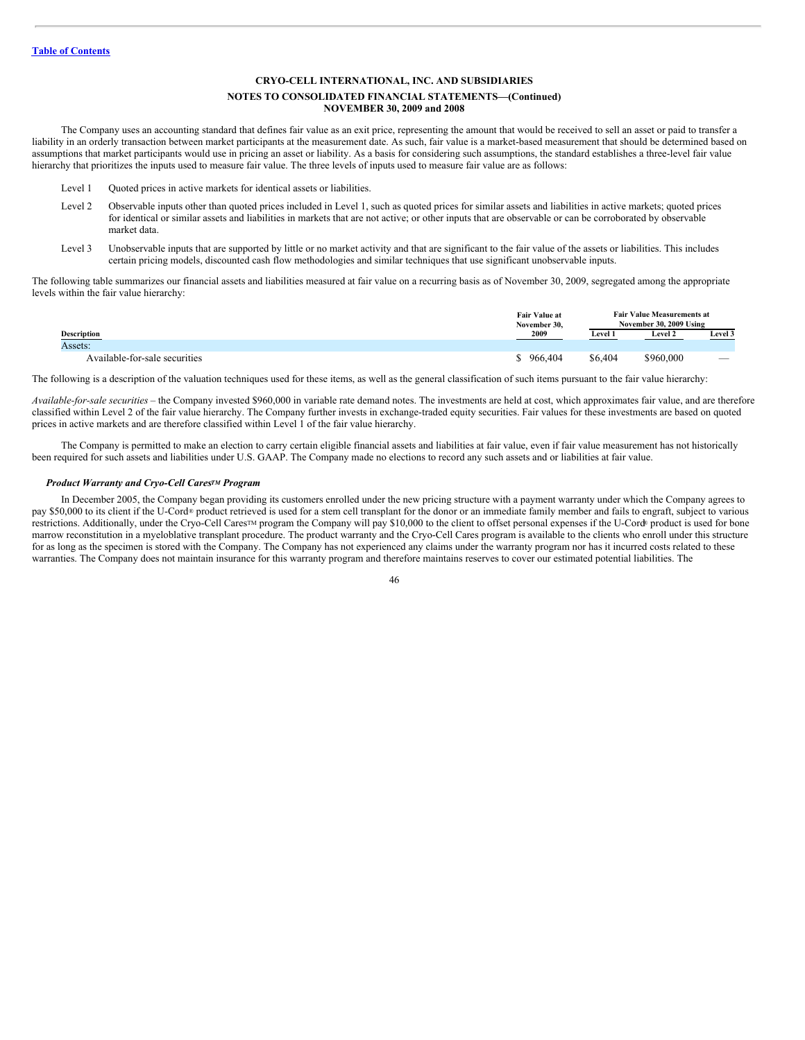#### **NOTES TO CONSOLIDATED FINANCIAL STATEMENTS—(Continued) NOVEMBER 30, 2009 and 2008**

The Company uses an accounting standard that defines fair value as an exit price, representing the amount that would be received to sell an asset or paid to transfer a liability in an orderly transaction between market participants at the measurement date. As such, fair value is a market-based measurement that should be determined based on assumptions that market participants would use in pricing an asset or liability. As a basis for considering such assumptions, the standard establishes a three-level fair value hierarchy that prioritizes the inputs used to measure fair value. The three levels of inputs used to measure fair value are as follows:

- Level 1 Quoted prices in active markets for identical assets or liabilities.
- Level 2 Observable inputs other than quoted prices included in Level 1, such as quoted prices for similar assets and liabilities in active markets; quoted prices for identical or similar assets and liabilities in markets that are not active; or other inputs that are observable or can be corroborated by observable market data.
- Level 3 Unobservable inputs that are supported by little or no market activity and that are significant to the fair value of the assets or liabilities. This includes certain pricing models, discounted cash flow methodologies and similar techniques that use significant unobservable inputs.

The following table summarizes our financial assets and liabilities measured at fair value on a recurring basis as of November 30, 2009, segregated among the appropriate levels within the fair value hierarchy:

|                               | <b>Fair Value at</b><br>November 30, |         | <b>Fair Value Measurements at</b><br>November 30, 2009 Using |         |
|-------------------------------|--------------------------------------|---------|--------------------------------------------------------------|---------|
| <b>Description</b>            | 2009                                 | Level 1 | <b>Level 2</b>                                               | Level 3 |
| Assets:                       |                                      |         |                                                              |         |
| Available-for-sale securities | 966,404                              | \$6,404 | \$960,000                                                    | $-$     |

The following is a description of the valuation techniques used for these items, as well as the general classification of such items pursuant to the fair value hierarchy:

*Available-for-sale securities* – the Company invested \$960,000 in variable rate demand notes. The investments are held at cost, which approximates fair value, and are therefore classified within Level 2 of the fair value hierarchy. The Company further invests in exchange-traded equity securities. Fair values for these investments are based on quoted prices in active markets and are therefore classified within Level 1 of the fair value hierarchy.

The Company is permitted to make an election to carry certain eligible financial assets and liabilities at fair value, even if fair value measurement has not historically been required for such assets and liabilities under U.S. GAAP. The Company made no elections to record any such assets and or liabilities at fair value.

#### *Product Warranty and Cryo-Cell Cares<sup>TM</sup> Program*

In December 2005, the Company began providing its customers enrolled under the new pricing structure with a payment warranty under which the Company agrees to pay \$50,000 to its client if the U-Cord® product retrieved is used for a stem cell transplant for the donor or an immediate family member and fails to engraft, subject to various restrictions. Additionally, under the Cryo-Cell Cares™ program the Company will pay \$10,000 to the client to offset personal expenses if the U-Cord® product is used for bone marrow reconstitution in a myeloblative transplant procedure. The product warranty and the Cryo-Cell Cares program is available to the clients who enroll under this structure for as long as the specimen is stored with the Company. The Company has not experienced any claims under the warranty program nor has it incurred costs related to these warranties. The Company does not maintain insurance for this warranty program and therefore maintains reserves to cover our estimated potential liabilities. The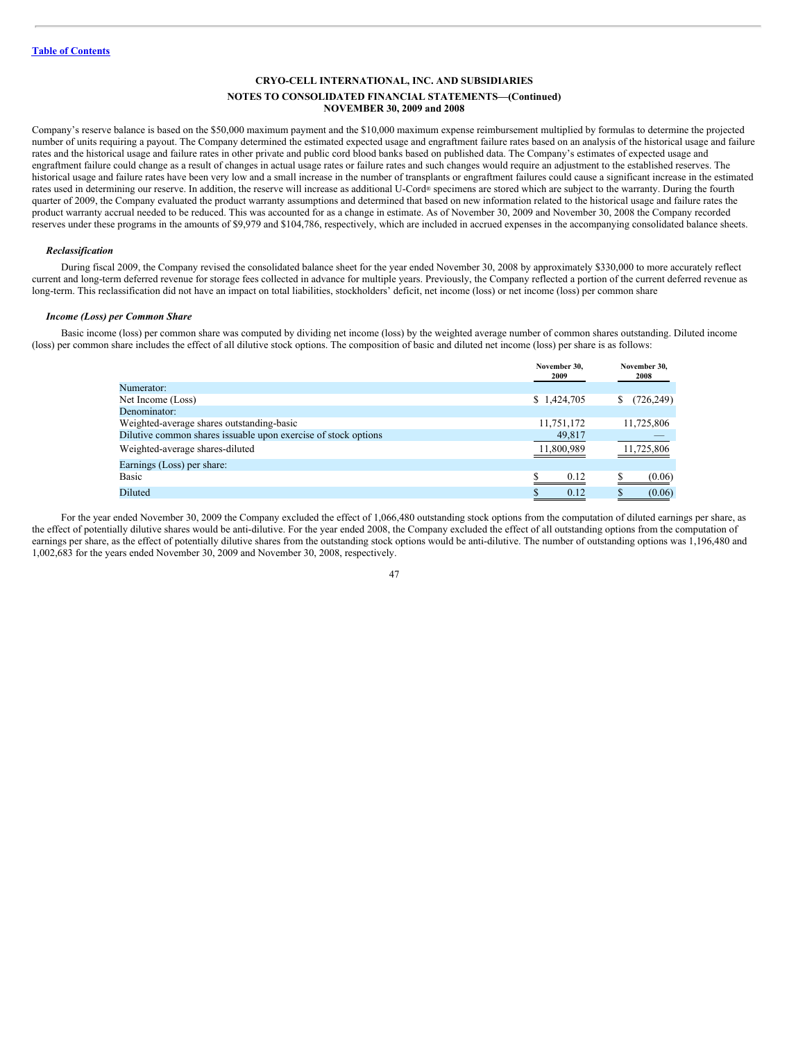## **NOTES TO CONSOLIDATED FINANCIAL STATEMENTS—(Continued) NOVEMBER 30, 2009 and 2008**

Company's reserve balance is based on the \$50,000 maximum payment and the \$10,000 maximum expense reimbursement multiplied by formulas to determine the projected number of units requiring a payout. The Company determined the estimated expected usage and engraftment failure rates based on an analysis of the historical usage and failure rates and the historical usage and failure rates in other private and public cord blood banks based on published data. The Company's estimates of expected usage and engraftment failure could change as a result of changes in actual usage rates or failure rates and such changes would require an adjustment to the established reserves. The historical usage and failure rates have been very low and a small increase in the number of transplants or engraftment failures could cause a significant increase in the estimated rates used in determining our reserve. In addition, the reserve will increase as additional U-Cord® specimens are stored which are subject to the warranty. During the fourth quarter of 2009, the Company evaluated the product warranty assumptions and determined that based on new information related to the historical usage and failure rates the product warranty accrual needed to be reduced. This was accounted for as a change in estimate. As of November 30, 2009 and November 30, 2008 the Company recorded reserves under these programs in the amounts of \$9,979 and \$104,786, respectively, which are included in accrued expenses in the accompanying consolidated balance sheets.

#### *Reclassification*

During fiscal 2009, the Company revised the consolidated balance sheet for the year ended November 30, 2008 by approximately \$330,000 to more accurately reflect current and long-term deferred revenue for storage fees collected in advance for multiple years. Previously, the Company reflected a portion of the current deferred revenue as long-term. This reclassification did not have an impact on total liabilities, stockholders' deficit, net income (loss) or net income (loss) per common share

## *Income (Loss) per Common Share*

Basic income (loss) per common share was computed by dividing net income (loss) by the weighted average number of common shares outstanding. Diluted income (loss) per common share includes the effect of all dilutive stock options. The composition of basic and diluted net income (loss) per share is as follows:

|                                                                | November 30.<br>2009 | November 30.<br>2008 |
|----------------------------------------------------------------|----------------------|----------------------|
| Numerator:                                                     |                      |                      |
| Net Income (Loss)                                              | \$1,424,705          | (726, 249)<br>S      |
| Denominator:                                                   |                      |                      |
| Weighted-average shares outstanding-basic                      | 11,751,172           | 11,725,806           |
| Dilutive common shares issuable upon exercise of stock options | 49,817               |                      |
| Weighted-average shares-diluted                                | 11,800,989           | 11,725,806           |
| Earnings (Loss) per share:                                     |                      |                      |
| Basic                                                          | 0.12                 | (0.06)               |
| Diluted                                                        | 0.12                 | (0.06)               |
|                                                                |                      |                      |

For the year ended November 30, 2009 the Company excluded the effect of 1,066,480 outstanding stock options from the computation of diluted earnings per share, as the effect of potentially dilutive shares would be anti-dilutive. For the year ended 2008, the Company excluded the effect of all outstanding options from the computation of earnings per share, as the effect of potentially dilutive shares from the outstanding stock options would be anti-dilutive. The number of outstanding options was 1,196,480 and 1,002,683 for the years ended November 30, 2009 and November 30, 2008, respectively.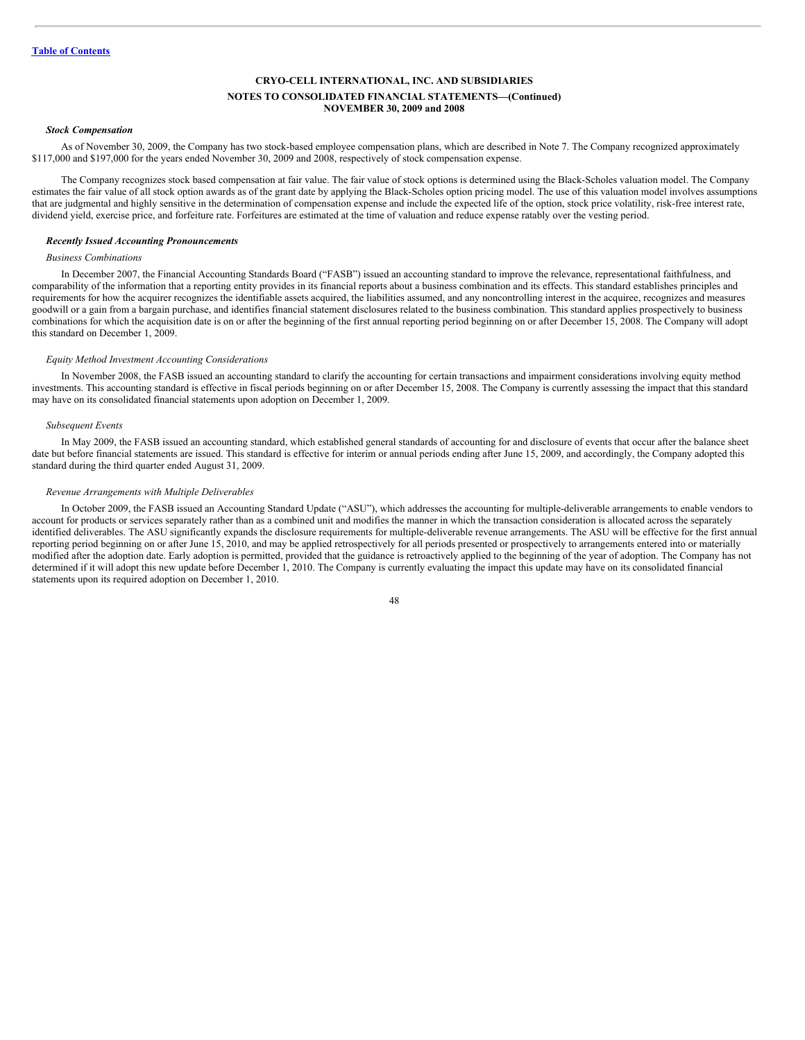#### *Stock Compensation*

As of November 30, 2009, the Company has two stock-based employee compensation plans, which are described in Note 7. The Company recognized approximately \$117,000 and \$197,000 for the years ended November 30, 2009 and 2008, respectively of stock compensation expense.

The Company recognizes stock based compensation at fair value. The fair value of stock options is determined using the Black-Scholes valuation model. The Company estimates the fair value of all stock option awards as of the grant date by applying the Black-Scholes option pricing model. The use of this valuation model involves assumptions that are judgmental and highly sensitive in the determination of compensation expense and include the expected life of the option, stock price volatility, risk-free interest rate, dividend yield, exercise price, and forfeiture rate. Forfeitures are estimated at the time of valuation and reduce expense ratably over the vesting period.

# *Recently Issued Accounting Pronouncements*

#### *Business Combinations*

In December 2007, the Financial Accounting Standards Board ("FASB") issued an accounting standard to improve the relevance, representational faithfulness, and comparability of the information that a reporting entity provides in its financial reports about a business combination and its effects. This standard establishes principles and requirements for how the acquirer recognizes the identifiable assets acquired, the liabilities assumed, and any noncontrolling interest in the acquiree, recognizes and measures goodwill or a gain from a bargain purchase, and identifies financial statement disclosures related to the business combination. This standard applies prospectively to business combinations for which the acquisition date is on or after the beginning of the first annual reporting period beginning on or after December 15, 2008. The Company will adopt this standard on December 1, 2009.

#### *Equity Method Investment Accounting Considerations*

In November 2008, the FASB issued an accounting standard to clarify the accounting for certain transactions and impairment considerations involving equity method investments. This accounting standard is effective in fiscal periods beginning on or after December 15, 2008. The Company is currently assessing the impact that this standard may have on its consolidated financial statements upon adoption on December 1, 2009.

## *Subsequent Events*

In May 2009, the FASB issued an accounting standard, which established general standards of accounting for and disclosure of events that occur after the balance sheet date but before financial statements are issued. This standard is effective for interim or annual periods ending after June 15, 2009, and accordingly, the Company adopted this standard during the third quarter ended August 31, 2009.

## *Revenue Arrangements with Multiple Deliverables*

In October 2009, the FASB issued an Accounting Standard Update ("ASU"), which addresses the accounting for multiple-deliverable arrangements to enable vendors to account for products or services separately rather than as a combined unit and modifies the manner in which the transaction consideration is allocated across the separately identified deliverables. The ASU significantly expands the disclosure requirements for multiple-deliverable revenue arrangements. The ASU will be effective for the first annual reporting period beginning on or after June 15, 2010, and may be applied retrospectively for all periods presented or prospectively to arrangements entered into or materially modified after the adoption date. Early adoption is permitted, provided that the guidance is retroactively applied to the beginning of the year of adoption. The Company has not determined if it will adopt this new update before December 1, 2010. The Company is currently evaluating the impact this update may have on its consolidated financial statements upon its required adoption on December 1, 2010.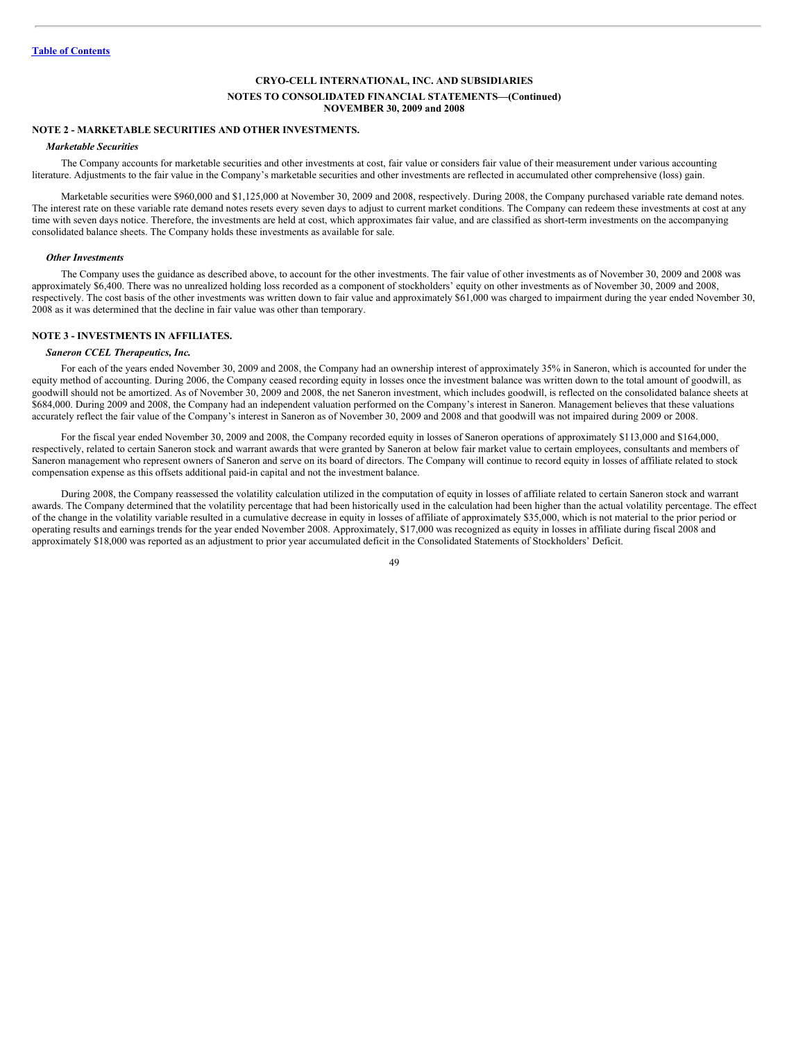# **NOTE 2 - MARKETABLE SECURITIES AND OTHER INVESTMENTS.**

#### *Marketable Securities*

The Company accounts for marketable securities and other investments at cost, fair value or considers fair value of their measurement under various accounting literature. Adjustments to the fair value in the Company's marketable securities and other investments are reflected in accumulated other comprehensive (loss) gain.

Marketable securities were \$960,000 and \$1,125,000 at November 30, 2009 and 2008, respectively. During 2008, the Company purchased variable rate demand notes. The interest rate on these variable rate demand notes resets every seven days to adjust to current market conditions. The Company can redeem these investments at cost at any time with seven days notice. Therefore, the investments are held at cost, which approximates fair value, and are classified as short-term investments on the accompanying consolidated balance sheets. The Company holds these investments as available for sale.

#### *Other Investments*

The Company uses the guidance as described above, to account for the other investments. The fair value of other investments as of November 30, 2009 and 2008 was approximately \$6,400. There was no unrealized holding loss recorded as a component of stockholders' equity on other investments as of November 30, 2009 and 2008, respectively. The cost basis of the other investments was written down to fair value and approximately \$61,000 was charged to impairment during the year ended November 30, 2008 as it was determined that the decline in fair value was other than temporary.

#### **NOTE 3 - INVESTMENTS IN AFFILIATES.**

# *Saneron CCEL Therapeutics, Inc.*

For each of the years ended November 30, 2009 and 2008, the Company had an ownership interest of approximately 35% in Saneron, which is accounted for under the equity method of accounting. During 2006, the Company ceased recording equity in losses once the investment balance was written down to the total amount of goodwill, as goodwill should not be amortized. As of November 30, 2009 and 2008, the net Saneron investment, which includes goodwill, is reflected on the consolidated balance sheets at \$684,000. During 2009 and 2008, the Company had an independent valuation performed on the Company's interest in Saneron. Management believes that these valuations accurately reflect the fair value of the Company's interest in Saneron as of November 30, 2009 and 2008 and that goodwill was not impaired during 2009 or 2008.

For the fiscal year ended November 30, 2009 and 2008, the Company recorded equity in losses of Saneron operations of approximately \$113,000 and \$164,000, respectively, related to certain Saneron stock and warrant awards that were granted by Saneron at below fair market value to certain employees, consultants and members of Saneron management who represent owners of Saneron and serve on its board of directors. The Company will continue to record equity in losses of affiliate related to stock compensation expense as this offsets additional paid-in capital and not the investment balance.

During 2008, the Company reassessed the volatility calculation utilized in the computation of equity in losses of affiliate related to certain Saneron stock and warrant awards. The Company determined that the volatility percentage that had been historically used in the calculation had been higher than the actual volatility percentage. The effect of the change in the volatility variable resulted in a cumulative decrease in equity in losses of affiliate of approximately \$35,000, which is not material to the prior period or operating results and earnings trends for the year ended November 2008. Approximately, \$17,000 was recognized as equity in losses in affiliate during fiscal 2008 and approximately \$18,000 was reported as an adjustment to prior year accumulated deficit in the Consolidated Statements of Stockholders' Deficit.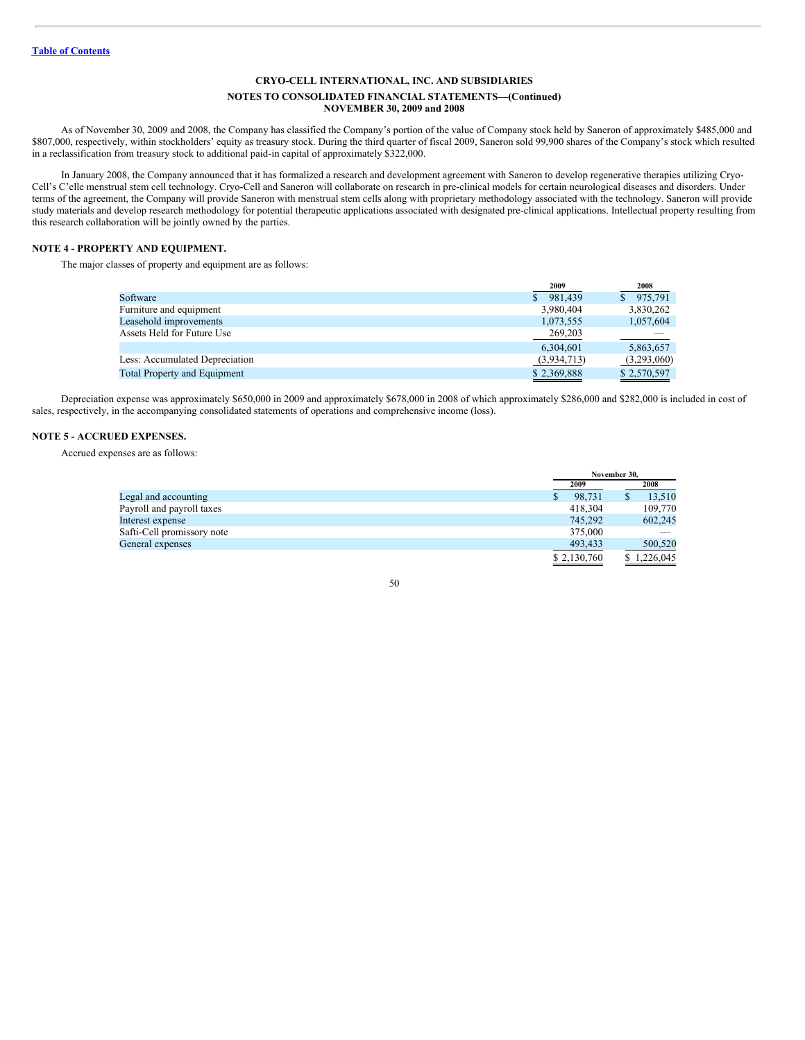## **NOTES TO CONSOLIDATED FINANCIAL STATEMENTS—(Continued) NOVEMBER 30, 2009 and 2008**

As of November 30, 2009 and 2008, the Company has classified the Company's portion of the value of Company stock held by Saneron of approximately \$485,000 and \$807,000, respectively, within stockholders' equity as treasury stock. During the third quarter of fiscal 2009, Saneron sold 99,900 shares of the Company's stock which resulted in a reclassification from treasury stock to additional paid-in capital of approximately \$322,000.

In January 2008, the Company announced that it has formalized a research and development agreement with Saneron to develop regenerative therapies utilizing Cryo-Cell's C'elle menstrual stem cell technology. Cryo-Cell and Saneron will collaborate on research in pre-clinical models for certain neurological diseases and disorders. Under terms of the agreement, the Company will provide Saneron with menstrual stem cells along with proprietary methodology associated with the technology. Saneron will provide study materials and develop research methodology for potential therapeutic applications associated with designated pre-clinical applications. Intellectual property resulting from this research collaboration will be jointly owned by the parties.

## **NOTE 4 - PROPERTY AND EQUIPMENT.**

The major classes of property and equipment are as follows:

|                                     | 2009                    | 2008        |
|-------------------------------------|-------------------------|-------------|
| Software                            | 981,439<br>$\mathbb{S}$ | 975,791     |
| Furniture and equipment             | 3,980,404               | 3,830,262   |
| Leasehold improvements              | 1,073,555               | 1,057,604   |
| Assets Held for Future Use          | 269,203                 |             |
|                                     | 6,304,601               | 5,863,657   |
| Less: Accumulated Depreciation      | (3,934,713)             | (3,293,060) |
| <b>Total Property and Equipment</b> | \$2,369,888             | \$2,570,597 |

Depreciation expense was approximately \$650,000 in 2009 and approximately \$678,000 in 2008 of which approximately \$286,000 and \$282,000 is included in cost of sales, respectively, in the accompanying consolidated statements of operations and comprehensive income (loss).

## **NOTE 5 - ACCRUED EXPENSES.**

Accrued expenses are as follows:

|                            |             | November 30. |  |  |
|----------------------------|-------------|--------------|--|--|
|                            | 2009        | 2008         |  |  |
| Legal and accounting       | 98,731      | 13.510       |  |  |
| Payroll and payroll taxes  | 418,304     | 109,770      |  |  |
| Interest expense           | 745.292     | 602,245      |  |  |
| Safti-Cell promissory note | 375,000     |              |  |  |
| General expenses           | 493.433     | 500,520      |  |  |
|                            | \$2,130,760 | \$1,226,045  |  |  |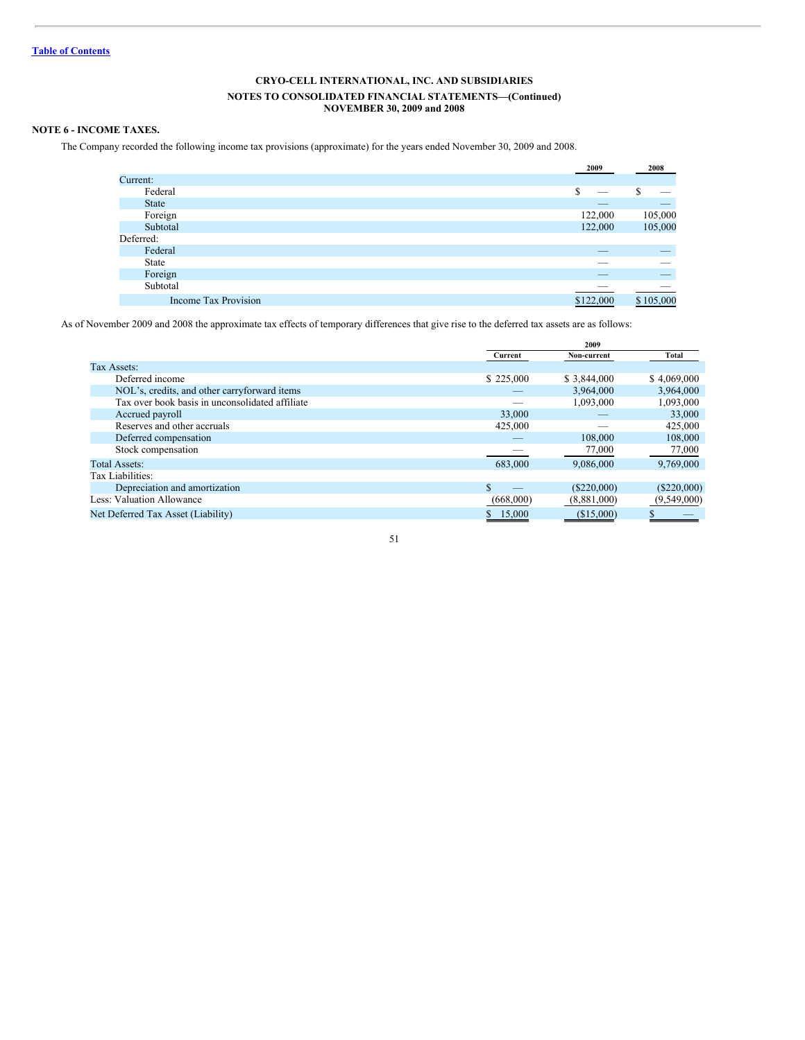# **NOVEMBER 30, 2009 and 2008**

# **NOTE 6 - INCOME TAXES.**

The Company recorded the following income tax provisions (approximate) for the years ended November 30, 2009 and 2008.

|                             | 2009      | 2008      |
|-----------------------------|-----------|-----------|
| Current:                    |           |           |
| Federal                     | S<br>__   | S         |
| <b>State</b>                |           |           |
| Foreign                     | 122,000   | 105,000   |
| Subtotal                    | 122,000   | 105,000   |
| Deferred:                   |           |           |
| Federal                     |           |           |
| State                       |           |           |
| Foreign                     |           |           |
| Subtotal                    |           |           |
| <b>Income Tax Provision</b> | \$122,000 | \$105,000 |

As of November 2009 and 2008 the approximate tax effects of temporary differences that give rise to the deferred tax assets are as follows:

|                                                 |           | 2009          |               |
|-------------------------------------------------|-----------|---------------|---------------|
|                                                 | Current   | Non-current   | Total         |
| Tax Assets:                                     |           |               |               |
| Deferred income                                 | \$225,000 | \$3,844,000   | \$4,069,000   |
| NOL's, credits, and other carryforward items    |           | 3,964,000     | 3,964,000     |
| Tax over book basis in unconsolidated affiliate |           | 1,093,000     | 1,093,000     |
| Accrued payroll                                 | 33,000    |               | 33,000        |
| Reserves and other accruals                     | 425,000   |               | 425,000       |
| Deferred compensation                           |           | 108,000       | 108,000       |
| Stock compensation                              |           | 77,000        | 77,000        |
| <b>Total Assets:</b>                            | 683,000   | 9.086,000     | 9,769,000     |
| Tax Liabilities:                                |           |               |               |
| Depreciation and amortization                   | \$        | $(\$220,000)$ | $(\$220,000)$ |
| Less: Valuation Allowance                       | (668,000) | (8,881,000)   | (9,549,000)   |
| Net Deferred Tax Asset (Liability)              | 15,000    | (\$15,000)    |               |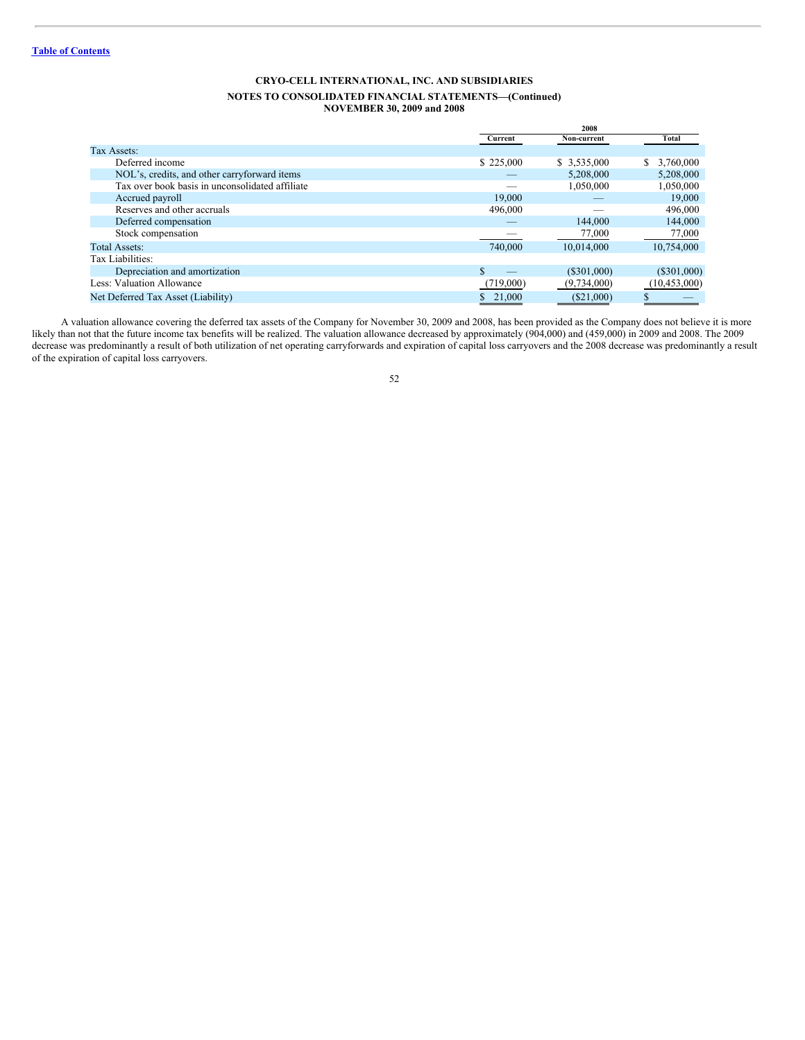|                                                 |           | 2008         |                 |
|-------------------------------------------------|-----------|--------------|-----------------|
|                                                 | Current   | Non-current  | <b>Total</b>    |
| Tax Assets:                                     |           |              |                 |
| Deferred income                                 | \$225,000 | \$ 3,535,000 | 3,760,000<br>\$ |
| NOL's, credits, and other carryforward items    |           | 5.208,000    | 5,208,000       |
| Tax over book basis in unconsolidated affiliate |           | 1,050,000    | 1,050,000       |
| Accrued payroll                                 | 19,000    |              | 19,000          |
| Reserves and other accruals                     | 496,000   |              | 496,000         |
| Deferred compensation                           |           | 144,000      | 144,000         |
| Stock compensation                              |           | 77,000       | 77,000          |
| <b>Total Assets:</b>                            | 740,000   | 10.014.000   | 10.754,000      |
| Tax Liabilities:                                |           |              |                 |
| Depreciation and amortization                   |           | (S301,000)   | $(\$301,000)$   |
| Less: Valuation Allowance                       | (719,000) | (9,734,000)  | (10, 453, 000)  |
| Net Deferred Tax Asset (Liability)              | \$21,000  | $(\$21,000)$ |                 |
|                                                 |           |              |                 |

A valuation allowance covering the deferred tax assets of the Company for November 30, 2009 and 2008, has been provided as the Company does not believe it is more likely than not that the future income tax benefits will be realized. The valuation allowance decreased by approximately (904,000) and (459,000) in 2009 and 2008. The 2009 decrease was predominantly a result of both utilization of net operating carryforwards and expiration of capital loss carryovers and the 2008 decrease was predominantly a result of the expiration of capital loss carryovers.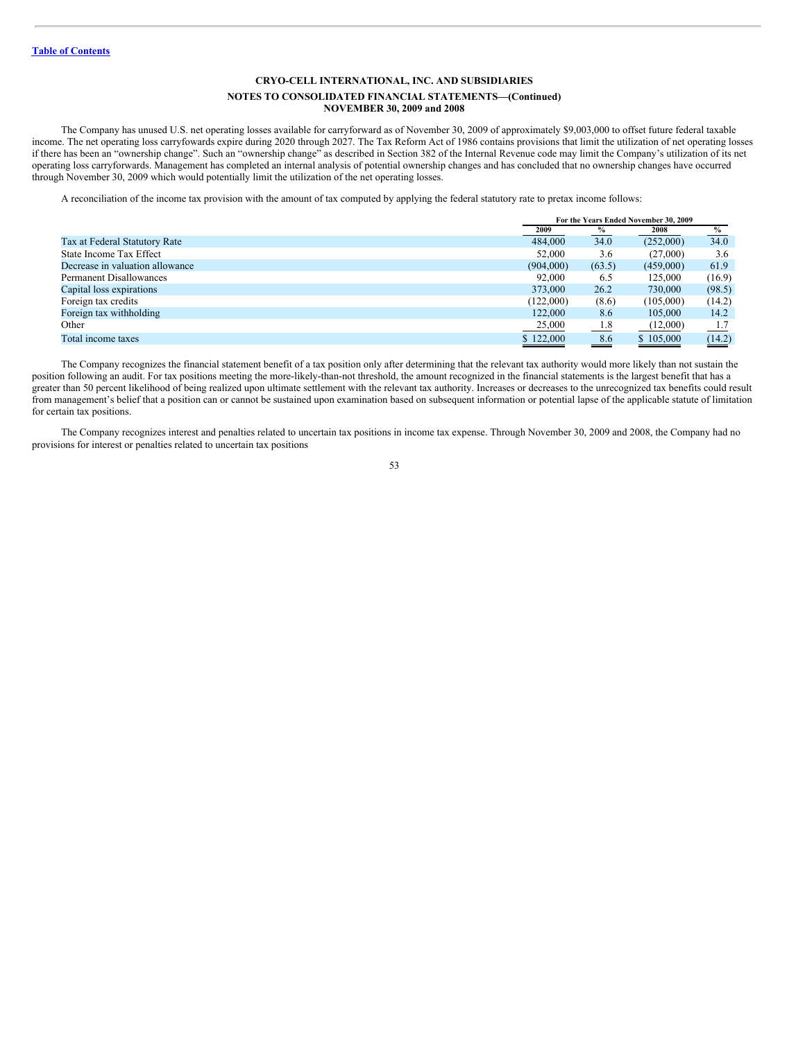#### **NOTES TO CONSOLIDATED FINANCIAL STATEMENTS—(Continued) NOVEMBER 30, 2009 and 2008**

The Company has unused U.S. net operating losses available for carryforward as of November 30, 2009 of approximately \$9,003,000 to offset future federal taxable income. The net operating loss carryfowards expire during 2020 through 2027. The Tax Reform Act of 1986 contains provisions that limit the utilization of net operating losses if there has been an "ownership change". Such an "ownership change" as described in Section 382 of the Internal Revenue code may limit the Company's utilization of its net operating loss carryforwards. Management has completed an internal analysis of potential ownership changes and has concluded that no ownership changes have occurred through November 30, 2009 which would potentially limit the utilization of the net operating losses.

A reconciliation of the income tax provision with the amount of tax computed by applying the federal statutory rate to pretax income follows:

|                                 |           | For the Years Ended November 30, 2009 |           |        |  |  |
|---------------------------------|-----------|---------------------------------------|-----------|--------|--|--|
|                                 | 2009      | $\%$                                  | 2008      | $\%$   |  |  |
| Tax at Federal Statutory Rate   | 484,000   | 34.0                                  | (252,000) | 34.0   |  |  |
| State Income Tax Effect         | 52,000    | 3.6                                   | (27,000)  | 3.6    |  |  |
| Decrease in valuation allowance | (904,000) | (63.5)                                | (459,000) | 61.9   |  |  |
| <b>Permanent Disallowances</b>  | 92,000    | 6.5                                   | 125,000   | (16.9) |  |  |
| Capital loss expirations        | 373,000   | 26.2                                  | 730,000   | (98.5) |  |  |
| Foreign tax credits             | (122,000) | (8.6)                                 | (105,000) | (14.2) |  |  |
| Foreign tax withholding         | 122,000   | 8.6                                   | 105,000   | 14.2   |  |  |
| Other                           | 25,000    | 1.8                                   | (12,000)  | 1.7    |  |  |
| Total income taxes              | \$122,000 | 8.6                                   | \$105,000 | (14.2) |  |  |

The Company recognizes the financial statement benefit of a tax position only after determining that the relevant tax authority would more likely than not sustain the position following an audit. For tax positions meeting the more-likely-than-not threshold, the amount recognized in the financial statements is the largest benefit that has a greater than 50 percent likelihood of being realized upon ultimate settlement with the relevant tax authority. Increases or decreases to the unrecognized tax benefits could result from management's belief that a position can or cannot be sustained upon examination based on subsequent information or potential lapse of the applicable statute of limitation for certain tax positions.

The Company recognizes interest and penalties related to uncertain tax positions in income tax expense. Through November 30, 2009 and 2008, the Company had no provisions for interest or penalties related to uncertain tax positions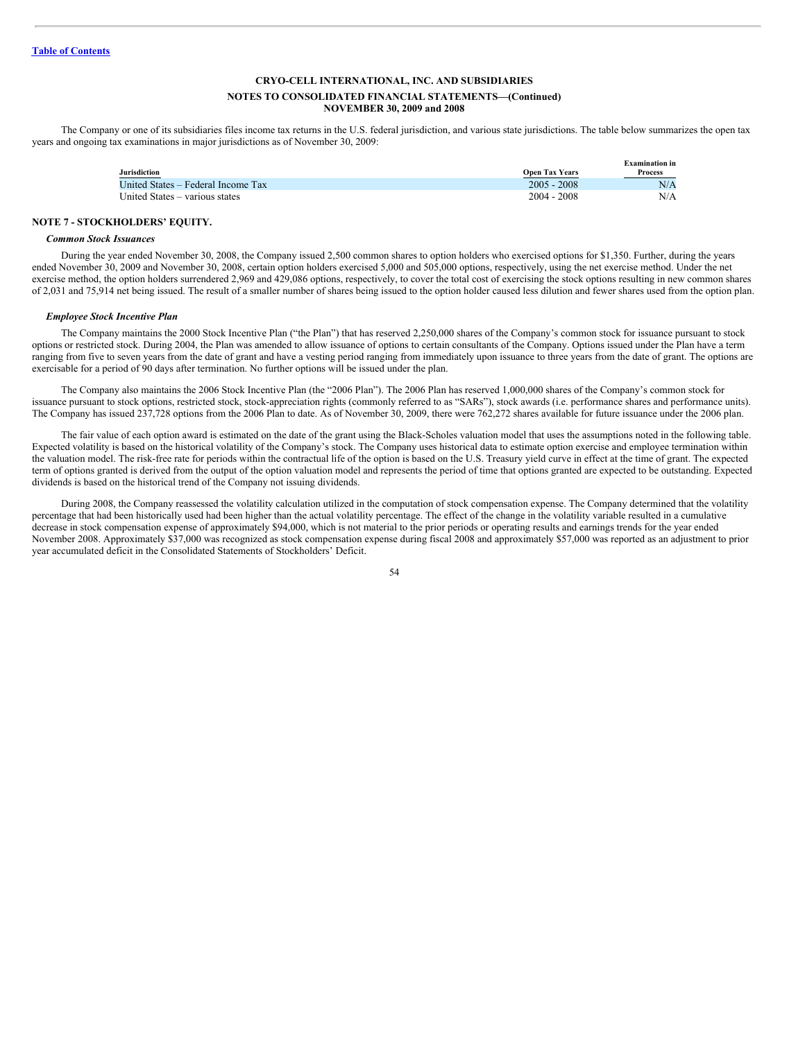#### **NOTES TO CONSOLIDATED FINANCIAL STATEMENTS—(Continued) NOVEMBER 30, 2009 and 2008**

The Company or one of its subsidiaries files income tax returns in the U.S. federal jurisdiction, and various state jurisdictions. The table below summarizes the open tax years and ongoing tax examinations in major jurisdictions as of November 30, 2009:

| Jurisdiction                       |                                        | Examination in        |
|------------------------------------|----------------------------------------|-----------------------|
| United States – Federal Income Tax | <b>Open Tax Years</b><br>$2005 - 2008$ | <b>Process</b><br>N/A |
| United States – various states     | $2004 - 2008$                          | N/A                   |

## **NOTE 7 - STOCKHOLDERS' EQUITY.**

### *Common Stock Issuances*

During the year ended November 30, 2008, the Company issued 2,500 common shares to option holders who exercised options for \$1,350. Further, during the years ended November 30, 2009 and November 30, 2008, certain option holders exercised 5,000 and 505,000 options, respectively, using the net exercise method. Under the net exercise method, the option holders surrendered 2,969 and 429,086 options, respectively, to cover the total cost of exercising the stock options resulting in new common shares of 2,031 and 75,914 net being issued. The result of a smaller number of shares being issued to the option holder caused less dilution and fewer shares used from the option plan.

#### *Employee Stock Incentive Plan*

The Company maintains the 2000 Stock Incentive Plan ("the Plan") that has reserved 2,250,000 shares of the Company's common stock for issuance pursuant to stock options or restricted stock. During 2004, the Plan was amended to allow issuance of options to certain consultants of the Company. Options issued under the Plan have a term ranging from five to seven years from the date of grant and have a vesting period ranging from immediately upon issuance to three years from the date of grant. The options are exercisable for a period of 90 days after termination. No further options will be issued under the plan.

The Company also maintains the 2006 Stock Incentive Plan (the "2006 Plan"). The 2006 Plan has reserved 1,000,000 shares of the Company's common stock for issuance pursuant to stock options, restricted stock, stock-appreciation rights (commonly referred to as "SARs"), stock awards (i.e. performance shares and performance units). The Company has issued 237,728 options from the 2006 Plan to date. As of November 30, 2009, there were 762,272 shares available for future issuance under the 2006 plan.

The fair value of each option award is estimated on the date of the grant using the Black-Scholes valuation model that uses the assumptions noted in the following table. Expected volatility is based on the historical volatility of the Company's stock. The Company uses historical data to estimate option exercise and employee termination within the valuation model. The risk-free rate for periods within the contractual life of the option is based on the U.S. Treasury yield curve in effect at the time of grant. The expected term of options granted is derived from the output of the option valuation model and represents the period of time that options granted are expected to be outstanding. Expected dividends is based on the historical trend of the Company not issuing dividends.

During 2008, the Company reassessed the volatility calculation utilized in the computation of stock compensation expense. The Company determined that the volatility percentage that had been historically used had been higher than the actual volatility percentage. The effect of the change in the volatility variable resulted in a cumulative decrease in stock compensation expense of approximately \$94,000, which is not material to the prior periods or operating results and earnings trends for the year ended November 2008. Approximately \$37,000 was recognized as stock compensation expense during fiscal 2008 and approximately \$57,000 was reported as an adjustment to prior year accumulated deficit in the Consolidated Statements of Stockholders' Deficit.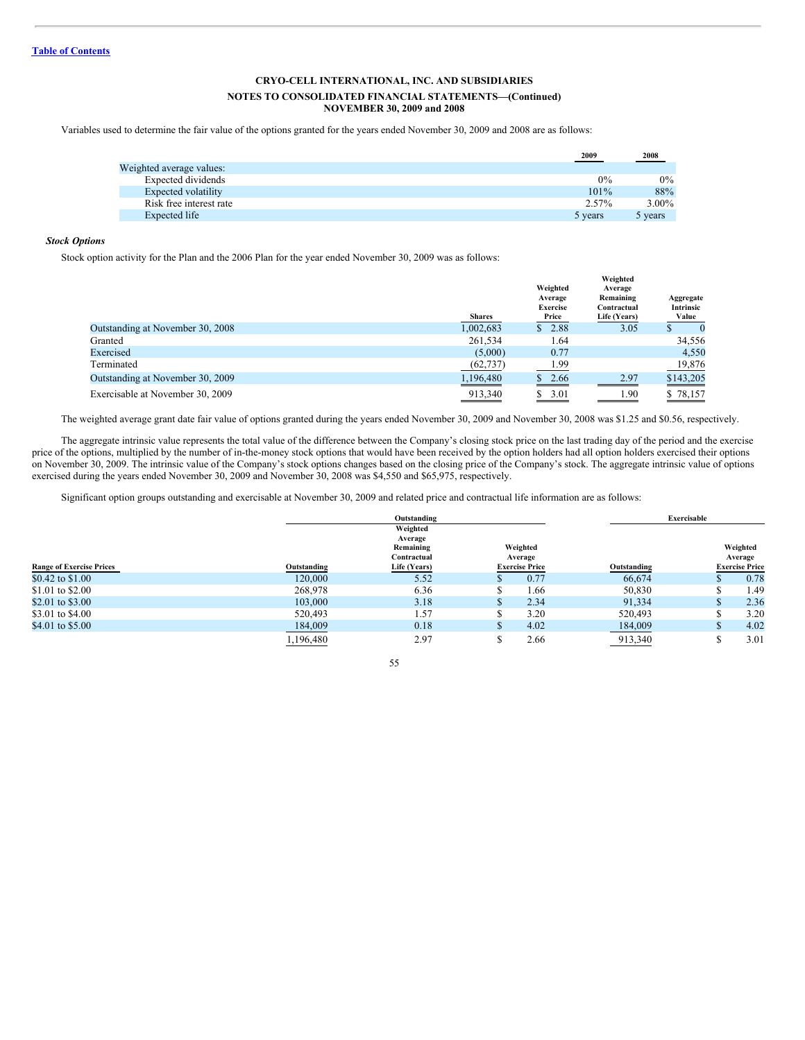## **NOTES TO CONSOLIDATED FINANCIAL STATEMENTS—(Continued) NOVEMBER 30, 2009 and 2008**

Variables used to determine the fair value of the options granted for the years ended November 30, 2009 and 2008 are as follows:

|                          | 2009    | 2008    |
|--------------------------|---------|---------|
| Weighted average values: |         |         |
| Expected dividends       | $0\%$   | $0\%$   |
| Expected volatility      | 101%    | 88%     |
| Risk free interest rate  | 2.57%   | 3.00%   |
| Expected life            | 5 years | 5 years |

## *Stock Options*

Stock option activity for the Plan and the 2006 Plan for the year ended November 30, 2009 was as follows:

|                                  | <b>Shares</b>     | Weighted<br>Average<br><b>Exercise</b><br>Price | Weighted<br>Average<br>Remaining<br>Contractual<br>Life (Years) | Aggregate<br>Intrinsic<br>Value |
|----------------------------------|-------------------|-------------------------------------------------|-----------------------------------------------------------------|---------------------------------|
| Outstanding at November 30, 2008 | 1,002,683         | \$2.88                                          | 3.05                                                            | $\theta$                        |
| Granted                          | 261,534           | 1.64                                            |                                                                 | 34,556                          |
| Exercised                        | (5,000)           | 0.77                                            |                                                                 | 4,550                           |
| Terminated                       | (62, 737)         | 1.99                                            |                                                                 | 19,876                          |
| Outstanding at November 30, 2009 | 1,196,480         | 2.66<br>S.                                      | 2.97                                                            | \$143,205<br>___                |
| Exercisable at November 30, 2009 | 913,340<br>______ | 3.01<br>S.<br>and the control of the control of | . 90                                                            | \$78,157                        |

The weighted average grant date fair value of options granted during the years ended November 30, 2009 and November 30, 2008 was \$1.25 and \$0.56, respectively.

The aggregate intrinsic value represents the total value of the difference between the Company's closing stock price on the last trading day of the period and the exercise price of the options, multiplied by the number of in-the-money stock options that would have been received by the option holders had all option holders exercised their options on November 30, 2009. The intrinsic value of the Company's stock options changes based on the closing price of the Company's stock. The aggregate intrinsic value of options exercised during the years ended November 30, 2009 and November 30, 2008 was \$4,550 and \$65,975, respectively.

Significant option groups outstanding and exercisable at November 30, 2009 and related price and contractual life information are as follows:

|                                 |             | Outstanding              |  |                       |             | Exercisable |                       |
|---------------------------------|-------------|--------------------------|--|-----------------------|-------------|-------------|-----------------------|
|                                 |             | Weighted                 |  |                       |             |             |                       |
|                                 |             | Average                  |  |                       |             |             |                       |
|                                 |             | Remaining<br>Contractual |  | Weighted<br>Average   |             |             | Weighted<br>Average   |
| <b>Range of Exercise Prices</b> | Outstanding | Life (Years)             |  | <b>Exercise Price</b> | Outstanding |             | <b>Exercise Price</b> |
| \$0.42 to \$1.00                | 120,000     | 5.52                     |  | 0.77                  | 66,674      |             | 0.78                  |
| \$1.01 to \$2.00                | 268,978     | 6.36                     |  | 1.66                  | 50,830      |             | 1.49                  |
| \$2.01 to \$3.00                | 103,000     | 3.18                     |  | 2.34                  | 91,334      |             | 2.36                  |
| \$3.01 to \$4.00                | 520,493     | 1.57                     |  | 3.20                  | 520,493     |             | 3.20                  |
| \$4.01 to \$5.00                | 184,009     | 0.18                     |  | 4.02                  | 184,009     |             | 4.02                  |
|                                 | 1,196,480   | 2.97                     |  | 2.66                  | 913,340     |             | 3.01                  |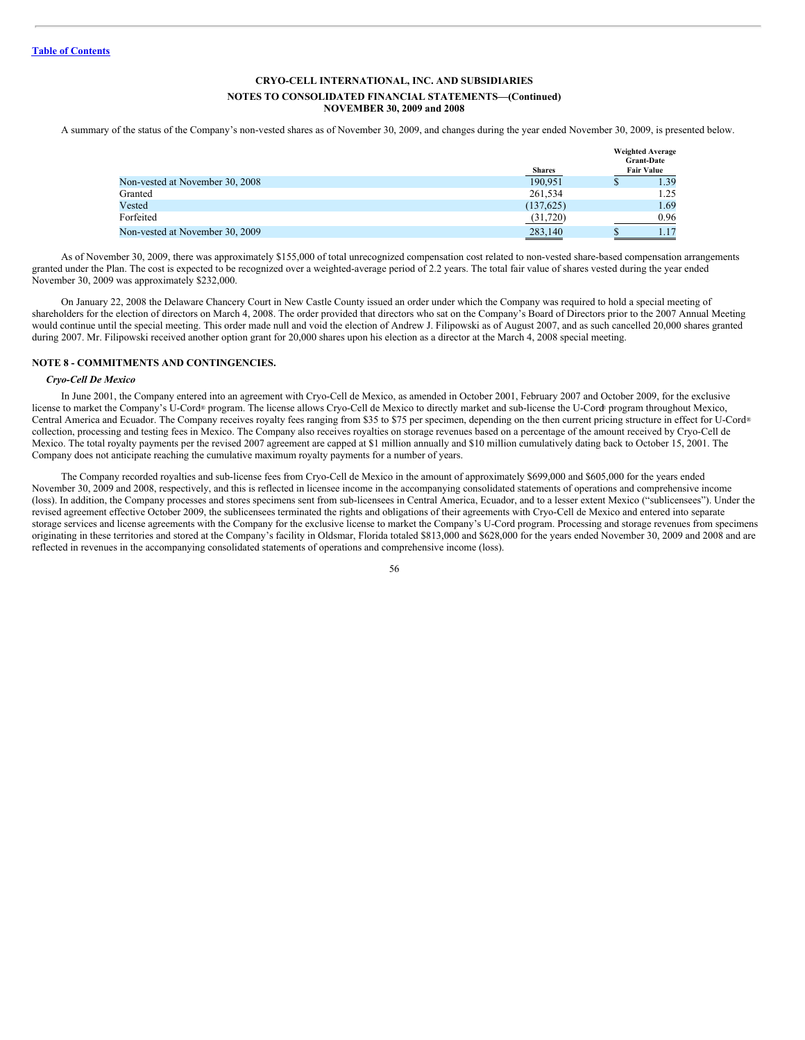A summary of the status of the Company's non-vested shares as of November 30, 2009, and changes during the year ended November 30, 2009, is presented below.

|                                 | <b>Shares</b> |   | <b>Weighted Average</b><br><b>Grant-Date</b><br><b>Fair Value</b> |
|---------------------------------|---------------|---|-------------------------------------------------------------------|
| Non-vested at November 30, 2008 | 190.951       | Φ | 1.39                                                              |
| Granted                         | 261.534       |   | 1.25                                                              |
| Vested                          | (137,625)     |   | 1.69                                                              |
| Forfeited                       | (31,720)      |   | 0.96                                                              |
| Non-vested at November 30, 2009 | 283,140       |   |                                                                   |

As of November 30, 2009, there was approximately \$155,000 of total unrecognized compensation cost related to non-vested share-based compensation arrangements granted under the Plan. The cost is expected to be recognized over a weighted-average period of 2.2 years. The total fair value of shares vested during the year ended November 30, 2009 was approximately \$232,000.

On January 22, 2008 the Delaware Chancery Court in New Castle County issued an order under which the Company was required to hold a special meeting of shareholders for the election of directors on March 4, 2008. The order provided that directors who sat on the Company's Board of Directors prior to the 2007 Annual Meeting would continue until the special meeting. This order made null and void the election of Andrew J. Filipowski as of August 2007, and as such cancelled 20,000 shares granted during 2007. Mr. Filipowski received another option grant for 20,000 shares upon his election as a director at the March 4, 2008 special meeting.

## **NOTE 8 - COMMITMENTS AND CONTINGENCIES.**

#### *Cryo-Cell De Mexico*

In June 2001, the Company entered into an agreement with Cryo-Cell de Mexico, as amended in October 2001, February 2007 and October 2009, for the exclusive license to market the Company's U-Cord® program. The license allows Cryo-Cell de Mexico to directly market and sub-license the U-Cord® program throughout Mexico, Central America and Ecuador. The Company receives royalty fees ranging from \$35 to \$75 per specimen, depending on the then current pricing structure in effect for U-Cord ®collection, processing and testing fees in Mexico. The Company also receives royalties on storage revenues based on a percentage of the amount received by Cryo-Cell de Mexico. The total royalty payments per the revised 2007 agreement are capped at \$1 million annually and \$10 million cumulatively dating back to October 15, 2001. The Company does not anticipate reaching the cumulative maximum royalty payments for a number of years.

The Company recorded royalties and sub-license fees from Cryo-Cell de Mexico in the amount of approximately \$699,000 and \$605,000 for the years ended November 30, 2009 and 2008, respectively, and this is reflected in licensee income in the accompanying consolidated statements of operations and comprehensive income (loss). In addition, the Company processes and stores specimens sent from sub-licensees in Central America, Ecuador, and to a lesser extent Mexico ("sublicensees"). Under the revised agreement effective October 2009, the sublicensees terminated the rights and obligations of their agreements with Cryo-Cell de Mexico and entered into separate storage services and license agreements with the Company for the exclusive license to market the Company's U-Cord program. Processing and storage revenues from specimens originating in these territories and stored at the Company's facility in Oldsmar, Florida totaled \$813,000 and \$628,000 for the years ended November 30, 2009 and 2008 and are reflected in revenues in the accompanying consolidated statements of operations and comprehensive income (loss).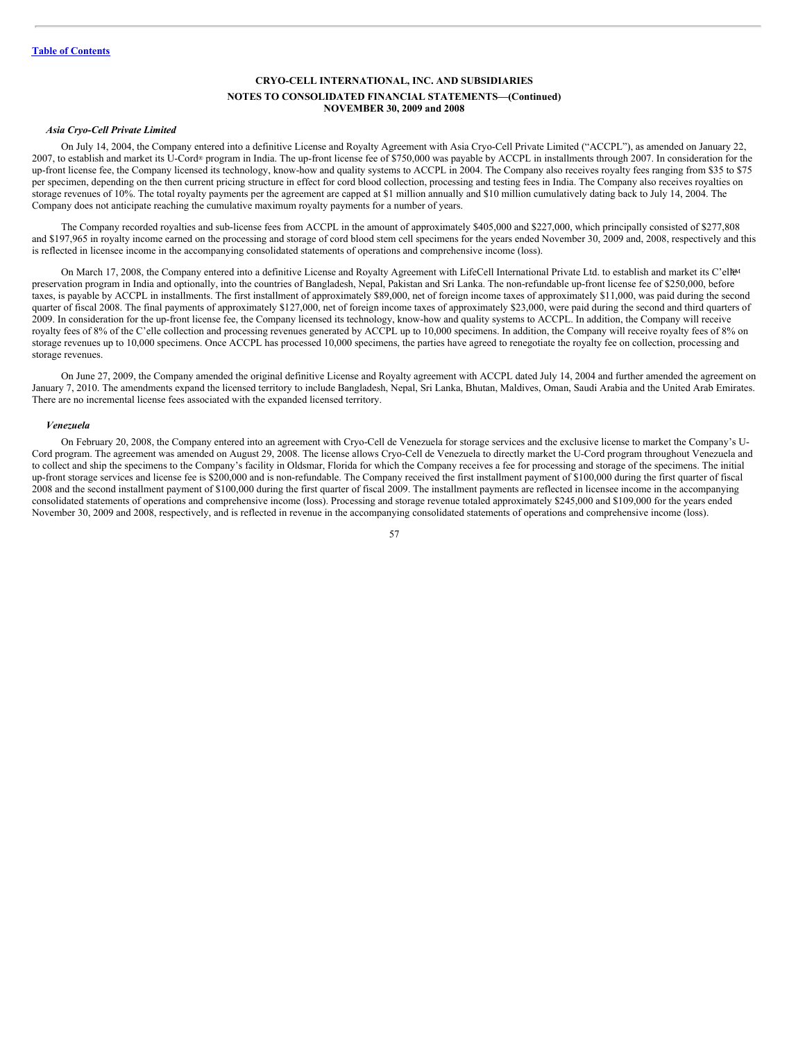## *Asia Cryo-Cell Private Limited*

On July 14, 2004, the Company entered into a definitive License and Royalty Agreement with Asia Cryo-Cell Private Limited ("ACCPL"), as amended on January 22, 2007, to establish and market its U-Cord® program in India. The up-front license fee of \$750,000 was payable by ACCPL in installments through 2007. In consideration for the up-front license fee, the Company licensed its technology, know-how and quality systems to ACCPL in 2004. The Company also receives royalty fees ranging from \$35 to \$75 per specimen, depending on the then current pricing structure in effect for cord blood collection, processing and testing fees in India. The Company also receives royalties on storage revenues of 10%. The total royalty payments per the agreement are capped at \$1 million annually and \$10 million cumulatively dating back to July 14, 2004. The Company does not anticipate reaching the cumulative maximum royalty payments for a number of years.

The Company recorded royalties and sub-license fees from ACCPL in the amount of approximately \$405,000 and \$227,000, which principally consisted of \$277,808 and \$197,965 in royalty income earned on the processing and storage of cord blood stem cell specimens for the years ended November 30, 2009 and, 2008, respectively and this is reflected in licensee income in the accompanying consolidated statements of operations and comprehensive income (loss).

On March 17, 2008, the Company entered into a definitive License and Royalty Agreement with LifeCell International Private Ltd. to establish and market its C'ell<sup>ga</sup> preservation program in India and optionally, into the countries of Bangladesh, Nepal, Pakistan and Sri Lanka. The non-refundable up-front license fee of \$250,000, before taxes, is payable by ACCPL in installments. The first installment of approximately \$89,000, net of foreign income taxes of approximately \$11,000, was paid during the second quarter of fiscal 2008. The final payments of approximately \$127,000, net of foreign income taxes of approximately \$23,000, were paid during the second and third quarters of 2009. In consideration for the up-front license fee, the Company licensed its technology, know-how and quality systems to ACCPL. In addition, the Company will receive royalty fees of 8% of the C'elle collection and processing revenues generated by ACCPL up to 10,000 specimens. In addition, the Company will receive royalty fees of 8% on storage revenues up to 10,000 specimens. Once ACCPL has processed 10,000 specimens, the parties have agreed to renegotiate the royalty fee on collection, processing and storage revenues.

On June 27, 2009, the Company amended the original definitive License and Royalty agreement with ACCPL dated July 14, 2004 and further amended the agreement on January 7, 2010. The amendments expand the licensed territory to include Bangladesh, Nepal, Sri Lanka, Bhutan, Maldives, Oman, Saudi Arabia and the United Arab Emirates. There are no incremental license fees associated with the expanded licensed territory.

## *Venezuela*

On February 20, 2008, the Company entered into an agreement with Cryo-Cell de Venezuela for storage services and the exclusive license to market the Company's U-Cord program. The agreement was amended on August 29, 2008. The license allows Cryo-Cell de Venezuela to directly market the U-Cord program throughout Venezuela and to collect and ship the specimens to the Company's facility in Oldsmar, Florida for which the Company receives a fee for processing and storage of the specimens. The initial up-front storage services and license fee is \$200,000 and is non-refundable. The Company received the first installment payment of \$100,000 during the first quarter of fiscal 2008 and the second installment payment of \$100,000 during the first quarter of fiscal 2009. The installment payments are reflected in licensee income in the accompanying consolidated statements of operations and comprehensive income (loss). Processing and storage revenue totaled approximately \$245,000 and \$109,000 for the years ended November 30, 2009 and 2008, respectively, and is reflected in revenue in the accompanying consolidated statements of operations and comprehensive income (loss).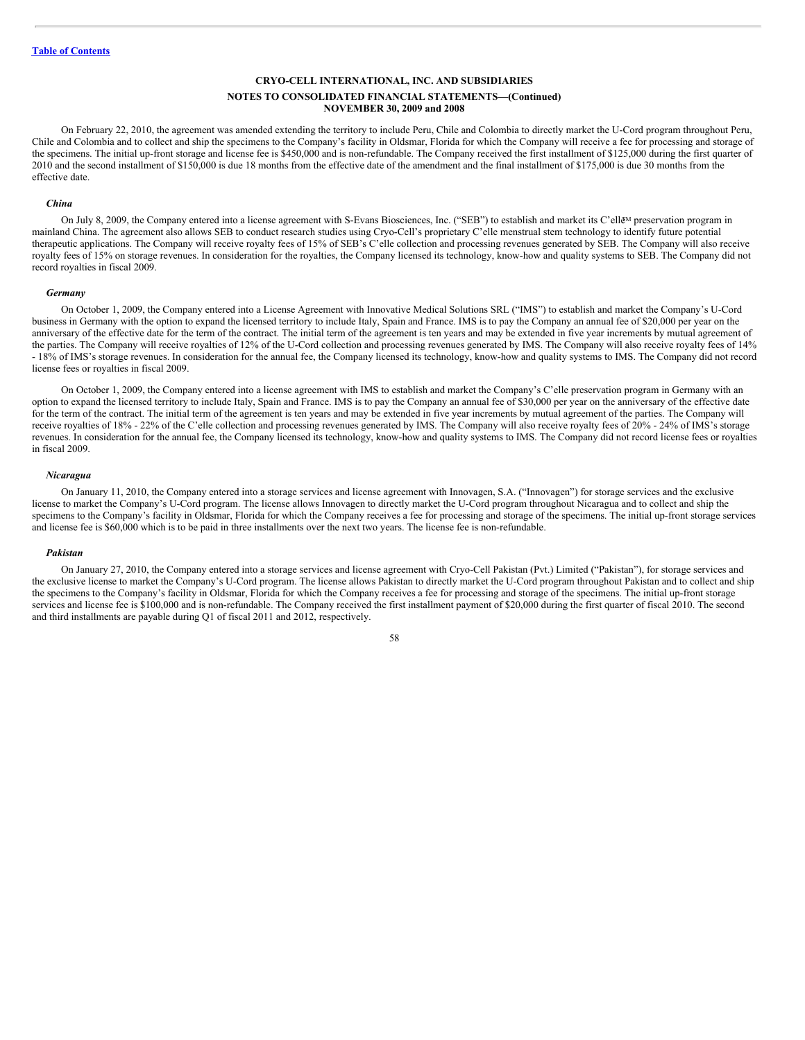## **NOTES TO CONSOLIDATED FINANCIAL STATEMENTS—(Continued) NOVEMBER 30, 2009 and 2008**

On February 22, 2010, the agreement was amended extending the territory to include Peru, Chile and Colombia to directly market the U-Cord program throughout Peru, Chile and Colombia and to collect and ship the specimens to the Company's facility in Oldsmar, Florida for which the Company will receive a fee for processing and storage of the specimens. The initial up-front storage and license fee is \$450,000 and is non-refundable. The Company received the first installment of \$125,000 during the first quarter of 2010 and the second installment of \$150,000 is due 18 months from the effective date of the amendment and the final installment of \$175,000 is due 30 months from the effective date.

#### *China*

On July 8, 2009, the Company entered into a license agreement with S-Evans Biosciences, Inc. ("SEB") to establish and market its C'ell&M preservation program in mainland China. The agreement also allows SEB to conduct research studies using Cryo-Cell's proprietary C'elle menstrual stem technology to identify future potential therapeutic applications. The Company will receive royalty fees of 15% of SEB's C'elle collection and processing revenues generated by SEB. The Company will also receive royalty fees of 15% on storage revenues. In consideration for the royalties, the Company licensed its technology, know-how and quality systems to SEB. The Company did not record royalties in fiscal 2009.

#### *Germany*

On October 1, 2009, the Company entered into a License Agreement with Innovative Medical Solutions SRL ("IMS") to establish and market the Company's U-Cord business in Germany with the option to expand the licensed territory to include Italy, Spain and France. IMS is to pay the Company an annual fee of \$20,000 per year on the anniversary of the effective date for the term of the contract. The initial term of the agreement is ten years and may be extended in five year increments by mutual agreement of the parties. The Company will receive royalties of 12% of the U-Cord collection and processing revenues generated by IMS. The Company will also receive royalty fees of 14% - 18% of IMS's storage revenues. In consideration for the annual fee, the Company licensed its technology, know-how and quality systems to IMS. The Company did not record license fees or royalties in fiscal 2009.

On October 1, 2009, the Company entered into a license agreement with IMS to establish and market the Company's C'elle preservation program in Germany with an option to expand the licensed territory to include Italy, Spain and France. IMS is to pay the Company an annual fee of \$30,000 per year on the anniversary of the effective date for the term of the contract. The initial term of the agreement is ten years and may be extended in five year increments by mutual agreement of the parties. The Company will receive royalties of 18% - 22% of the C'elle collection and processing revenues generated by IMS. The Company will also receive royalty fees of 20% - 24% of IMS's storage revenues. In consideration for the annual fee, the Company licensed its technology, know-how and quality systems to IMS. The Company did not record license fees or royalties in fiscal 2009.

#### *Nicaragua*

On January 11, 2010, the Company entered into a storage services and license agreement with Innovagen, S.A. ("Innovagen") for storage services and the exclusive license to market the Company's U-Cord program. The license allows Innovagen to directly market the U-Cord program throughout Nicaragua and to collect and ship the specimens to the Company's facility in Oldsmar, Florida for which the Company receives a fee for processing and storage of the specimens. The initial up-front storage services and license fee is \$60,000 which is to be paid in three installments over the next two years. The license fee is non-refundable.

#### *Pakistan*

On January 27, 2010, the Company entered into a storage services and license agreement with Cryo-Cell Pakistan (Pvt.) Limited ("Pakistan"), for storage services and the exclusive license to market the Company's U-Cord program. The license allows Pakistan to directly market the U-Cord program throughout Pakistan and to collect and ship the specimens to the Company's facility in Oldsmar, Florida for which the Company receives a fee for processing and storage of the specimens. The initial up-front storage services and license fee is \$100,000 and is non-refundable. The Company received the first installment payment of \$20,000 during the first quarter of fiscal 2010. The second and third installments are payable during Q1 of fiscal 2011 and 2012, respectively.

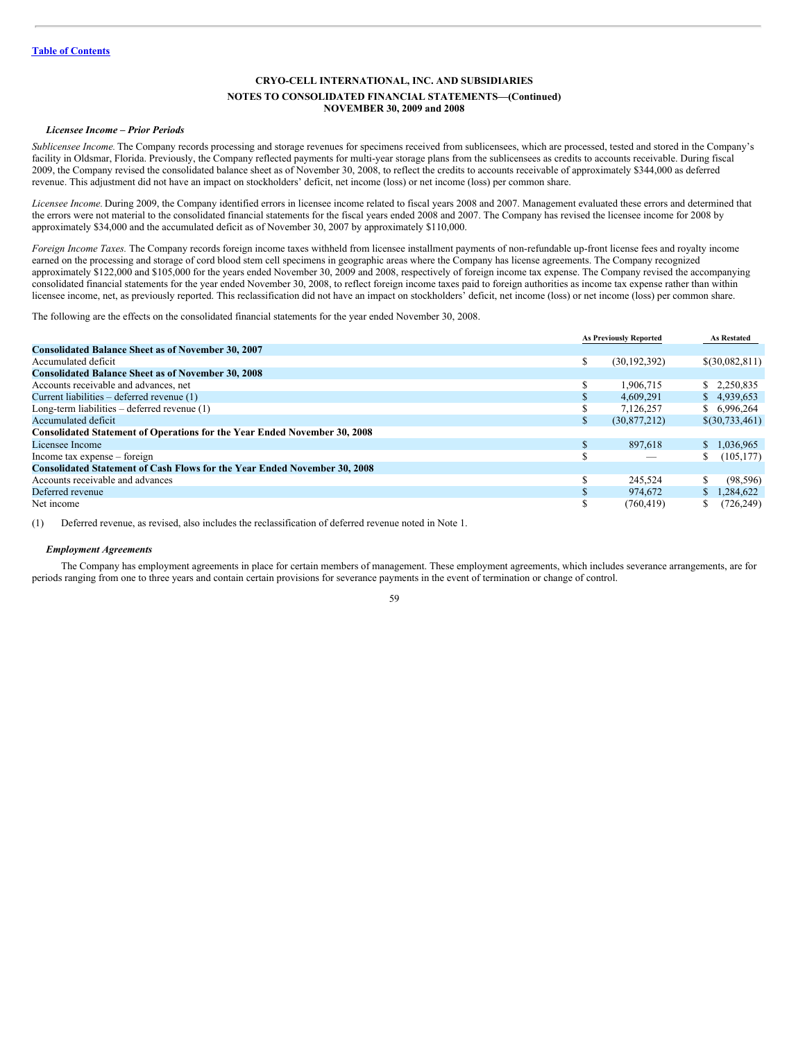#### *Licensee Income – Prior Periods*

*Sublicensee Income.* The Company records processing and storage revenues for specimens received from sublicensees, which are processed, tested and stored in the Company's facility in Oldsmar, Florida. Previously, the Company reflected payments for multi-year storage plans from the sublicensees as credits to accounts receivable. During fiscal 2009, the Company revised the consolidated balance sheet as of November 30, 2008, to reflect the credits to accounts receivable of approximately \$344,000 as deferred revenue. This adjustment did not have an impact on stockholders' deficit, net income (loss) or net income (loss) per common share.

*Licensee Income.* During 2009, the Company identified errors in licensee income related to fiscal years 2008 and 2007. Management evaluated these errors and determined that the errors were not material to the consolidated financial statements for the fiscal years ended 2008 and 2007. The Company has revised the licensee income for 2008 by approximately \$34,000 and the accumulated deficit as of November 30, 2007 by approximately \$110,000.

*Foreign Income Taxes.* The Company records foreign income taxes withheld from licensee installment payments of non-refundable up-front license fees and royalty income earned on the processing and storage of cord blood stem cell specimens in geographic areas where the Company has license agreements. The Company recognized approximately \$122,000 and \$105,000 for the years ended November 30, 2009 and 2008, respectively of foreign income tax expense. The Company revised the accompanying consolidated financial statements for the year ended November 30, 2008, to reflect foreign income taxes paid to foreign authorities as income tax expense rather than within licensee income, net, as previously reported. This reclassification did not have an impact on stockholders' deficit, net income (loss) or net income (loss) per common share.

The following are the effects on the consolidated financial statements for the year ended November 30, 2008.

|                                                                                  | <b>As Previously Reported</b> |                | <b>As Restated</b> |
|----------------------------------------------------------------------------------|-------------------------------|----------------|--------------------|
| <b>Consolidated Balance Sheet as of November 30, 2007</b>                        |                               |                |                    |
| Accumulated deficit                                                              | \$                            | (30, 192, 392) | \$(30,082,811)     |
| <b>Consolidated Balance Sheet as of November 30, 2008</b>                        |                               |                |                    |
| Accounts receivable and advances, net                                            | \$.                           | 1.906.715      | \$2,250,835        |
| Current liabilities – deferred revenue (1)                                       | \$                            | 4,609,291      | \$4.939,653        |
| Long-term liabilities $-$ deferred revenue $(1)$                                 |                               | 7.126.257      | \$6,996,264        |
| Accumulated deficit                                                              | ъ                             | (30,877,212)   | \$(30,733,461)     |
| <b>Consolidated Statement of Operations for the Year Ended November 30, 2008</b> |                               |                |                    |
| Licensee Income                                                                  | \$                            | 897.618        | \$1.036.965        |
| Income tax expense – foreign                                                     | ς                             |                | (105, 177)<br>S.   |
| <b>Consolidated Statement of Cash Flows for the Year Ended November 30, 2008</b> |                               |                |                    |
| Accounts receivable and advances                                                 | \$                            | 245,524        | S.<br>(98, 596)    |
| Deferred revenue                                                                 |                               | 974.672        | \$1,284,622        |
| Net income                                                                       | ъ.                            | (760, 419)     | (726, 249)         |

(1) Deferred revenue, as revised, also includes the reclassification of deferred revenue noted in Note 1.

#### *Employment Agreements*

The Company has employment agreements in place for certain members of management. These employment agreements, which includes severance arrangements, are for periods ranging from one to three years and contain certain provisions for severance payments in the event of termination or change of control.

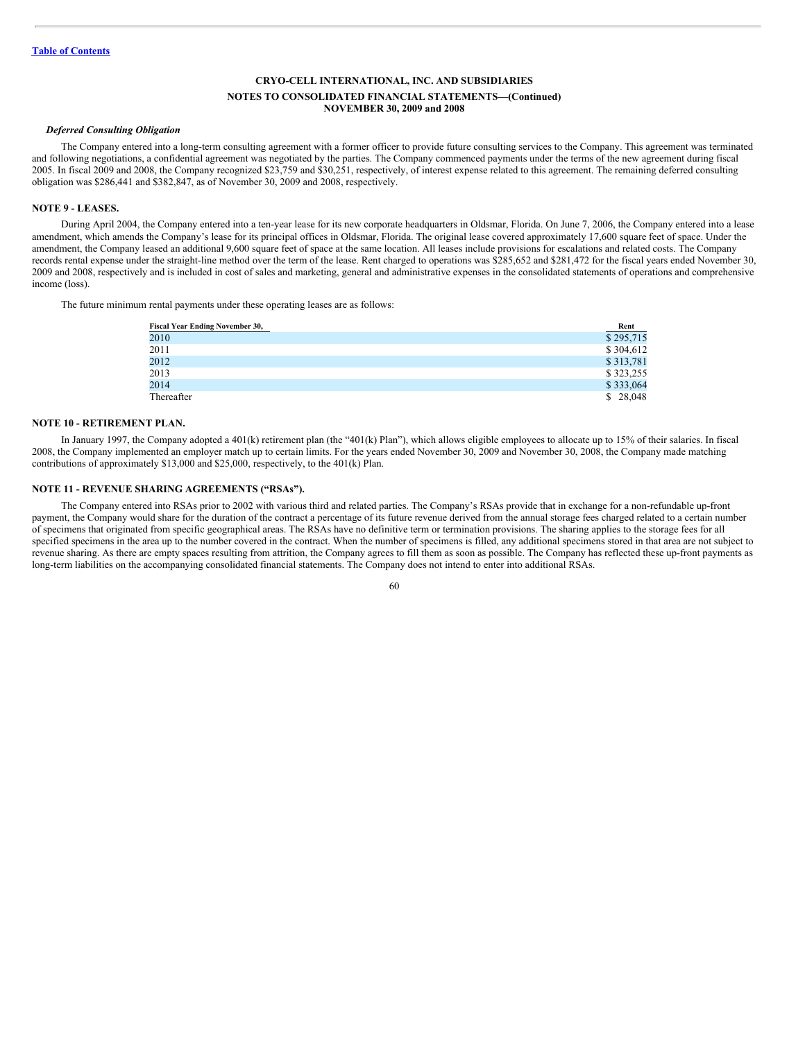### *Deferred Consulting Obligation*

The Company entered into a long-term consulting agreement with a former officer to provide future consulting services to the Company. This agreement was terminated and following negotiations, a confidential agreement was negotiated by the parties. The Company commenced payments under the terms of the new agreement during fiscal 2005. In fiscal 2009 and 2008, the Company recognized \$23,759 and \$30,251, respectively, of interest expense related to this agreement. The remaining deferred consulting obligation was \$286,441 and \$382,847, as of November 30, 2009 and 2008, respectively.

# **NOTE 9 - LEASES.**

During April 2004, the Company entered into a ten-year lease for its new corporate headquarters in Oldsmar, Florida. On June 7, 2006, the Company entered into a lease amendment, which amends the Company's lease for its principal offices in Oldsmar, Florida. The original lease covered approximately 17,600 square feet of space. Under the amendment, the Company leased an additional 9,600 square feet of space at the same location. All leases include provisions for escalations and related costs. The Company records rental expense under the straight-line method over the term of the lease. Rent charged to operations was \$285,652 and \$281,472 for the fiscal years ended November 30, 2009 and 2008, respectively and is included in cost of sales and marketing, general and administrative expenses in the consolidated statements of operations and comprehensive income (loss).

The future minimum rental payments under these operating leases are as follows:

| <b>Fiscal Year Ending November 30,</b> | Rent      |
|----------------------------------------|-----------|
| 2010                                   | \$295,715 |
| 2011                                   | \$304,612 |
| 2012                                   | \$313,781 |
| 2013                                   | \$323,255 |
| 2014                                   | \$333,064 |
| Thereafter                             | \$28,048  |

#### **NOTE 10 - RETIREMENT PLAN.**

In January 1997, the Company adopted a 401(k) retirement plan (the "401(k) Plan"), which allows eligible employees to allocate up to 15% of their salaries. In fiscal 2008, the Company implemented an employer match up to certain limits. For the years ended November 30, 2009 and November 30, 2008, the Company made matching contributions of approximately \$13,000 and \$25,000, respectively, to the 401(k) Plan.

## **NOTE 11 - REVENUE SHARING AGREEMENTS ("RSAs").**

The Company entered into RSAs prior to 2002 with various third and related parties. The Company's RSAs provide that in exchange for a non-refundable up-front payment, the Company would share for the duration of the contract a percentage of its future revenue derived from the annual storage fees charged related to a certain number of specimens that originated from specific geographical areas. The RSAs have no definitive term or termination provisions. The sharing applies to the storage fees for all specified specimens in the area up to the number covered in the contract. When the number of specimens is filled, any additional specimens stored in that area are not subject to revenue sharing. As there are empty spaces resulting from attrition, the Company agrees to fill them as soon as possible. The Company has reflected these up-front payments as long-term liabilities on the accompanying consolidated financial statements. The Company does not intend to enter into additional RSAs.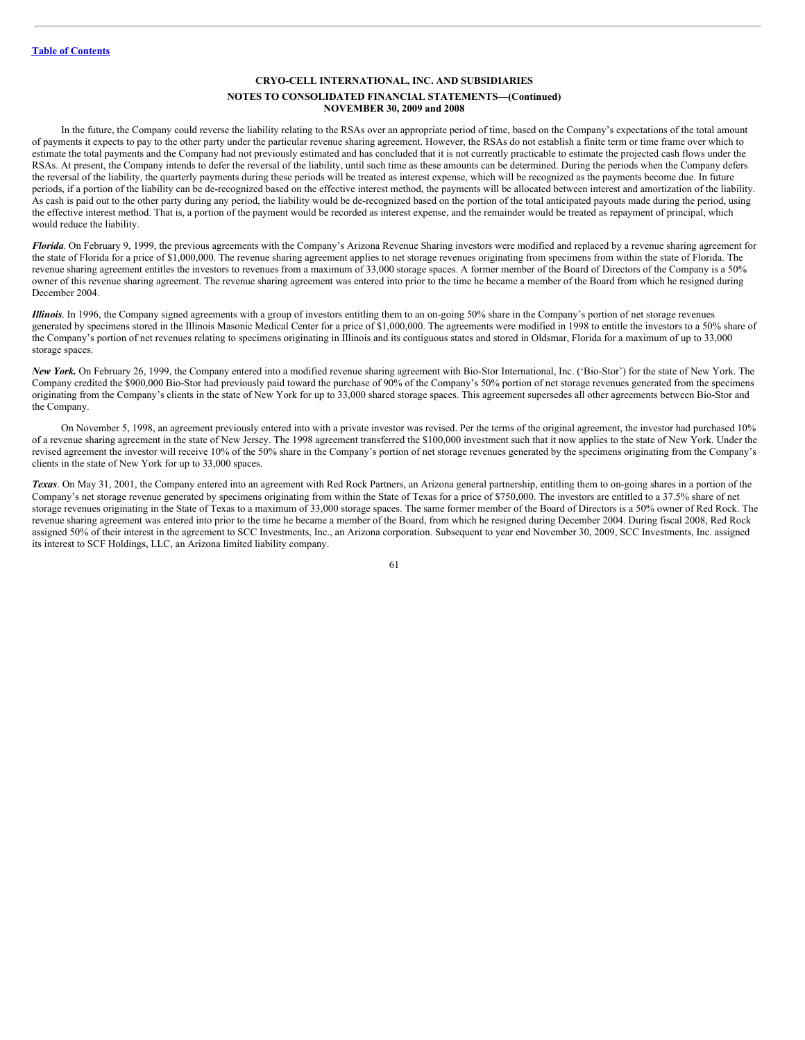## **NOTES TO CONSOLIDATED FINANCIAL STATEMENTS—(Continued) NOVEMBER 30, 2009 and 2008**

In the future, the Company could reverse the liability relating to the RSAs over an appropriate period of time, based on the Company's expectations of the total amount of payments it expects to pay to the other party under the particular revenue sharing agreement. However, the RSAs do not establish a finite term or time frame over which to estimate the total payments and the Company had not previously estimated and has concluded that it is not currently practicable to estimate the projected cash flows under the RSAs. At present, the Company intends to defer the reversal of the liability, until such time as these amounts can be determined. During the periods when the Company defers the reversal of the liability, the quarterly payments during these periods will be treated as interest expense, which will be recognized as the payments become due. In future periods, if a portion of the liability can be de-recognized based on the effective interest method, the payments will be allocated between interest and amortization of the liability. As cash is paid out to the other party during any period, the liability would be de-recognized based on the portion of the total anticipated payouts made during the period, using the effective interest method. That is, a portion of the payment would be recorded as interest expense, and the remainder would be treated as repayment of principal, which would reduce the liability.

*Florida*. On February 9, 1999, the previous agreements with the Company's Arizona Revenue Sharing investors were modified and replaced by a revenue sharing agreement for the state of Florida for a price of \$1,000,000. The revenue sharing agreement applies to net storage revenues originating from specimens from within the state of Florida. The revenue sharing agreement entitles the investors to revenues from a maximum of 33,000 storage spaces. A former member of the Board of Directors of the Company is a 50% owner of this revenue sharing agreement. The revenue sharing agreement was entered into prior to the time he became a member of the Board from which he resigned during December 2004.

*Illinois*. In 1996, the Company signed agreements with a group of investors entitling them to an on-going 50% share in the Company's portion of net storage revenues generated by specimens stored in the Illinois Masonic Medical Center for a price of \$1,000,000. The agreements were modified in 1998 to entitle the investors to a 50% share of the Company's portion of net revenues relating to specimens originating in Illinois and its contiguous states and stored in Oldsmar, Florida for a maximum of up to 33,000 storage spaces.

*New York.* On February 26, 1999, the Company entered into a modified revenue sharing agreement with Bio-Stor International, Inc. ('Bio-Stor') for the state of New York. The Company credited the \$900,000 Bio-Stor had previously paid toward the purchase of 90% of the Company's 50% portion of net storage revenues generated from the specimens originating from the Company's clients in the state of New York for up to 33,000 shared storage spaces. This agreement supersedes all other agreements between Bio-Stor and the Company.

On November 5, 1998, an agreement previously entered into with a private investor was revised. Per the terms of the original agreement, the investor had purchased 10% of a revenue sharing agreement in the state of New Jersey. The 1998 agreement transferred the \$100,000 investment such that it now applies to the state of New York. Under the revised agreement the investor will receive 10% of the 50% share in the Company's portion of net storage revenues generated by the specimens originating from the Company's clients in the state of New York for up to 33,000 spaces.

*Texas*. On May 31, 2001, the Company entered into an agreement with Red Rock Partners, an Arizona general partnership, entitling them to on-going shares in a portion of the Company's net storage revenue generated by specimens originating from within the State of Texas for a price of \$750,000. The investors are entitled to a 37.5% share of net storage revenues originating in the State of Texas to a maximum of 33,000 storage spaces. The same former member of the Board of Directors is a 50% owner of Red Rock. The revenue sharing agreement was entered into prior to the time he became a member of the Board, from which he resigned during December 2004. During fiscal 2008, Red Rock assigned 50% of their interest in the agreement to SCC Investments, Inc., an Arizona corporation. Subsequent to year end November 30, 2009, SCC Investments, Inc. assigned its interest to SCF Holdings, LLC, an Arizona limited liability company.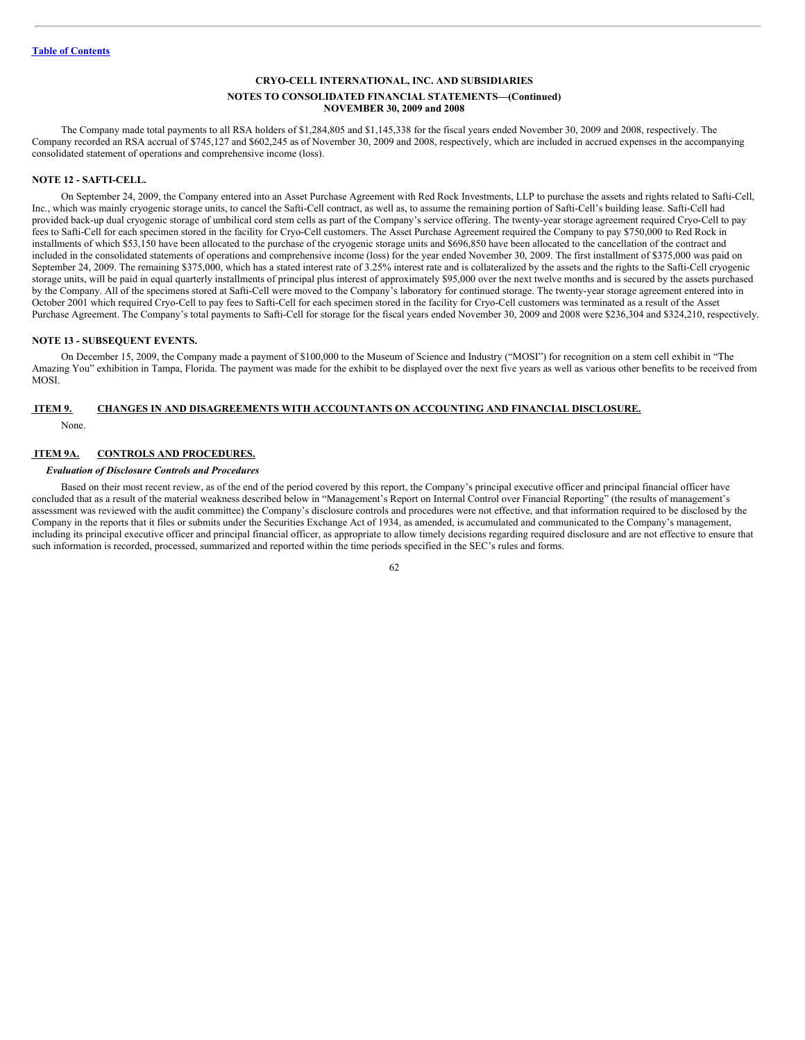The Company made total payments to all RSA holders of \$1,284,805 and \$1,145,338 for the fiscal years ended November 30, 2009 and 2008, respectively. The Company recorded an RSA accrual of \$745,127 and \$602,245 as of November 30, 2009 and 2008, respectively, which are included in accrued expenses in the accompanying consolidated statement of operations and comprehensive income (loss).

## **NOTE 12 - SAFTI-CELL.**

On September 24, 2009, the Company entered into an Asset Purchase Agreement with Red Rock Investments, LLP to purchase the assets and rights related to Safti-Cell, Inc., which was mainly cryogenic storage units, to cancel the Safti-Cell contract, as well as, to assume the remaining portion of Safti-Cell's building lease. Safti-Cell had provided back-up dual cryogenic storage of umbilical cord stem cells as part of the Company's service offering. The twenty-year storage agreement required Cryo-Cell to pay fees to Safti-Cell for each specimen stored in the facility for Cryo-Cell customers. The Asset Purchase Agreement required the Company to pay \$750,000 to Red Rock in installments of which \$53,150 have been allocated to the purchase of the cryogenic storage units and \$696,850 have been allocated to the cancellation of the contract and included in the consolidated statements of operations and comprehensive income (loss) for the year ended November 30, 2009. The first installment of \$375,000 was paid on September 24, 2009. The remaining \$375,000, which has a stated interest rate of 3.25% interest rate and is collateralized by the assets and the rights to the Safti-Cell cryogenic storage units, will be paid in equal quarterly installments of principal plus interest of approximately \$95,000 over the next twelve months and is secured by the assets purchased by the Company. All of the specimens stored at Safti-Cell were moved to the Company's laboratory for continued storage. The twenty-year storage agreement entered into in October 2001 which required Cryo-Cell to pay fees to Safti-Cell for each specimen stored in the facility for Cryo-Cell customers was terminated as a result of the Asset Purchase Agreement. The Company's total payments to Safti-Cell for storage for the fiscal years ended November 30, 2009 and 2008 were \$236,304 and \$324,210, respectively.

## **NOTE 13 - SUBSEQUENT EVENTS.**

On December 15, 2009, the Company made a payment of \$100,000 to the Museum of Science and Industry ("MOSI") for recognition on a stem cell exhibit in "The Amazing You" exhibition in Tampa, Florida. The payment was made for the exhibit to be displayed over the next five years as well as various other benefits to be received from MOSI.

## **ITEM 9. CHANGES IN AND DISAGREEMENTS WITH ACCOUNTANTS ON ACCOUNTING AND FINANCIAL DISCLOSURE.**

None.

# **ITEM 9A. CONTROLS AND PROCEDURES.**

# *Evaluation of Disclosure Controls and Procedures*

Based on their most recent review, as of the end of the period covered by this report, the Company's principal executive officer and principal financial officer have concluded that as a result of the material weakness described below in "Management's Report on Internal Control over Financial Reporting" (the results of management's assessment was reviewed with the audit committee) the Company's disclosure controls and procedures were not effective, and that information required to be disclosed by the Company in the reports that it files or submits under the Securities Exchange Act of 1934, as amended, is accumulated and communicated to the Company's management, including its principal executive officer and principal financial officer, as appropriate to allow timely decisions regarding required disclosure and are not effective to ensure that such information is recorded, processed, summarized and reported within the time periods specified in the SEC's rules and forms.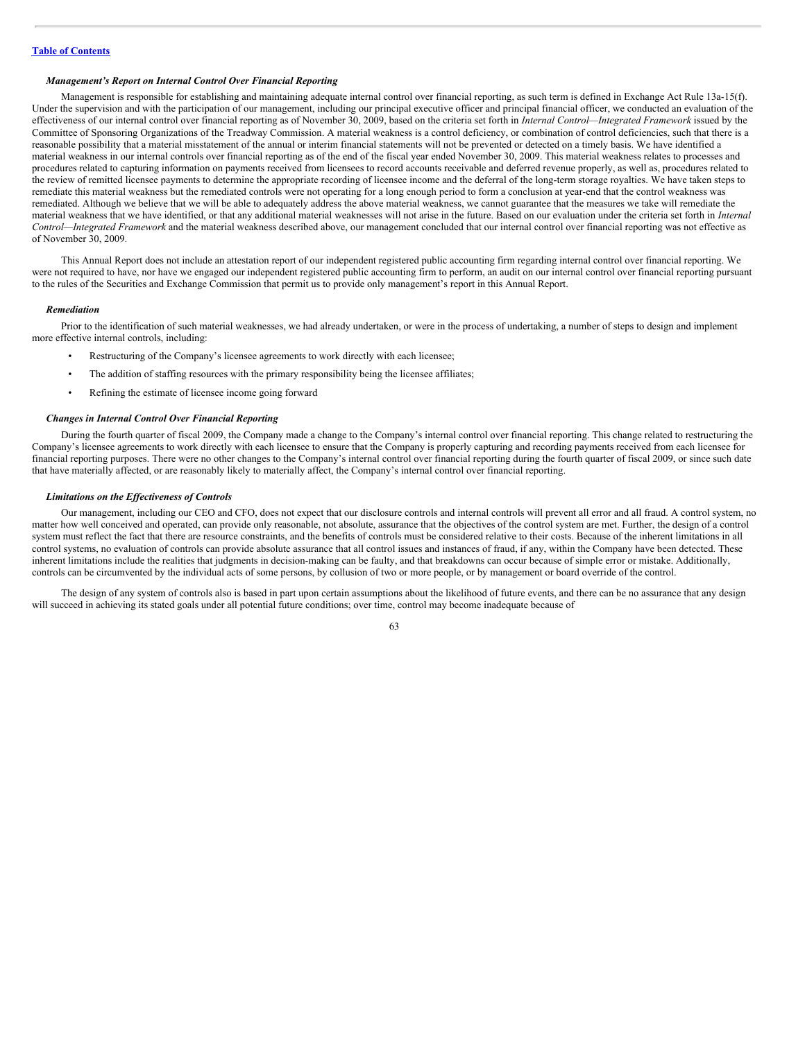## *Management's Report on Internal Control Over Financial Reporting*

Management is responsible for establishing and maintaining adequate internal control over financial reporting, as such term is defined in Exchange Act Rule 13a-15(f). Under the supervision and with the participation of our management, including our principal executive officer and principal financial officer, we conducted an evaluation of the effectiveness of our internal control over financial reporting as of November 30, 2009, based on the criteria set forth in *Internal Control—Integrated Framework* issued by the Committee of Sponsoring Organizations of the Treadway Commission. A material weakness is a control deficiency, or combination of control deficiencies, such that there is a reasonable possibility that a material misstatement of the annual or interim financial statements will not be prevented or detected on a timely basis. We have identified a material weakness in our internal controls over financial reporting as of the end of the fiscal year ended November 30, 2009. This material weakness relates to processes and procedures related to capturing information on payments received from licensees to record accounts receivable and deferred revenue properly, as well as, procedures related to the review of remitted licensee payments to determine the appropriate recording of licensee income and the deferral of the long-term storage royalties. We have taken steps to remediate this material weakness but the remediated controls were not operating for a long enough period to form a conclusion at year-end that the control weakness was remediated. Although we believe that we will be able to adequately address the above material weakness, we cannot guarantee that the measures we take will remediate the material weakness that we have identified, or that any additional material weaknesses will not arise in the future. Based on our evaluation under the criteria set forth in *Internal Control—Integrated Framework* and the material weakness described above, our management concluded that our internal control over financial reporting was not effective as of November 30, 2009.

This Annual Report does not include an attestation report of our independent registered public accounting firm regarding internal control over financial reporting. We were not required to have, nor have we engaged our independent registered public accounting firm to perform, an audit on our internal control over financial reporting pursuant to the rules of the Securities and Exchange Commission that permit us to provide only management's report in this Annual Report.

#### *Remediation*

Prior to the identification of such material weaknesses, we had already undertaken, or were in the process of undertaking, a number of steps to design and implement more effective internal controls, including:

- Restructuring of the Company's licensee agreements to work directly with each licensee;
- The addition of staffing resources with the primary responsibility being the licensee affiliates;
- Refining the estimate of licensee income going forward

#### *Changes in Internal Control Over Financial Reporting*

During the fourth quarter of fiscal 2009, the Company made a change to the Company's internal control over financial reporting. This change related to restructuring the Company's licensee agreements to work directly with each licensee to ensure that the Company is properly capturing and recording payments received from each licensee for financial reporting purposes. There were no other changes to the Company's internal control over financial reporting during the fourth quarter of fiscal 2009, or since such date that have materially affected, or are reasonably likely to materially affect, the Company's internal control over financial reporting.

## *Limitations on the Ef ectiveness of Controls*

Our management, including our CEO and CFO, does not expect that our disclosure controls and internal controls will prevent all error and all fraud. A control system, no matter how well conceived and operated, can provide only reasonable, not absolute, assurance that the objectives of the control system are met. Further, the design of a control system must reflect the fact that there are resource constraints, and the benefits of controls must be considered relative to their costs. Because of the inherent limitations in all control systems, no evaluation of controls can provide absolute assurance that all control issues and instances of fraud, if any, within the Company have been detected. These inherent limitations include the realities that judgments in decision-making can be faulty, and that breakdowns can occur because of simple error or mistake. Additionally, controls can be circumvented by the individual acts of some persons, by collusion of two or more people, or by management or board override of the control.

The design of any system of controls also is based in part upon certain assumptions about the likelihood of future events, and there can be no assurance that any design will succeed in achieving its stated goals under all potential future conditions; over time, control may become inadequate because of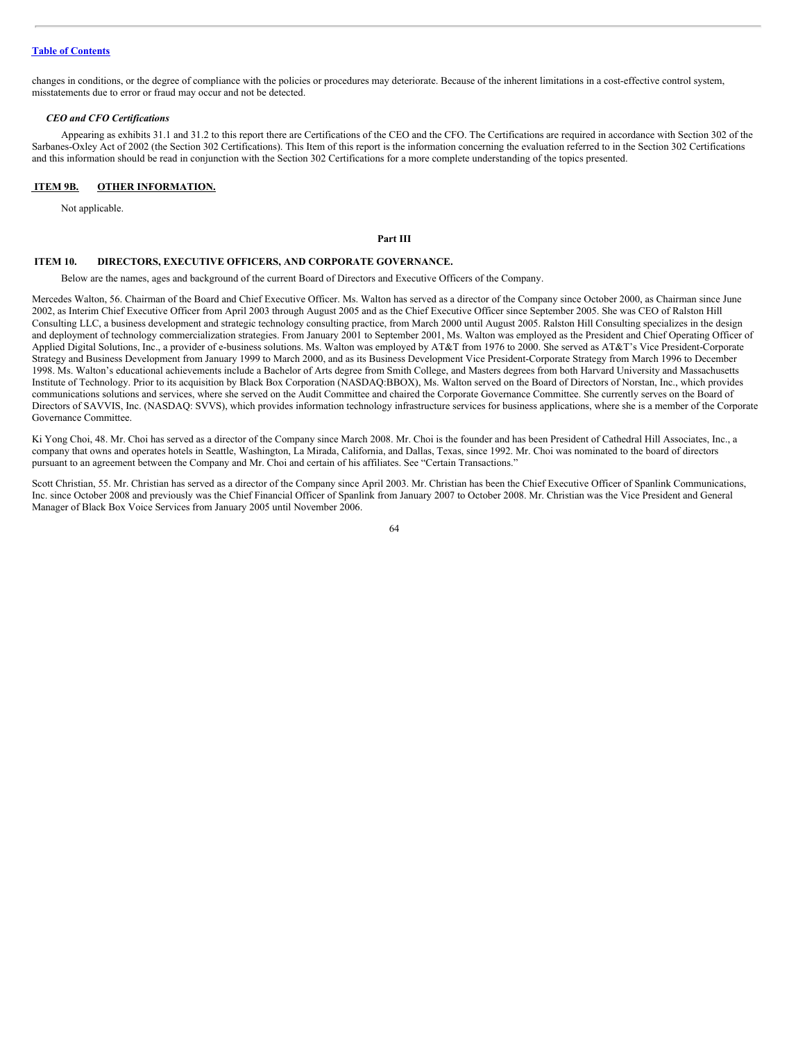changes in conditions, or the degree of compliance with the policies or procedures may deteriorate. Because of the inherent limitations in a cost-effective control system, misstatements due to error or fraud may occur and not be detected.

#### *CEO and CFO Certifications*

Appearing as exhibits 31.1 and 31.2 to this report there are Certifications of the CEO and the CFO. The Certifications are required in accordance with Section 302 of the Sarbanes-Oxley Act of 2002 (the Section 302 Certifications). This Item of this report is the information concerning the evaluation referred to in the Section 302 Certifications and this information should be read in conjunction with the Section 302 Certifications for a more complete understanding of the topics presented.

## **ITEM 9B. OTHER INFORMATION.**

Not applicable.

## **Part III**

#### **ITEM 10. DIRECTORS, EXECUTIVE OFFICERS, AND CORPORATE GOVERNANCE.**

Below are the names, ages and background of the current Board of Directors and Executive Officers of the Company.

Mercedes Walton, 56. Chairman of the Board and Chief Executive Officer. Ms. Walton has served as a director of the Company since October 2000, as Chairman since June 2002, as Interim Chief Executive Officer from April 2003 through August 2005 and as the Chief Executive Officer since September 2005. She was CEO of Ralston Hill Consulting LLC, a business development and strategic technology consulting practice, from March 2000 until August 2005. Ralston Hill Consulting specializes in the design and deployment of technology commercialization strategies. From January 2001 to September 2001, Ms. Walton was employed as the President and Chief Operating Officer of Applied Digital Solutions, Inc., a provider of e-business solutions. Ms. Walton was employed by AT&T from 1976 to 2000. She served as AT&T's Vice President-Corporate Strategy and Business Development from January 1999 to March 2000, and as its Business Development Vice President-Corporate Strategy from March 1996 to December 1998. Ms. Walton's educational achievements include a Bachelor of Arts degree from Smith College, and Masters degrees from both Harvard University and Massachusetts Institute of Technology. Prior to its acquisition by Black Box Corporation (NASDAQ:BBOX), Ms. Walton served on the Board of Directors of Norstan, Inc., which provides communications solutions and services, where she served on the Audit Committee and chaired the Corporate Governance Committee. She currently serves on the Board of Directors of SAVVIS, Inc. (NASDAQ: SVVS), which provides information technology infrastructure services for business applications, where she is a member of the Corporate Governance Committee.

Ki Yong Choi, 48. Mr. Choi has served as a director of the Company since March 2008. Mr. Choi is the founder and has been President of Cathedral Hill Associates, Inc., a company that owns and operates hotels in Seattle, Washington, La Mirada, California, and Dallas, Texas, since 1992. Mr. Choi was nominated to the board of directors pursuant to an agreement between the Company and Mr. Choi and certain of his affiliates. See "Certain Transactions."

Scott Christian, 55. Mr. Christian has served as a director of the Company since April 2003. Mr. Christian has been the Chief Executive Officer of Spanlink Communications, Inc. since October 2008 and previously was the Chief Financial Officer of Spanlink from January 2007 to October 2008. Mr. Christian was the Vice President and General Manager of Black Box Voice Services from January 2005 until November 2006.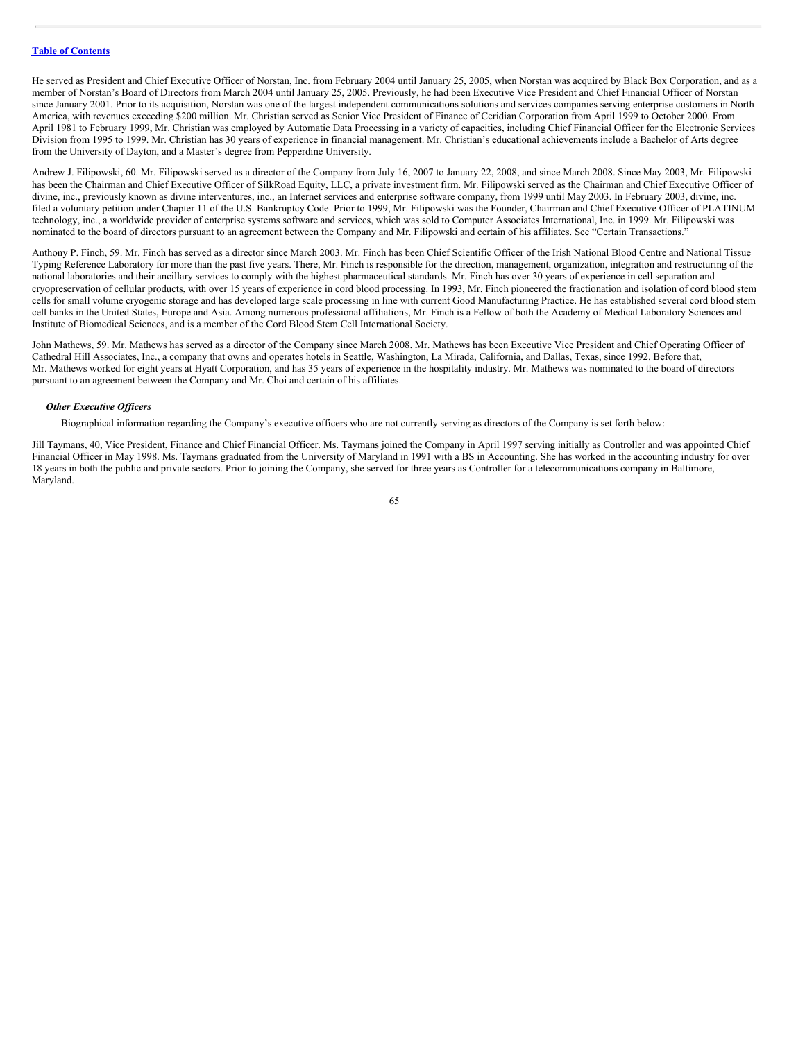He served as President and Chief Executive Officer of Norstan, Inc. from February 2004 until January 25, 2005, when Norstan was acquired by Black Box Corporation, and as a member of Norstan's Board of Directors from March 2004 until January 25, 2005. Previously, he had been Executive Vice President and Chief Financial Officer of Norstan since January 2001. Prior to its acquisition, Norstan was one of the largest independent communications solutions and services companies serving enterprise customers in North America, with revenues exceeding \$200 million. Mr. Christian served as Senior Vice President of Finance of Ceridian Corporation from April 1999 to October 2000. From April 1981 to February 1999, Mr. Christian was employed by Automatic Data Processing in a variety of capacities, including Chief Financial Officer for the Electronic Services Division from 1995 to 1999. Mr. Christian has 30 years of experience in financial management. Mr. Christian's educational achievements include a Bachelor of Arts degree from the University of Dayton, and a Master's degree from Pepperdine University.

Andrew J. Filipowski, 60. Mr. Filipowski served as a director of the Company from July 16, 2007 to January 22, 2008, and since March 2008. Since May 2003, Mr. Filipowski has been the Chairman and Chief Executive Officer of SilkRoad Equity, LLC, a private investment firm. Mr. Filipowski served as the Chairman and Chief Executive Officer of divine, inc., previously known as divine interventures, inc., an Internet services and enterprise software company, from 1999 until May 2003. In February 2003, divine, inc. filed a voluntary petition under Chapter 11 of the U.S. Bankruptcy Code. Prior to 1999, Mr. Filipowski was the Founder, Chairman and Chief Executive Officer of PLATINUM technology, inc., a worldwide provider of enterprise systems software and services, which was sold to Computer Associates International, Inc. in 1999. Mr. Filipowski was nominated to the board of directors pursuant to an agreement between the Company and Mr. Filipowski and certain of his affiliates. See "Certain Transactions."

Anthony P. Finch, 59. Mr. Finch has served as a director since March 2003. Mr. Finch has been Chief Scientific Officer of the Irish National Blood Centre and National Tissue Typing Reference Laboratory for more than the past five years. There, Mr. Finch is responsible for the direction, management, organization, integration and restructuring of the national laboratories and their ancillary services to comply with the highest pharmaceutical standards. Mr. Finch has over 30 years of experience in cell separation and cryopreservation of cellular products, with over 15 years of experience in cord blood processing. In 1993, Mr. Finch pioneered the fractionation and isolation of cord blood stem cells for small volume cryogenic storage and has developed large scale processing in line with current Good Manufacturing Practice. He has established several cord blood stem cell banks in the United States, Europe and Asia. Among numerous professional affiliations, Mr. Finch is a Fellow of both the Academy of Medical Laboratory Sciences and Institute of Biomedical Sciences, and is a member of the Cord Blood Stem Cell International Society.

John Mathews, 59. Mr. Mathews has served as a director of the Company since March 2008. Mr. Mathews has been Executive Vice President and Chief Operating Officer of Cathedral Hill Associates, Inc., a company that owns and operates hotels in Seattle, Washington, La Mirada, California, and Dallas, Texas, since 1992. Before that, Mr. Mathews worked for eight years at Hyatt Corporation, and has 35 years of experience in the hospitality industry. Mr. Mathews was nominated to the board of directors pursuant to an agreement between the Company and Mr. Choi and certain of his affiliates.

## *Other Executive Of icers*

Biographical information regarding the Company's executive officers who are not currently serving as directors of the Company is set forth below:

Jill Taymans, 40, Vice President, Finance and Chief Financial Officer. Ms. Taymans joined the Company in April 1997 serving initially as Controller and was appointed Chief Financial Officer in May 1998. Ms. Taymans graduated from the University of Maryland in 1991 with a BS in Accounting. She has worked in the accounting industry for over 18 years in both the public and private sectors. Prior to joining the Company, she served for three years as Controller for a telecommunications company in Baltimore, Maryland.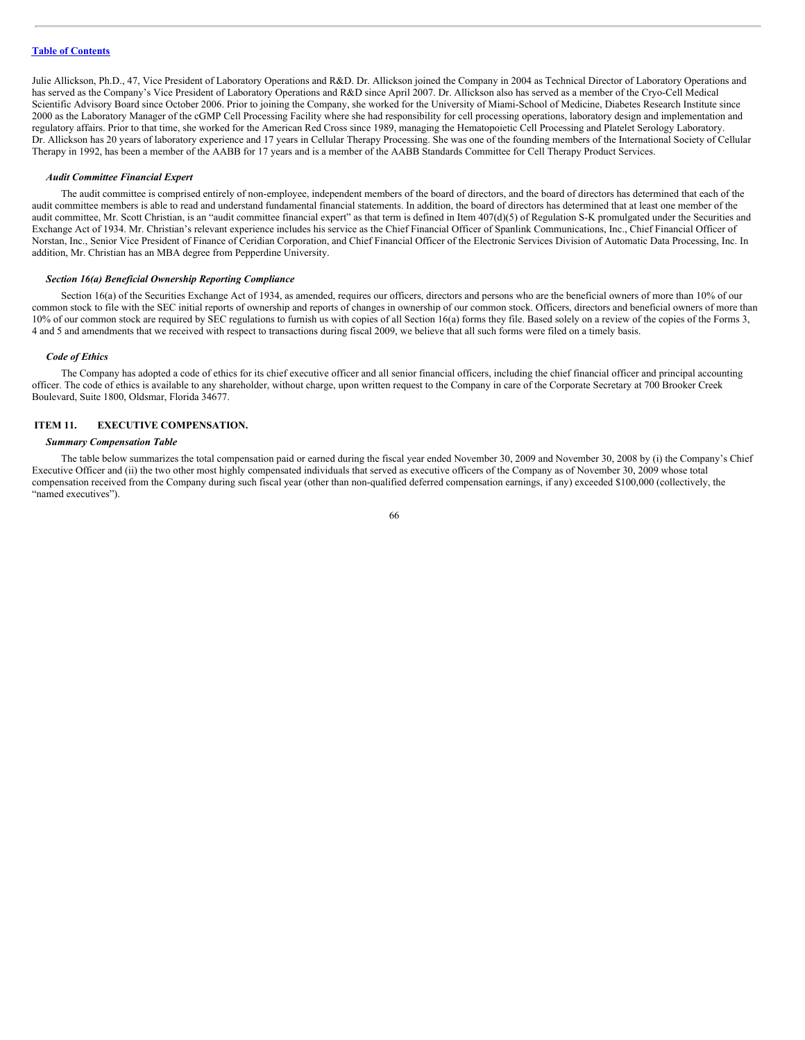Julie Allickson, Ph.D., 47, Vice President of Laboratory Operations and R&D. Dr. Allickson joined the Company in 2004 as Technical Director of Laboratory Operations and has served as the Company's Vice President of Laboratory Operations and R&D since April 2007. Dr. Allickson also has served as a member of the Cryo-Cell Medical Scientific Advisory Board since October 2006. Prior to joining the Company, she worked for the University of Miami-School of Medicine, Diabetes Research Institute since 2000 as the Laboratory Manager of the cGMP Cell Processing Facility where she had responsibility for cell processing operations, laboratory design and implementation and regulatory affairs. Prior to that time, she worked for the American Red Cross since 1989, managing the Hematopoietic Cell Processing and Platelet Serology Laboratory. Dr. Allickson has 20 years of laboratory experience and 17 years in Cellular Therapy Processing. She was one of the founding members of the International Society of Cellular Therapy in 1992, has been a member of the AABB for 17 years and is a member of the AABB Standards Committee for Cell Therapy Product Services.

#### *Audit Committee Financial Expert*

The audit committee is comprised entirely of non-employee, independent members of the board of directors, and the board of directors has determined that each of the audit committee members is able to read and understand fundamental financial statements. In addition, the board of directors has determined that at least one member of the audit committee, Mr. Scott Christian, is an "audit committee financial expert" as that term is defined in Item 407(d)(5) of Regulation S-K promulgated under the Securities and Exchange Act of 1934. Mr. Christian's relevant experience includes his service as the Chief Financial Officer of Spanlink Communications, Inc., Chief Financial Officer of Norstan, Inc., Senior Vice President of Finance of Ceridian Corporation, and Chief Financial Officer of the Electronic Services Division of Automatic Data Processing, Inc. In addition, Mr. Christian has an MBA degree from Pepperdine University.

#### *Section 16(a) Beneficial Ownership Reporting Compliance*

Section 16(a) of the Securities Exchange Act of 1934, as amended, requires our officers, directors and persons who are the beneficial owners of more than 10% of our common stock to file with the SEC initial reports of ownership and reports of changes in ownership of our common stock. Officers, directors and beneficial owners of more than 10% of our common stock are required by SEC regulations to furnish us with copies of all Section 16(a) forms they file. Based solely on a review of the copies of the Forms 3, 4 and 5 and amendments that we received with respect to transactions during fiscal 2009, we believe that all such forms were filed on a timely basis.

#### *Code of Ethics*

The Company has adopted a code of ethics for its chief executive officer and all senior financial officers, including the chief financial officer and principal accounting officer. The code of ethics is available to any shareholder, without charge, upon written request to the Company in care of the Corporate Secretary at 700 Brooker Creek Boulevard, Suite 1800, Oldsmar, Florida 34677.

## **ITEM 11. EXECUTIVE COMPENSATION.**

#### *Summary Compensation Table*

The table below summarizes the total compensation paid or earned during the fiscal year ended November 30, 2009 and November 30, 2008 by (i) the Company's Chief Executive Officer and (ii) the two other most highly compensated individuals that served as executive officers of the Company as of November 30, 2009 whose total compensation received from the Company during such fiscal year (other than non-qualified deferred compensation earnings, if any) exceeded \$100,000 (collectively, the "named executives").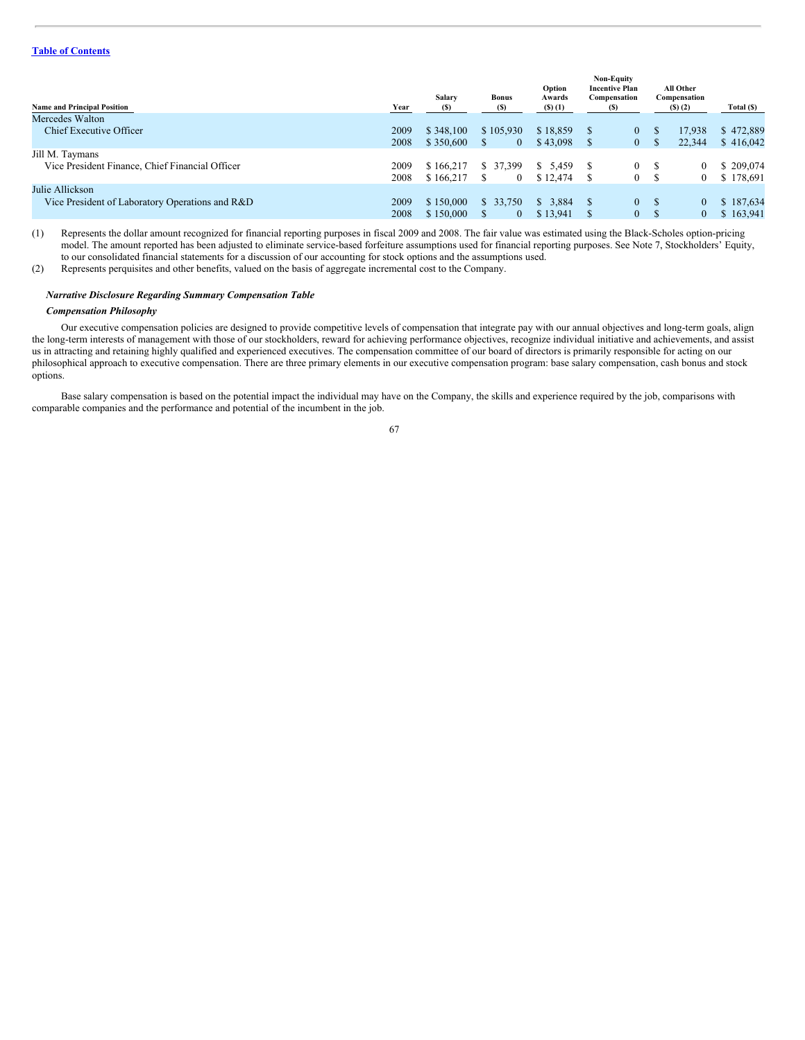# **Table of [Contents](#page-2-0)**

| <b>Name and Principal Position</b><br>Mercedes Walton              | Year         | Salary<br>(S)          | <b>Bonus</b><br>(S)         | Option<br>Awards<br>$($ S $)$ $($ 1 $)$ |     | <b>Non-Equity</b><br><b>Incentive Plan</b><br>Compensation<br>(S) |         | All Other<br>Compensation<br>(5)(2) | Total (\$)             |
|--------------------------------------------------------------------|--------------|------------------------|-----------------------------|-----------------------------------------|-----|-------------------------------------------------------------------|---------|-------------------------------------|------------------------|
| Chief Executive Officer                                            | 2009<br>2008 | \$348,100<br>\$350,600 | \$105,930<br>$\overline{0}$ | \$18,859<br>\$43,098                    |     | $\mathbf{0}$<br>$\mathbf{0}$                                      | ж       | 17,938<br>22.344                    | \$472,889<br>\$416,042 |
| Jill M. Taymans<br>Vice President Finance, Chief Financial Officer | 2009<br>2008 | \$166,217<br>\$166,217 | \$ 37,399                   | \$5,459<br>\$12,474                     |     | 0<br>0                                                            | -S<br>S | $\bf{0}$<br>$\bf{0}$                | \$209,074<br>\$178,691 |
| Julie Allickson<br>Vice President of Laboratory Operations and R&D | 2009<br>2008 | \$150,000<br>\$150,000 | \$33,750                    | 3.884<br>S.<br>\$13,941                 | - S | $\theta$<br>$\mathbf{0}$                                          | -S<br>S | $\overline{0}$<br>$\mathbf{0}$      | \$187,634<br>\$163,941 |

(1) Represents the dollar amount recognized for financial reporting purposes in fiscal 2009 and 2008. The fair value was estimated using the Black-Scholes option-pricing model. The amount reported has been adjusted to eliminate service-based forfeiture assumptions used for financial reporting purposes. See Note 7, Stockholders' Equity, to our consolidated financial statements for a discussion of our accounting for stock options and the assumptions used.

(2) Represents perquisites and other benefits, valued on the basis of aggregate incremental cost to the Company.

# *Narrative Disclosure Regarding Summary Compensation Table*

## *Compensation Philosophy*

Our executive compensation policies are designed to provide competitive levels of compensation that integrate pay with our annual objectives and long-term goals, align the long-term interests of management with those of our stockholders, reward for achieving performance objectives, recognize individual initiative and achievements, and assist us in attracting and retaining highly qualified and experienced executives. The compensation committee of our board of directors is primarily responsible for acting on our philosophical approach to executive compensation. There are three primary elements in our executive compensation program: base salary compensation, cash bonus and stock options.

Base salary compensation is based on the potential impact the individual may have on the Company, the skills and experience required by the job, comparisons with comparable companies and the performance and potential of the incumbent in the job.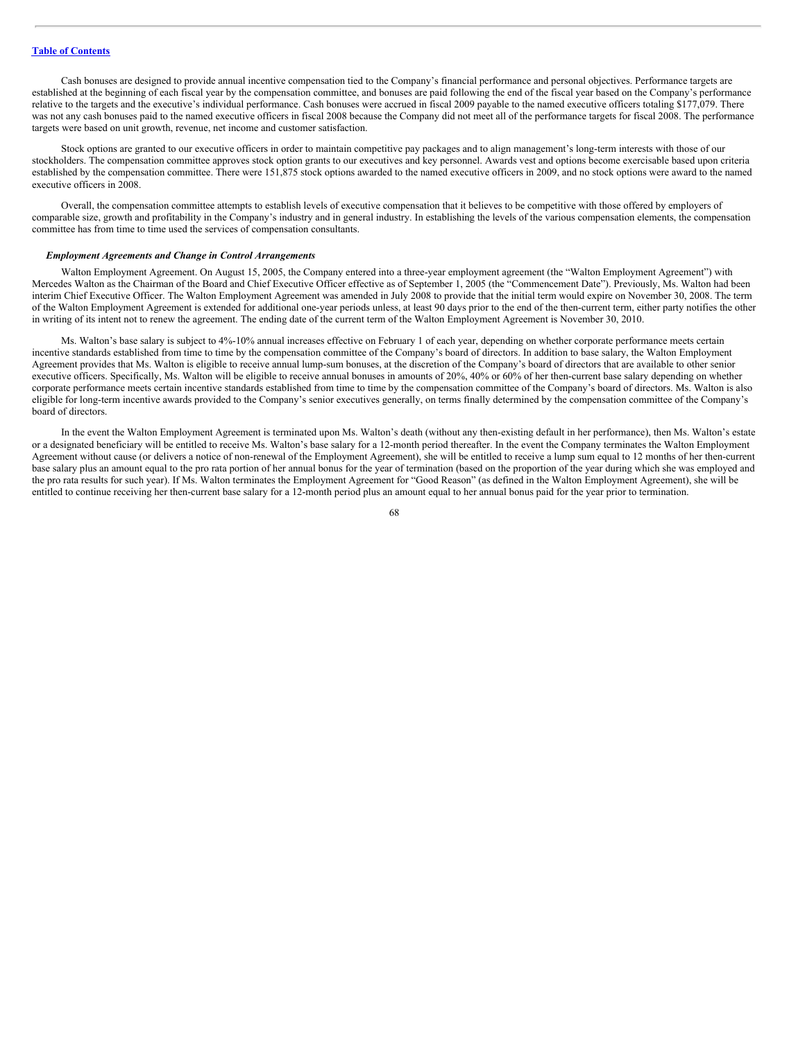Cash bonuses are designed to provide annual incentive compensation tied to the Company's financial performance and personal objectives. Performance targets are established at the beginning of each fiscal year by the compensation committee, and bonuses are paid following the end of the fiscal year based on the Company's performance relative to the targets and the executive's individual performance. Cash bonuses were accrued in fiscal 2009 payable to the named executive officers totaling \$177,079. There was not any cash bonuses paid to the named executive officers in fiscal 2008 because the Company did not meet all of the performance targets for fiscal 2008. The performance targets were based on unit growth, revenue, net income and customer satisfaction.

Stock options are granted to our executive officers in order to maintain competitive pay packages and to align management's long-term interests with those of our stockholders. The compensation committee approves stock option grants to our executives and key personnel. Awards vest and options become exercisable based upon criteria established by the compensation committee. There were 151,875 stock options awarded to the named executive officers in 2009, and no stock options were award to the named executive officers in 2008.

Overall, the compensation committee attempts to establish levels of executive compensation that it believes to be competitive with those offered by employers of comparable size, growth and profitability in the Company's industry and in general industry. In establishing the levels of the various compensation elements, the compensation committee has from time to time used the services of compensation consultants.

#### *Employment Agreements and Change in Control Arrangements*

Walton Employment Agreement. On August 15, 2005, the Company entered into a three-year employment agreement (the "Walton Employment Agreement") with Mercedes Walton as the Chairman of the Board and Chief Executive Officer effective as of September 1, 2005 (the "Commencement Date"). Previously, Ms. Walton had been interim Chief Executive Officer. The Walton Employment Agreement was amended in July 2008 to provide that the initial term would expire on November 30, 2008. The term of the Walton Employment Agreement is extended for additional one-year periods unless, at least 90 days prior to the end of the then-current term, either party notifies the other in writing of its intent not to renew the agreement. The ending date of the current term of the Walton Employment Agreement is November 30, 2010.

Ms. Walton's base salary is subject to 4%-10% annual increases effective on February 1 of each year, depending on whether corporate performance meets certain incentive standards established from time to time by the compensation committee of the Company's board of directors. In addition to base salary, the Walton Employment Agreement provides that Ms. Walton is eligible to receive annual lump-sum bonuses, at the discretion of the Company's board of directors that are available to other senior executive officers. Specifically, Ms. Walton will be eligible to receive annual bonuses in amounts of 20%, 40% or 60% of her then-current base salary depending on whether corporate performance meets certain incentive standards established from time to time by the compensation committee of the Company's board of directors. Ms. Walton is also eligible for long-term incentive awards provided to the Company's senior executives generally, on terms finally determined by the compensation committee of the Company's board of directors.

In the event the Walton Employment Agreement is terminated upon Ms. Walton's death (without any then-existing default in her performance), then Ms. Walton's estate or a designated beneficiary will be entitled to receive Ms. Walton's base salary for a 12-month period thereafter. In the event the Company terminates the Walton Employment Agreement without cause (or delivers a notice of non-renewal of the Employment Agreement), she will be entitled to receive a lump sum equal to 12 months of her then-current base salary plus an amount equal to the pro rata portion of her annual bonus for the year of termination (based on the proportion of the year during which she was employed and the pro rata results for such year). If Ms. Walton terminates the Employment Agreement for "Good Reason" (as defined in the Walton Employment Agreement), she will be entitled to continue receiving her then-current base salary for a 12-month period plus an amount equal to her annual bonus paid for the year prior to termination.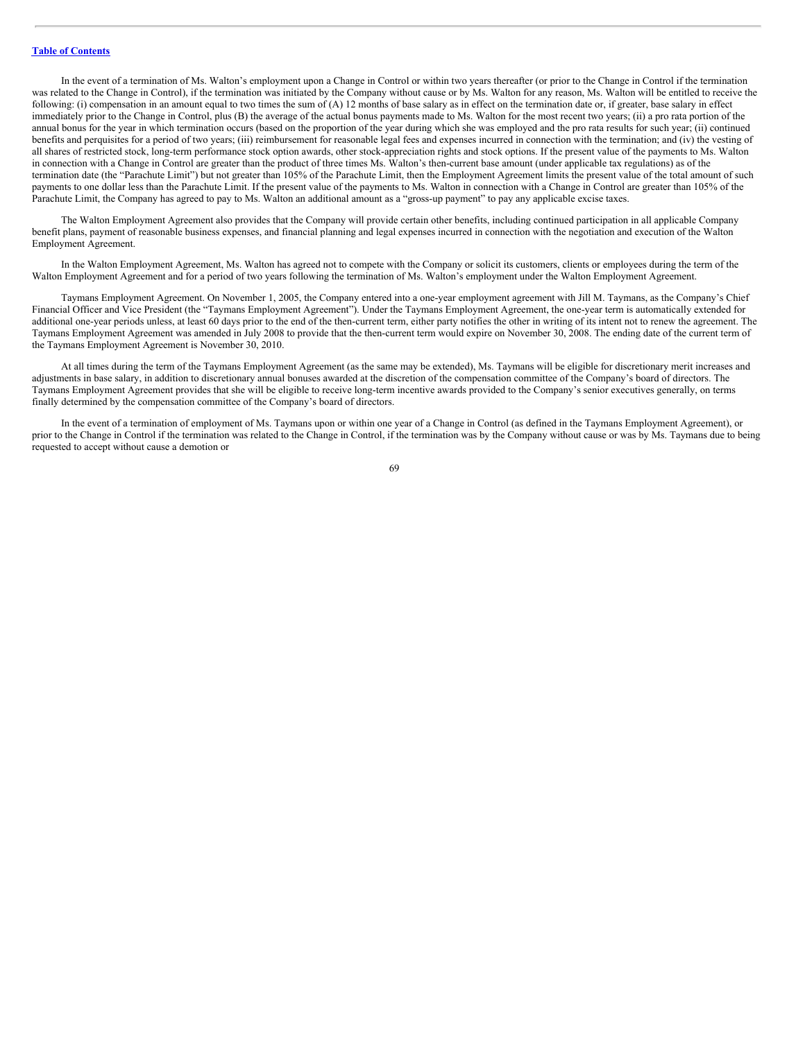In the event of a termination of Ms. Walton's employment upon a Change in Control or within two years thereafter (or prior to the Change in Control if the termination was related to the Change in Control), if the termination was initiated by the Company without cause or by Ms. Walton for any reason, Ms. Walton will be entitled to receive the following: (i) compensation in an amount equal to two times the sum of (A) 12 months of base salary as in effect on the termination date or, if greater, base salary in effect immediately prior to the Change in Control, plus (B) the average of the actual bonus payments made to Ms. Walton for the most recent two years; (ii) a pro rata portion of the annual bonus for the year in which termination occurs (based on the proportion of the year during which she was employed and the pro rata results for such year; (ii) continued benefits and perquisites for a period of two years; (iii) reimbursement for reasonable legal fees and expenses incurred in connection with the termination; and (iv) the vesting of all shares of restricted stock, long-term performance stock option awards, other stock-appreciation rights and stock options. If the present value of the payments to Ms. Walton in connection with a Change in Control are greater than the product of three times Ms. Walton's then-current base amount (under applicable tax regulations) as of the termination date (the "Parachute Limit") but not greater than 105% of the Parachute Limit, then the Employment Agreement limits the present value of the total amount of such payments to one dollar less than the Parachute Limit. If the present value of the payments to Ms. Walton in connection with a Change in Control are greater than 105% of the Parachute Limit, the Company has agreed to pay to Ms. Walton an additional amount as a "gross-up payment" to pay any applicable excise taxes.

The Walton Employment Agreement also provides that the Company will provide certain other benefits, including continued participation in all applicable Company benefit plans, payment of reasonable business expenses, and financial planning and legal expenses incurred in connection with the negotiation and execution of the Walton Employment Agreement.

In the Walton Employment Agreement, Ms. Walton has agreed not to compete with the Company or solicit its customers, clients or employees during the term of the Walton Employment Agreement and for a period of two years following the termination of Ms. Walton's employment under the Walton Employment Agreement.

Taymans Employment Agreement. On November 1, 2005, the Company entered into a one-year employment agreement with Jill M. Taymans, as the Company's Chief Financial Officer and Vice President (the "Taymans Employment Agreement"). Under the Taymans Employment Agreement, the one-year term is automatically extended for additional one-year periods unless, at least 60 days prior to the end of the then-current term, either party notifies the other in writing of its intent not to renew the agreement. The Taymans Employment Agreement was amended in July 2008 to provide that the then-current term would expire on November 30, 2008. The ending date of the current term of the Taymans Employment Agreement is November 30, 2010.

At all times during the term of the Taymans Employment Agreement (as the same may be extended), Ms. Taymans will be eligible for discretionary merit increases and adjustments in base salary, in addition to discretionary annual bonuses awarded at the discretion of the compensation committee of the Company's board of directors. The Taymans Employment Agreement provides that she will be eligible to receive long-term incentive awards provided to the Company's senior executives generally, on terms finally determined by the compensation committee of the Company's board of directors.

In the event of a termination of employment of Ms. Taymans upon or within one year of a Change in Control (as defined in the Taymans Employment Agreement), or prior to the Change in Control if the termination was related to the Change in Control, if the termination was by the Company without cause or was by Ms. Taymans due to being requested to accept without cause a demotion or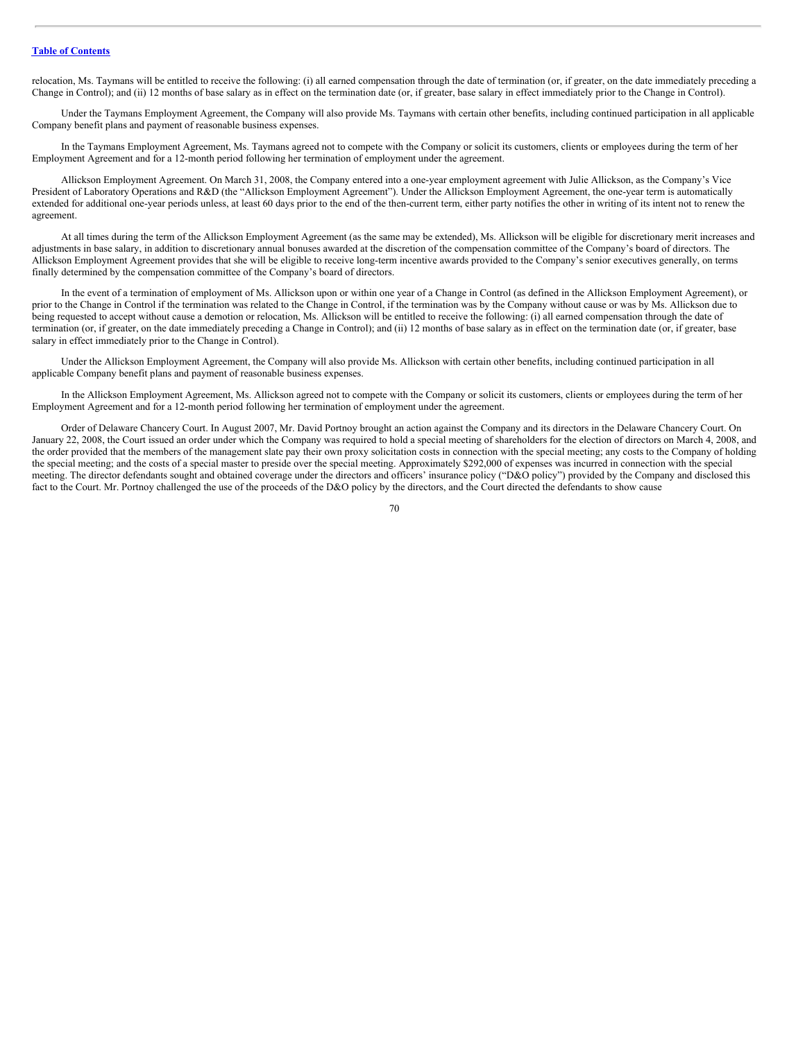relocation, Ms. Taymans will be entitled to receive the following: (i) all earned compensation through the date of termination (or, if greater, on the date immediately preceding a Change in Control); and (ii) 12 months of base salary as in effect on the termination date (or, if greater, base salary in effect immediately prior to the Change in Control).

Under the Taymans Employment Agreement, the Company will also provide Ms. Taymans with certain other benefits, including continued participation in all applicable Company benefit plans and payment of reasonable business expenses.

In the Taymans Employment Agreement, Ms. Taymans agreed not to compete with the Company or solicit its customers, clients or employees during the term of her Employment Agreement and for a 12-month period following her termination of employment under the agreement.

Allickson Employment Agreement. On March 31, 2008, the Company entered into a one-year employment agreement with Julie Allickson, as the Company's Vice President of Laboratory Operations and R&D (the "Allickson Employment Agreement"). Under the Allickson Employment Agreement, the one-year term is automatically extended for additional one-year periods unless, at least 60 days prior to the end of the then-current term, either party notifies the other in writing of its intent not to renew the agreement.

At all times during the term of the Allickson Employment Agreement (as the same may be extended), Ms. Allickson will be eligible for discretionary merit increases and adjustments in base salary, in addition to discretionary annual bonuses awarded at the discretion of the compensation committee of the Company's board of directors. The Allickson Employment Agreement provides that she will be eligible to receive long-term incentive awards provided to the Company's senior executives generally, on terms finally determined by the compensation committee of the Company's board of directors.

In the event of a termination of employment of Ms. Allickson upon or within one year of a Change in Control (as defined in the Allickson Employment Agreement), or prior to the Change in Control if the termination was related to the Change in Control, if the termination was by the Company without cause or was by Ms. Allickson due to being requested to accept without cause a demotion or relocation, Ms. Allickson will be entitled to receive the following: (i) all earned compensation through the date of termination (or, if greater, on the date immediately preceding a Change in Control); and (ii) 12 months of base salary as in effect on the termination date (or, if greater, base salary in effect immediately prior to the Change in Control).

Under the Allickson Employment Agreement, the Company will also provide Ms. Allickson with certain other benefits, including continued participation in all applicable Company benefit plans and payment of reasonable business expenses.

In the Allickson Employment Agreement, Ms. Allickson agreed not to compete with the Company or solicit its customers, clients or employees during the term of her Employment Agreement and for a 12-month period following her termination of employment under the agreement.

Order of Delaware Chancery Court. In August 2007, Mr. David Portnoy brought an action against the Company and its directors in the Delaware Chancery Court. On January 22, 2008, the Court issued an order under which the Company was required to hold a special meeting of shareholders for the election of directors on March 4, 2008, and the order provided that the members of the management slate pay their own proxy solicitation costs in connection with the special meeting; any costs to the Company of holding the special meeting; and the costs of a special master to preside over the special meeting. Approximately \$292,000 of expenses was incurred in connection with the special meeting. The director defendants sought and obtained coverage under the directors and officers' insurance policy ("D&O policy") provided by the Company and disclosed this fact to the Court. Mr. Portnoy challenged the use of the proceeds of the D&O policy by the directors, and the Court directed the defendants to show cause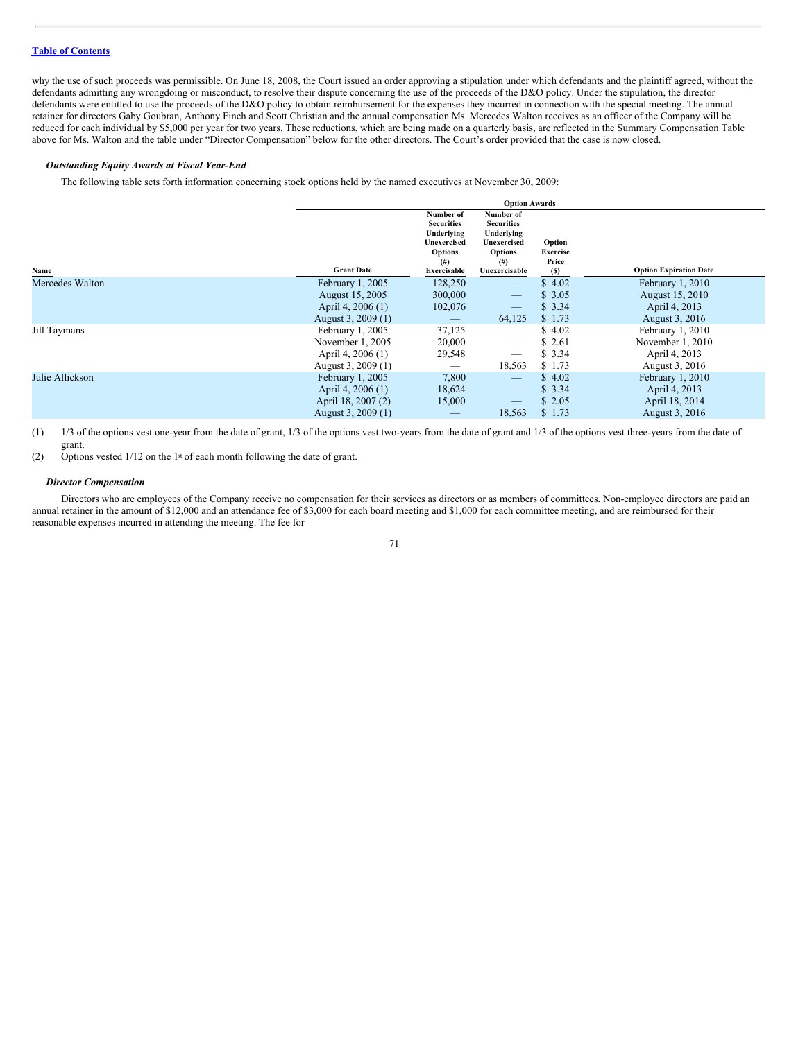# **Table of [Contents](#page-2-0)**

why the use of such proceeds was permissible. On June 18, 2008, the Court issued an order approving a stipulation under which defendants and the plaintiff agreed, without the defendants admitting any wrongdoing or misconduct, to resolve their dispute concerning the use of the proceeds of the D&O policy. Under the stipulation, the director defendants were entitled to use the proceeds of the D&O policy to obtain reimbursement for the expenses they incurred in connection with the special meeting. The annual retainer for directors Gaby Goubran, Anthony Finch and Scott Christian and the annual compensation Ms. Mercedes Walton receives as an officer of the Company will be reduced for each individual by \$5,000 per year for two years. These reductions, which are being made on a quarterly basis, are reflected in the Summary Compensation Table above for Ms. Walton and the table under "Director Compensation" below for the other directors. The Court's order provided that the case is now closed.

## *Outstanding Equity Awards at Fiscal Year-End*

The following table sets forth information concerning stock options held by the named executives at November 30, 2009:

|                 | <b>Option Awards</b> |                                                                                                                 |                                                                                                            |                                           |                               |  |
|-----------------|----------------------|-----------------------------------------------------------------------------------------------------------------|------------------------------------------------------------------------------------------------------------|-------------------------------------------|-------------------------------|--|
| Name            | <b>Grant Date</b>    | Number of<br><b>Securities</b><br>Underlying<br>Unexercised<br><b>Options</b><br>$^{(#)}$<br><b>Exercisable</b> | Number of<br><b>Securities</b><br>Underlying<br>Unexercised<br><b>Options</b><br>$^{(#)}$<br>Unexercisable | Option<br><b>Exercise</b><br>Price<br>(S) | <b>Option Expiration Date</b> |  |
| Mercedes Walton | February 1, 2005     | 128,250                                                                                                         | $\overline{\phantom{m}}$                                                                                   | \$4.02                                    | February 1, 2010              |  |
|                 | August 15, 2005      | 300,000                                                                                                         | $\overline{\phantom{m}}$                                                                                   | \$3.05                                    | August 15, 2010               |  |
|                 | April 4, 2006 (1)    | 102,076                                                                                                         | $\overline{\phantom{m}}$                                                                                   | \$3.34                                    | April 4, 2013                 |  |
|                 | August 3, 2009 (1)   | $\hspace{0.1mm}-\hspace{0.1mm}$                                                                                 | 64,125                                                                                                     | \$1.73                                    | August 3, 2016                |  |
| Jill Taymans    | February 1, 2005     | 37,125                                                                                                          |                                                                                                            | \$4.02                                    | February 1, 2010              |  |
|                 | November 1, 2005     | 20,000                                                                                                          | $\overbrace{\phantom{12332}}$                                                                              | \$ 2.61                                   | November 1, 2010              |  |
|                 | April 4, 2006 (1)    | 29,548                                                                                                          | $\overbrace{\phantom{12332}}$                                                                              | \$3.34                                    | April 4, 2013                 |  |
|                 | August 3, 2009 (1)   | –                                                                                                               | 18,563                                                                                                     | \$1.73                                    | August 3, 2016                |  |
| Julie Allickson | February 1, 2005     | 7,800                                                                                                           | $\overline{\phantom{m}}$                                                                                   | \$4.02                                    | February 1, 2010              |  |
|                 | April 4, 2006 (1)    | 18,624                                                                                                          | $\overline{\phantom{m}}$                                                                                   | \$3.34                                    | April 4, 2013                 |  |
|                 | April 18, 2007 (2)   | 15,000                                                                                                          |                                                                                                            | \$2.05                                    | April 18, 2014                |  |
|                 | August 3, 2009 (1)   |                                                                                                                 | 18,563                                                                                                     | \$1.73                                    | August 3, 2016                |  |

(1) 1/3 of the options vest one-year from the date of grant, 1/3 of the options vest two-years from the date of grant and 1/3 of the options vest three-years from the date of grant.

(2) Options vested  $1/12$  on the 1st of each month following the date of grant.

## *Director Compensation*

Directors who are employees of the Company receive no compensation for their services as directors or as members of committees. Non-employee directors are paid an annual retainer in the amount of \$12,000 and an attendance fee of \$3,000 for each board meeting and \$1,000 for each committee meeting, and are reimbursed for their reasonable expenses incurred in attending the meeting. The fee for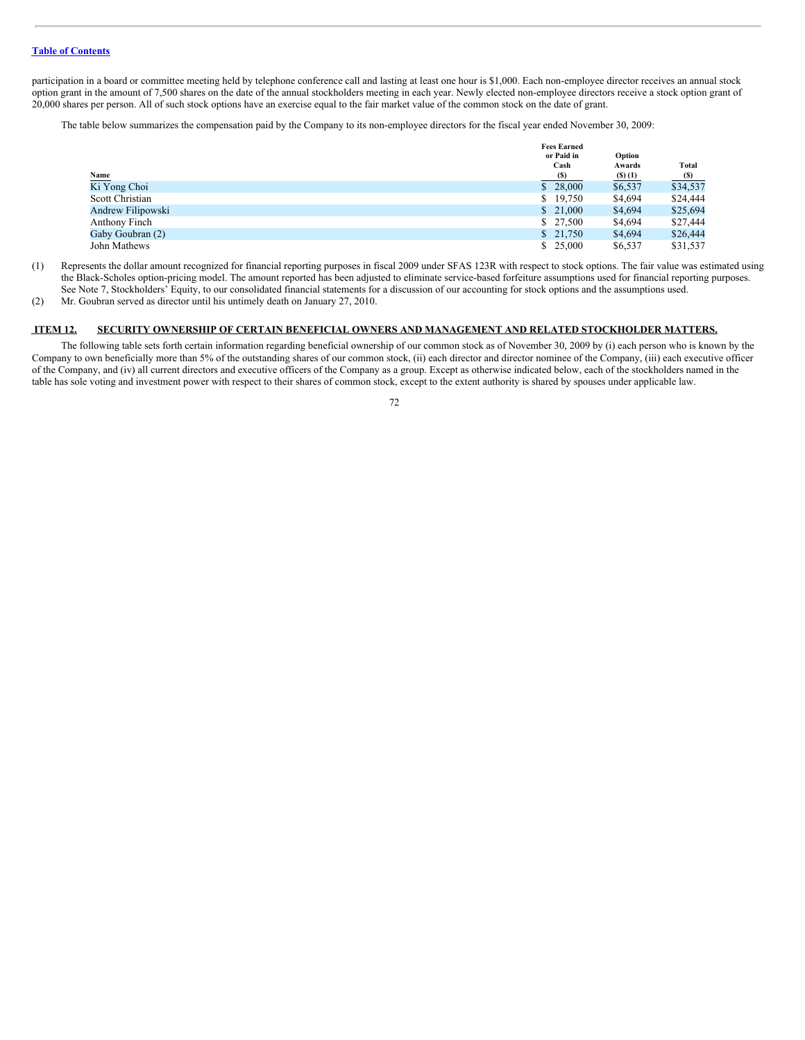participation in a board or committee meeting held by telephone conference call and lasting at least one hour is \$1,000. Each non-employee director receives an annual stock option grant in the amount of 7,500 shares on the date of the annual stockholders meeting in each year. Newly elected non-employee directors receive a stock option grant of 20,000 shares per person. All of such stock options have an exercise equal to the fair market value of the common stock on the date of grant.

The table below summarizes the compensation paid by the Company to its non-employee directors for the fiscal year ended November 30, 2009:

|                   | or Paid in  | Option                    |                                     |
|-------------------|-------------|---------------------------|-------------------------------------|
| Name              | Cash<br>(s) | Awards<br>$($ S $)$ $(1)$ | Total                               |
| Ki Yong Choi      | \$28,000    | \$6,537                   | $\frac{\text{(S)}}{\text{$}34,537}$ |
| Scott Christian   | \$19,750    | \$4,694                   | \$24,444                            |
| Andrew Filipowski | \$21,000    | \$4,694                   | \$25,694                            |
| Anthony Finch     | \$27,500    | \$4,694                   | \$27,444                            |
| Gaby Goubran (2)  | \$21,750    | \$4,694                   | \$26,444                            |
| John Mathews      | \$25,000    | \$6,537                   | \$31,537                            |

(1) Represents the dollar amount recognized for financial reporting purposes in fiscal 2009 under SFAS 123R with respect to stock options. The fair value was estimated using the Black-Scholes option-pricing model. The amount reported has been adjusted to eliminate service-based forfeiture assumptions used for financial reporting purposes. See Note 7, Stockholders' Equity, to our consolidated financial statements for a discussion of our accounting for stock options and the assumptions used.

(2) Mr. Goubran served as director until his untimely death on January 27, 2010.

# **ITEM 12. SECURITY OWNERSHIP OF CERTAIN BENEFICIAL OWNERS AND MANAGEMENT AND RELATED STOCKHOLDER MATTERS.**

The following table sets forth certain information regarding beneficial ownership of our common stock as of November 30, 2009 by (i) each person who is known by the Company to own beneficially more than 5% of the outstanding shares of our common stock, (ii) each director and director nominee of the Company, (iii) each executive officer of the Company, and (iv) all current directors and executive officers of the Company as a group. Except as otherwise indicated below, each of the stockholders named in the table has sole voting and investment power with respect to their shares of common stock, except to the extent authority is shared by spouses under applicable law.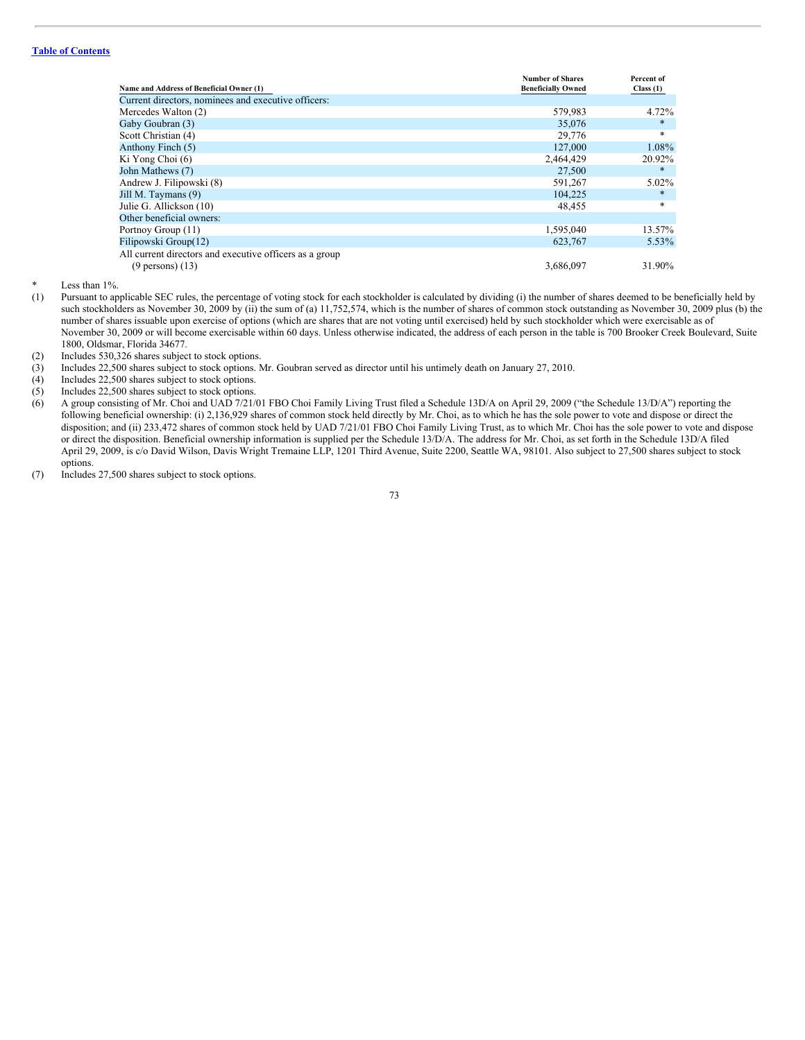# **Table of [Contents](#page-2-0)**

|                                                         | <b>Number of Shares</b>   | Percent of |
|---------------------------------------------------------|---------------------------|------------|
| Name and Address of Beneficial Owner (1)                | <b>Beneficially Owned</b> | Class(1)   |
| Current directors, nominees and executive officers:     |                           |            |
| Mercedes Walton (2)                                     | 579,983                   | 4.72%      |
| Gaby Goubran (3)                                        | 35,076                    | $\ast$     |
| Scott Christian (4)                                     | 29,776                    | *          |
| Anthony Finch (5)                                       | 127,000                   | 1.08%      |
| Ki Yong Choi (6)                                        | 2,464,429                 | 20.92%     |
| John Mathews (7)                                        | 27,500                    | $\ast$     |
| Andrew J. Filipowski (8)                                | 591,267                   | 5.02%      |
| Jill M. Taymans (9)                                     | 104.225                   | $\ast$     |
| Julie G. Allickson (10)                                 | 48,455                    | *          |
| Other beneficial owners:                                |                           |            |
| Portnoy Group (11)                                      | 1,595,040                 | 13.57%     |
| Filipowski Group(12)                                    | 623,767                   | 5.53%      |
| All current directors and executive officers as a group |                           |            |
| $(9$ persons) $(13)$                                    | 3.686,097                 | 31.90%     |

Less than  $1\%$ .

- (1) Pursuant to applicable SEC rules, the percentage of voting stock for each stockholder is calculated by dividing (i) the number of shares deemed to be beneficially held by such stockholders as November 30, 2009 by (ii) the sum of (a) 11,752,574, which is the number of shares of common stock outstanding as November 30, 2009 plus (b) the number of shares issuable upon exercise of options (which are shares that are not voting until exercised) held by such stockholder which were exercisable as of November 30, 2009 or will become exercisable within 60 days. Unless otherwise indicated, the address of each person in the table is 700 Brooker Creek Boulevard, Suite 1800, Oldsmar, Florida 34677.
- (2) Includes  $530,326$  shares subject to stock options.<br>(3) Includes  $22,500$  shares subject to stock options.
- Includes 22,500 shares subject to stock options. Mr. Goubran served as director until his untimely death on January 27, 2010.
- (4) Includes 22,500 shares subject to stock options.<br>(5) Includes 22,500 shares subject to stock options.
- Includes 22,500 shares subject to stock options.
- (6) A group consisting of Mr. Choi and UAD 7/21/01 FBO Choi Family Living Trust filed a Schedule 13D/A on April 29, 2009 ("the Schedule 13/D/A") reporting the following beneficial ownership: (i) 2,136,929 shares of common stock held directly by Mr. Choi, as to which he has the sole power to vote and dispose or direct the disposition; and (ii) 233,472 shares of common stock held by UAD 7/21/01 FBO Choi Family Living Trust, as to which Mr. Choi has the sole power to vote and dispose or direct the disposition. Beneficial ownership information is supplied per the Schedule 13/D/A. The address for Mr. Choi, as set forth in the Schedule 13D/A filed April 29, 2009, is c/o David Wilson, Davis Wright Tremaine LLP, 1201 Third Avenue, Suite 2200, Seattle WA, 98101. Also subject to 27,500 shares subject to stock options.
- (7) Includes 27,500 shares subject to stock options.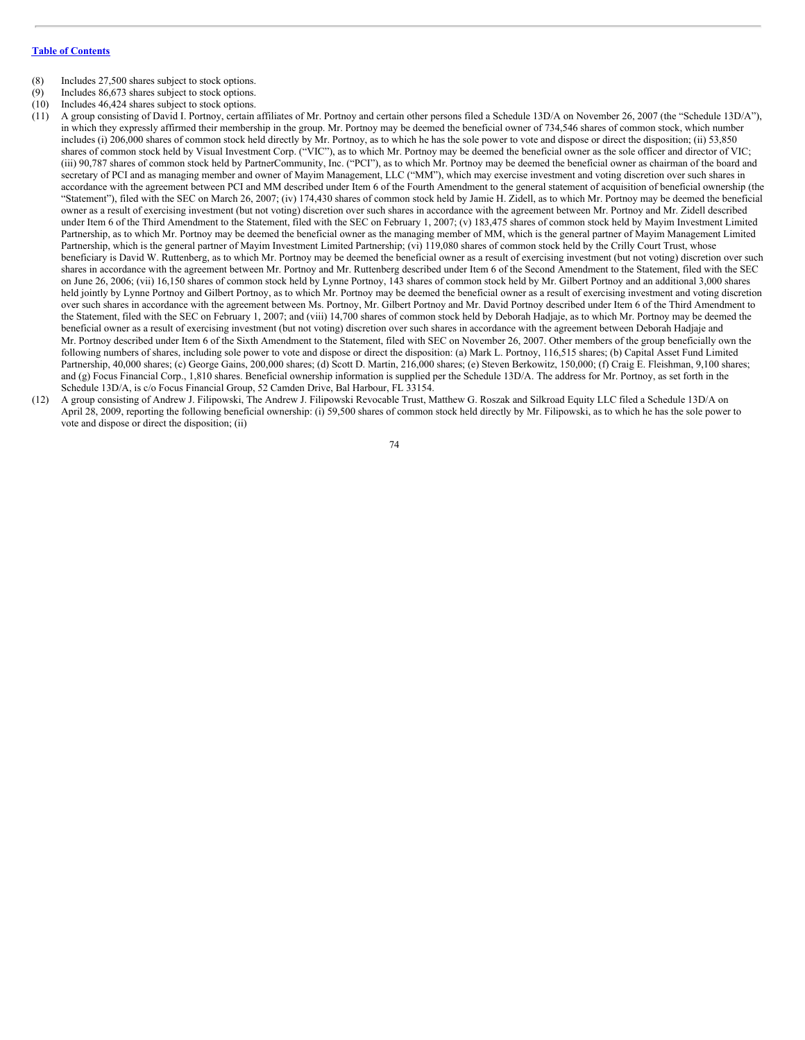- (8) Includes 27,500 shares subject to stock options.
- (9) Includes 86,673 shares subject to stock options.
- (10) Includes 46,424 shares subject to stock options.
- (11) A group consisting of David I. Portnoy, certain affiliates of Mr. Portnoy and certain other persons filed a Schedule 13D/A on November 26, 2007 (the "Schedule 13D/A"), in which they expressly affirmed their membership in the group. Mr. Portnoy may be deemed the beneficial owner of 734,546 shares of common stock, which number includes (i) 206,000 shares of common stock held directly by Mr. Portnoy, as to which he has the sole power to vote and dispose or direct the disposition; (ii) 53,850 shares of common stock held by Visual Investment Corp. ("VIC"), as to which Mr. Portnoy may be deemed the beneficial owner as the sole officer and director of VIC; (iii) 90,787 shares of common stock held by PartnerCommunity, Inc. ("PCI"), as to which Mr. Portnoy may be deemed the beneficial owner as chairman of the board and secretary of PCI and as managing member and owner of Mayim Management, LLC ("MM"), which may exercise investment and voting discretion over such shares in accordance with the agreement between PCI and MM described under Item 6 of the Fourth Amendment to the general statement of acquisition of beneficial ownership (the "Statement"), filed with the SEC on March 26, 2007; (iv) 174,430 shares of common stock held by Jamie H. Zidell, as to which Mr. Portnoy may be deemed the beneficial owner as a result of exercising investment (but not voting) discretion over such shares in accordance with the agreement between Mr. Portnoy and Mr. Zidell described under Item 6 of the Third Amendment to the Statement, filed with the SEC on February 1, 2007; (v) 183,475 shares of common stock held by Mayim Investment Limited Partnership, as to which Mr. Portnoy may be deemed the beneficial owner as the managing member of MM, which is the general partner of Mayim Management Limited Partnership, which is the general partner of Mayim Investment Limited Partnership; (vi) 119,080 shares of common stock held by the Crilly Court Trust, whose beneficiary is David W. Ruttenberg, as to which Mr. Portnoy may be deemed the beneficial owner as a result of exercising investment (but not voting) discretion over such shares in accordance with the agreement between Mr. Portnoy and Mr. Ruttenberg described under Item 6 of the Second Amendment to the Statement, filed with the SEC on June 26, 2006; (vii) 16,150 shares of common stock held by Lynne Portnoy, 143 shares of common stock held by Mr. Gilbert Portnoy and an additional 3,000 shares held jointly by Lynne Portnoy and Gilbert Portnoy, as to which Mr. Portnoy may be deemed the beneficial owner as a result of exercising investment and voting discretion over such shares in accordance with the agreement between Ms. Portnoy, Mr. Gilbert Portnoy and Mr. David Portnoy described under Item 6 of the Third Amendment to the Statement, filed with the SEC on February 1, 2007; and (viii) 14,700 shares of common stock held by Deborah Hadjaje, as to which Mr. Portnoy may be deemed the beneficial owner as a result of exercising investment (but not voting) discretion over such shares in accordance with the agreement between Deborah Hadjaje and Mr. Portnoy described under Item 6 of the Sixth Amendment to the Statement, filed with SEC on November 26, 2007. Other members of the group beneficially own the following numbers of shares, including sole power to vote and dispose or direct the disposition: (a) Mark L. Portnoy, 116,515 shares; (b) Capital Asset Fund Limited Partnership, 40,000 shares; (c) George Gains, 200,000 shares; (d) Scott D. Martin, 216,000 shares; (e) Steven Berkowitz, 150,000; (f) Craig E. Fleishman, 9,100 shares; and (g) Focus Financial Corp., 1,810 shares. Beneficial ownership information is supplied per the Schedule 13D/A. The address for Mr. Portnoy, as set forth in the Schedule 13D/A, is c/o Focus Financial Group, 52 Camden Drive, Bal Harbour, FL 33154.
- (12) A group consisting of Andrew J. Filipowski, The Andrew J. Filipowski Revocable Trust, Matthew G. Roszak and Silkroad Equity LLC filed a Schedule 13D/A on April 28, 2009, reporting the following beneficial ownership: (i) 59,500 shares of common stock held directly by Mr. Filipowski, as to which he has the sole power to vote and dispose or direct the disposition; (ii)

74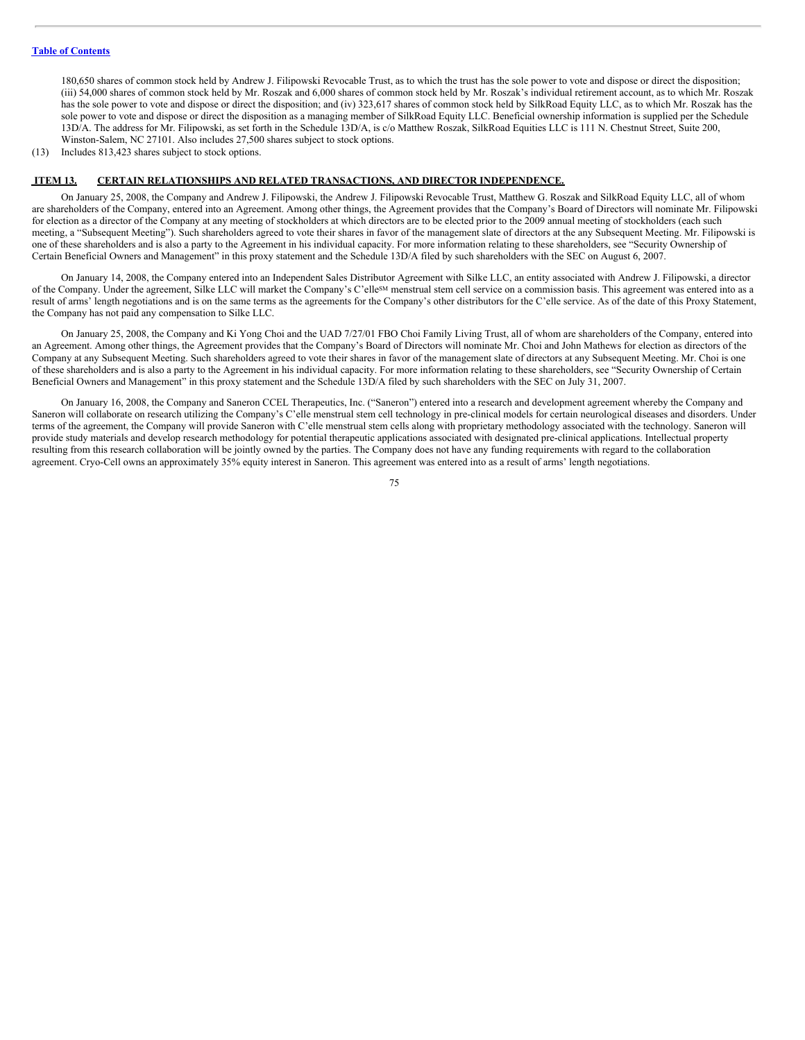180,650 shares of common stock held by Andrew J. Filipowski Revocable Trust, as to which the trust has the sole power to vote and dispose or direct the disposition; (iii) 54,000 shares of common stock held by Mr. Roszak and 6,000 shares of common stock held by Mr. Roszak's individual retirement account, as to which Mr. Roszak has the sole power to vote and dispose or direct the disposition; and (iv) 323,617 shares of common stock held by SilkRoad Equity LLC, as to which Mr. Roszak has the sole power to vote and dispose or direct the disposition as a managing member of SilkRoad Equity LLC. Beneficial ownership information is supplied per the Schedule 13D/A. The address for Mr. Filipowski, as set forth in the Schedule 13D/A, is c/o Matthew Roszak, SilkRoad Equities LLC is 111 N. Chestnut Street, Suite 200, Winston-Salem, NC 27101. Also includes 27,500 shares subject to stock options.

(13) Includes 813,423 shares subject to stock options.

#### **ITEM 13. CERTAIN RELATIONSHIPS AND RELATED TRANSACTIONS, AND DIRECTOR INDEPENDENCE.**

On January 25, 2008, the Company and Andrew J. Filipowski, the Andrew J. Filipowski Revocable Trust, Matthew G. Roszak and SilkRoad Equity LLC, all of whom are shareholders of the Company, entered into an Agreement. Among other things, the Agreement provides that the Company's Board of Directors will nominate Mr. Filipowski for election as a director of the Company at any meeting of stockholders at which directors are to be elected prior to the 2009 annual meeting of stockholders (each such meeting, a "Subsequent Meeting"). Such shareholders agreed to vote their shares in favor of the management slate of directors at the any Subsequent Meeting. Mr. Filipowski is one of these shareholders and is also a party to the Agreement in his individual capacity. For more information relating to these shareholders, see "Security Ownership of Certain Beneficial Owners and Management" in this proxy statement and the Schedule 13D/A filed by such shareholders with the SEC on August 6, 2007.

On January 14, 2008, the Company entered into an Independent Sales Distributor Agreement with Silke LLC, an entity associated with Andrew J. Filipowski, a director of the Company. Under the agreement, Silke LLC will market the Company's C'elle<sup>sM</sup> menstrual stem cell service on a commission basis. This agreement was entered into as a result of arms' length negotiations and is on the same terms as the agreements for the Company's other distributors for the C'elle service. As of the date of this Proxy Statement, the Company has not paid any compensation to Silke LLC.

On January 25, 2008, the Company and Ki Yong Choi and the UAD 7/27/01 FBO Choi Family Living Trust, all of whom are shareholders of the Company, entered into an Agreement. Among other things, the Agreement provides that the Company's Board of Directors will nominate Mr. Choi and John Mathews for election as directors of the Company at any Subsequent Meeting. Such shareholders agreed to vote their shares in favor of the management slate of directors at any Subsequent Meeting. Mr. Choi is one of these shareholders and is also a party to the Agreement in his individual capacity. For more information relating to these shareholders, see "Security Ownership of Certain Beneficial Owners and Management" in this proxy statement and the Schedule 13D/A filed by such shareholders with the SEC on July 31, 2007.

On January 16, 2008, the Company and Saneron CCEL Therapeutics, Inc. ("Saneron") entered into a research and development agreement whereby the Company and Saneron will collaborate on research utilizing the Company's C'elle menstrual stem cell technology in pre-clinical models for certain neurological diseases and disorders. Under terms of the agreement, the Company will provide Saneron with C'elle menstrual stem cells along with proprietary methodology associated with the technology. Saneron will provide study materials and develop research methodology for potential therapeutic applications associated with designated pre-clinical applications. Intellectual property resulting from this research collaboration will be jointly owned by the parties. The Company does not have any funding requirements with regard to the collaboration agreement. Cryo-Cell owns an approximately 35% equity interest in Saneron. This agreement was entered into as a result of arms' length negotiations.

75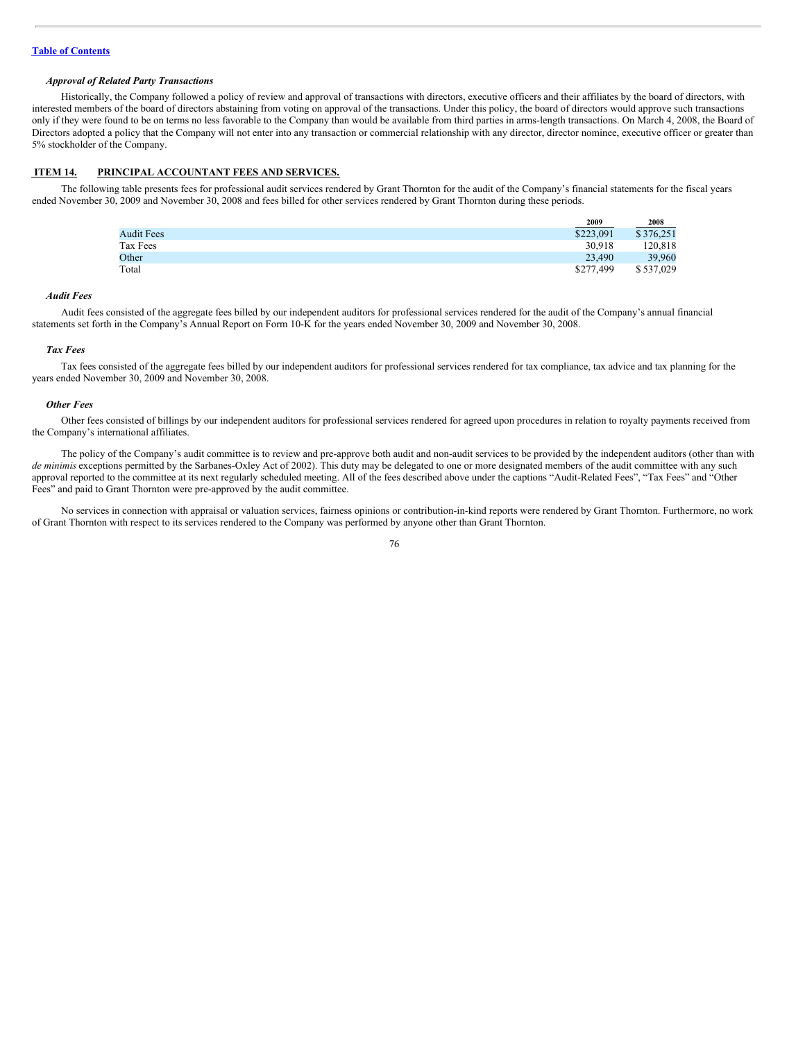# *Approval of Related Party Transactions*

Historically, the Company followed a policy of review and approval of transactions with directors, executive officers and their affiliates by the board of directors, with interested members of the board of directors abstaining from voting on approval of the transactions. Under this policy, the board of directors would approve such transactions only if they were found to be on terms no less favorable to the Company than would be available from third parties in arms-length transactions. On March 4, 2008, the Board of Directors adopted a policy that the Company will not enter into any transaction or commercial relationship with any director, director nominee, executive officer or greater than 5% stockholder of the Company.

# **ITEM 14. PRINCIPAL ACCOUNTANT FEES AND SERVICES.**

The following table presents fees for professional audit services rendered by Grant Thornton for the audit of the Company's financial statements for the fiscal years ended November 30, 2009 and November 30, 2008 and fees billed for other services rendered by Grant Thornton during these periods.

|                   | 2009      | 2008      |
|-------------------|-----------|-----------|
| <b>Audit Fees</b> | \$223,091 | \$376,251 |
| Tax Fees          | 30.918    | 120,818   |
| Other             | 23,490    | 39,960    |
| Total             | \$277,499 | \$537,029 |
|                   |           |           |

### *Audit Fees*

Audit fees consisted of the aggregate fees billed by our independent auditors for professional services rendered for the audit of the Company's annual financial statements set forth in the Company's Annual Report on Form 10-K for the years ended November 30, 2009 and November 30, 2008.

#### *Tax Fees*

Tax fees consisted of the aggregate fees billed by our independent auditors for professional services rendered for tax compliance, tax advice and tax planning for the years ended November 30, 2009 and November 30, 2008.

#### *Other Fees*

Other fees consisted of billings by our independent auditors for professional services rendered for agreed upon procedures in relation to royalty payments received from the Company's international affiliates.

The policy of the Company's audit committee is to review and pre-approve both audit and non-audit services to be provided by the independent auditors (other than with *de minimis* exceptions permitted by the Sarbanes-Oxley Act of 2002). This duty may be delegated to one or more designated members of the audit committee with any such approval reported to the committee at its next regularly scheduled meeting. All of the fees described above under the captions "Audit-Related Fees", "Tax Fees" and "Other Fees" and paid to Grant Thornton were pre-approved by the audit committee.

No services in connection with appraisal or valuation services, fairness opinions or contribution-in-kind reports were rendered by Grant Thornton. Furthermore, no work of Grant Thornton with respect to its services rendered to the Company was performed by anyone other than Grant Thornton.

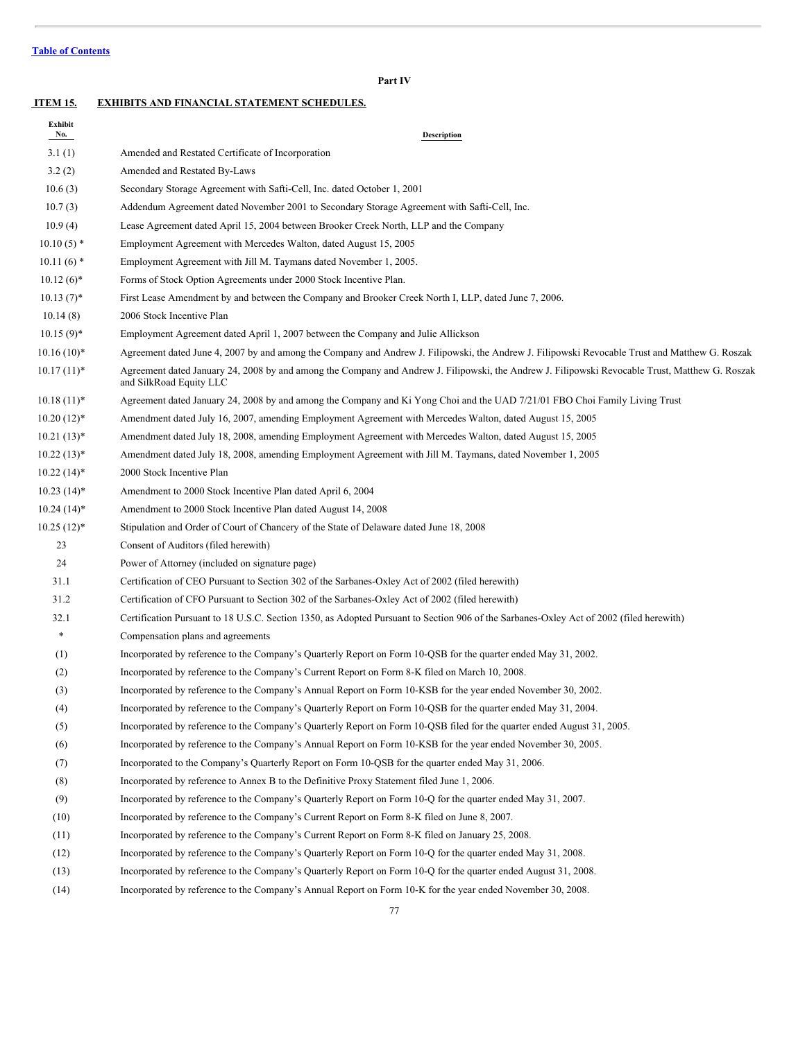**ITEM 15. EXHIBITS AND FINANCIAL STATEMENT SCHEDULES. Exhibit No. Description** 3.1 (1) Amended and Restated Certificate of Incorporation 3.2 (2) Amended and Restated By-Laws 10.6 (3) Secondary Storage Agreement with Safti-Cell, Inc. dated October 1, 2001 10.7 (3) Addendum Agreement dated November 2001 to Secondary Storage Agreement with Safti-Cell, Inc. 10.9 (4) Lease Agreement dated April 15, 2004 between Brooker Creek North, LLP and the Company 10.10 (5) \* Employment Agreement with Mercedes Walton, dated August 15, 2005 10.11 (6) \* Employment Agreement with Jill M. Taymans dated November 1, 2005. 10.12 (6)\* Forms of Stock Option Agreements under 2000 Stock Incentive Plan. 10.13 (7)\* First Lease Amendment by and between the Company and Brooker Creek North I, LLP, dated June 7, 2006. 10.14 (8) 2006 Stock Incentive Plan 10.15 (9)\* Employment Agreement dated April 1, 2007 between the Company and Julie Allickson 10.16 (10)\* Agreement dated June 4, 2007 by and among the Company and Andrew J. Filipowski, the Andrew J. Filipowski Revocable Trust and Matthew G. Roszak 10.17 (11)\* Agreement dated January 24, 2008 by and among the Company and Andrew J. Filipowski, the Andrew J. Filipowski Revocable Trust, Matthew G. Roszak and SilkRoad Equity LLC 10.18 (11)\* Agreement dated January 24, 2008 by and among the Company and Ki Yong Choi and the UAD 7/21/01 FBO Choi Family Living Trust 10.20 (12)\* Amendment dated July 16, 2007, amending Employment Agreement with Mercedes Walton, dated August 15, 2005 10.21 (13)\* Amendment dated July 18, 2008, amending Employment Agreement with Mercedes Walton, dated August 15, 2005 10.22 (13)\* Amendment dated July 18, 2008, amending Employment Agreement with Jill M. Taymans, dated November 1, 2005 10.22 (14)\* 2000 Stock Incentive Plan 10.23 (14)\* Amendment to 2000 Stock Incentive Plan dated April 6, 2004 10.24 (14)\* Amendment to 2000 Stock Incentive Plan dated August 14, 2008 10.25 (12)\* Stipulation and Order of Court of Chancery of the State of Delaware dated June 18, 2008 23 Consent of Auditors (filed herewith) 24 Power of Attorney (included on signature page) 31.1 Certification of CEO Pursuant to Section 302 of the Sarbanes-Oxley Act of 2002 (filed herewith) 31.2 Certification of CFO Pursuant to Section 302 of the Sarbanes-Oxley Act of 2002 (filed herewith) 32.1 Certification Pursuant to 18 U.S.C. Section 1350, as Adopted Pursuant to Section 906 of the Sarbanes-Oxley Act of 2002 (filed herewith) \* Compensation plans and agreements (1) Incorporated by reference to the Company's Quarterly Report on Form 10-QSB for the quarter ended May 31, 2002. (2) Incorporated by reference to the Company's Current Report on Form 8-K filed on March 10, 2008. (3) Incorporated by reference to the Company's Annual Report on Form 10-KSB for the year ended November 30, 2002. (4) Incorporated by reference to the Company's Quarterly Report on Form 10-QSB for the quarter ended May 31, 2004. (5) Incorporated by reference to the Company's Quarterly Report on Form 10-QSB filed for the quarter ended August 31, 2005. (6) Incorporated by reference to the Company's Annual Report on Form 10-KSB for the year ended November 30, 2005. (7) Incorporated to the Company's Quarterly Report on Form 10-QSB for the quarter ended May 31, 2006. (8) Incorporated by reference to Annex B to the Definitive Proxy Statement filed June 1, 2006. (9) Incorporated by reference to the Company's Quarterly Report on Form 10-Q for the quarter ended May 31, 2007. (10) Incorporated by reference to the Company's Current Report on Form 8-K filed on June 8, 2007. (11) Incorporated by reference to the Company's Current Report on Form 8-K filed on January 25, 2008. (12) Incorporated by reference to the Company's Quarterly Report on Form 10-Q for the quarter ended May 31, 2008.

**Part IV**

- (13) Incorporated by reference to the Company's Quarterly Report on Form 10-Q for the quarter ended August 31, 2008.
- (14) Incorporated by reference to the Company's Annual Report on Form 10-K for the year ended November 30, 2008.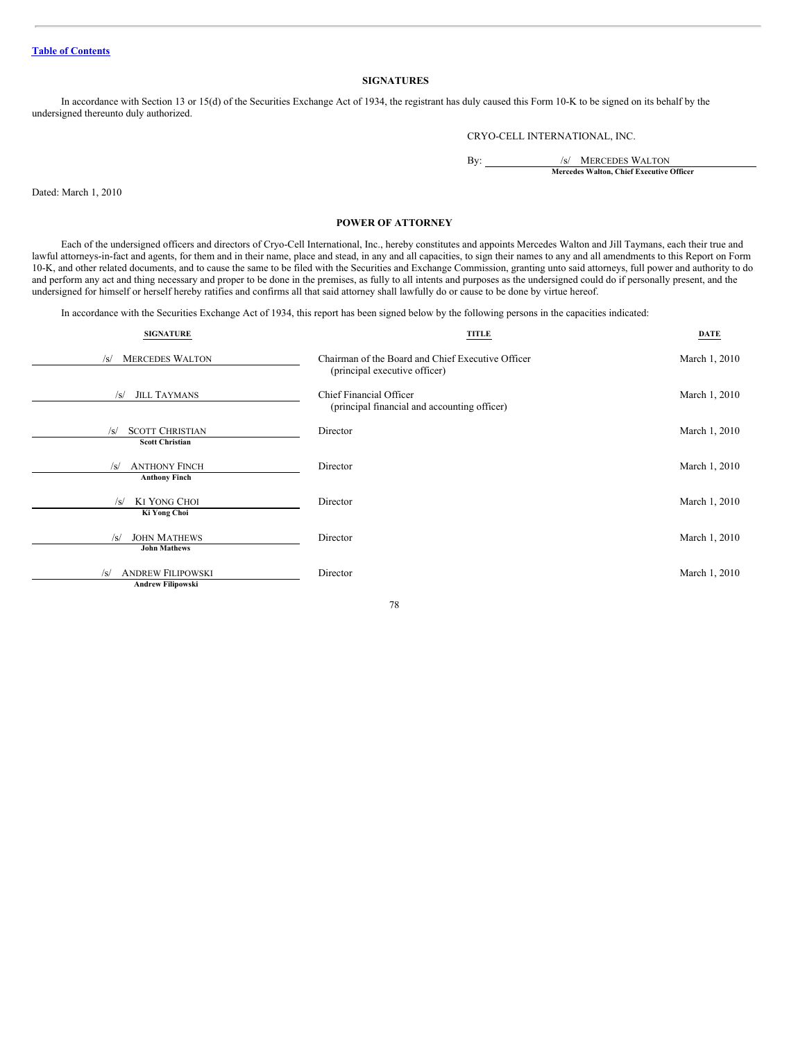# **SIGNATURES**

In accordance with Section 13 or 15(d) of the Securities Exchange Act of 1934, the registrant has duly caused this Form 10-K to be signed on its behalf by the undersigned thereunto duly authorized.

CRYO-CELL INTERNATIONAL, INC.

By: /s/ MERCEDES WALTON **Mercedes Walton, Chief Executive Officer**

Dated: March 1, 2010

# **POWER OF ATTORNEY**

Each of the undersigned officers and directors of Cryo-Cell International, Inc., hereby constitutes and appoints Mercedes Walton and Jill Taymans, each their true and lawful attorneys-in-fact and agents, for them and in their name, place and stead, in any and all capacities, to sign their names to any and all amendments to this Report on Form 10-K, and other related documents, and to cause the same to be filed with the Securities and Exchange Commission, granting unto said attorneys, full power and authority to do and perform any act and thing necessary and proper to be done in the premises, as fully to all intents and purposes as the undersigned could do if personally present, and the undersigned for himself or herself hereby ratifies and confirms all that said attorney shall lawfully do or cause to be done by virtue hereof.

In accordance with the Securities Exchange Act of 1934, this report has been signed below by the following persons in the capacities indicated:

| <b>SIGNATURE</b>                                                   | <b>TITLE</b>                                                                       | <b>DATE</b>   |
|--------------------------------------------------------------------|------------------------------------------------------------------------------------|---------------|
| <b>MERCEDES WALTON</b><br>/s/                                      | Chairman of the Board and Chief Executive Officer<br>(principal executive officer) | March 1, 2010 |
| <b>JILL TAYMANS</b><br>$\sqrt{s}$                                  | Chief Financial Officer<br>(principal financial and accounting officer)            | March 1, 2010 |
| <b>SCOTT CHRISTIAN</b><br>$\sqrt{s}$<br><b>Scott Christian</b>     | Director                                                                           | March 1, 2010 |
| <b>ANTHONY FINCH</b><br>/s/<br><b>Anthony Finch</b>                | Director                                                                           | March 1, 2010 |
| <b>KI YONG CHOI</b><br>/s/<br>Ki Yong Choi                         | Director                                                                           | March 1, 2010 |
| <b>JOHN MATHEWS</b><br>/s/<br><b>John Mathews</b>                  | Director                                                                           | March 1, 2010 |
| <b>ANDREW FILIPOWSKI</b><br>$\sqrt{s}$<br><b>Andrew Filipowski</b> | Director                                                                           | March 1, 2010 |

78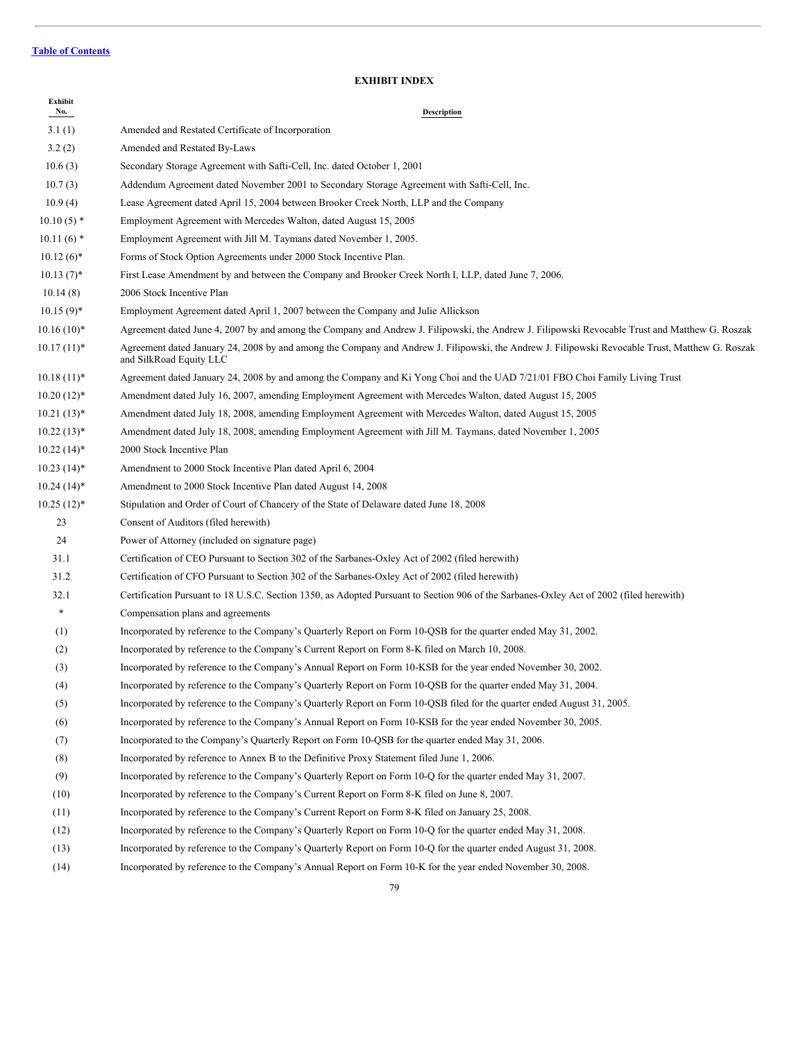# **EXHIBIT INDEX**

| Exhibit<br>No. | Description                                                                                                                                                                |
|----------------|----------------------------------------------------------------------------------------------------------------------------------------------------------------------------|
| 3.1(1)         | Amended and Restated Certificate of Incorporation                                                                                                                          |
| 3.2(2)         | Amended and Restated By-Laws                                                                                                                                               |
| 10.6(3)        | Secondary Storage Agreement with Safti-Cell, Inc. dated October 1, 2001                                                                                                    |
| 10.7(3)        | Addendum Agreement dated November 2001 to Secondary Storage Agreement with Safti-Cell, Inc.                                                                                |
| 10.9(4)        | Lease Agreement dated April 15, 2004 between Brooker Creek North, LLP and the Company                                                                                      |
| $10.10(5)$ *   | Employment Agreement with Mercedes Walton, dated August 15, 2005                                                                                                           |
| $10.11(6)$ *   | Employment Agreement with Jill M. Taymans dated November 1, 2005.                                                                                                          |
| $10.12(6)^*$   | Forms of Stock Option Agreements under 2000 Stock Incentive Plan.                                                                                                          |
| $10.13(7)^*$   | First Lease Amendment by and between the Company and Brooker Creek North I, LLP, dated June 7, 2006.                                                                       |
| 10.14(8)       | 2006 Stock Incentive Plan                                                                                                                                                  |
| $10.15(9)$ *   | Employment Agreement dated April 1, 2007 between the Company and Julie Allickson                                                                                           |
| $10.16(10)*$   | Agreement dated June 4, 2007 by and among the Company and Andrew J. Filipowski, the Andrew J. Filipowski Revocable Trust and Matthew G. Roszak                             |
| $10.17(11)^*$  | Agreement dated January 24, 2008 by and among the Company and Andrew J. Filipowski, the Andrew J. Filipowski Revocable Trust, Matthew G. Roszak<br>and SilkRoad Equity LLC |
| $10.18(11)^*$  | Agreement dated January 24, 2008 by and among the Company and Ki Yong Choi and the UAD 7/21/01 FBO Choi Family Living Trust                                                |
| $10.20(12)*$   | Amendment dated July 16, 2007, amending Employment Agreement with Mercedes Walton, dated August 15, 2005                                                                   |
| $10.21(13)*$   | Amendment dated July 18, 2008, amending Employment Agreement with Mercedes Walton, dated August 15, 2005                                                                   |
| $10.22(13)*$   | Amendment dated July 18, 2008, amending Employment Agreement with Jill M. Taymans, dated November 1, 2005                                                                  |
| $10.22(14)^*$  | 2000 Stock Incentive Plan                                                                                                                                                  |
| $10.23(14)^*$  | Amendment to 2000 Stock Incentive Plan dated April 6, 2004                                                                                                                 |
| $10.24(14)^*$  | Amendment to 2000 Stock Incentive Plan dated August 14, 2008                                                                                                               |
| $10.25(12)^*$  | Stipulation and Order of Court of Chancery of the State of Delaware dated June 18, 2008                                                                                    |
| 23             | Consent of Auditors (filed herewith)                                                                                                                                       |
| 24             | Power of Attorney (included on signature page)                                                                                                                             |
| 31.1           | Certification of CEO Pursuant to Section 302 of the Sarbanes-Oxley Act of 2002 (filed herewith)                                                                            |
| 31.2           | Certification of CFO Pursuant to Section 302 of the Sarbanes-Oxley Act of 2002 (filed herewith)                                                                            |
| 32.1           | Certification Pursuant to 18 U.S.C. Section 1350, as Adopted Pursuant to Section 906 of the Sarbanes-Oxley Act of 2002 (filed herewith)                                    |
| $\ast$         | Compensation plans and agreements                                                                                                                                          |
| (1)            | Incorporated by reference to the Company's Quarterly Report on Form 10-QSB for the quarter ended May 31, 2002.                                                             |
| (2)            | Incorporated by reference to the Company's Current Report on Form 8-K filed on March 10, 2008.                                                                             |
| (3)            | Incorporated by reference to the Company's Annual Report on Form 10-KSB for the year ended November 30, 2002.                                                              |
| (4)            | Incorporated by reference to the Company's Quarterly Report on Form 10-QSB for the quarter ended May 31, 2004.                                                             |
| (5)            | Incorporated by reference to the Company's Quarterly Report on Form 10-QSB filed for the quarter ended August 31, 2005.                                                    |
| (6)            | Incorporated by reference to the Company's Annual Report on Form 10-KSB for the year ended November 30, 2005.                                                              |
| (7)            | Incorporated to the Company's Quarterly Report on Form 10-QSB for the quarter ended May 31, 2006.                                                                          |
| (8)            | Incorporated by reference to Annex B to the Definitive Proxy Statement filed June 1, 2006.                                                                                 |
| (9)            | Incorporated by reference to the Company's Quarterly Report on Form 10-Q for the quarter ended May 31, 2007.                                                               |
| (10)           | Incorporated by reference to the Company's Current Report on Form 8-K filed on June 8, 2007.                                                                               |
| (11)           | Incorporated by reference to the Company's Current Report on Form 8-K filed on January 25, 2008.                                                                           |
| (12)           | Incorporated by reference to the Company's Quarterly Report on Form 10-Q for the quarter ended May 31, 2008.                                                               |
| (13)           | Incorporated by reference to the Company's Quarterly Report on Form 10-Q for the quarter ended August 31, 2008.                                                            |
|                |                                                                                                                                                                            |

(14) Incorporated by reference to the Company's Annual Report on Form 10-K for the year ended November 30, 2008.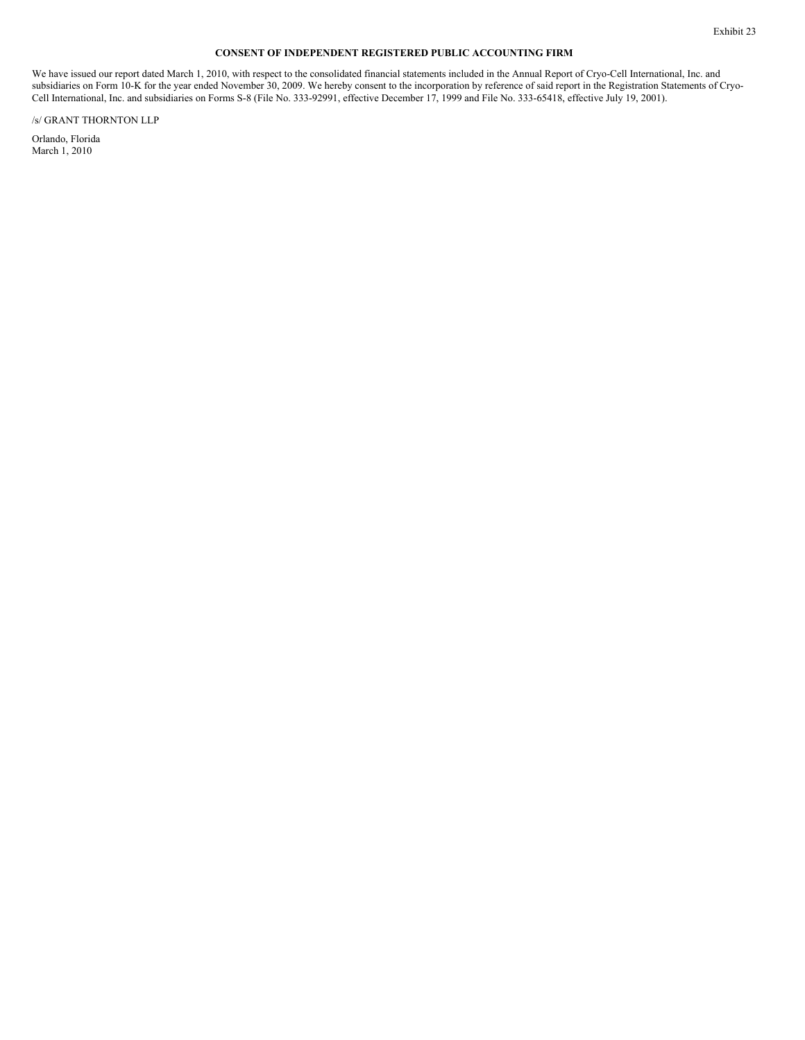# **CONSENT OF INDEPENDENT REGISTERED PUBLIC ACCOUNTING FIRM**

We have issued our report dated March 1, 2010, with respect to the consolidated financial statements included in the Annual Report of Cryo-Cell International, Inc. and subsidiaries on Form 10-K for the year ended November 30, 2009. We hereby consent to the incorporation by reference of said report in the Registration Statements of Cryo-Cell International, Inc. and subsidiaries on Forms S-8 (File No. 333-92991, effective December 17, 1999 and File No. 333-65418, effective July 19, 2001).

/s/ GRANT THORNTON LLP

Orlando, Florida March 1, 2010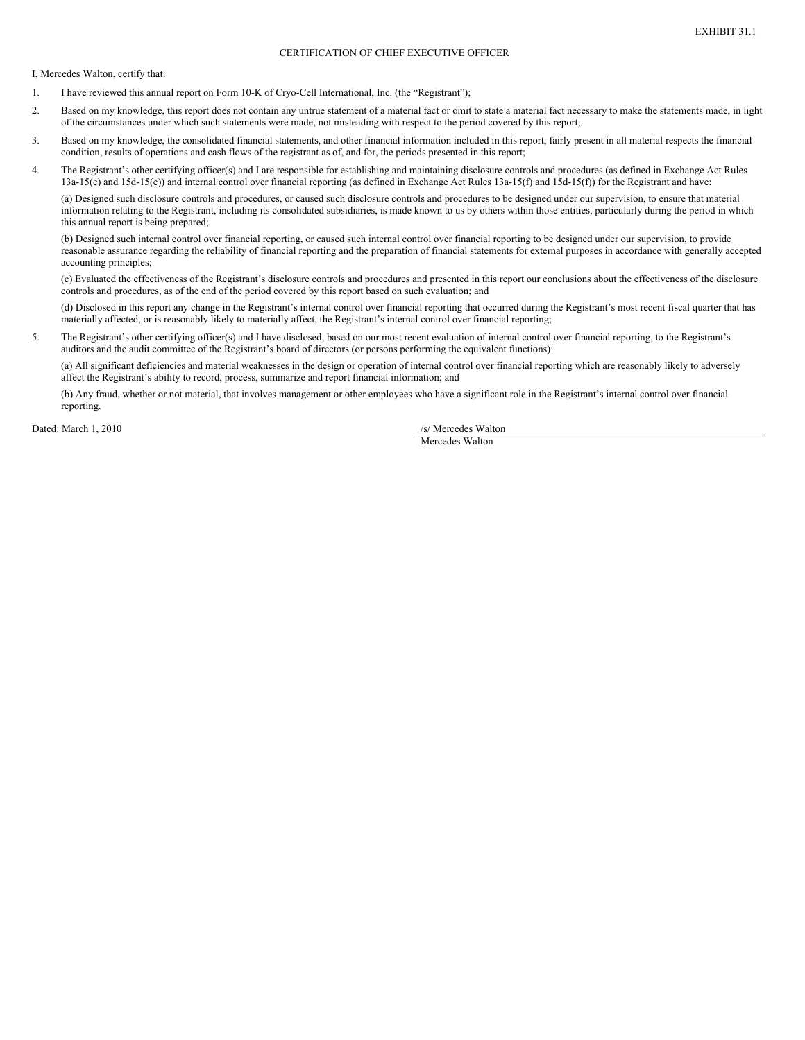# CERTIFICATION OF CHIEF EXECUTIVE OFFICER

I, Mercedes Walton, certify that:

- 1. I have reviewed this annual report on Form 10-K of Cryo-Cell International, Inc. (the "Registrant");
- 2. Based on my knowledge, this report does not contain any untrue statement of a material fact or omit to state a material fact necessary to make the statements made, in light of the circumstances under which such statements were made, not misleading with respect to the period covered by this report;
- 3. Based on my knowledge, the consolidated financial statements, and other financial information included in this report, fairly present in all material respects the financial condition, results of operations and cash flows of the registrant as of, and for, the periods presented in this report;
- 4. The Registrant's other certifying officer(s) and I are responsible for establishing and maintaining disclosure controls and procedures (as defined in Exchange Act Rules 13a-15(e) and 15d-15(e)) and internal control over financial reporting (as defined in Exchange Act Rules 13a-15(f) and 15d-15(f)) for the Registrant and have:

(a) Designed such disclosure controls and procedures, or caused such disclosure controls and procedures to be designed under our supervision, to ensure that material information relating to the Registrant, including its consolidated subsidiaries, is made known to us by others within those entities, particularly during the period in which this annual report is being prepared;

(b) Designed such internal control over financial reporting, or caused such internal control over financial reporting to be designed under our supervision, to provide reasonable assurance regarding the reliability of financial reporting and the preparation of financial statements for external purposes in accordance with generally accepted accounting principles;

(c) Evaluated the effectiveness of the Registrant's disclosure controls and procedures and presented in this report our conclusions about the effectiveness of the disclosure controls and procedures, as of the end of the period covered by this report based on such evaluation; and

(d) Disclosed in this report any change in the Registrant's internal control over financial reporting that occurred during the Registrant's most recent fiscal quarter that has materially affected, or is reasonably likely to materially affect, the Registrant's internal control over financial reporting;

5. The Registrant's other certifying officer(s) and I have disclosed, based on our most recent evaluation of internal control over financial reporting, to the Registrant's auditors and the audit committee of the Registrant's board of directors (or persons performing the equivalent functions):

(a) All significant deficiencies and material weaknesses in the design or operation of internal control over financial reporting which are reasonably likely to adversely affect the Registrant's ability to record, process, summarize and report financial information; and

(b) Any fraud, whether or not material, that involves management or other employees who have a significant role in the Registrant's internal control over financial reporting.

Dated: March 1, 2010 /s/ Mercedes Walton

Mercedes Walton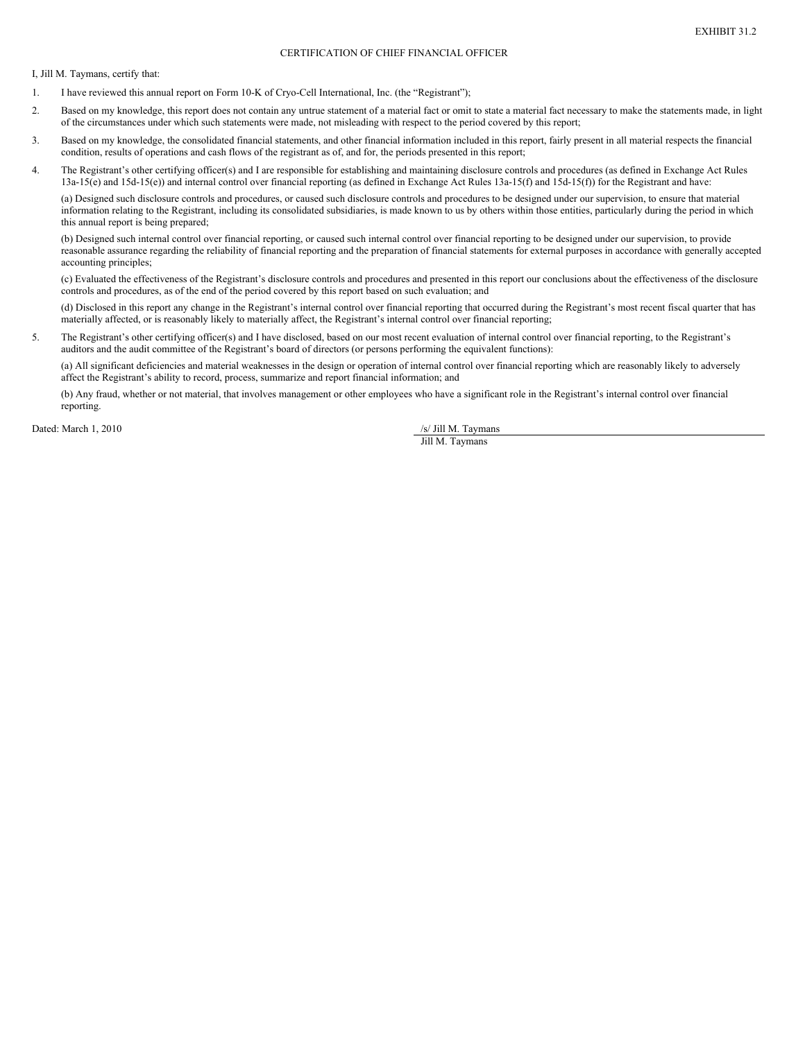# CERTIFICATION OF CHIEF FINANCIAL OFFICER

I, Jill M. Taymans, certify that:

- 1. I have reviewed this annual report on Form 10-K of Cryo-Cell International, Inc. (the "Registrant");
- 2. Based on my knowledge, this report does not contain any untrue statement of a material fact or omit to state a material fact necessary to make the statements made, in light of the circumstances under which such statements were made, not misleading with respect to the period covered by this report;
- 3. Based on my knowledge, the consolidated financial statements, and other financial information included in this report, fairly present in all material respects the financial condition, results of operations and cash flows of the registrant as of, and for, the periods presented in this report;
- 4. The Registrant's other certifying officer(s) and I are responsible for establishing and maintaining disclosure controls and procedures (as defined in Exchange Act Rules 13a-15(e) and 15d-15(e)) and internal control over financial reporting (as defined in Exchange Act Rules 13a-15(f) and 15d-15(f)) for the Registrant and have:

(a) Designed such disclosure controls and procedures, or caused such disclosure controls and procedures to be designed under our supervision, to ensure that material information relating to the Registrant, including its consolidated subsidiaries, is made known to us by others within those entities, particularly during the period in which this annual report is being prepared;

(b) Designed such internal control over financial reporting, or caused such internal control over financial reporting to be designed under our supervision, to provide reasonable assurance regarding the reliability of financial reporting and the preparation of financial statements for external purposes in accordance with generally accepted accounting principles;

(c) Evaluated the effectiveness of the Registrant's disclosure controls and procedures and presented in this report our conclusions about the effectiveness of the disclosure controls and procedures, as of the end of the period covered by this report based on such evaluation; and

(d) Disclosed in this report any change in the Registrant's internal control over financial reporting that occurred during the Registrant's most recent fiscal quarter that has materially affected, or is reasonably likely to materially affect, the Registrant's internal control over financial reporting;

5. The Registrant's other certifying officer(s) and I have disclosed, based on our most recent evaluation of internal control over financial reporting, to the Registrant's auditors and the audit committee of the Registrant's board of directors (or persons performing the equivalent functions):

(a) All significant deficiencies and material weaknesses in the design or operation of internal control over financial reporting which are reasonably likely to adversely affect the Registrant's ability to record, process, summarize and report financial information; and

(b) Any fraud, whether or not material, that involves management or other employees who have a significant role in the Registrant's internal control over financial reporting.

Dated: March 1, 2010 /s/ Jill M. Taymans

Jill M. Taymans